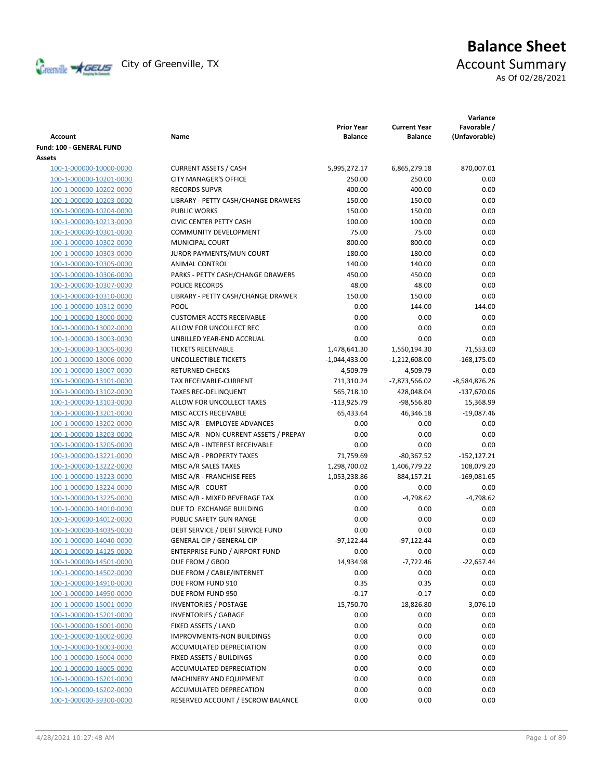

# **Balance Sheet** Creenville Strategies City of Greenville, TX Account Summary

As Of 02/28/2021

| <b>Account</b>           | Name                                   | <b>Prior Year</b><br><b>Balance</b> | <b>Current Year</b><br><b>Balance</b> | Variance<br>Favorable /<br>(Unfavorable) |
|--------------------------|----------------------------------------|-------------------------------------|---------------------------------------|------------------------------------------|
| Fund: 100 - GENERAL FUND |                                        |                                     |                                       |                                          |
| Assets                   |                                        |                                     |                                       |                                          |
| 100-1-000000-10000-0000  | <b>CURRENT ASSETS / CASH</b>           | 5,995,272.17                        | 6,865,279.18                          | 870,007.01                               |
| 100-1-000000-10201-0000  | <b>CITY MANAGER'S OFFICE</b>           | 250.00                              | 250.00                                | 0.00                                     |
| 100-1-000000-10202-0000  | <b>RECORDS SUPVR</b>                   | 400.00                              | 400.00                                | 0.00                                     |
| 100-1-000000-10203-0000  | LIBRARY - PETTY CASH/CHANGE DRAWERS    | 150.00                              | 150.00                                | 0.00                                     |
| 100-1-000000-10204-0000  | <b>PUBLIC WORKS</b>                    | 150.00                              | 150.00                                | 0.00                                     |
| 100-1-000000-10213-0000  | <b>CIVIC CENTER PETTY CASH</b>         | 100.00                              | 100.00                                | 0.00                                     |
| 100-1-000000-10301-0000  | <b>COMMUNITY DEVELOPMENT</b>           | 75.00                               | 75.00                                 | 0.00                                     |
| 100-1-000000-10302-0000  | MUNICIPAL COURT                        | 800.00                              | 800.00                                | 0.00                                     |
| 100-1-000000-10303-0000  | JUROR PAYMENTS/MUN COURT               | 180.00                              | 180.00                                | 0.00                                     |
| 100-1-000000-10305-0000  | ANIMAL CONTROL                         | 140.00                              | 140.00                                | 0.00                                     |
| 100-1-000000-10306-0000  | PARKS - PETTY CASH/CHANGE DRAWERS      | 450.00                              | 450.00                                | 0.00                                     |
| 100-1-000000-10307-0000  | POLICE RECORDS                         | 48.00                               | 48.00                                 | 0.00                                     |
| 100-1-000000-10310-0000  | LIBRARY - PETTY CASH/CHANGE DRAWER     | 150.00                              | 150.00                                | 0.00                                     |
| 100-1-000000-10312-0000  | POOL                                   | 0.00                                | 144.00                                | 144.00                                   |
| 100-1-000000-13000-0000  | <b>CUSTOMER ACCTS RECEIVABLE</b>       | 0.00                                | 0.00                                  | 0.00                                     |
| 100-1-000000-13002-0000  | ALLOW FOR UNCOLLECT REC                | 0.00                                | 0.00                                  | 0.00                                     |
| 100-1-000000-13003-0000  | UNBILLED YEAR-END ACCRUAL              | 0.00                                | 0.00                                  | 0.00                                     |
| 100-1-000000-13005-0000  | <b>TICKETS RECEIVABLE</b>              | 1,478,641.30                        | 1,550,194.30                          | 71,553.00                                |
| 100-1-000000-13006-0000  | <b>UNCOLLECTIBLE TICKETS</b>           | -1,044,433.00                       | $-1,212,608.00$                       | $-168,175.00$                            |
| 100-1-000000-13007-0000  | <b>RETURNED CHECKS</b>                 | 4,509.79                            | 4,509.79                              | 0.00                                     |
| 100-1-000000-13101-0000  | TAX RECEIVABLE-CURRENT                 | 711,310.24                          | -7,873,566.02                         | -8,584,876.26                            |
| 100-1-000000-13102-0000  | <b>TAXES REC-DELINQUENT</b>            | 565,718.10                          | 428,048.04                            | $-137,670.06$                            |
| 100-1-000000-13103-0000  | ALLOW FOR UNCOLLECT TAXES              | $-113,925.79$                       | $-98,556.80$                          | 15,368.99                                |
| 100-1-000000-13201-0000  | MISC ACCTS RECEIVABLE                  | 65,433.64                           | 46,346.18                             | $-19,087.46$                             |
| 100-1-000000-13202-0000  | MISC A/R - EMPLOYEE ADVANCES           | 0.00                                | 0.00                                  | 0.00                                     |
| 100-1-000000-13203-0000  | MISC A/R - NON-CURRENT ASSETS / PREPAY | 0.00                                | 0.00                                  | 0.00                                     |
| 100-1-000000-13205-0000  | MISC A/R - INTEREST RECEIVABLE         | 0.00                                | 0.00                                  | 0.00                                     |
| 100-1-000000-13221-0000  | MISC A/R - PROPERTY TAXES              | 71,759.69                           | $-80,367.52$                          | $-152, 127.21$                           |
| 100-1-000000-13222-0000  | MISC A/R SALES TAXES                   | 1,298,700.02                        | 1,406,779.22                          | 108,079.20                               |
| 100-1-000000-13223-0000  | MISC A/R - FRANCHISE FEES              | 1,053,238.86                        | 884,157.21                            | $-169,081.65$                            |
| 100-1-000000-13224-0000  | MISC A/R - COURT                       | 0.00                                | 0.00                                  | 0.00                                     |
| 100-1-000000-13225-0000  | MISC A/R - MIXED BEVERAGE TAX          | 0.00                                | $-4,798.62$                           | $-4,798.62$                              |
| 100-1-000000-14010-0000  | DUE TO EXCHANGE BUILDING               | 0.00                                | 0.00                                  | 0.00                                     |
| 100-1-000000-14012-0000  | PUBLIC SAFETY GUN RANGE                | 0.00                                | 0.00                                  | 0.00                                     |
| 100-1-000000-14035-0000  | DEBT SERVICE / DEBT SERVICE FUND       | 0.00                                | 0.00                                  | 0.00                                     |
| 100-1-000000-14040-0000  | <b>GENERAL CIP / GENERAL CIP</b>       | $-97,122.44$                        | $-97,122.44$                          | 0.00                                     |
| 100-1-000000-14125-0000  | ENTERPRISE FUND / AIRPORT FUND         | 0.00                                | 0.00                                  | 0.00                                     |
| 100-1-000000-14501-0000  | DUE FROM / GBOD                        | 14,934.98                           | $-7,722.46$                           | $-22,657.44$                             |
| 100-1-000000-14502-0000  | DUE FROM / CABLE/INTERNET              | 0.00                                | 0.00                                  | 0.00                                     |
| 100-1-000000-14910-0000  | DUE FROM FUND 910                      | 0.35                                | 0.35                                  | 0.00                                     |
| 100-1-000000-14950-0000  | DUE FROM FUND 950                      | $-0.17$                             | $-0.17$                               | 0.00                                     |
| 100-1-000000-15001-0000  | <b>INVENTORIES / POSTAGE</b>           | 15,750.70                           | 18,826.80                             | 3,076.10                                 |
| 100-1-000000-15201-0000  | <b>INVENTORIES / GARAGE</b>            | 0.00                                | 0.00                                  | 0.00                                     |
| 100-1-000000-16001-0000  | FIXED ASSETS / LAND                    | 0.00                                | 0.00                                  | 0.00                                     |
| 100-1-000000-16002-0000  | IMPROVMENTS-NON BUILDINGS              | 0.00                                | 0.00                                  | 0.00                                     |
| 100-1-000000-16003-0000  | ACCUMULATED DEPRECIATION               | 0.00                                | 0.00                                  | 0.00                                     |
| 100-1-000000-16004-0000  | FIXED ASSETS / BUILDINGS               | 0.00                                | 0.00                                  | 0.00                                     |
| 100-1-000000-16005-0000  | ACCUMULATED DEPRECIATION               | 0.00                                | 0.00                                  | 0.00                                     |
| 100-1-000000-16201-0000  | MACHINERY AND EQUIPMENT                | 0.00                                | 0.00                                  | 0.00                                     |
| 100-1-000000-16202-0000  | ACCUMULATED DEPRECATION                | 0.00                                | 0.00                                  | 0.00                                     |
| 100-1-000000-39300-0000  | RESERVED ACCOUNT / ESCROW BALANCE      | 0.00                                | 0.00                                  | 0.00                                     |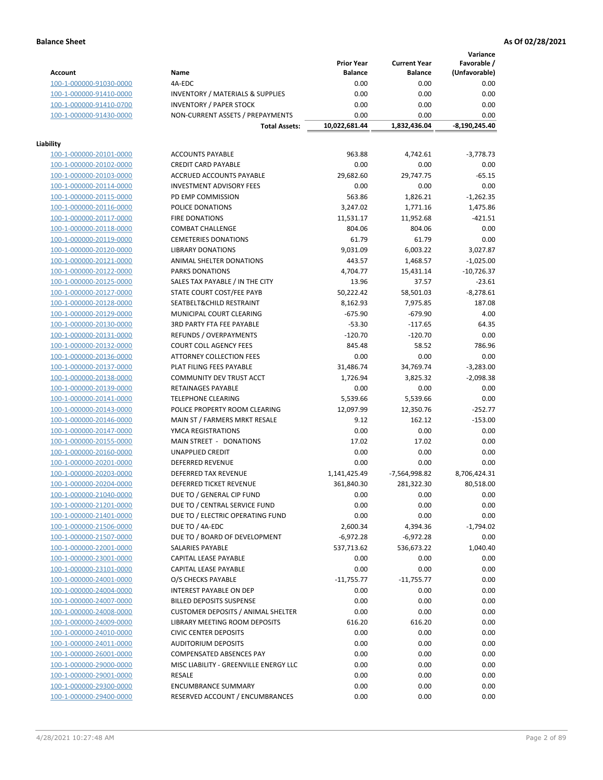## **Balance Sheet As Of 02/28/2021**

**Variance**

|                         |                                                     | <b>Prior Year</b> | <b>Current Year</b> | Favorable /     |
|-------------------------|-----------------------------------------------------|-------------------|---------------------|-----------------|
| <b>Account</b>          | Name                                                | <b>Balance</b>    | <b>Balance</b>      | (Unfavorable)   |
| 100-1-000000-91030-0000 | 4A-EDC                                              | 0.00              | 0.00                | 0.00            |
| 100-1-000000-91410-0000 | <b>INVENTORY / MATERIALS &amp; SUPPLIES</b>         | 0.00              | 0.00                | 0.00            |
| 100-1-000000-91410-0700 | <b>INVENTORY / PAPER STOCK</b>                      | 0.00              | 0.00                | 0.00            |
| 100-1-000000-91430-0000 | NON-CURRENT ASSETS / PREPAYMENTS                    | 0.00              | 0.00                | 0.00            |
|                         | <b>Total Assets:</b>                                | 10,022,681.44     | 1,832,436.04        | $-8,190,245.40$ |
|                         |                                                     |                   |                     |                 |
| Liability               |                                                     |                   |                     |                 |
| 100-1-000000-20101-0000 | <b>ACCOUNTS PAYABLE</b>                             | 963.88            | 4,742.61            | $-3,778.73$     |
| 100-1-000000-20102-0000 | <b>CREDIT CARD PAYABLE</b>                          | 0.00              | 0.00                | 0.00            |
| 100-1-000000-20103-0000 | ACCRUED ACCOUNTS PAYABLE                            | 29,682.60         | 29,747.75           | $-65.15$        |
| 100-1-000000-20114-0000 | <b>INVESTMENT ADVISORY FEES</b>                     | 0.00              | 0.00                | 0.00            |
| 100-1-000000-20115-0000 | PD EMP COMMISSION                                   | 563.86            | 1,826.21            | $-1,262.35$     |
| 100-1-000000-20116-0000 | POLICE DONATIONS                                    | 3,247.02          | 1,771.16            | 1,475.86        |
| 100-1-000000-20117-0000 | <b>FIRE DONATIONS</b>                               | 11,531.17         | 11,952.68           | $-421.51$       |
| 100-1-000000-20118-0000 | <b>COMBAT CHALLENGE</b>                             | 804.06            | 804.06              | 0.00            |
| 100-1-000000-20119-0000 | <b>CEMETERIES DONATIONS</b>                         | 61.79             | 61.79               | 0.00            |
| 100-1-000000-20120-0000 | <b>LIBRARY DONATIONS</b>                            | 9,031.09          | 6,003.22            | 3,027.87        |
| 100-1-000000-20121-0000 | ANIMAL SHELTER DONATIONS                            | 443.57            | 1,468.57            | $-1,025.00$     |
| 100-1-000000-20122-0000 | <b>PARKS DONATIONS</b>                              | 4,704.77          | 15,431.14           | $-10,726.37$    |
| 100-1-000000-20125-0000 | SALES TAX PAYABLE / IN THE CITY                     | 13.96             | 37.57               | $-23.61$        |
| 100-1-000000-20127-0000 | STATE COURT COST/FEE PAYB                           | 50,222.42         | 58,501.03           | $-8,278.61$     |
| 100-1-000000-20128-0000 | SEATBELT&CHILD RESTRAINT                            | 8,162.93          | 7,975.85            | 187.08          |
| 100-1-000000-20129-0000 | MUNICIPAL COURT CLEARING                            | $-675.90$         | $-679.90$           | 4.00            |
| 100-1-000000-20130-0000 | 3RD PARTY FTA FEE PAYABLE                           | $-53.30$          | $-117.65$           | 64.35           |
| 100-1-000000-20131-0000 | REFUNDS / OVERPAYMENTS                              | $-120.70$         | $-120.70$           | 0.00            |
| 100-1-000000-20132-0000 | <b>COURT COLL AGENCY FEES</b>                       | 845.48            | 58.52               | 786.96          |
| 100-1-000000-20136-0000 | <b>ATTORNEY COLLECTION FEES</b>                     | 0.00              | 0.00                | 0.00            |
| 100-1-000000-20137-0000 | PLAT FILING FEES PAYABLE                            | 31,486.74         | 34,769.74           | $-3,283.00$     |
| 100-1-000000-20138-0000 | COMMUNITY DEV TRUST ACCT                            | 1,726.94          | 3,825.32            | $-2,098.38$     |
| 100-1-000000-20139-0000 | RETAINAGES PAYABLE                                  | 0.00              | 0.00                | 0.00            |
| 100-1-000000-20141-0000 | <b>TELEPHONE CLEARING</b>                           | 5,539.66          | 5,539.66            | 0.00            |
| 100-1-000000-20143-0000 | POLICE PROPERTY ROOM CLEARING                       | 12,097.99         | 12,350.76           | $-252.77$       |
| 100-1-000000-20146-0000 | MAIN ST / FARMERS MRKT RESALE                       | 9.12              | 162.12              | $-153.00$       |
| 100-1-000000-20147-0000 | YMCA REGISTRATIONS                                  | 0.00              | 0.00                | 0.00            |
| 100-1-000000-20155-0000 | MAIN STREET - DONATIONS                             | 17.02             | 17.02               | 0.00            |
| 100-1-000000-20160-0000 | <b>UNAPPLIED CREDIT</b>                             | 0.00              | 0.00                | 0.00            |
| 100-1-000000-20201-0000 | <b>DEFERRED REVENUE</b>                             | 0.00              | 0.00                | 0.00            |
| 100-1-000000-20203-0000 | DEFERRED TAX REVENUE                                | 1,141,425.49      | $-7,564,998.82$     | 8,706,424.31    |
| 100-1-000000-20204-0000 | DEFERRED TICKET REVENUE                             | 361,840.30        | 281,322.30          | 80,518.00       |
| 100-1-000000-21040-0000 | DUE TO / GENERAL CIP FUND                           | 0.00              | 0.00                | 0.00            |
| 100-1-000000-21201-0000 | DUE TO / CENTRAL SERVICE FUND                       | 0.00              | 0.00                | 0.00            |
|                         |                                                     |                   |                     |                 |
| 100-1-000000-21401-0000 | DUE TO / ELECTRIC OPERATING FUND<br>DUE TO / 4A-EDC | 0.00              | 0.00                | 0.00            |
| 100-1-000000-21506-0000 |                                                     | 2,600.34          | 4,394.36            | $-1,794.02$     |
| 100-1-000000-21507-0000 | DUE TO / BOARD OF DEVELOPMENT                       | $-6,972.28$       | -6,972.28           | 0.00            |
| 100-1-000000-22001-0000 | SALARIES PAYABLE                                    | 537,713.62        | 536,673.22          | 1,040.40        |
| 100-1-000000-23001-0000 | CAPITAL LEASE PAYABLE                               | 0.00              | 0.00                | 0.00            |
| 100-1-000000-23101-0000 | CAPITAL LEASE PAYABLE                               | 0.00              | 0.00                | 0.00            |
| 100-1-000000-24001-0000 | O/S CHECKS PAYABLE                                  | $-11,755.77$      | $-11,755.77$        | 0.00            |
| 100-1-000000-24004-0000 | INTEREST PAYABLE ON DEP                             | 0.00              | 0.00                | 0.00            |
| 100-1-000000-24007-0000 | <b>BILLED DEPOSITS SUSPENSE</b>                     | 0.00              | 0.00                | 0.00            |
| 100-1-000000-24008-0000 | <b>CUSTOMER DEPOSITS / ANIMAL SHELTER</b>           | 0.00              | 0.00                | 0.00            |
| 100-1-000000-24009-0000 | LIBRARY MEETING ROOM DEPOSITS                       | 616.20            | 616.20              | 0.00            |
| 100-1-000000-24010-0000 | <b>CIVIC CENTER DEPOSITS</b>                        | 0.00              | 0.00                | 0.00            |
| 100-1-000000-24011-0000 | <b>AUDITORIUM DEPOSITS</b>                          | 0.00              | 0.00                | 0.00            |
| 100-1-000000-26001-0000 | COMPENSATED ABSENCES PAY                            | 0.00              | 0.00                | 0.00            |
| 100-1-000000-29000-0000 | MISC LIABILITY - GREENVILLE ENERGY LLC              | 0.00              | 0.00                | 0.00            |
| 100-1-000000-29001-0000 | <b>RESALE</b>                                       | 0.00              | 0.00                | 0.00            |
| 100-1-000000-29300-0000 | <b>ENCUMBRANCE SUMMARY</b>                          | 0.00              | 0.00                | 0.00            |
| 100-1-000000-29400-0000 | RESERVED ACCOUNT / ENCUMBRANCES                     | 0.00              | 0.00                | 0.00            |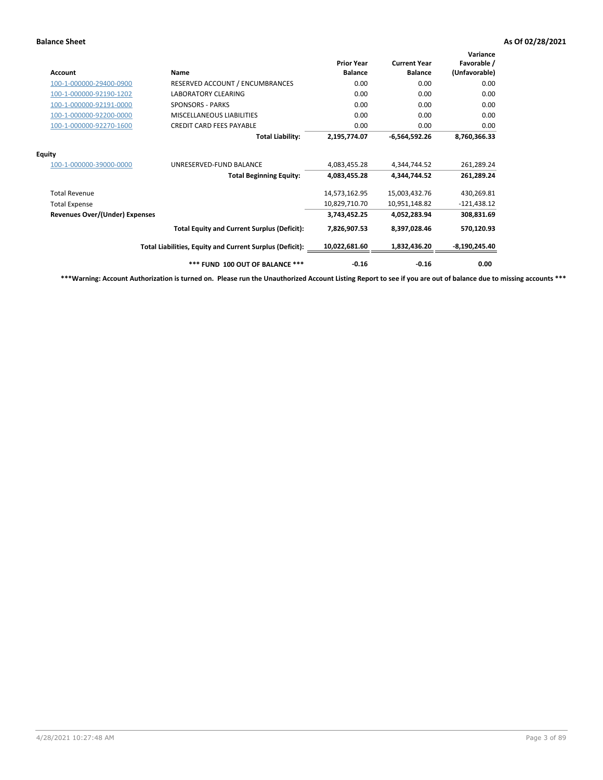## **Balance Sheet As Of 02/28/2021**

| <b>Account</b>                        | Name                                                     | <b>Prior Year</b><br><b>Balance</b> | <b>Current Year</b><br><b>Balance</b> | Variance<br>Favorable /<br>(Unfavorable) |
|---------------------------------------|----------------------------------------------------------|-------------------------------------|---------------------------------------|------------------------------------------|
| 100-1-000000-29400-0900               | RESERVED ACCOUNT / ENCUMBRANCES                          | 0.00                                | 0.00                                  | 0.00                                     |
| 100-1-000000-92190-1202               | <b>LABORATORY CLEARING</b>                               | 0.00                                | 0.00                                  | 0.00                                     |
| 100-1-000000-92191-0000               | <b>SPONSORS - PARKS</b>                                  | 0.00                                | 0.00                                  | 0.00                                     |
| 100-1-000000-92200-0000               | MISCELLANEOUS LIABILITIES                                | 0.00                                | 0.00                                  | 0.00                                     |
| 100-1-000000-92270-1600               | <b>CREDIT CARD FEES PAYABLE</b>                          | 0.00                                | 0.00                                  | 0.00                                     |
|                                       | <b>Total Liability:</b>                                  | 2,195,774.07                        | $-6,564,592.26$                       | 8,760,366.33                             |
| <b>Equity</b>                         |                                                          |                                     |                                       |                                          |
| 100-1-000000-39000-0000               | UNRESERVED-FUND BALANCE                                  | 4,083,455.28                        | 4,344,744.52                          | 261,289.24                               |
|                                       | <b>Total Beginning Equity:</b>                           | 4,083,455.28                        | 4,344,744.52                          | 261,289.24                               |
| <b>Total Revenue</b>                  |                                                          | 14,573,162.95                       | 15,003,432.76                         | 430,269.81                               |
| <b>Total Expense</b>                  |                                                          | 10,829,710.70                       | 10,951,148.82                         | $-121,438.12$                            |
| <b>Revenues Over/(Under) Expenses</b> |                                                          | 3,743,452.25                        | 4,052,283.94                          | 308,831.69                               |
|                                       | <b>Total Equity and Current Surplus (Deficit):</b>       | 7,826,907.53                        | 8,397,028.46                          | 570,120.93                               |
|                                       | Total Liabilities, Equity and Current Surplus (Deficit): | 10,022,681.60                       | 1,832,436.20                          | $-8,190,245.40$                          |
|                                       | *** FUND 100 OUT OF BALANCE ***                          | $-0.16$                             | $-0.16$                               | 0.00                                     |

**\*\*\*Warning: Account Authorization is turned on. Please run the Unauthorized Account Listing Report to see if you are out of balance due to missing accounts \*\*\***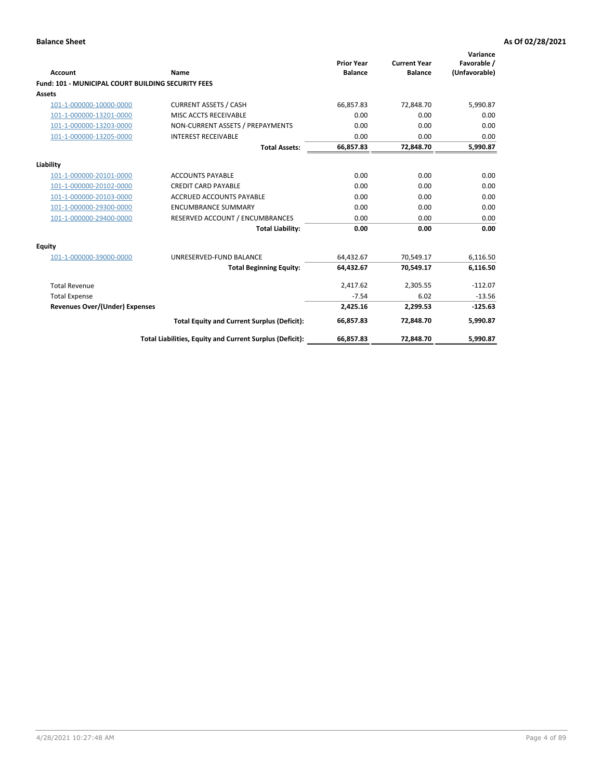| Account                                                   | Name                                                     | <b>Prior Year</b><br><b>Balance</b> | <b>Current Year</b><br><b>Balance</b> | Variance<br>Favorable /<br>(Unfavorable) |
|-----------------------------------------------------------|----------------------------------------------------------|-------------------------------------|---------------------------------------|------------------------------------------|
| <b>Fund: 101 - MUNICIPAL COURT BUILDING SECURITY FEES</b> |                                                          |                                     |                                       |                                          |
| <b>Assets</b>                                             |                                                          |                                     |                                       |                                          |
| 101-1-000000-10000-0000                                   | <b>CURRENT ASSETS / CASH</b>                             | 66,857.83                           | 72,848.70                             | 5,990.87                                 |
| 101-1-000000-13201-0000                                   | MISC ACCTS RECEIVABLE                                    | 0.00                                | 0.00                                  | 0.00                                     |
| 101-1-000000-13203-0000                                   | NON-CURRENT ASSETS / PREPAYMENTS                         | 0.00                                | 0.00                                  | 0.00                                     |
| 101-1-000000-13205-0000                                   | <b>INTEREST RECEIVABLE</b>                               | 0.00                                | 0.00                                  | 0.00                                     |
|                                                           | <b>Total Assets:</b>                                     | 66,857.83                           | 72,848.70                             | 5,990.87                                 |
| Liability                                                 |                                                          |                                     |                                       |                                          |
| 101-1-000000-20101-0000                                   | <b>ACCOUNTS PAYABLE</b>                                  | 0.00                                | 0.00                                  | 0.00                                     |
| 101-1-000000-20102-0000                                   | <b>CREDIT CARD PAYABLE</b>                               | 0.00                                | 0.00                                  | 0.00                                     |
| 101-1-000000-20103-0000                                   | <b>ACCRUED ACCOUNTS PAYABLE</b>                          | 0.00                                | 0.00                                  | 0.00                                     |
| 101-1-000000-29300-0000                                   | <b>ENCUMBRANCE SUMMARY</b>                               | 0.00                                | 0.00                                  | 0.00                                     |
| 101-1-000000-29400-0000                                   | RESERVED ACCOUNT / ENCUMBRANCES                          | 0.00                                | 0.00                                  | 0.00                                     |
|                                                           | <b>Total Liability:</b>                                  | 0.00                                | 0.00                                  | 0.00                                     |
| <b>Equity</b>                                             |                                                          |                                     |                                       |                                          |
| 101-1-000000-39000-0000                                   | UNRESERVED-FUND BALANCE                                  | 64,432.67                           | 70,549.17                             | 6,116.50                                 |
|                                                           | <b>Total Beginning Equity:</b>                           | 64,432.67                           | 70,549.17                             | 6,116.50                                 |
| <b>Total Revenue</b>                                      |                                                          | 2,417.62                            | 2,305.55                              | $-112.07$                                |
| <b>Total Expense</b>                                      |                                                          | $-7.54$                             | 6.02                                  | $-13.56$                                 |
| <b>Revenues Over/(Under) Expenses</b>                     |                                                          | 2,425.16                            | 2,299.53                              | $-125.63$                                |
|                                                           | <b>Total Equity and Current Surplus (Deficit):</b>       | 66.857.83                           | 72.848.70                             | 5,990.87                                 |
|                                                           | Total Liabilities, Equity and Current Surplus (Deficit): | 66,857.83                           | 72,848.70                             | 5,990.87                                 |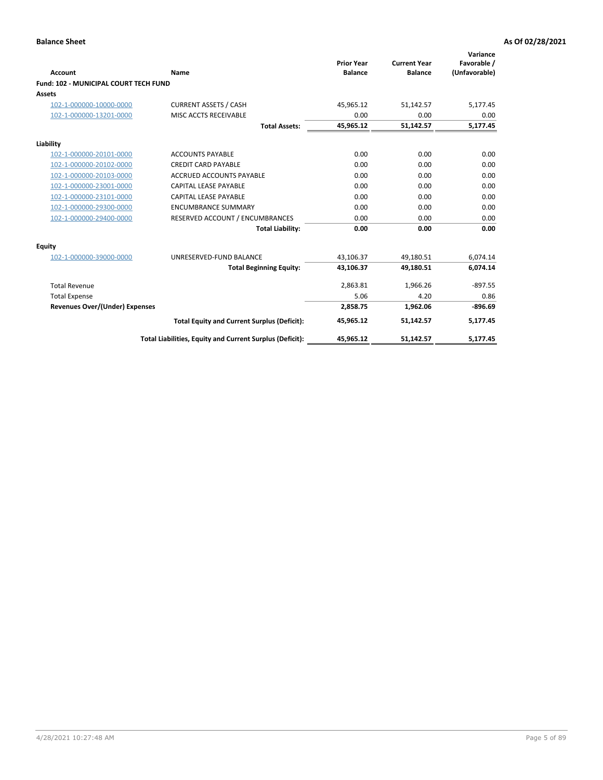|                                              |                                                          |                                     |                                       | Variance                     |
|----------------------------------------------|----------------------------------------------------------|-------------------------------------|---------------------------------------|------------------------------|
| <b>Account</b>                               | Name                                                     | <b>Prior Year</b><br><b>Balance</b> | <b>Current Year</b><br><b>Balance</b> | Favorable /<br>(Unfavorable) |
| <b>Fund: 102 - MUNICIPAL COURT TECH FUND</b> |                                                          |                                     |                                       |                              |
| Assets                                       |                                                          |                                     |                                       |                              |
| 102-1-000000-10000-0000                      | <b>CURRENT ASSETS / CASH</b>                             | 45,965.12                           | 51,142.57                             | 5,177.45                     |
| 102-1-000000-13201-0000                      | MISC ACCTS RECEIVABLE                                    | 0.00                                | 0.00                                  | 0.00                         |
|                                              | <b>Total Assets:</b>                                     | 45,965.12                           | 51,142.57                             | 5,177.45                     |
| Liability                                    |                                                          |                                     |                                       |                              |
| 102-1-000000-20101-0000                      | <b>ACCOUNTS PAYABLE</b>                                  | 0.00                                | 0.00                                  | 0.00                         |
| 102-1-000000-20102-0000                      | <b>CREDIT CARD PAYABLE</b>                               | 0.00                                | 0.00                                  | 0.00                         |
| 102-1-000000-20103-0000                      | <b>ACCRUED ACCOUNTS PAYABLE</b>                          | 0.00                                | 0.00                                  | 0.00                         |
| 102-1-000000-23001-0000                      | <b>CAPITAL LEASE PAYABLE</b>                             | 0.00                                | 0.00                                  | 0.00                         |
| 102-1-000000-23101-0000                      | <b>CAPITAL LEASE PAYABLE</b>                             | 0.00                                | 0.00                                  | 0.00                         |
| 102-1-000000-29300-0000                      | <b>ENCUMBRANCE SUMMARY</b>                               | 0.00                                | 0.00                                  | 0.00                         |
| 102-1-000000-29400-0000                      | RESERVED ACCOUNT / ENCUMBRANCES                          | 0.00                                | 0.00                                  | 0.00                         |
|                                              | <b>Total Liability:</b>                                  | 0.00                                | 0.00                                  | 0.00                         |
| Equity                                       |                                                          |                                     |                                       |                              |
| 102-1-000000-39000-0000                      | UNRESERVED-FUND BALANCE                                  | 43,106.37                           | 49,180.51                             | 6,074.14                     |
|                                              | <b>Total Beginning Equity:</b>                           | 43,106.37                           | 49,180.51                             | 6,074.14                     |
| <b>Total Revenue</b>                         |                                                          | 2,863.81                            | 1,966.26                              | $-897.55$                    |
| <b>Total Expense</b>                         |                                                          | 5.06                                | 4.20                                  | 0.86                         |
| <b>Revenues Over/(Under) Expenses</b>        |                                                          | 2,858.75                            | 1,962.06                              | $-896.69$                    |
|                                              | <b>Total Equity and Current Surplus (Deficit):</b>       | 45,965.12                           | 51,142.57                             | 5,177.45                     |
|                                              | Total Liabilities, Equity and Current Surplus (Deficit): | 45,965.12                           | 51,142.57                             | 5,177.45                     |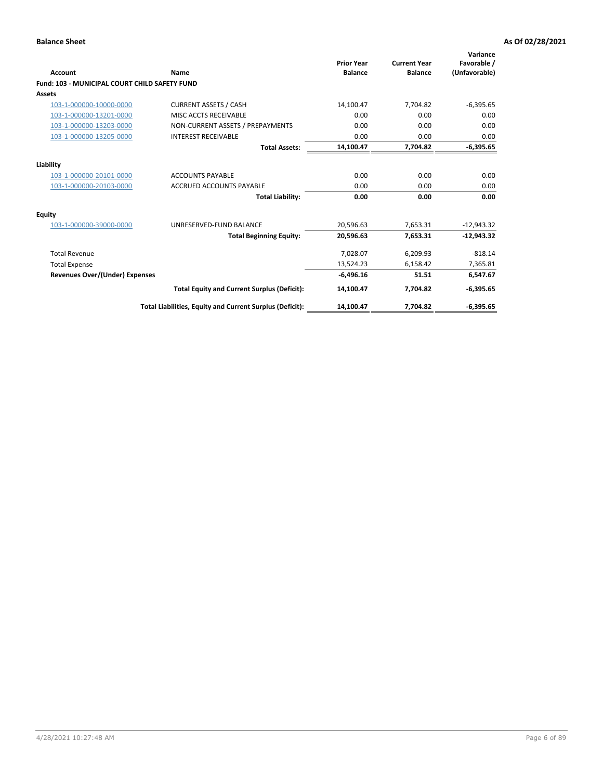| Account                                       | Name                                                     | <b>Prior Year</b><br><b>Balance</b> | <b>Current Year</b><br><b>Balance</b> | Variance<br>Favorable /<br>(Unfavorable) |
|-----------------------------------------------|----------------------------------------------------------|-------------------------------------|---------------------------------------|------------------------------------------|
| Fund: 103 - MUNICIPAL COURT CHILD SAFETY FUND |                                                          |                                     |                                       |                                          |
| Assets                                        |                                                          |                                     |                                       |                                          |
| 103-1-000000-10000-0000                       | <b>CURRENT ASSETS / CASH</b>                             | 14,100.47                           | 7,704.82                              | $-6,395.65$                              |
| 103-1-000000-13201-0000                       | MISC ACCTS RECEIVABLE                                    | 0.00                                | 0.00                                  | 0.00                                     |
| 103-1-000000-13203-0000                       | NON-CURRENT ASSETS / PREPAYMENTS                         | 0.00                                | 0.00                                  | 0.00                                     |
| 103-1-000000-13205-0000                       | <b>INTEREST RECEIVABLE</b>                               | 0.00                                | 0.00                                  | 0.00                                     |
|                                               | <b>Total Assets:</b>                                     | 14,100.47                           | 7,704.82                              | $-6,395.65$                              |
| Liability                                     |                                                          |                                     |                                       |                                          |
| 103-1-000000-20101-0000                       | <b>ACCOUNTS PAYABLE</b>                                  | 0.00                                | 0.00                                  | 0.00                                     |
| 103-1-000000-20103-0000                       | <b>ACCRUED ACCOUNTS PAYABLE</b>                          | 0.00                                | 0.00                                  | 0.00                                     |
|                                               | <b>Total Liability:</b>                                  | 0.00                                | 0.00                                  | 0.00                                     |
| Equity                                        |                                                          |                                     |                                       |                                          |
| 103-1-000000-39000-0000                       | UNRESERVED-FUND BALANCE                                  | 20,596.63                           | 7,653.31                              | $-12,943.32$                             |
|                                               | <b>Total Beginning Equity:</b>                           | 20,596.63                           | 7,653.31                              | $-12,943.32$                             |
| <b>Total Revenue</b>                          |                                                          | 7,028.07                            | 6,209.93                              | $-818.14$                                |
| <b>Total Expense</b>                          |                                                          | 13,524.23                           | 6,158.42                              | 7,365.81                                 |
| Revenues Over/(Under) Expenses                |                                                          | $-6,496.16$                         | 51.51                                 | 6,547.67                                 |
|                                               | <b>Total Equity and Current Surplus (Deficit):</b>       | 14,100.47                           | 7,704.82                              | $-6,395.65$                              |
|                                               | Total Liabilities, Equity and Current Surplus (Deficit): | 14,100.47                           | 7,704.82                              | $-6,395.65$                              |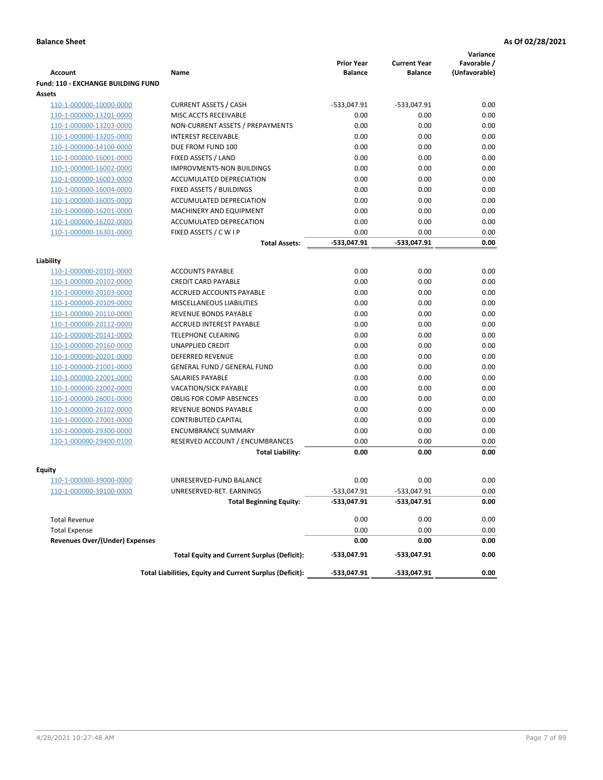|                                           |                                                          |                                     |                                       | Variance                     |
|-------------------------------------------|----------------------------------------------------------|-------------------------------------|---------------------------------------|------------------------------|
| <b>Account</b>                            | Name                                                     | <b>Prior Year</b><br><b>Balance</b> | <b>Current Year</b><br><b>Balance</b> | Favorable /<br>(Unfavorable) |
| <b>Fund: 110 - EXCHANGE BUILDING FUND</b> |                                                          |                                     |                                       |                              |
| Assets                                    |                                                          |                                     |                                       |                              |
| 110-1-000000-10000-0000                   | <b>CURRENT ASSETS / CASH</b>                             | -533,047.91                         | $-533,047.91$                         | 0.00                         |
| 110-1-000000-13201-0000                   | MISC ACCTS RECEIVABLE                                    | 0.00                                | 0.00                                  | 0.00                         |
| 110-1-000000-13203-0000                   | NON-CURRENT ASSETS / PREPAYMENTS                         | 0.00                                | 0.00                                  | 0.00                         |
| 110-1-000000-13205-0000                   | <b>INTEREST RECEIVABLE</b>                               | 0.00                                | 0.00                                  | 0.00                         |
| 110-1-000000-14100-0000                   | DUE FROM FUND 100                                        | 0.00                                | 0.00                                  | 0.00                         |
| 110-1-000000-16001-0000                   | FIXED ASSETS / LAND                                      | 0.00                                | 0.00                                  | 0.00                         |
| 110-1-000000-16002-0000                   | <b>IMPROVMENTS-NON BUILDINGS</b>                         | 0.00                                | 0.00                                  | 0.00                         |
| 110-1-000000-16003-0000                   | ACCUMULATED DEPRECIATION                                 | 0.00                                | 0.00                                  | 0.00                         |
| 110-1-000000-16004-0000                   | FIXED ASSETS / BUILDINGS                                 | 0.00                                | 0.00                                  | 0.00                         |
| 110-1-000000-16005-0000                   | ACCUMULATED DEPRECIATION                                 | 0.00                                | 0.00                                  | 0.00                         |
| 110-1-000000-16201-0000                   | <b>MACHINERY AND EQUIPMENT</b>                           | 0.00                                | 0.00                                  | 0.00                         |
| 110-1-000000-16202-0000                   | ACCUMULATED DEPRECATION                                  | 0.00                                | 0.00                                  | 0.00                         |
| 110-1-000000-16301-0000                   | FIXED ASSETS / C W I P                                   | 0.00                                | 0.00                                  | 0.00                         |
|                                           | <b>Total Assets:</b>                                     | $-533,047.91$                       | -533,047.91                           | 0.00                         |
| Liability                                 |                                                          |                                     |                                       |                              |
| 110-1-000000-20101-0000                   | <b>ACCOUNTS PAYABLE</b>                                  | 0.00                                | 0.00                                  | 0.00                         |
| 110-1-000000-20102-0000                   | <b>CREDIT CARD PAYABLE</b>                               | 0.00                                | 0.00                                  | 0.00                         |
| 110-1-000000-20103-0000                   | ACCRUED ACCOUNTS PAYABLE                                 | 0.00                                | 0.00                                  | 0.00                         |
| 110-1-000000-20109-0000                   | MISCELLANEOUS LIABILITIES                                | 0.00                                | 0.00                                  | 0.00                         |
| 110-1-000000-20110-0000                   | REVENUE BONDS PAYABLE                                    | 0.00                                | 0.00                                  | 0.00                         |
| 110-1-000000-20112-0000                   | <b>ACCRUED INTEREST PAYABLE</b>                          | 0.00                                | 0.00                                  | 0.00                         |
| 110-1-000000-20141-0000                   | <b>TELEPHONE CLEARING</b>                                | 0.00                                | 0.00                                  | 0.00                         |
| 110-1-000000-20160-0000                   | <b>UNAPPLIED CREDIT</b>                                  | 0.00                                | 0.00                                  | 0.00                         |
| 110-1-000000-20201-0000                   | <b>DEFERRED REVENUE</b>                                  | 0.00                                | 0.00                                  | 0.00                         |
| 110-1-000000-21001-0000                   | <b>GENERAL FUND / GENERAL FUND</b>                       | 0.00                                | 0.00                                  | 0.00                         |
| 110-1-000000-22001-0000                   | SALARIES PAYABLE                                         | 0.00                                | 0.00                                  | 0.00                         |
| 110-1-000000-22002-0000                   | <b>VACATION/SICK PAYABLE</b>                             | 0.00                                | 0.00                                  | 0.00                         |
| 110-1-000000-26001-0000                   | <b>OBLIG FOR COMP ABSENCES</b>                           | 0.00                                | 0.00                                  | 0.00                         |
| 110-1-000000-26102-0000                   | REVENUE BONDS PAYABLE                                    | 0.00                                | 0.00                                  | 0.00                         |
| 110-1-000000-27001-0000                   | <b>CONTRIBUTED CAPITAL</b>                               | 0.00                                | 0.00                                  | 0.00                         |
| 110-1-000000-29300-0000                   | <b>ENCUMBRANCE SUMMARY</b>                               | 0.00                                | 0.00                                  | 0.00                         |
| 110-1-000000-29400-0100                   | RESERVED ACCOUNT / ENCUMBRANCES                          | 0.00                                | 0.00                                  | 0.00                         |
|                                           | <b>Total Liability:</b>                                  | 0.00                                | 0.00                                  | 0.00                         |
| <b>Equity</b>                             |                                                          |                                     |                                       |                              |
| 110-1-000000-39000-0000                   | UNRESERVED-FUND BALANCE                                  | 0.00                                | 0.00                                  | 0.00                         |
| 110-1-000000-39100-0000                   | UNRESERVED-RET. EARNINGS                                 | -533,047.91                         | -533,047.91                           | 0.00                         |
|                                           | <b>Total Beginning Equity:</b>                           | -533,047.91                         | -533,047.91                           | 0.00                         |
|                                           |                                                          |                                     |                                       |                              |
| <b>Total Revenue</b>                      |                                                          | 0.00                                | 0.00                                  | 0.00                         |
| <b>Total Expense</b>                      |                                                          | 0.00                                | 0.00                                  | 0.00                         |
| <b>Revenues Over/(Under) Expenses</b>     |                                                          | 0.00                                | 0.00                                  | 0.00                         |
|                                           | <b>Total Equity and Current Surplus (Deficit):</b>       | -533,047.91                         | -533,047.91                           | 0.00                         |
|                                           | Total Liabilities, Equity and Current Surplus (Deficit): | -533,047.91                         | -533,047.91                           | 0.00                         |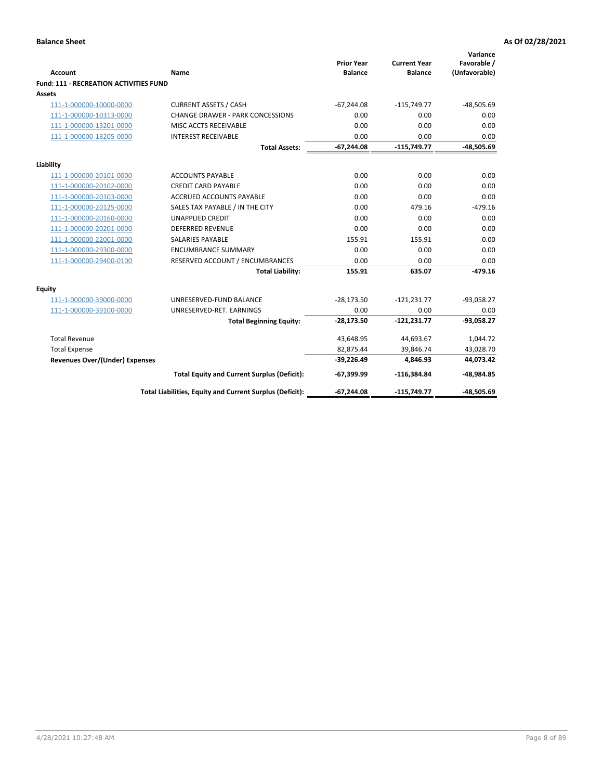|                                               |                                                          | <b>Prior Year</b> | <b>Current Year</b> | Variance<br>Favorable / |
|-----------------------------------------------|----------------------------------------------------------|-------------------|---------------------|-------------------------|
| Account                                       | Name                                                     | <b>Balance</b>    | <b>Balance</b>      | (Unfavorable)           |
| <b>Fund: 111 - RECREATION ACTIVITIES FUND</b> |                                                          |                   |                     |                         |
| <b>Assets</b>                                 |                                                          |                   |                     |                         |
| 111-1-000000-10000-0000                       | <b>CURRENT ASSETS / CASH</b>                             | $-67,244.08$      | $-115,749.77$       | $-48,505.69$            |
| 111-1-000000-10313-0000                       | <b>CHANGE DRAWER - PARK CONCESSIONS</b>                  | 0.00              | 0.00                | 0.00                    |
| 111-1-000000-13201-0000                       | MISC ACCTS RECEIVABLE                                    | 0.00              | 0.00                | 0.00                    |
| 111-1-000000-13205-0000                       | <b>INTEREST RECEIVABLE</b>                               | 0.00              | 0.00                | 0.00                    |
|                                               | <b>Total Assets:</b>                                     | $-67,244.08$      | $-115,749.77$       | $-48,505.69$            |
| Liability                                     |                                                          |                   |                     |                         |
| 111-1-000000-20101-0000                       | <b>ACCOUNTS PAYABLE</b>                                  | 0.00              | 0.00                | 0.00                    |
| 111-1-000000-20102-0000                       | <b>CREDIT CARD PAYABLE</b>                               | 0.00              | 0.00                | 0.00                    |
| 111-1-000000-20103-0000                       | <b>ACCRUED ACCOUNTS PAYABLE</b>                          | 0.00              | 0.00                | 0.00                    |
| 111-1-000000-20125-0000                       | SALES TAX PAYABLE / IN THE CITY                          | 0.00              | 479.16              | $-479.16$               |
| 111-1-000000-20160-0000                       | <b>UNAPPLIED CREDIT</b>                                  | 0.00              | 0.00                | 0.00                    |
| 111-1-000000-20201-0000                       | <b>DEFERRED REVENUE</b>                                  | 0.00              | 0.00                | 0.00                    |
| 111-1-000000-22001-0000                       | <b>SALARIES PAYABLE</b>                                  | 155.91            | 155.91              | 0.00                    |
| 111-1-000000-29300-0000                       | <b>ENCUMBRANCE SUMMARY</b>                               | 0.00              | 0.00                | 0.00                    |
| 111-1-000000-29400-0100                       | RESERVED ACCOUNT / ENCUMBRANCES                          | 0.00              | 0.00                | 0.00                    |
|                                               | <b>Total Liability:</b>                                  | 155.91            | 635.07              | $-479.16$               |
| Equity                                        |                                                          |                   |                     |                         |
| 111-1-000000-39000-0000                       | UNRESERVED-FUND BALANCE                                  | $-28,173.50$      | $-121,231.77$       | $-93,058.27$            |
| 111-1-000000-39100-0000                       | UNRESERVED-RET. EARNINGS                                 | 0.00              | 0.00                | 0.00                    |
|                                               | <b>Total Beginning Equity:</b>                           | $-28,173.50$      | $-121,231.77$       | $-93,058.27$            |
| <b>Total Revenue</b>                          |                                                          | 43,648.95         | 44,693.67           | 1,044.72                |
| <b>Total Expense</b>                          |                                                          | 82,875.44         | 39,846.74           | 43,028.70               |
| <b>Revenues Over/(Under) Expenses</b>         |                                                          | $-39,226.49$      | 4.846.93            | 44,073.42               |
|                                               | <b>Total Equity and Current Surplus (Deficit):</b>       | $-67,399.99$      | $-116,384.84$       | $-48.984.85$            |
|                                               | Total Liabilities, Equity and Current Surplus (Deficit): | $-67,244.08$      | $-115,749.77$       | $-48,505.69$            |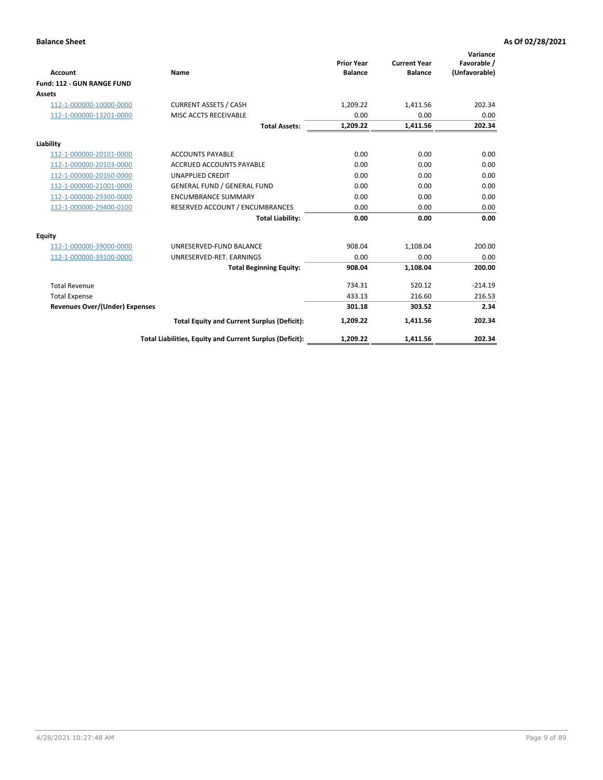|                                       |                                                          |                                     |                                       | Variance                     |
|---------------------------------------|----------------------------------------------------------|-------------------------------------|---------------------------------------|------------------------------|
| <b>Account</b>                        | Name                                                     | <b>Prior Year</b><br><b>Balance</b> | <b>Current Year</b><br><b>Balance</b> | Favorable /<br>(Unfavorable) |
| Fund: 112 - GUN RANGE FUND            |                                                          |                                     |                                       |                              |
| <b>Assets</b>                         |                                                          |                                     |                                       |                              |
| 112-1-000000-10000-0000               | <b>CURRENT ASSETS / CASH</b>                             | 1,209.22                            | 1,411.56                              | 202.34                       |
| 112-1-000000-13201-0000               | MISC ACCTS RECEIVABLE                                    | 0.00                                | 0.00                                  | 0.00                         |
|                                       | <b>Total Assets:</b>                                     | 1,209.22                            | 1,411.56                              | 202.34                       |
| Liability                             |                                                          |                                     |                                       |                              |
| 112-1-000000-20101-0000               | <b>ACCOUNTS PAYABLE</b>                                  | 0.00                                | 0.00                                  | 0.00                         |
| 112-1-000000-20103-0000               | <b>ACCRUED ACCOUNTS PAYABLE</b>                          | 0.00                                | 0.00                                  | 0.00                         |
| 112-1-000000-20160-0000               | <b>UNAPPLIED CREDIT</b>                                  | 0.00                                | 0.00                                  | 0.00                         |
| 112-1-000000-21001-0000               | <b>GENERAL FUND / GENERAL FUND</b>                       | 0.00                                | 0.00                                  | 0.00                         |
| 112-1-000000-29300-0000               | <b>ENCUMBRANCE SUMMARY</b>                               | 0.00                                | 0.00                                  | 0.00                         |
| 112-1-000000-29400-0100               | RESERVED ACCOUNT / ENCUMBRANCES                          | 0.00                                | 0.00                                  | 0.00                         |
|                                       | <b>Total Liability:</b>                                  | 0.00                                | 0.00                                  | 0.00                         |
| <b>Equity</b>                         |                                                          |                                     |                                       |                              |
| 112-1-000000-39000-0000               | UNRESERVED-FUND BALANCE                                  | 908.04                              | 1,108.04                              | 200.00                       |
| 112-1-000000-39100-0000               | UNRESERVED-RET. EARNINGS                                 | 0.00                                | 0.00                                  | 0.00                         |
|                                       | <b>Total Beginning Equity:</b>                           | 908.04                              | 1,108.04                              | 200.00                       |
| <b>Total Revenue</b>                  |                                                          | 734.31                              | 520.12                                | $-214.19$                    |
| <b>Total Expense</b>                  |                                                          | 433.13                              | 216.60                                | 216.53                       |
| <b>Revenues Over/(Under) Expenses</b> |                                                          | 301.18                              | 303.52                                | 2.34                         |
|                                       | <b>Total Equity and Current Surplus (Deficit):</b>       | 1,209.22                            | 1,411.56                              | 202.34                       |
|                                       | Total Liabilities, Equity and Current Surplus (Deficit): | 1,209.22                            | 1,411.56                              | 202.34                       |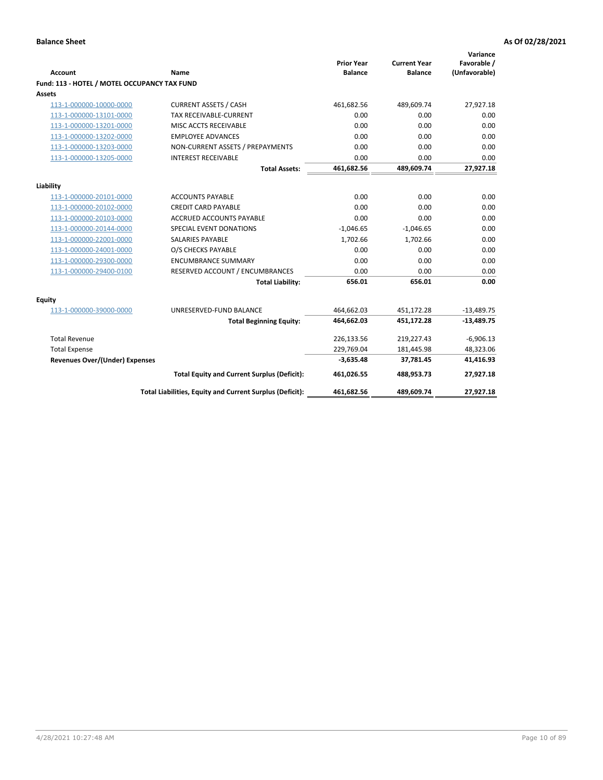| <b>Account</b>                               | <b>Name</b>                                              | <b>Prior Year</b><br><b>Balance</b> | <b>Current Year</b><br><b>Balance</b> | Variance<br>Favorable /<br>(Unfavorable) |
|----------------------------------------------|----------------------------------------------------------|-------------------------------------|---------------------------------------|------------------------------------------|
| Fund: 113 - HOTEL / MOTEL OCCUPANCY TAX FUND |                                                          |                                     |                                       |                                          |
| Assets                                       |                                                          |                                     |                                       |                                          |
| 113-1-000000-10000-0000                      | <b>CURRENT ASSETS / CASH</b>                             | 461,682.56                          | 489,609.74                            | 27,927.18                                |
| 113-1-000000-13101-0000                      | <b>TAX RECEIVABLE-CURRENT</b>                            | 0.00                                | 0.00                                  | 0.00                                     |
| 113-1-000000-13201-0000                      | MISC ACCTS RECEIVABLE                                    | 0.00                                | 0.00                                  | 0.00                                     |
| 113-1-000000-13202-0000                      | <b>EMPLOYEE ADVANCES</b>                                 | 0.00                                | 0.00                                  | 0.00                                     |
| 113-1-000000-13203-0000                      | NON-CURRENT ASSETS / PREPAYMENTS                         | 0.00                                | 0.00                                  | 0.00                                     |
| 113-1-000000-13205-0000                      | <b>INTEREST RECEIVABLE</b>                               | 0.00                                | 0.00                                  | 0.00                                     |
|                                              | <b>Total Assets:</b>                                     | 461,682.56                          | 489,609.74                            | 27,927.18                                |
|                                              |                                                          |                                     |                                       |                                          |
| Liability                                    |                                                          | 0.00                                |                                       |                                          |
| 113-1-000000-20101-0000                      | <b>ACCOUNTS PAYABLE</b>                                  |                                     | 0.00                                  | 0.00                                     |
| 113-1-000000-20102-0000                      | <b>CREDIT CARD PAYABLE</b>                               | 0.00<br>0.00                        | 0.00                                  | 0.00                                     |
| 113-1-000000-20103-0000                      | ACCRUED ACCOUNTS PAYABLE                                 |                                     | 0.00                                  | 0.00                                     |
| 113-1-000000-20144-0000                      | SPECIAL EVENT DONATIONS                                  | $-1,046.65$                         | $-1,046.65$                           | 0.00                                     |
| 113-1-000000-22001-0000                      | <b>SALARIES PAYABLE</b>                                  | 1,702.66                            | 1,702.66                              | 0.00                                     |
| 113-1-000000-24001-0000                      | O/S CHECKS PAYABLE                                       | 0.00                                | 0.00                                  | 0.00                                     |
| 113-1-000000-29300-0000                      | <b>ENCUMBRANCE SUMMARY</b>                               | 0.00                                | 0.00                                  | 0.00                                     |
| 113-1-000000-29400-0100                      | RESERVED ACCOUNT / ENCUMBRANCES                          | 0.00                                | 0.00                                  | 0.00                                     |
|                                              | <b>Total Liability:</b>                                  | 656.01                              | 656.01                                | 0.00                                     |
| Equity                                       |                                                          |                                     |                                       |                                          |
| 113-1-000000-39000-0000                      | UNRESERVED-FUND BALANCE                                  | 464,662.03                          | 451,172.28                            | $-13,489.75$                             |
|                                              | <b>Total Beginning Equity:</b>                           | 464,662.03                          | 451,172.28                            | $-13,489.75$                             |
| <b>Total Revenue</b>                         |                                                          | 226,133.56                          | 219,227.43                            | $-6,906.13$                              |
| <b>Total Expense</b>                         |                                                          | 229,769.04                          | 181,445.98                            | 48,323.06                                |
| Revenues Over/(Under) Expenses               |                                                          | $-3,635.48$                         | 37,781.45                             | 41,416.93                                |
|                                              | <b>Total Equity and Current Surplus (Deficit):</b>       | 461,026.55                          | 488,953.73                            | 27,927.18                                |
|                                              | Total Liabilities, Equity and Current Surplus (Deficit): | 461,682.56                          | 489,609.74                            | 27,927.18                                |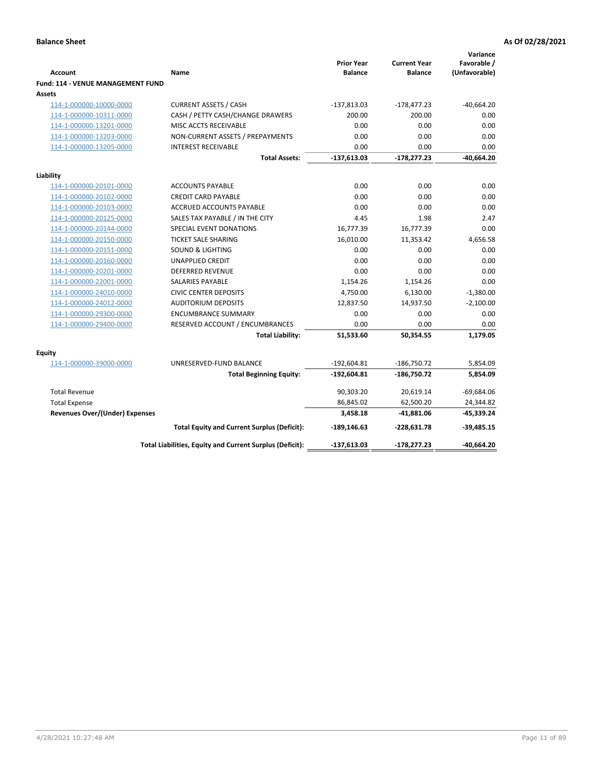| <b>Account</b>                              | Name                                                     | <b>Prior Year</b><br><b>Balance</b> | <b>Current Year</b><br><b>Balance</b> | Variance<br>Favorable /<br>(Unfavorable) |
|---------------------------------------------|----------------------------------------------------------|-------------------------------------|---------------------------------------|------------------------------------------|
| Fund: 114 - VENUE MANAGEMENT FUND<br>Assets |                                                          |                                     |                                       |                                          |
| 114-1-000000-10000-0000                     | <b>CURRENT ASSETS / CASH</b>                             | $-137,813.03$                       | $-178,477.23$                         | $-40,664.20$                             |
| 114-1-000000-10311-0000                     | CASH / PETTY CASH/CHANGE DRAWERS                         | 200.00                              | 200.00                                | 0.00                                     |
| 114-1-000000-13201-0000                     | MISC ACCTS RECEIVABLE                                    | 0.00                                | 0.00                                  | 0.00                                     |
| 114-1-000000-13203-0000                     | NON-CURRENT ASSETS / PREPAYMENTS                         | 0.00                                | 0.00                                  | 0.00                                     |
| 114-1-000000-13205-0000                     | <b>INTEREST RECEIVABLE</b>                               | 0.00                                | 0.00                                  | 0.00                                     |
|                                             | <b>Total Assets:</b>                                     | $-137,613.03$                       | $-178,277.23$                         | $-40,664.20$                             |
| Liability                                   |                                                          |                                     |                                       |                                          |
| 114-1-000000-20101-0000                     | <b>ACCOUNTS PAYABLE</b>                                  | 0.00                                | 0.00                                  | 0.00                                     |
| 114-1-000000-20102-0000                     | <b>CREDIT CARD PAYABLE</b>                               | 0.00                                | 0.00                                  | 0.00                                     |
| 114-1-000000-20103-0000                     | <b>ACCRUED ACCOUNTS PAYABLE</b>                          | 0.00                                | 0.00                                  | 0.00                                     |
| 114-1-000000-20125-0000                     | SALES TAX PAYABLE / IN THE CITY                          | 4.45                                | 1.98                                  | 2.47                                     |
| 114-1-000000-20144-0000                     | SPECIAL EVENT DONATIONS                                  | 16,777.39                           | 16,777.39                             | 0.00                                     |
| 114-1-000000-20150-0000                     | <b>TICKET SALE SHARING</b>                               | 16,010.00                           | 11,353.42                             | 4,656.58                                 |
| 114-1-000000-20151-0000                     | <b>SOUND &amp; LIGHTING</b>                              | 0.00                                | 0.00                                  | 0.00                                     |
| 114-1-000000-20160-0000                     | <b>UNAPPLIED CREDIT</b>                                  | 0.00                                | 0.00                                  | 0.00                                     |
| 114-1-000000-20201-0000                     | <b>DEFERRED REVENUE</b>                                  | 0.00                                | 0.00                                  | 0.00                                     |
| 114-1-000000-22001-0000                     | <b>SALARIES PAYABLE</b>                                  | 1,154.26                            | 1,154.26                              | 0.00                                     |
| 114-1-000000-24010-0000                     | <b>CIVIC CENTER DEPOSITS</b>                             | 4,750.00                            | 6,130.00                              | $-1,380.00$                              |
| 114-1-000000-24012-0000                     | <b>AUDITORIUM DEPOSITS</b>                               | 12,837.50                           | 14,937.50                             | $-2,100.00$                              |
| 114-1-000000-29300-0000                     | <b>ENCUMBRANCE SUMMARY</b>                               | 0.00                                | 0.00                                  | 0.00                                     |
| 114-1-000000-29400-0000                     | RESERVED ACCOUNT / ENCUMBRANCES                          | 0.00                                | 0.00                                  | 0.00                                     |
|                                             | <b>Total Liability:</b>                                  | 51,533.60                           | 50,354.55                             | 1,179.05                                 |
| Equity                                      |                                                          |                                     |                                       |                                          |
| 114-1-000000-39000-0000                     | UNRESERVED-FUND BALANCE                                  | $-192,604.81$                       | $-186,750.72$                         | 5,854.09                                 |
|                                             | <b>Total Beginning Equity:</b>                           | $-192,604.81$                       | $-186,750.72$                         | 5,854.09                                 |
| <b>Total Revenue</b>                        |                                                          | 90,303.20                           | 20,619.14                             | $-69,684.06$                             |
| <b>Total Expense</b>                        |                                                          | 86,845.02                           | 62,500.20                             | 24,344.82                                |
| <b>Revenues Over/(Under) Expenses</b>       |                                                          | 3,458.18                            | $-41,881.06$                          | $-45,339.24$                             |
|                                             | <b>Total Equity and Current Surplus (Deficit):</b>       | $-189, 146.63$                      | $-228,631.78$                         | $-39,485.15$                             |
|                                             | Total Liabilities, Equity and Current Surplus (Deficit): | $-137,613.03$                       | $-178,277.23$                         | $-40.664.20$                             |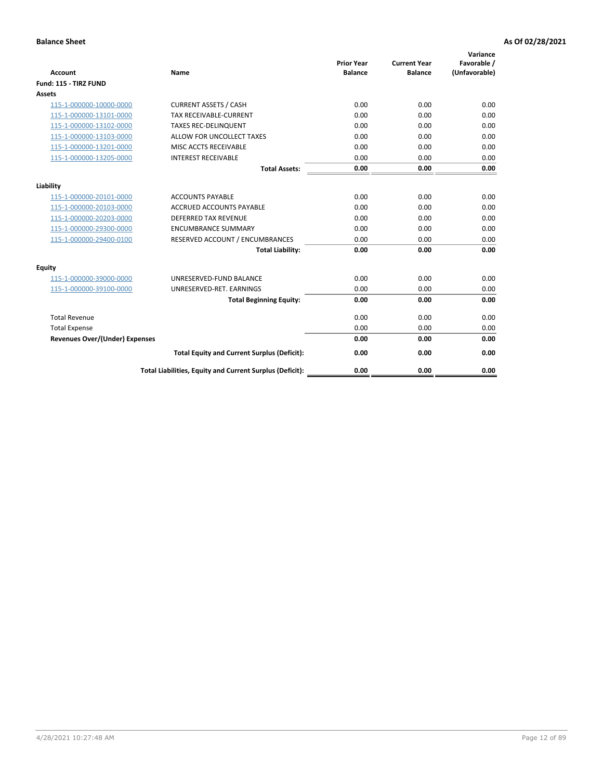| <b>Account</b>                                     | <b>Name</b>                                                | <b>Prior Year</b><br><b>Balance</b> | <b>Current Year</b><br><b>Balance</b> | Variance<br>Favorable /<br>(Unfavorable) |
|----------------------------------------------------|------------------------------------------------------------|-------------------------------------|---------------------------------------|------------------------------------------|
| Fund: 115 - TIRZ FUND                              |                                                            |                                     |                                       |                                          |
| <b>Assets</b>                                      |                                                            |                                     |                                       |                                          |
| 115-1-000000-10000-0000                            | <b>CURRENT ASSETS / CASH</b>                               | 0.00                                | 0.00                                  | 0.00                                     |
| 115-1-000000-13101-0000                            | <b>TAX RECEIVABLE-CURRENT</b>                              | 0.00                                | 0.00                                  | 0.00                                     |
| 115-1-000000-13102-0000                            | <b>TAXES REC-DELINQUENT</b>                                | 0.00                                | 0.00                                  | 0.00                                     |
| 115-1-000000-13103-0000                            | ALLOW FOR UNCOLLECT TAXES                                  | 0.00                                | 0.00                                  | 0.00                                     |
| 115-1-000000-13201-0000                            | MISC ACCTS RECEIVABLE                                      | 0.00                                | 0.00                                  | 0.00                                     |
| 115-1-000000-13205-0000                            | <b>INTEREST RECEIVABLE</b>                                 | 0.00                                | 0.00                                  | 0.00                                     |
|                                                    | <b>Total Assets:</b>                                       | 0.00                                | 0.00                                  | 0.00                                     |
|                                                    |                                                            |                                     |                                       |                                          |
| Liability                                          | <b>ACCOUNTS PAYABLE</b>                                    | 0.00                                | 0.00                                  | 0.00                                     |
| 115-1-000000-20101-0000                            | <b>ACCRUED ACCOUNTS PAYABLE</b>                            | 0.00                                | 0.00                                  | 0.00                                     |
| 115-1-000000-20103-0000<br>115-1-000000-20203-0000 | <b>DEFERRED TAX REVENUE</b>                                | 0.00                                | 0.00                                  | 0.00                                     |
| 115-1-000000-29300-0000                            | <b>ENCUMBRANCE SUMMARY</b>                                 | 0.00                                | 0.00                                  | 0.00                                     |
|                                                    |                                                            | 0.00                                | 0.00                                  | 0.00                                     |
| 115-1-000000-29400-0100                            | RESERVED ACCOUNT / ENCUMBRANCES<br><b>Total Liability:</b> | 0.00                                | 0.00                                  | 0.00                                     |
|                                                    |                                                            |                                     |                                       |                                          |
| <b>Equity</b>                                      |                                                            |                                     |                                       |                                          |
| 115-1-000000-39000-0000                            | UNRESERVED-FUND BALANCE                                    | 0.00                                | 0.00                                  | 0.00                                     |
| 115-1-000000-39100-0000                            | UNRESERVED-RET. EARNINGS                                   | 0.00                                | 0.00                                  | 0.00                                     |
|                                                    | <b>Total Beginning Equity:</b>                             | 0.00                                | 0.00                                  | 0.00                                     |
| <b>Total Revenue</b>                               |                                                            | 0.00                                | 0.00                                  | 0.00                                     |
| <b>Total Expense</b>                               |                                                            | 0.00                                | 0.00                                  | 0.00                                     |
| <b>Revenues Over/(Under) Expenses</b>              |                                                            | 0.00                                | 0.00                                  | 0.00                                     |
|                                                    | <b>Total Equity and Current Surplus (Deficit):</b>         | 0.00                                | 0.00                                  | 0.00                                     |
|                                                    | Total Liabilities, Equity and Current Surplus (Deficit):   | 0.00                                | 0.00                                  | 0.00                                     |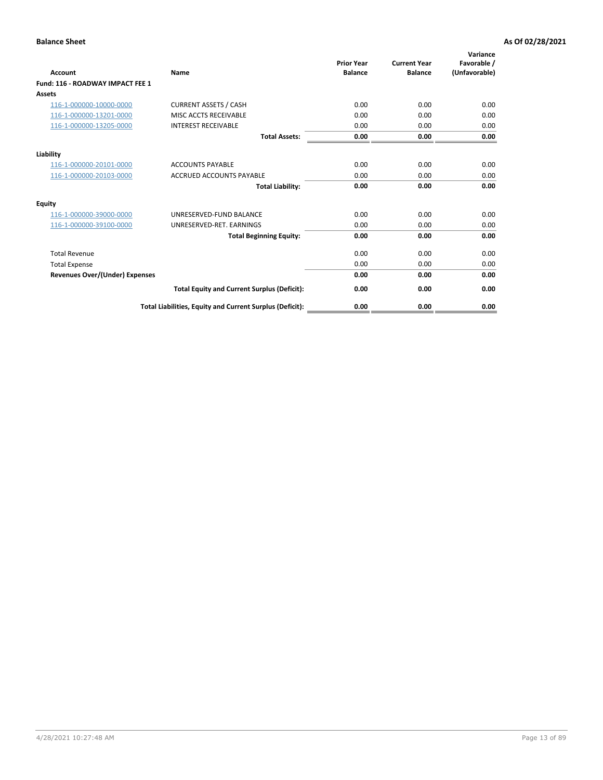| Account                               | Name                                                     | <b>Prior Year</b><br><b>Balance</b> | <b>Current Year</b><br><b>Balance</b> | Variance<br>Favorable /<br>(Unfavorable) |
|---------------------------------------|----------------------------------------------------------|-------------------------------------|---------------------------------------|------------------------------------------|
| Fund: 116 - ROADWAY IMPACT FEE 1      |                                                          |                                     |                                       |                                          |
| Assets                                |                                                          |                                     |                                       |                                          |
| 116-1-000000-10000-0000               | <b>CURRENT ASSETS / CASH</b>                             | 0.00                                | 0.00                                  | 0.00                                     |
| 116-1-000000-13201-0000               | MISC ACCTS RECEIVABLE                                    | 0.00                                | 0.00                                  | 0.00                                     |
| 116-1-000000-13205-0000               | <b>INTEREST RECEIVABLE</b>                               | 0.00                                | 0.00                                  | 0.00                                     |
|                                       | <b>Total Assets:</b>                                     | 0.00                                | 0.00                                  | 0.00                                     |
| Liability                             |                                                          |                                     |                                       |                                          |
| 116-1-000000-20101-0000               | <b>ACCOUNTS PAYABLE</b>                                  | 0.00                                | 0.00                                  | 0.00                                     |
| 116-1-000000-20103-0000               | <b>ACCRUED ACCOUNTS PAYABLE</b>                          | 0.00                                | 0.00                                  | 0.00                                     |
|                                       | <b>Total Liability:</b>                                  | 0.00                                | 0.00                                  | 0.00                                     |
| Equity                                |                                                          |                                     |                                       |                                          |
| 116-1-000000-39000-0000               | UNRESERVED-FUND BALANCE                                  | 0.00                                | 0.00                                  | 0.00                                     |
| 116-1-000000-39100-0000               | UNRESERVED-RET. EARNINGS                                 | 0.00                                | 0.00                                  | 0.00                                     |
|                                       | <b>Total Beginning Equity:</b>                           | 0.00                                | 0.00                                  | 0.00                                     |
| <b>Total Revenue</b>                  |                                                          | 0.00                                | 0.00                                  | 0.00                                     |
| <b>Total Expense</b>                  |                                                          | 0.00                                | 0.00                                  | 0.00                                     |
| <b>Revenues Over/(Under) Expenses</b> |                                                          | 0.00                                | 0.00                                  | 0.00                                     |
|                                       | <b>Total Equity and Current Surplus (Deficit):</b>       | 0.00                                | 0.00                                  | 0.00                                     |
|                                       | Total Liabilities, Equity and Current Surplus (Deficit): | 0.00                                | 0.00                                  | 0.00                                     |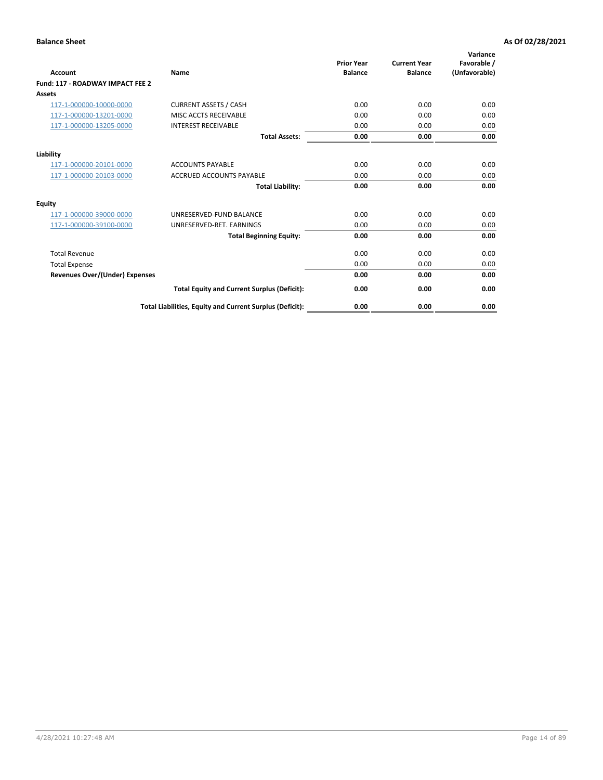| Account                               | Name                                                     | <b>Prior Year</b><br><b>Balance</b> | <b>Current Year</b><br><b>Balance</b> | Variance<br>Favorable /<br>(Unfavorable) |
|---------------------------------------|----------------------------------------------------------|-------------------------------------|---------------------------------------|------------------------------------------|
| Fund: 117 - ROADWAY IMPACT FEE 2      |                                                          |                                     |                                       |                                          |
| Assets                                |                                                          |                                     |                                       |                                          |
| 117-1-000000-10000-0000               | <b>CURRENT ASSETS / CASH</b>                             | 0.00                                | 0.00                                  | 0.00                                     |
| 117-1-000000-13201-0000               | MISC ACCTS RECEIVABLE                                    | 0.00                                | 0.00                                  | 0.00                                     |
| 117-1-000000-13205-0000               | <b>INTEREST RECEIVABLE</b>                               | 0.00                                | 0.00                                  | 0.00                                     |
|                                       | <b>Total Assets:</b>                                     | 0.00                                | 0.00                                  | 0.00                                     |
| Liability                             |                                                          |                                     |                                       |                                          |
| 117-1-000000-20101-0000               | <b>ACCOUNTS PAYABLE</b>                                  | 0.00                                | 0.00                                  | 0.00                                     |
| 117-1-000000-20103-0000               | <b>ACCRUED ACCOUNTS PAYABLE</b>                          | 0.00                                | 0.00                                  | 0.00                                     |
|                                       | <b>Total Liability:</b>                                  | 0.00                                | 0.00                                  | 0.00                                     |
| Equity                                |                                                          |                                     |                                       |                                          |
| 117-1-000000-39000-0000               | UNRESERVED-FUND BALANCE                                  | 0.00                                | 0.00                                  | 0.00                                     |
| 117-1-000000-39100-0000               | UNRESERVED-RET. EARNINGS                                 | 0.00                                | 0.00                                  | 0.00                                     |
|                                       | <b>Total Beginning Equity:</b>                           | 0.00                                | 0.00                                  | 0.00                                     |
| <b>Total Revenue</b>                  |                                                          | 0.00                                | 0.00                                  | 0.00                                     |
| <b>Total Expense</b>                  |                                                          | 0.00                                | 0.00                                  | 0.00                                     |
| <b>Revenues Over/(Under) Expenses</b> |                                                          | 0.00                                | 0.00                                  | 0.00                                     |
|                                       | <b>Total Equity and Current Surplus (Deficit):</b>       | 0.00                                | 0.00                                  | 0.00                                     |
|                                       | Total Liabilities, Equity and Current Surplus (Deficit): | 0.00                                | 0.00                                  | 0.00                                     |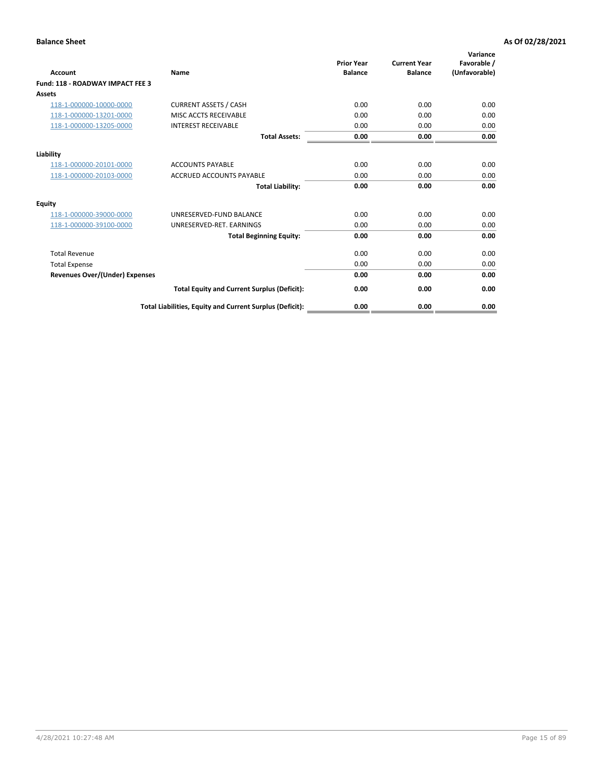| Account                                 | Name                                                     | <b>Prior Year</b><br><b>Balance</b> | <b>Current Year</b><br><b>Balance</b> | Variance<br>Favorable /<br>(Unfavorable) |
|-----------------------------------------|----------------------------------------------------------|-------------------------------------|---------------------------------------|------------------------------------------|
| <b>Fund: 118 - ROADWAY IMPACT FEE 3</b> |                                                          |                                     |                                       |                                          |
| Assets                                  |                                                          |                                     |                                       |                                          |
| 118-1-000000-10000-0000                 | <b>CURRENT ASSETS / CASH</b>                             | 0.00                                | 0.00                                  | 0.00                                     |
| 118-1-000000-13201-0000                 | MISC ACCTS RECEIVABLE                                    | 0.00                                | 0.00                                  | 0.00                                     |
| 118-1-000000-13205-0000                 | <b>INTEREST RECEIVABLE</b>                               | 0.00                                | 0.00                                  | 0.00                                     |
|                                         | <b>Total Assets:</b>                                     | 0.00                                | 0.00                                  | 0.00                                     |
| Liability                               |                                                          |                                     |                                       |                                          |
| 118-1-000000-20101-0000                 | <b>ACCOUNTS PAYABLE</b>                                  | 0.00                                | 0.00                                  | 0.00                                     |
| 118-1-000000-20103-0000                 | <b>ACCRUED ACCOUNTS PAYABLE</b>                          | 0.00                                | 0.00                                  | 0.00                                     |
|                                         | <b>Total Liability:</b>                                  | 0.00                                | 0.00                                  | 0.00                                     |
| Equity                                  |                                                          |                                     |                                       |                                          |
| 118-1-000000-39000-0000                 | UNRESERVED-FUND BALANCE                                  | 0.00                                | 0.00                                  | 0.00                                     |
| 118-1-000000-39100-0000                 | UNRESERVED-RET. EARNINGS                                 | 0.00                                | 0.00                                  | 0.00                                     |
|                                         | <b>Total Beginning Equity:</b>                           | 0.00                                | 0.00                                  | 0.00                                     |
| <b>Total Revenue</b>                    |                                                          | 0.00                                | 0.00                                  | 0.00                                     |
| <b>Total Expense</b>                    |                                                          | 0.00                                | 0.00                                  | 0.00                                     |
| <b>Revenues Over/(Under) Expenses</b>   |                                                          | 0.00                                | 0.00                                  | 0.00                                     |
|                                         | <b>Total Equity and Current Surplus (Deficit):</b>       | 0.00                                | 0.00                                  | 0.00                                     |
|                                         | Total Liabilities, Equity and Current Surplus (Deficit): | 0.00                                | 0.00                                  | 0.00                                     |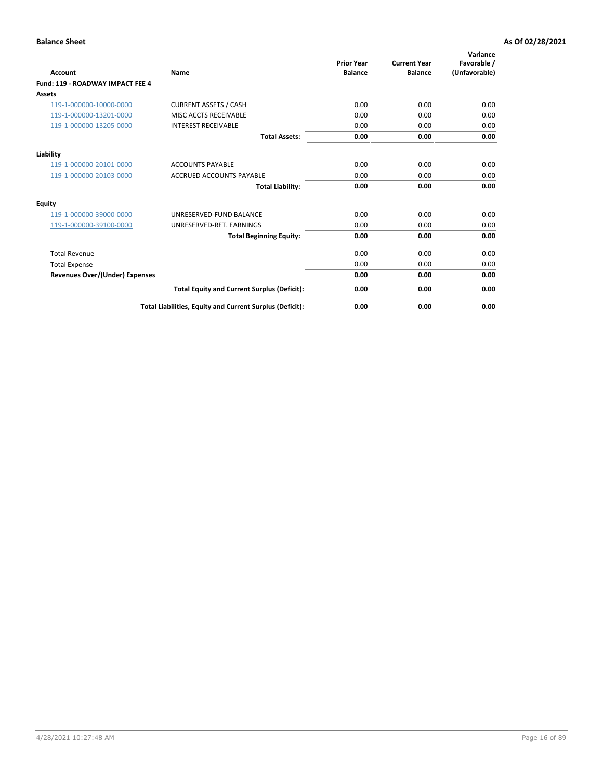| Account                                 | Name                                                     | <b>Prior Year</b><br><b>Balance</b> | <b>Current Year</b><br><b>Balance</b> | Variance<br>Favorable /<br>(Unfavorable) |
|-----------------------------------------|----------------------------------------------------------|-------------------------------------|---------------------------------------|------------------------------------------|
| <b>Fund: 119 - ROADWAY IMPACT FEE 4</b> |                                                          |                                     |                                       |                                          |
| Assets                                  |                                                          |                                     |                                       |                                          |
| 119-1-000000-10000-0000                 | <b>CURRENT ASSETS / CASH</b>                             | 0.00                                | 0.00                                  | 0.00                                     |
| 119-1-000000-13201-0000                 | MISC ACCTS RECEIVABLE                                    | 0.00                                | 0.00                                  | 0.00                                     |
| 119-1-000000-13205-0000                 | <b>INTEREST RECEIVABLE</b>                               | 0.00                                | 0.00                                  | 0.00                                     |
|                                         | <b>Total Assets:</b>                                     | 0.00                                | 0.00                                  | 0.00                                     |
| Liability                               |                                                          |                                     |                                       |                                          |
| 119-1-000000-20101-0000                 | <b>ACCOUNTS PAYABLE</b>                                  | 0.00                                | 0.00                                  | 0.00                                     |
| 119-1-000000-20103-0000                 | <b>ACCRUED ACCOUNTS PAYABLE</b>                          | 0.00                                | 0.00                                  | 0.00                                     |
|                                         | <b>Total Liability:</b>                                  | 0.00                                | 0.00                                  | 0.00                                     |
| Equity                                  |                                                          |                                     |                                       |                                          |
| 119-1-000000-39000-0000                 | UNRESERVED-FUND BALANCE                                  | 0.00                                | 0.00                                  | 0.00                                     |
| 119-1-000000-39100-0000                 | UNRESERVED-RET. EARNINGS                                 | 0.00                                | 0.00                                  | 0.00                                     |
|                                         | <b>Total Beginning Equity:</b>                           | 0.00                                | 0.00                                  | 0.00                                     |
| <b>Total Revenue</b>                    |                                                          | 0.00                                | 0.00                                  | 0.00                                     |
| <b>Total Expense</b>                    |                                                          | 0.00                                | 0.00                                  | 0.00                                     |
| <b>Revenues Over/(Under) Expenses</b>   |                                                          | 0.00                                | 0.00                                  | 0.00                                     |
|                                         | <b>Total Equity and Current Surplus (Deficit):</b>       | 0.00                                | 0.00                                  | 0.00                                     |
|                                         | Total Liabilities, Equity and Current Surplus (Deficit): | 0.00                                | 0.00                                  | 0.00                                     |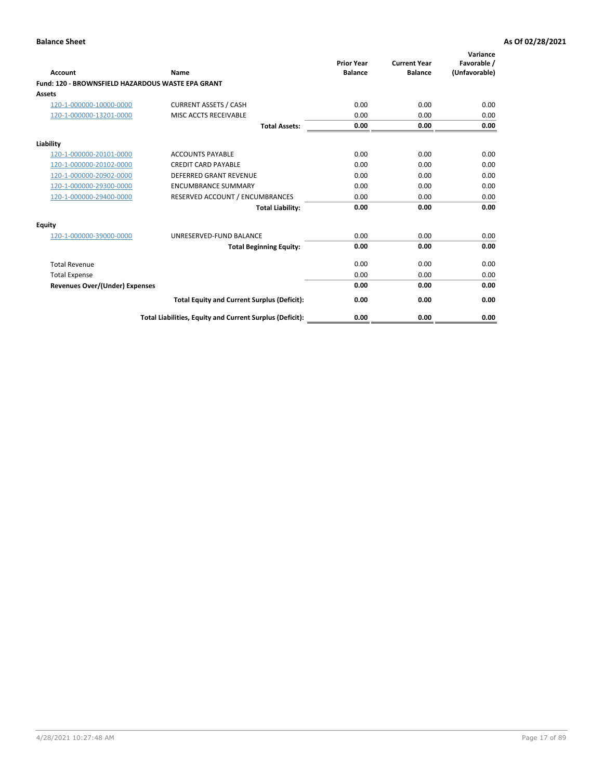| <b>Account</b>                                    | Name                                                     | <b>Prior Year</b><br><b>Balance</b> | <b>Current Year</b><br><b>Balance</b> | Variance<br>Favorable /<br>(Unfavorable) |
|---------------------------------------------------|----------------------------------------------------------|-------------------------------------|---------------------------------------|------------------------------------------|
| Fund: 120 - BROWNSFIELD HAZARDOUS WASTE EPA GRANT |                                                          |                                     |                                       |                                          |
| Assets                                            |                                                          |                                     |                                       |                                          |
| 120-1-000000-10000-0000                           | <b>CURRENT ASSETS / CASH</b>                             | 0.00                                | 0.00                                  | 0.00                                     |
| 120-1-000000-13201-0000                           | MISC ACCTS RECEIVABLE                                    | 0.00                                | 0.00                                  | 0.00                                     |
|                                                   | <b>Total Assets:</b>                                     | 0.00                                | 0.00                                  | 0.00                                     |
| Liability                                         |                                                          |                                     |                                       |                                          |
| 120-1-000000-20101-0000                           | <b>ACCOUNTS PAYABLE</b>                                  | 0.00                                | 0.00                                  | 0.00                                     |
| 120-1-000000-20102-0000                           | <b>CREDIT CARD PAYABLE</b>                               | 0.00                                | 0.00                                  | 0.00                                     |
| 120-1-000000-20902-0000                           | <b>DEFERRED GRANT REVENUE</b>                            | 0.00                                | 0.00                                  | 0.00                                     |
| 120-1-000000-29300-0000                           | <b>ENCUMBRANCE SUMMARY</b>                               | 0.00                                | 0.00                                  | 0.00                                     |
| 120-1-000000-29400-0000                           | RESERVED ACCOUNT / ENCUMBRANCES                          | 0.00                                | 0.00                                  | 0.00                                     |
|                                                   | <b>Total Liability:</b>                                  | 0.00                                | 0.00                                  | 0.00                                     |
| Equity                                            |                                                          |                                     |                                       |                                          |
| 120-1-000000-39000-0000                           | UNRESERVED-FUND BALANCE                                  | 0.00                                | 0.00                                  | 0.00                                     |
|                                                   | <b>Total Beginning Equity:</b>                           | 0.00                                | 0.00                                  | 0.00                                     |
| <b>Total Revenue</b>                              |                                                          | 0.00                                | 0.00                                  | 0.00                                     |
| <b>Total Expense</b>                              |                                                          | 0.00                                | 0.00                                  | 0.00                                     |
| <b>Revenues Over/(Under) Expenses</b>             |                                                          | 0.00                                | 0.00                                  | 0.00                                     |
|                                                   | <b>Total Equity and Current Surplus (Deficit):</b>       | 0.00                                | 0.00                                  | 0.00                                     |
|                                                   | Total Liabilities, Equity and Current Surplus (Deficit): | 0.00                                | 0.00                                  | 0.00                                     |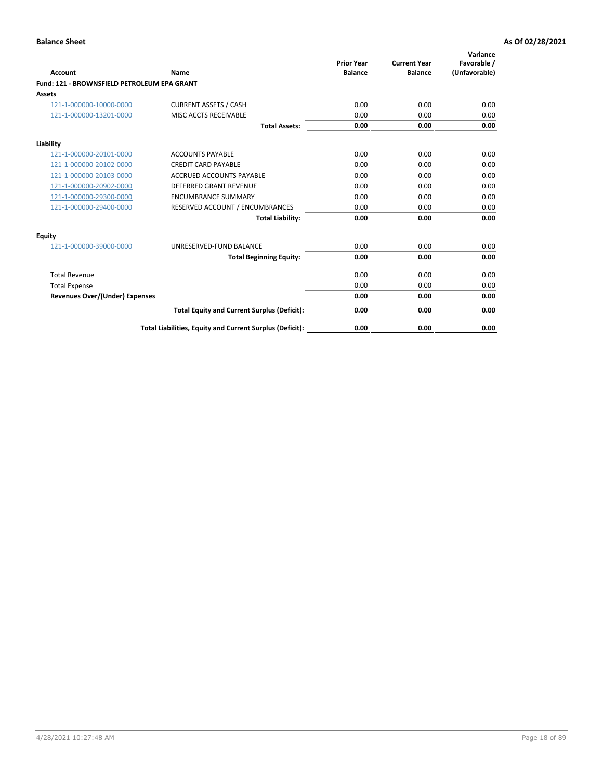|                                             |                                                          | <b>Prior Year</b><br><b>Balance</b> | <b>Current Year</b><br><b>Balance</b> | Variance<br>Favorable / |
|---------------------------------------------|----------------------------------------------------------|-------------------------------------|---------------------------------------|-------------------------|
| Account                                     | Name                                                     |                                     |                                       | (Unfavorable)           |
| Fund: 121 - BROWNSFIELD PETROLEUM EPA GRANT |                                                          |                                     |                                       |                         |
| <b>Assets</b>                               |                                                          |                                     |                                       |                         |
| 121-1-000000-10000-0000                     | <b>CURRENT ASSETS / CASH</b>                             | 0.00                                | 0.00                                  | 0.00                    |
| 121-1-000000-13201-0000                     | MISC ACCTS RECEIVABLE                                    | 0.00                                | 0.00                                  | 0.00                    |
|                                             | <b>Total Assets:</b>                                     | 0.00                                | 0.00                                  | 0.00                    |
| Liability                                   |                                                          |                                     |                                       |                         |
| 121-1-000000-20101-0000                     | <b>ACCOUNTS PAYABLE</b>                                  | 0.00                                | 0.00                                  | 0.00                    |
| 121-1-000000-20102-0000                     | <b>CREDIT CARD PAYABLE</b>                               | 0.00                                | 0.00                                  | 0.00                    |
| 121-1-000000-20103-0000                     | <b>ACCRUED ACCOUNTS PAYABLE</b>                          | 0.00                                | 0.00                                  | 0.00                    |
| 121-1-000000-20902-0000                     | DEFERRED GRANT REVENUE                                   | 0.00                                | 0.00                                  | 0.00                    |
| 121-1-000000-29300-0000                     | <b>ENCUMBRANCE SUMMARY</b>                               | 0.00                                | 0.00                                  | 0.00                    |
| 121-1-000000-29400-0000                     | RESERVED ACCOUNT / ENCUMBRANCES                          | 0.00                                | 0.00                                  | 0.00                    |
|                                             | <b>Total Liability:</b>                                  | 0.00                                | 0.00                                  | 0.00                    |
| <b>Equity</b>                               |                                                          |                                     |                                       |                         |
| 121-1-000000-39000-0000                     | UNRESERVED-FUND BALANCE                                  | 0.00                                | 0.00                                  | 0.00                    |
|                                             | <b>Total Beginning Equity:</b>                           | 0.00                                | 0.00                                  | 0.00                    |
| <b>Total Revenue</b>                        |                                                          | 0.00                                | 0.00                                  | 0.00                    |
| <b>Total Expense</b>                        |                                                          | 0.00                                | 0.00                                  | 0.00                    |
| <b>Revenues Over/(Under) Expenses</b>       |                                                          | 0.00                                | 0.00                                  | 0.00                    |
|                                             | <b>Total Equity and Current Surplus (Deficit):</b>       | 0.00                                | 0.00                                  | 0.00                    |
|                                             | Total Liabilities, Equity and Current Surplus (Deficit): | 0.00                                | 0.00                                  | 0.00                    |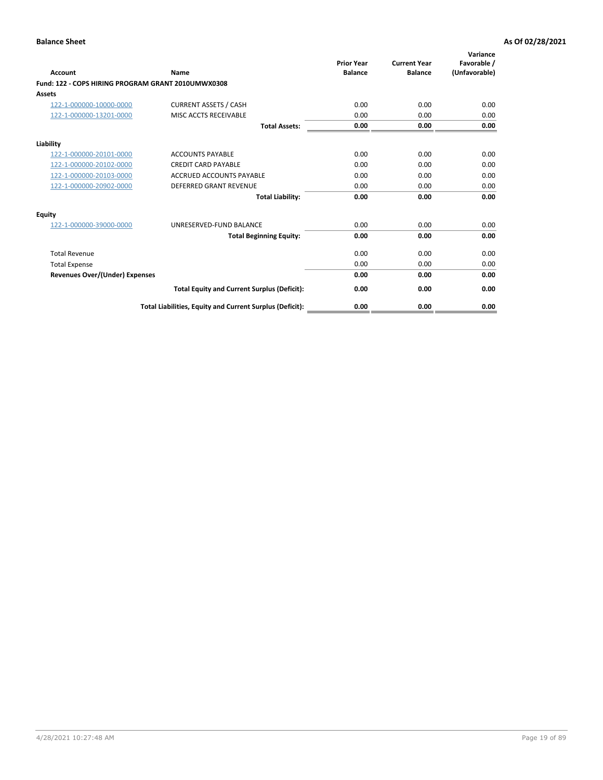| <b>Account</b>                                     | Name                                                     | <b>Prior Year</b><br><b>Balance</b> | <b>Current Year</b><br><b>Balance</b> | Variance<br>Favorable /<br>(Unfavorable) |
|----------------------------------------------------|----------------------------------------------------------|-------------------------------------|---------------------------------------|------------------------------------------|
| Fund: 122 - COPS HIRING PROGRAM GRANT 2010UMWX0308 |                                                          |                                     |                                       |                                          |
| Assets                                             |                                                          |                                     |                                       |                                          |
| 122-1-000000-10000-0000                            | <b>CURRENT ASSETS / CASH</b>                             | 0.00                                | 0.00                                  | 0.00                                     |
| 122-1-000000-13201-0000                            | MISC ACCTS RECEIVABLE                                    | 0.00                                | 0.00                                  | 0.00                                     |
|                                                    | <b>Total Assets:</b>                                     | 0.00                                | 0.00                                  | 0.00                                     |
| Liability                                          |                                                          |                                     |                                       |                                          |
| 122-1-000000-20101-0000                            | <b>ACCOUNTS PAYABLE</b>                                  | 0.00                                | 0.00                                  | 0.00                                     |
| 122-1-000000-20102-0000                            | <b>CREDIT CARD PAYABLE</b>                               | 0.00                                | 0.00                                  | 0.00                                     |
| 122-1-000000-20103-0000                            | <b>ACCRUED ACCOUNTS PAYABLE</b>                          | 0.00                                | 0.00                                  | 0.00                                     |
| 122-1-000000-20902-0000                            | <b>DEFERRED GRANT REVENUE</b>                            | 0.00                                | 0.00                                  | 0.00                                     |
|                                                    | <b>Total Liability:</b>                                  | 0.00                                | 0.00                                  | 0.00                                     |
| Equity                                             |                                                          |                                     |                                       |                                          |
| 122-1-000000-39000-0000                            | UNRESERVED-FUND BALANCE                                  | 0.00                                | 0.00                                  | 0.00                                     |
|                                                    | <b>Total Beginning Equity:</b>                           | 0.00                                | 0.00                                  | 0.00                                     |
| <b>Total Revenue</b>                               |                                                          | 0.00                                | 0.00                                  | 0.00                                     |
| <b>Total Expense</b>                               |                                                          | 0.00                                | 0.00                                  | 0.00                                     |
| <b>Revenues Over/(Under) Expenses</b>              |                                                          | 0.00                                | 0.00                                  | 0.00                                     |
|                                                    | <b>Total Equity and Current Surplus (Deficit):</b>       | 0.00                                | 0.00                                  | 0.00                                     |
|                                                    | Total Liabilities, Equity and Current Surplus (Deficit): | 0.00                                | 0.00                                  | 0.00                                     |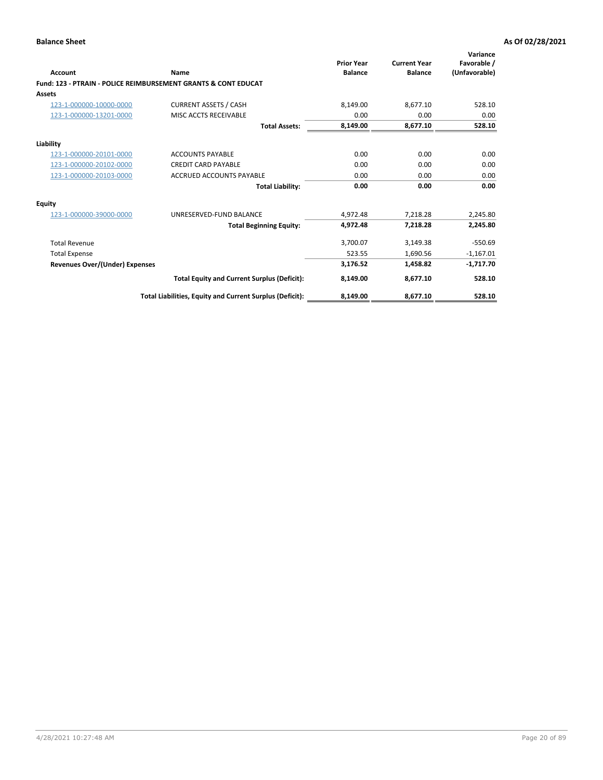| Account                        | Name                                                           | <b>Prior Year</b><br><b>Balance</b> | <b>Current Year</b><br><b>Balance</b> | Variance<br>Favorable /<br>(Unfavorable) |
|--------------------------------|----------------------------------------------------------------|-------------------------------------|---------------------------------------|------------------------------------------|
|                                | Fund: 123 - PTRAIN - POLICE REIMBURSEMENT GRANTS & CONT EDUCAT |                                     |                                       |                                          |
| Assets                         |                                                                |                                     |                                       |                                          |
| 123-1-000000-10000-0000        | <b>CURRENT ASSETS / CASH</b>                                   | 8.149.00                            | 8,677.10                              | 528.10                                   |
| 123-1-000000-13201-0000        | MISC ACCTS RECEIVABLE                                          | 0.00                                | 0.00                                  | 0.00                                     |
|                                | <b>Total Assets:</b>                                           | 8,149.00                            | 8,677.10                              | 528.10                                   |
| Liability                      |                                                                |                                     |                                       |                                          |
| 123-1-000000-20101-0000        | <b>ACCOUNTS PAYABLE</b>                                        | 0.00                                | 0.00                                  | 0.00                                     |
| 123-1-000000-20102-0000        | <b>CREDIT CARD PAYABLE</b>                                     | 0.00                                | 0.00                                  | 0.00                                     |
| 123-1-000000-20103-0000        | <b>ACCRUED ACCOUNTS PAYABLE</b>                                | 0.00                                | 0.00                                  | 0.00                                     |
|                                | <b>Total Liability:</b>                                        | 0.00                                | 0.00                                  | 0.00                                     |
| Equity                         |                                                                |                                     |                                       |                                          |
| 123-1-000000-39000-0000        | UNRESERVED-FUND BALANCE                                        | 4,972.48                            | 7,218.28                              | 2,245.80                                 |
|                                | <b>Total Beginning Equity:</b>                                 | 4,972.48                            | 7,218.28                              | 2,245.80                                 |
| <b>Total Revenue</b>           |                                                                | 3,700.07                            | 3,149.38                              | $-550.69$                                |
| <b>Total Expense</b>           |                                                                | 523.55                              | 1,690.56                              | $-1,167.01$                              |
| Revenues Over/(Under) Expenses |                                                                | 3,176.52                            | 1,458.82                              | $-1,717.70$                              |
|                                | <b>Total Equity and Current Surplus (Deficit):</b>             | 8,149.00                            | 8.677.10                              | 528.10                                   |
|                                | Total Liabilities, Equity and Current Surplus (Deficit):       | 8,149.00                            | 8,677.10                              | 528.10                                   |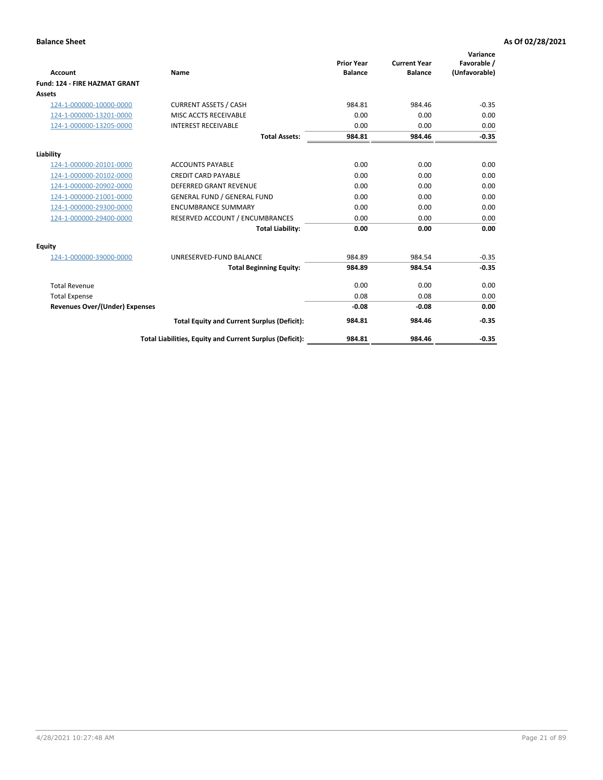|                                      |                                                          |                                     |                                       | Variance                     |
|--------------------------------------|----------------------------------------------------------|-------------------------------------|---------------------------------------|------------------------------|
| <b>Account</b>                       | Name                                                     | <b>Prior Year</b><br><b>Balance</b> | <b>Current Year</b><br><b>Balance</b> | Favorable /<br>(Unfavorable) |
| <b>Fund: 124 - FIRE HAZMAT GRANT</b> |                                                          |                                     |                                       |                              |
| <b>Assets</b>                        |                                                          |                                     |                                       |                              |
| 124-1-000000-10000-0000              | <b>CURRENT ASSETS / CASH</b>                             | 984.81                              | 984.46                                | $-0.35$                      |
| 124-1-000000-13201-0000              | MISC ACCTS RECEIVABLE                                    | 0.00                                | 0.00                                  | 0.00                         |
| 124-1-000000-13205-0000              | <b>INTEREST RECEIVABLE</b>                               | 0.00                                | 0.00                                  | 0.00                         |
|                                      | <b>Total Assets:</b>                                     | 984.81                              | 984.46                                | $-0.35$                      |
| Liability                            |                                                          |                                     |                                       |                              |
| 124-1-000000-20101-0000              | <b>ACCOUNTS PAYABLE</b>                                  | 0.00                                | 0.00                                  | 0.00                         |
| 124-1-000000-20102-0000              | <b>CREDIT CARD PAYABLE</b>                               | 0.00                                | 0.00                                  | 0.00                         |
| 124-1-000000-20902-0000              | <b>DEFERRED GRANT REVENUE</b>                            | 0.00                                | 0.00                                  | 0.00                         |
| 124-1-000000-21001-0000              | <b>GENERAL FUND / GENERAL FUND</b>                       | 0.00                                | 0.00                                  | 0.00                         |
| 124-1-000000-29300-0000              | <b>ENCUMBRANCE SUMMARY</b>                               | 0.00                                | 0.00                                  | 0.00                         |
| 124-1-000000-29400-0000              | RESERVED ACCOUNT / ENCUMBRANCES                          | 0.00                                | 0.00                                  | 0.00                         |
|                                      | <b>Total Liability:</b>                                  | 0.00                                | 0.00                                  | 0.00                         |
| Equity                               |                                                          |                                     |                                       |                              |
| 124-1-000000-39000-0000              | UNRESERVED-FUND BALANCE                                  | 984.89                              | 984.54                                | $-0.35$                      |
|                                      | <b>Total Beginning Equity:</b>                           | 984.89                              | 984.54                                | $-0.35$                      |
| <b>Total Revenue</b>                 |                                                          | 0.00                                | 0.00                                  | 0.00                         |
| <b>Total Expense</b>                 |                                                          | 0.08                                | 0.08                                  | 0.00                         |
| Revenues Over/(Under) Expenses       |                                                          | $-0.08$                             | $-0.08$                               | 0.00                         |
|                                      | <b>Total Equity and Current Surplus (Deficit):</b>       | 984.81                              | 984.46                                | $-0.35$                      |
|                                      | Total Liabilities, Equity and Current Surplus (Deficit): | 984.81                              | 984.46                                | $-0.35$                      |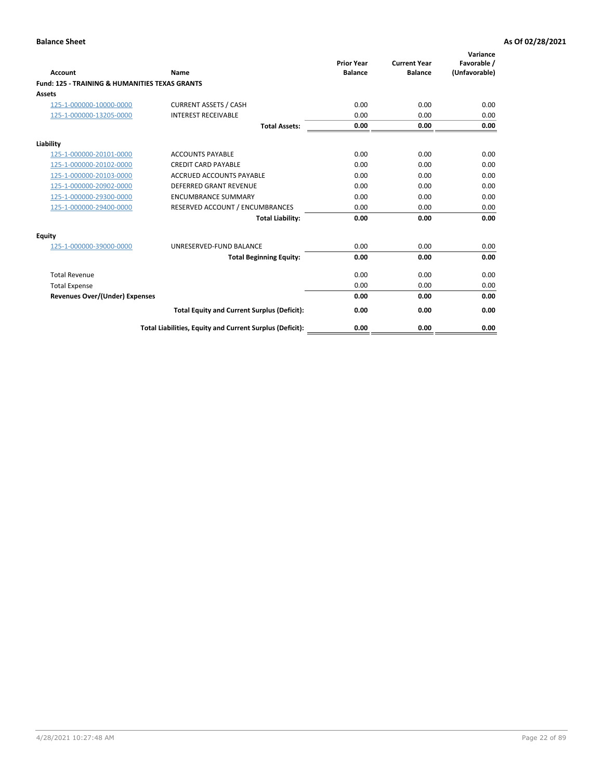| Account                                                   | Name                                                     | <b>Prior Year</b><br><b>Balance</b> | <b>Current Year</b><br><b>Balance</b> | Variance<br>Favorable /<br>(Unfavorable) |
|-----------------------------------------------------------|----------------------------------------------------------|-------------------------------------|---------------------------------------|------------------------------------------|
| <b>Fund: 125 - TRAINING &amp; HUMANITIES TEXAS GRANTS</b> |                                                          |                                     |                                       |                                          |
| <b>Assets</b>                                             |                                                          |                                     |                                       |                                          |
| 125-1-000000-10000-0000                                   | <b>CURRENT ASSETS / CASH</b>                             | 0.00                                | 0.00                                  | 0.00                                     |
| 125-1-000000-13205-0000                                   | <b>INTEREST RECEIVABLE</b>                               | 0.00                                | 0.00                                  | 0.00                                     |
|                                                           | <b>Total Assets:</b>                                     | 0.00                                | 0.00                                  | 0.00                                     |
| Liability                                                 |                                                          |                                     |                                       |                                          |
| 125-1-000000-20101-0000                                   | <b>ACCOUNTS PAYABLE</b>                                  | 0.00                                | 0.00                                  | 0.00                                     |
| 125-1-000000-20102-0000                                   | <b>CREDIT CARD PAYABLE</b>                               | 0.00                                | 0.00                                  | 0.00                                     |
| 125-1-000000-20103-0000                                   | <b>ACCRUED ACCOUNTS PAYABLE</b>                          | 0.00                                | 0.00                                  | 0.00                                     |
| 125-1-000000-20902-0000                                   | <b>DEFERRED GRANT REVENUE</b>                            | 0.00                                | 0.00                                  | 0.00                                     |
| 125-1-000000-29300-0000                                   | <b>ENCUMBRANCE SUMMARY</b>                               | 0.00                                | 0.00                                  | 0.00                                     |
| 125-1-000000-29400-0000                                   | RESERVED ACCOUNT / ENCUMBRANCES                          | 0.00                                | 0.00                                  | 0.00                                     |
|                                                           | <b>Total Liability:</b>                                  | 0.00                                | 0.00                                  | 0.00                                     |
| <b>Equity</b>                                             |                                                          |                                     |                                       |                                          |
| 125-1-000000-39000-0000                                   | UNRESERVED-FUND BALANCE                                  | 0.00                                | 0.00                                  | 0.00                                     |
|                                                           | <b>Total Beginning Equity:</b>                           | 0.00                                | 0.00                                  | 0.00                                     |
| <b>Total Revenue</b>                                      |                                                          | 0.00                                | 0.00                                  | 0.00                                     |
| <b>Total Expense</b>                                      |                                                          | 0.00                                | 0.00                                  | 0.00                                     |
| <b>Revenues Over/(Under) Expenses</b>                     |                                                          | 0.00                                | 0.00                                  | 0.00                                     |
|                                                           | <b>Total Equity and Current Surplus (Deficit):</b>       | 0.00                                | 0.00                                  | 0.00                                     |
|                                                           | Total Liabilities, Equity and Current Surplus (Deficit): | 0.00                                | 0.00                                  | 0.00                                     |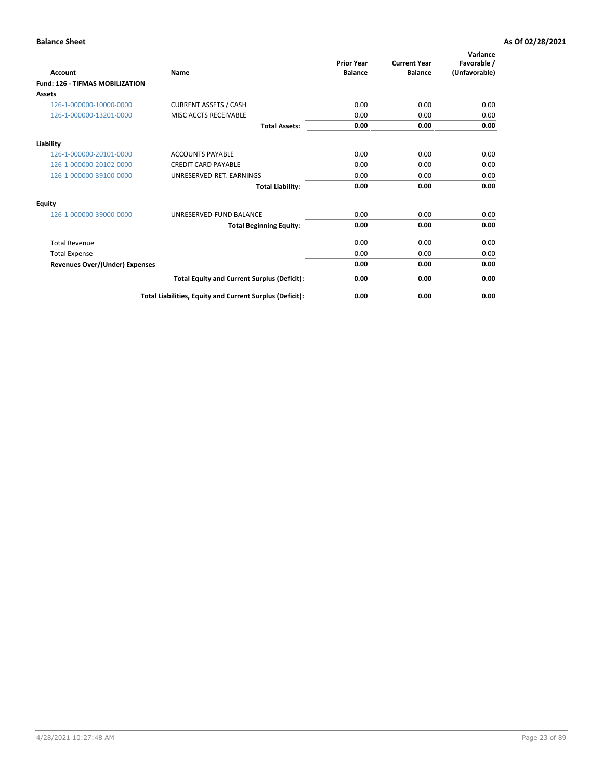| <b>Account</b>                         | Name                                                     | <b>Prior Year</b><br><b>Balance</b> | <b>Current Year</b><br><b>Balance</b> | Variance<br>Favorable /<br>(Unfavorable) |
|----------------------------------------|----------------------------------------------------------|-------------------------------------|---------------------------------------|------------------------------------------|
| <b>Fund: 126 - TIFMAS MOBILIZATION</b> |                                                          |                                     |                                       |                                          |
| Assets                                 |                                                          |                                     |                                       |                                          |
| 126-1-000000-10000-0000                | <b>CURRENT ASSETS / CASH</b>                             | 0.00                                | 0.00                                  | 0.00                                     |
| 126-1-000000-13201-0000                | MISC ACCTS RECEIVABLE                                    | 0.00                                | 0.00                                  | 0.00                                     |
|                                        | <b>Total Assets:</b>                                     | 0.00                                | 0.00                                  | 0.00                                     |
| Liability                              |                                                          |                                     |                                       |                                          |
| 126-1-000000-20101-0000                | <b>ACCOUNTS PAYABLE</b>                                  | 0.00                                | 0.00                                  | 0.00                                     |
| 126-1-000000-20102-0000                | <b>CREDIT CARD PAYABLE</b>                               | 0.00                                | 0.00                                  | 0.00                                     |
| 126-1-000000-39100-0000                | UNRESERVED-RET, EARNINGS                                 | 0.00                                | 0.00                                  | 0.00                                     |
|                                        | <b>Total Liability:</b>                                  | 0.00                                | 0.00                                  | 0.00                                     |
| Equity                                 |                                                          |                                     |                                       |                                          |
| 126-1-000000-39000-0000                | UNRESERVED-FUND BALANCE                                  | 0.00                                | 0.00                                  | 0.00                                     |
|                                        | <b>Total Beginning Equity:</b>                           | 0.00                                | 0.00                                  | 0.00                                     |
| <b>Total Revenue</b>                   |                                                          | 0.00                                | 0.00                                  | 0.00                                     |
| <b>Total Expense</b>                   |                                                          | 0.00                                | 0.00                                  | 0.00                                     |
| <b>Revenues Over/(Under) Expenses</b>  |                                                          | 0.00                                | 0.00                                  | 0.00                                     |
|                                        | <b>Total Equity and Current Surplus (Deficit):</b>       | 0.00                                | 0.00                                  | 0.00                                     |
|                                        | Total Liabilities, Equity and Current Surplus (Deficit): | 0.00                                | 0.00                                  | 0.00                                     |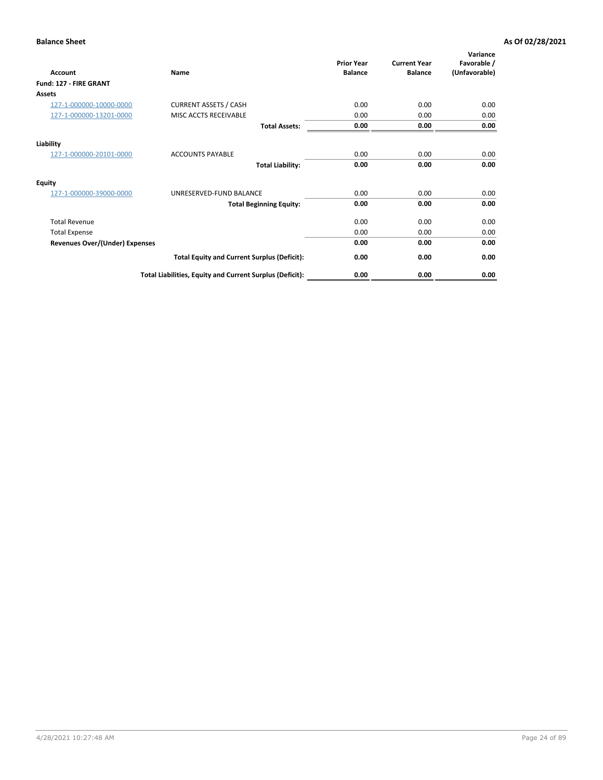| Account                               | Name                                                     | <b>Prior Year</b><br><b>Balance</b> | <b>Current Year</b><br><b>Balance</b> | Variance<br>Favorable /<br>(Unfavorable) |
|---------------------------------------|----------------------------------------------------------|-------------------------------------|---------------------------------------|------------------------------------------|
| Fund: 127 - FIRE GRANT                |                                                          |                                     |                                       |                                          |
| Assets                                |                                                          |                                     |                                       |                                          |
| 127-1-000000-10000-0000               | <b>CURRENT ASSETS / CASH</b>                             | 0.00                                | 0.00                                  | 0.00                                     |
| 127-1-000000-13201-0000               | MISC ACCTS RECEIVABLE                                    | 0.00                                | 0.00                                  | 0.00                                     |
|                                       | <b>Total Assets:</b>                                     | 0.00                                | 0.00                                  | 0.00                                     |
| Liability                             |                                                          |                                     |                                       |                                          |
| 127-1-000000-20101-0000               | <b>ACCOUNTS PAYABLE</b>                                  | 0.00                                | 0.00                                  | 0.00                                     |
|                                       | <b>Total Liability:</b>                                  | 0.00                                | 0.00                                  | 0.00                                     |
| <b>Equity</b>                         |                                                          |                                     |                                       |                                          |
| 127-1-000000-39000-0000               | UNRESERVED-FUND BALANCE                                  | 0.00                                | 0.00                                  | 0.00                                     |
|                                       | <b>Total Beginning Equity:</b>                           | 0.00                                | 0.00                                  | 0.00                                     |
| <b>Total Revenue</b>                  |                                                          | 0.00                                | 0.00                                  | 0.00                                     |
| <b>Total Expense</b>                  |                                                          | 0.00                                | 0.00                                  | 0.00                                     |
| <b>Revenues Over/(Under) Expenses</b> |                                                          | 0.00                                | 0.00                                  | 0.00                                     |
|                                       | <b>Total Equity and Current Surplus (Deficit):</b>       | 0.00                                | 0.00                                  | 0.00                                     |
|                                       | Total Liabilities, Equity and Current Surplus (Deficit): | 0.00                                | 0.00                                  | 0.00                                     |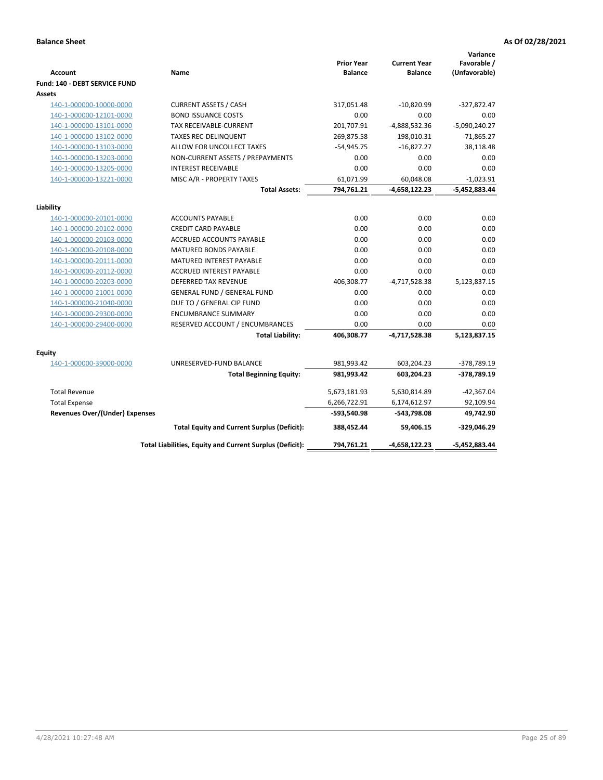| <b>Account</b>                        | Name                                                     | <b>Prior Year</b><br><b>Balance</b> | <b>Current Year</b><br><b>Balance</b> | Variance<br>Favorable /<br>(Unfavorable) |
|---------------------------------------|----------------------------------------------------------|-------------------------------------|---------------------------------------|------------------------------------------|
| Fund: 140 - DEBT SERVICE FUND         |                                                          |                                     |                                       |                                          |
| Assets                                |                                                          |                                     |                                       |                                          |
| 140-1-000000-10000-0000               | <b>CURRENT ASSETS / CASH</b>                             | 317,051.48                          | $-10,820.99$                          | $-327,872.47$                            |
| 140-1-000000-12101-0000               | <b>BOND ISSUANCE COSTS</b>                               | 0.00                                | 0.00                                  | 0.00                                     |
| 140-1-000000-13101-0000               | <b>TAX RECEIVABLE-CURRENT</b>                            | 201,707.91                          | -4,888,532.36                         | $-5,090,240.27$                          |
| 140-1-000000-13102-0000               | <b>TAXES REC-DELINQUENT</b>                              | 269,875.58                          | 198,010.31                            | $-71,865.27$                             |
| 140-1-000000-13103-0000               | ALLOW FOR UNCOLLECT TAXES                                | $-54,945.75$                        | $-16,827.27$                          | 38,118.48                                |
| 140-1-000000-13203-0000               | NON-CURRENT ASSETS / PREPAYMENTS                         | 0.00                                | 0.00                                  | 0.00                                     |
| 140-1-000000-13205-0000               | <b>INTEREST RECEIVABLE</b>                               | 0.00                                | 0.00                                  | 0.00                                     |
| 140-1-000000-13221-0000               | MISC A/R - PROPERTY TAXES                                | 61,071.99                           | 60,048.08                             | $-1,023.91$                              |
|                                       | <b>Total Assets:</b>                                     | 794,761.21                          | -4,658,122.23                         | $-5,452,883.44$                          |
| Liability                             |                                                          |                                     |                                       |                                          |
| 140-1-000000-20101-0000               | <b>ACCOUNTS PAYABLE</b>                                  | 0.00                                | 0.00                                  | 0.00                                     |
| 140-1-000000-20102-0000               | <b>CREDIT CARD PAYABLE</b>                               | 0.00                                | 0.00                                  | 0.00                                     |
| 140-1-000000-20103-0000               | ACCRUED ACCOUNTS PAYABLE                                 | 0.00                                | 0.00                                  | 0.00                                     |
| 140-1-000000-20108-0000               | <b>MATURED BONDS PAYABLE</b>                             | 0.00                                | 0.00                                  | 0.00                                     |
| 140-1-000000-20111-0000               | MATURED INTEREST PAYABLE                                 | 0.00                                | 0.00                                  | 0.00                                     |
| 140-1-000000-20112-0000               | <b>ACCRUED INTEREST PAYABLE</b>                          | 0.00                                | 0.00                                  | 0.00                                     |
| 140-1-000000-20203-0000               | <b>DEFERRED TAX REVENUE</b>                              | 406,308.77                          | $-4,717,528.38$                       | 5,123,837.15                             |
| 140-1-000000-21001-0000               | <b>GENERAL FUND / GENERAL FUND</b>                       | 0.00                                | 0.00                                  | 0.00                                     |
| 140-1-000000-21040-0000               | DUE TO / GENERAL CIP FUND                                | 0.00                                | 0.00                                  | 0.00                                     |
| 140-1-000000-29300-0000               | <b>ENCUMBRANCE SUMMARY</b>                               | 0.00                                | 0.00                                  | 0.00                                     |
| 140-1-000000-29400-0000               | RESERVED ACCOUNT / ENCUMBRANCES                          | 0.00                                | 0.00                                  | 0.00                                     |
|                                       | <b>Total Liability:</b>                                  | 406,308.77                          | $-4,717,528.38$                       | 5,123,837.15                             |
| Equity                                |                                                          |                                     |                                       |                                          |
| 140-1-000000-39000-0000               | UNRESERVED-FUND BALANCE                                  | 981,993.42                          | 603,204.23                            | -378,789.19                              |
|                                       | <b>Total Beginning Equity:</b>                           | 981,993.42                          | 603,204.23                            | -378,789.19                              |
| <b>Total Revenue</b>                  |                                                          | 5,673,181.93                        | 5,630,814.89                          | $-42,367.04$                             |
| <b>Total Expense</b>                  |                                                          | 6,266,722.91                        | 6,174,612.97                          | 92,109.94                                |
| <b>Revenues Over/(Under) Expenses</b> |                                                          | -593,540.98                         | -543,798.08                           | 49,742.90                                |
|                                       | <b>Total Equity and Current Surplus (Deficit):</b>       | 388,452.44                          | 59,406.15                             | -329,046.29                              |
|                                       | Total Liabilities, Equity and Current Surplus (Deficit): | 794,761.21                          | $-4,658,122.23$                       | $-5,452,883.44$                          |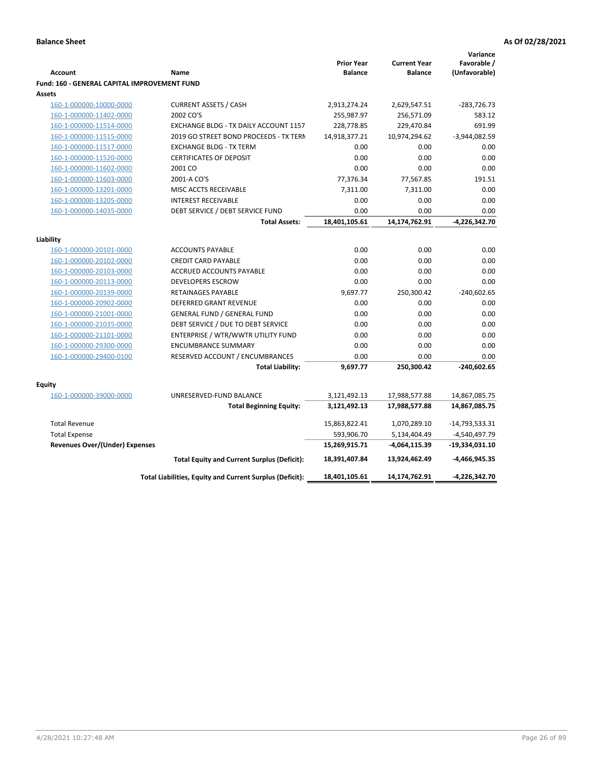|                                                     |                                                          | <b>Prior Year</b> | <b>Current Year</b> | Variance<br>Favorable / |
|-----------------------------------------------------|----------------------------------------------------------|-------------------|---------------------|-------------------------|
| <b>Account</b>                                      | Name                                                     | <b>Balance</b>    | <b>Balance</b>      | (Unfavorable)           |
| <b>Fund: 160 - GENERAL CAPITAL IMPROVEMENT FUND</b> |                                                          |                   |                     |                         |
| <b>Assets</b>                                       |                                                          |                   |                     |                         |
| 160-1-000000-10000-0000                             | <b>CURRENT ASSETS / CASH</b>                             | 2,913,274.24      | 2,629,547.51        | $-283,726.73$           |
| 160-1-000000-11402-0000                             | 2002 CO'S                                                | 255,987.97        | 256,571.09          | 583.12                  |
| 160-1-000000-11514-0000                             | EXCHANGE BLDG - TX DAILY ACCOUNT 1157                    | 228,778.85        | 229,470.84          | 691.99                  |
| 160-1-000000-11515-0000                             | 2019 GO STREET BOND PROCEEDS - TX TERN                   | 14,918,377.21     | 10,974,294.62       | -3,944,082.59           |
| 160-1-000000-11517-0000                             | <b>EXCHANGE BLDG - TX TERM</b>                           | 0.00              | 0.00                | 0.00                    |
| 160-1-000000-11520-0000                             | <b>CERTIFICATES OF DEPOSIT</b>                           | 0.00              | 0.00                | 0.00                    |
| 160-1-000000-11602-0000                             | 2001 CO                                                  | 0.00              | 0.00                | 0.00                    |
| 160-1-000000-11603-0000                             | 2001-A CO'S                                              | 77,376.34         | 77,567.85           | 191.51                  |
| 160-1-000000-13201-0000                             | MISC ACCTS RECEIVABLE                                    | 7,311.00          | 7,311.00            | 0.00                    |
| 160-1-000000-13205-0000                             | <b>INTEREST RECEIVABLE</b>                               | 0.00              | 0.00                | 0.00                    |
| 160-1-000000-14035-0000                             | DEBT SERVICE / DEBT SERVICE FUND                         | 0.00              | 0.00                | 0.00                    |
|                                                     | <b>Total Assets:</b>                                     | 18,401,105.61     | 14,174,762.91       | -4,226,342.70           |
|                                                     |                                                          |                   |                     |                         |
| Liability                                           |                                                          |                   |                     |                         |
| 160-1-000000-20101-0000                             | <b>ACCOUNTS PAYABLE</b>                                  | 0.00              | 0.00                | 0.00                    |
| 160-1-000000-20102-0000                             | <b>CREDIT CARD PAYABLE</b>                               | 0.00              | 0.00                | 0.00                    |
| 160-1-000000-20103-0000                             | ACCRUED ACCOUNTS PAYABLE                                 | 0.00              | 0.00                | 0.00                    |
| 160-1-000000-20113-0000                             | <b>DEVELOPERS ESCROW</b>                                 | 0.00              | 0.00                | 0.00                    |
| 160-1-000000-20139-0000                             | RETAINAGES PAYABLE                                       | 9,697.77          | 250,300.42          | $-240,602.65$           |
| 160-1-000000-20902-0000                             | DEFERRED GRANT REVENUE                                   | 0.00              | 0.00                | 0.00                    |
| 160-1-000000-21001-0000                             | <b>GENERAL FUND / GENERAL FUND</b>                       | 0.00              | 0.00                | 0.00                    |
| 160-1-000000-21035-0000                             | DEBT SERVICE / DUE TO DEBT SERVICE                       | 0.00              | 0.00                | 0.00                    |
| 160-1-000000-21101-0000                             | ENTERPRISE / WTR/WWTR UTILITY FUND                       | 0.00              | 0.00                | 0.00                    |
| 160-1-000000-29300-0000                             | <b>ENCUMBRANCE SUMMARY</b>                               | 0.00              | 0.00                | 0.00                    |
| 160-1-000000-29400-0100                             | RESERVED ACCOUNT / ENCUMBRANCES                          | 0.00              | 0.00                | 0.00                    |
|                                                     | <b>Total Liability:</b>                                  | 9,697.77          | 250,300.42          | $-240,602.65$           |
| <b>Equity</b>                                       |                                                          |                   |                     |                         |
| 160-1-000000-39000-0000                             | UNRESERVED-FUND BALANCE                                  | 3,121,492.13      | 17,988,577.88       | 14,867,085.75           |
|                                                     | <b>Total Beginning Equity:</b>                           | 3,121,492.13      | 17,988,577.88       | 14,867,085.75           |
|                                                     |                                                          |                   |                     |                         |
| <b>Total Revenue</b>                                |                                                          | 15,863,822.41     | 1,070,289.10        | $-14,793,533.31$        |
| <b>Total Expense</b>                                |                                                          | 593,906.70        | 5,134,404.49        | -4,540,497.79           |
| <b>Revenues Over/(Under) Expenses</b>               |                                                          | 15,269,915.71     | -4,064,115.39       | -19,334,031.10          |
|                                                     | <b>Total Equity and Current Surplus (Deficit):</b>       | 18,391,407.84     | 13,924,462.49       | $-4,466,945.35$         |
|                                                     | Total Liabilities, Equity and Current Surplus (Deficit): | 18,401,105.61     | 14,174,762.91       | -4,226,342.70           |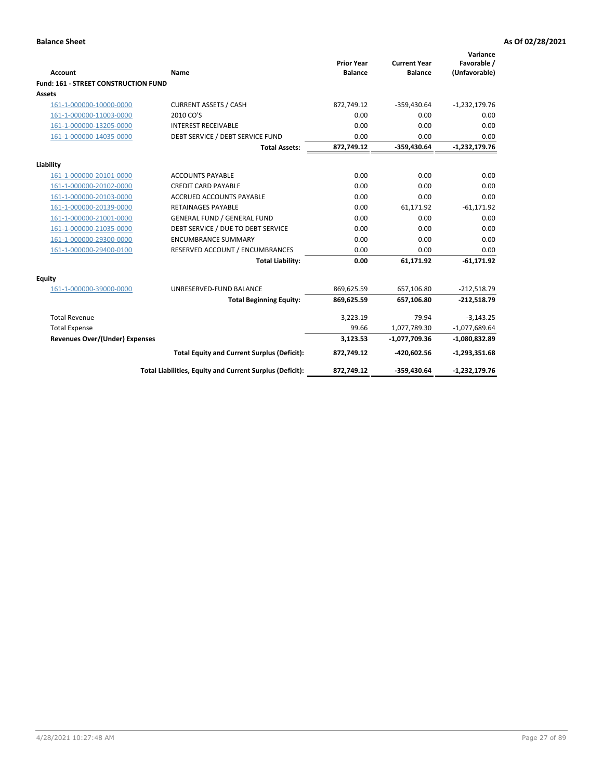| <b>Account</b>                       | Name                                                     | <b>Prior Year</b><br><b>Balance</b> | <b>Current Year</b><br><b>Balance</b> | Variance<br>Favorable /<br>(Unfavorable) |
|--------------------------------------|----------------------------------------------------------|-------------------------------------|---------------------------------------|------------------------------------------|
| Fund: 161 - STREET CONSTRUCTION FUND |                                                          |                                     |                                       |                                          |
| Assets                               |                                                          |                                     |                                       |                                          |
| 161-1-000000-10000-0000              | <b>CURRENT ASSETS / CASH</b>                             | 872,749.12                          | $-359,430.64$                         | $-1,232,179.76$                          |
| 161-1-000000-11003-0000              | 2010 CO'S                                                | 0.00                                | 0.00                                  | 0.00                                     |
| 161-1-000000-13205-0000              | <b>INTEREST RECEIVABLE</b>                               | 0.00                                | 0.00                                  | 0.00                                     |
| 161-1-000000-14035-0000              | DEBT SERVICE / DEBT SERVICE FUND                         | 0.00                                | 0.00                                  | 0.00                                     |
|                                      | <b>Total Assets:</b>                                     | 872,749.12                          | $-359,430.64$                         | $-1,232,179.76$                          |
| Liability                            |                                                          |                                     |                                       |                                          |
| 161-1-000000-20101-0000              | <b>ACCOUNTS PAYABLE</b>                                  | 0.00                                | 0.00                                  | 0.00                                     |
| 161-1-000000-20102-0000              | <b>CREDIT CARD PAYABLE</b>                               | 0.00                                | 0.00                                  | 0.00                                     |
| 161-1-000000-20103-0000              | <b>ACCRUED ACCOUNTS PAYABLE</b>                          | 0.00                                | 0.00                                  | 0.00                                     |
| 161-1-000000-20139-0000              | <b>RETAINAGES PAYABLE</b>                                | 0.00                                | 61,171.92                             | $-61,171.92$                             |
| 161-1-000000-21001-0000              | <b>GENERAL FUND / GENERAL FUND</b>                       | 0.00                                | 0.00                                  | 0.00                                     |
| 161-1-000000-21035-0000              | DEBT SERVICE / DUE TO DEBT SERVICE                       | 0.00                                | 0.00                                  | 0.00                                     |
| 161-1-000000-29300-0000              | <b>ENCUMBRANCE SUMMARY</b>                               | 0.00                                | 0.00                                  | 0.00                                     |
| 161-1-000000-29400-0100              | RESERVED ACCOUNT / ENCUMBRANCES                          | 0.00                                | 0.00                                  | 0.00                                     |
|                                      | <b>Total Liability:</b>                                  | 0.00                                | 61.171.92                             | $-61,171.92$                             |
| Equity                               |                                                          |                                     |                                       |                                          |
| 161-1-000000-39000-0000              | UNRESERVED-FUND BALANCE                                  | 869,625.59                          | 657,106.80                            | $-212,518.79$                            |
|                                      | <b>Total Beginning Equity:</b>                           | 869,625.59                          | 657,106.80                            | $-212,518.79$                            |
| <b>Total Revenue</b>                 |                                                          | 3,223.19                            | 79.94                                 | $-3,143.25$                              |
| <b>Total Expense</b>                 |                                                          | 99.66                               | 1,077,789.30                          | $-1,077,689.64$                          |
| Revenues Over/(Under) Expenses       |                                                          | 3,123.53                            | $-1,077,709.36$                       | $-1,080,832.89$                          |
|                                      | <b>Total Equity and Current Surplus (Deficit):</b>       | 872,749.12                          | -420,602.56                           | $-1,293,351.68$                          |
|                                      | Total Liabilities, Equity and Current Surplus (Deficit): | 872,749.12                          | $-359,430.64$                         | $-1,232,179.76$                          |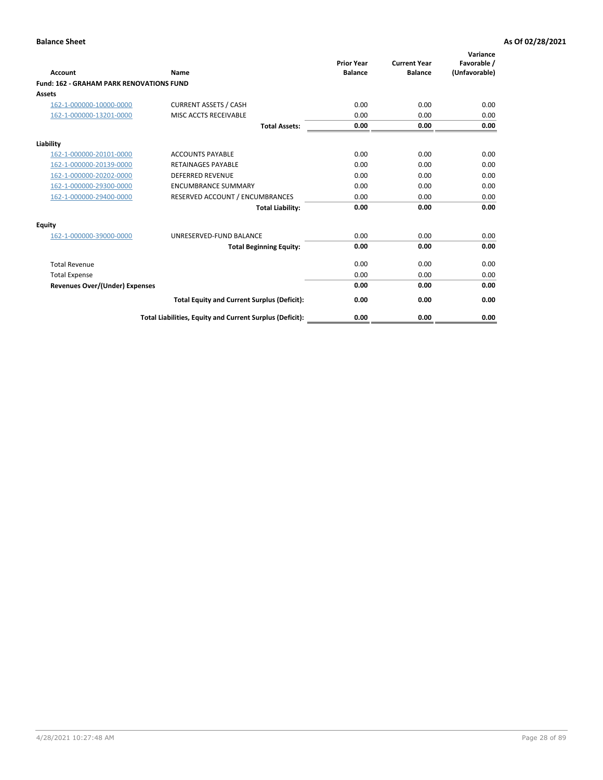| Account                                         | Name                                                     | <b>Prior Year</b><br><b>Balance</b> | <b>Current Year</b><br><b>Balance</b> | Variance<br>Favorable /<br>(Unfavorable) |
|-------------------------------------------------|----------------------------------------------------------|-------------------------------------|---------------------------------------|------------------------------------------|
| <b>Fund: 162 - GRAHAM PARK RENOVATIONS FUND</b> |                                                          |                                     |                                       |                                          |
| <b>Assets</b>                                   |                                                          |                                     |                                       |                                          |
| 162-1-000000-10000-0000                         | <b>CURRENT ASSETS / CASH</b>                             | 0.00                                | 0.00                                  | 0.00                                     |
| 162-1-000000-13201-0000                         | MISC ACCTS RECEIVABLE                                    | 0.00                                | 0.00                                  | 0.00                                     |
|                                                 | <b>Total Assets:</b>                                     | 0.00                                | 0.00                                  | 0.00                                     |
| Liability                                       |                                                          |                                     |                                       |                                          |
| 162-1-000000-20101-0000                         | <b>ACCOUNTS PAYABLE</b>                                  | 0.00                                | 0.00                                  | 0.00                                     |
| 162-1-000000-20139-0000                         | <b>RETAINAGES PAYABLE</b>                                | 0.00                                | 0.00                                  | 0.00                                     |
| 162-1-000000-20202-0000                         | <b>DEFERRED REVENUE</b>                                  | 0.00                                | 0.00                                  | 0.00                                     |
| 162-1-000000-29300-0000                         | <b>ENCUMBRANCE SUMMARY</b>                               | 0.00                                | 0.00                                  | 0.00                                     |
| 162-1-000000-29400-0000                         | RESERVED ACCOUNT / ENCUMBRANCES                          | 0.00                                | 0.00                                  | 0.00                                     |
|                                                 | <b>Total Liability:</b>                                  | 0.00                                | 0.00                                  | 0.00                                     |
| Equity                                          |                                                          |                                     |                                       |                                          |
| 162-1-000000-39000-0000                         | UNRESERVED-FUND BALANCE                                  | 0.00                                | 0.00                                  | 0.00                                     |
|                                                 | <b>Total Beginning Equity:</b>                           | 0.00                                | 0.00                                  | 0.00                                     |
| <b>Total Revenue</b>                            |                                                          | 0.00                                | 0.00                                  | 0.00                                     |
| <b>Total Expense</b>                            |                                                          | 0.00                                | 0.00                                  | 0.00                                     |
| <b>Revenues Over/(Under) Expenses</b>           |                                                          | 0.00                                | 0.00                                  | 0.00                                     |
|                                                 | <b>Total Equity and Current Surplus (Deficit):</b>       | 0.00                                | 0.00                                  | 0.00                                     |
|                                                 | Total Liabilities, Equity and Current Surplus (Deficit): | 0.00                                | 0.00                                  | 0.00                                     |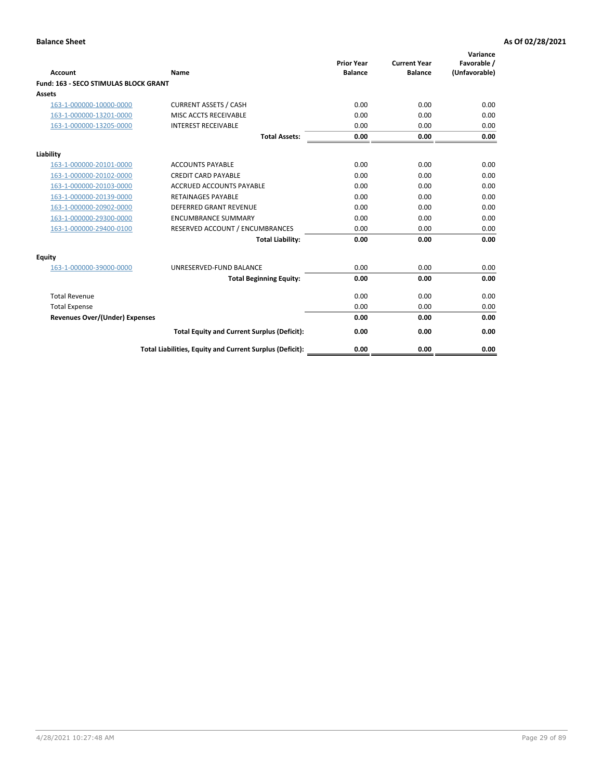| Account                               | Name                                                     | <b>Prior Year</b><br><b>Balance</b> | <b>Current Year</b><br><b>Balance</b> | Variance<br>Favorable /<br>(Unfavorable) |
|---------------------------------------|----------------------------------------------------------|-------------------------------------|---------------------------------------|------------------------------------------|
| Fund: 163 - SECO STIMULAS BLOCK GRANT |                                                          |                                     |                                       |                                          |
| <b>Assets</b>                         |                                                          |                                     |                                       |                                          |
| 163-1-000000-10000-0000               | <b>CURRENT ASSETS / CASH</b>                             | 0.00                                | 0.00                                  | 0.00                                     |
| 163-1-000000-13201-0000               | MISC ACCTS RECEIVABLE                                    | 0.00                                | 0.00                                  | 0.00                                     |
| 163-1-000000-13205-0000               | <b>INTEREST RECEIVABLE</b>                               | 0.00                                | 0.00                                  | 0.00                                     |
|                                       | <b>Total Assets:</b>                                     | 0.00                                | 0.00                                  | 0.00                                     |
| Liability                             |                                                          |                                     |                                       |                                          |
| 163-1-000000-20101-0000               | <b>ACCOUNTS PAYABLE</b>                                  | 0.00                                | 0.00                                  | 0.00                                     |
| 163-1-000000-20102-0000               | <b>CREDIT CARD PAYABLE</b>                               | 0.00                                | 0.00                                  | 0.00                                     |
| 163-1-000000-20103-0000               | <b>ACCRUED ACCOUNTS PAYABLE</b>                          | 0.00                                | 0.00                                  | 0.00                                     |
| 163-1-000000-20139-0000               | <b>RETAINAGES PAYABLE</b>                                | 0.00                                | 0.00                                  | 0.00                                     |
| 163-1-000000-20902-0000               | DEFERRED GRANT REVENUE                                   | 0.00                                | 0.00                                  | 0.00                                     |
| 163-1-000000-29300-0000               | <b>ENCUMBRANCE SUMMARY</b>                               | 0.00                                | 0.00                                  | 0.00                                     |
| 163-1-000000-29400-0100               | RESERVED ACCOUNT / ENCUMBRANCES                          | 0.00                                | 0.00                                  | 0.00                                     |
|                                       | <b>Total Liability:</b>                                  | 0.00                                | 0.00                                  | 0.00                                     |
| <b>Equity</b>                         |                                                          |                                     |                                       |                                          |
| 163-1-000000-39000-0000               | UNRESERVED-FUND BALANCE                                  | 0.00                                | 0.00                                  | 0.00                                     |
|                                       | <b>Total Beginning Equity:</b>                           | 0.00                                | 0.00                                  | 0.00                                     |
| <b>Total Revenue</b>                  |                                                          | 0.00                                | 0.00                                  | 0.00                                     |
| <b>Total Expense</b>                  |                                                          | 0.00                                | 0.00                                  | 0.00                                     |
| <b>Revenues Over/(Under) Expenses</b> |                                                          | 0.00                                | 0.00                                  | 0.00                                     |
|                                       | <b>Total Equity and Current Surplus (Deficit):</b>       | 0.00                                | 0.00                                  | 0.00                                     |
|                                       | Total Liabilities, Equity and Current Surplus (Deficit): | 0.00                                | 0.00                                  | 0.00                                     |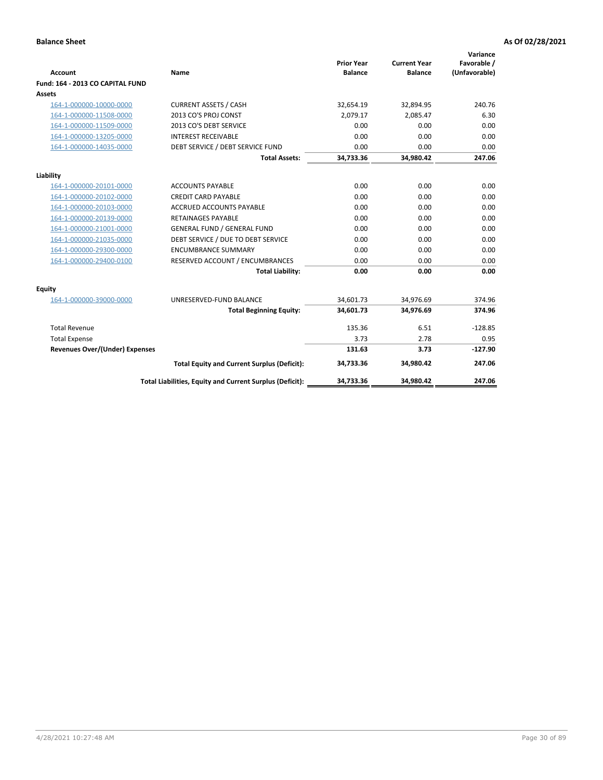| <b>Account</b>                        | <b>Name</b>                                              | <b>Prior Year</b><br><b>Balance</b> | <b>Current Year</b><br><b>Balance</b> | Variance<br>Favorable /<br>(Unfavorable) |
|---------------------------------------|----------------------------------------------------------|-------------------------------------|---------------------------------------|------------------------------------------|
| Fund: 164 - 2013 CO CAPITAL FUND      |                                                          |                                     |                                       |                                          |
| Assets                                |                                                          |                                     |                                       |                                          |
| 164-1-000000-10000-0000               | <b>CURRENT ASSETS / CASH</b>                             | 32,654.19                           | 32,894.95                             | 240.76                                   |
| 164-1-000000-11508-0000               | 2013 CO'S PROJ CONST                                     | 2,079.17                            | 2,085.47                              | 6.30                                     |
| 164-1-000000-11509-0000               | 2013 CO'S DEBT SERVICE                                   | 0.00                                | 0.00                                  | 0.00                                     |
| 164-1-000000-13205-0000               | <b>INTEREST RECEIVABLE</b>                               | 0.00                                | 0.00                                  | 0.00                                     |
| 164-1-000000-14035-0000               | DEBT SERVICE / DEBT SERVICE FUND                         | 0.00                                | 0.00                                  | 0.00                                     |
|                                       | <b>Total Assets:</b>                                     | 34,733.36                           | 34,980.42                             | 247.06                                   |
| Liability                             |                                                          |                                     |                                       |                                          |
| 164-1-000000-20101-0000               | <b>ACCOUNTS PAYABLE</b>                                  | 0.00                                | 0.00                                  | 0.00                                     |
| 164-1-000000-20102-0000               | <b>CREDIT CARD PAYABLE</b>                               | 0.00                                | 0.00                                  | 0.00                                     |
| 164-1-000000-20103-0000               | <b>ACCRUED ACCOUNTS PAYABLE</b>                          | 0.00                                | 0.00                                  | 0.00                                     |
| 164-1-000000-20139-0000               | <b>RETAINAGES PAYABLE</b>                                | 0.00                                | 0.00                                  | 0.00                                     |
| 164-1-000000-21001-0000               | <b>GENERAL FUND / GENERAL FUND</b>                       | 0.00                                | 0.00                                  | 0.00                                     |
| 164-1-000000-21035-0000               | DEBT SERVICE / DUE TO DEBT SERVICE                       | 0.00                                | 0.00                                  | 0.00                                     |
| 164-1-000000-29300-0000               | <b>ENCUMBRANCE SUMMARY</b>                               | 0.00                                | 0.00                                  | 0.00                                     |
| 164-1-000000-29400-0100               | RESERVED ACCOUNT / ENCUMBRANCES                          | 0.00                                | 0.00                                  | 0.00                                     |
|                                       | <b>Total Liability:</b>                                  | 0.00                                | 0.00                                  | 0.00                                     |
| Equity                                |                                                          |                                     |                                       |                                          |
| 164-1-000000-39000-0000               | UNRESERVED-FUND BALANCE                                  | 34,601.73                           | 34,976.69                             | 374.96                                   |
|                                       | <b>Total Beginning Equity:</b>                           | 34,601.73                           | 34,976.69                             | 374.96                                   |
| <b>Total Revenue</b>                  |                                                          | 135.36                              | 6.51                                  | $-128.85$                                |
| <b>Total Expense</b>                  |                                                          | 3.73                                | 2.78                                  | 0.95                                     |
| <b>Revenues Over/(Under) Expenses</b> |                                                          | 131.63                              | 3.73                                  | $-127.90$                                |
|                                       | <b>Total Equity and Current Surplus (Deficit):</b>       | 34,733.36                           | 34,980.42                             | 247.06                                   |
|                                       | Total Liabilities, Equity and Current Surplus (Deficit): | 34,733.36                           | 34,980.42                             | 247.06                                   |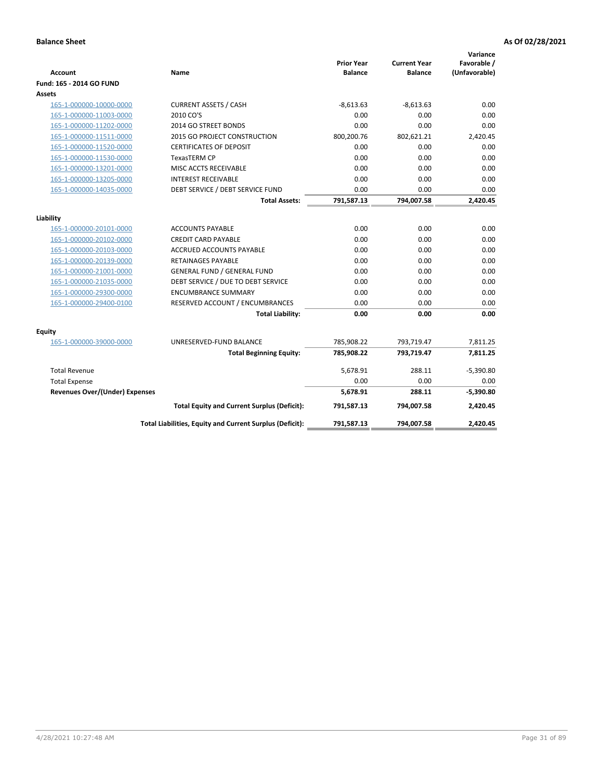| <b>Account</b>                        | Name                                                     | <b>Prior Year</b><br><b>Balance</b> | <b>Current Year</b><br><b>Balance</b> | Variance<br>Favorable /<br>(Unfavorable) |
|---------------------------------------|----------------------------------------------------------|-------------------------------------|---------------------------------------|------------------------------------------|
| Fund: 165 - 2014 GO FUND              |                                                          |                                     |                                       |                                          |
| Assets                                |                                                          |                                     |                                       |                                          |
| 165-1-000000-10000-0000               | <b>CURRENT ASSETS / CASH</b>                             | $-8,613.63$                         | $-8,613.63$                           | 0.00                                     |
| 165-1-000000-11003-0000               | 2010 CO'S                                                | 0.00                                | 0.00                                  | 0.00                                     |
| 165-1-000000-11202-0000               | 2014 GO STREET BONDS                                     | 0.00                                | 0.00                                  | 0.00                                     |
| 165-1-000000-11511-0000               | 2015 GO PROJECT CONSTRUCTION                             | 800,200.76                          | 802,621.21                            | 2,420.45                                 |
| 165-1-000000-11520-0000               | <b>CERTIFICATES OF DEPOSIT</b>                           | 0.00                                | 0.00                                  | 0.00                                     |
| 165-1-000000-11530-0000               | <b>TexasTERM CP</b>                                      | 0.00                                | 0.00                                  | 0.00                                     |
| 165-1-000000-13201-0000               | MISC ACCTS RECEIVABLE                                    | 0.00                                | 0.00                                  | 0.00                                     |
| 165-1-000000-13205-0000               | <b>INTEREST RECEIVABLE</b>                               | 0.00                                | 0.00                                  | 0.00                                     |
| 165-1-000000-14035-0000               | DEBT SERVICE / DEBT SERVICE FUND                         | 0.00                                | 0.00                                  | 0.00                                     |
|                                       | <b>Total Assets:</b>                                     | 791,587.13                          | 794,007.58                            | 2,420.45                                 |
| Liability                             |                                                          |                                     |                                       |                                          |
| 165-1-000000-20101-0000               | <b>ACCOUNTS PAYABLE</b>                                  | 0.00                                | 0.00                                  | 0.00                                     |
| 165-1-000000-20102-0000               | <b>CREDIT CARD PAYABLE</b>                               | 0.00                                | 0.00                                  | 0.00                                     |
| 165-1-000000-20103-0000               | <b>ACCRUED ACCOUNTS PAYABLE</b>                          | 0.00                                | 0.00                                  | 0.00                                     |
| 165-1-000000-20139-0000               | <b>RETAINAGES PAYABLE</b>                                | 0.00                                | 0.00                                  | 0.00                                     |
| 165-1-000000-21001-0000               | <b>GENERAL FUND / GENERAL FUND</b>                       | 0.00                                | 0.00                                  | 0.00                                     |
| 165-1-000000-21035-0000               | DEBT SERVICE / DUE TO DEBT SERVICE                       | 0.00                                | 0.00                                  | 0.00                                     |
| 165-1-000000-29300-0000               | <b>ENCUMBRANCE SUMMARY</b>                               | 0.00                                | 0.00                                  | 0.00                                     |
| 165-1-000000-29400-0100               | RESERVED ACCOUNT / ENCUMBRANCES                          | 0.00                                | 0.00                                  | 0.00                                     |
|                                       | <b>Total Liability:</b>                                  | 0.00                                | 0.00                                  | 0.00                                     |
| Equity                                |                                                          |                                     |                                       |                                          |
| 165-1-000000-39000-0000               | UNRESERVED-FUND BALANCE                                  | 785,908.22                          | 793,719.47                            | 7,811.25                                 |
|                                       | <b>Total Beginning Equity:</b>                           | 785,908.22                          | 793,719.47                            | 7,811.25                                 |
| <b>Total Revenue</b>                  |                                                          | 5,678.91                            | 288.11                                | $-5,390.80$                              |
| <b>Total Expense</b>                  |                                                          | 0.00                                | 0.00                                  | 0.00                                     |
| <b>Revenues Over/(Under) Expenses</b> |                                                          | 5,678.91                            | 288.11                                | $-5,390.80$                              |
|                                       | <b>Total Equity and Current Surplus (Deficit):</b>       | 791,587.13                          | 794,007.58                            | 2,420.45                                 |
|                                       | Total Liabilities, Equity and Current Surplus (Deficit): | 791,587.13                          | 794,007.58                            | 2.420.45                                 |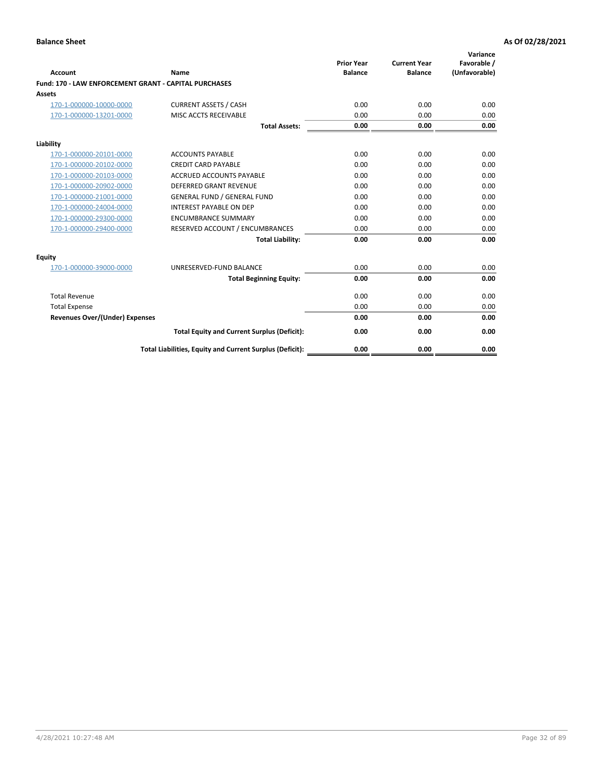| <b>Account</b>                                               | Name                                                     | <b>Prior Year</b><br><b>Balance</b> | <b>Current Year</b><br><b>Balance</b> | Variance<br>Favorable /<br>(Unfavorable) |
|--------------------------------------------------------------|----------------------------------------------------------|-------------------------------------|---------------------------------------|------------------------------------------|
| <b>Fund: 170 - LAW ENFORCEMENT GRANT - CAPITAL PURCHASES</b> |                                                          |                                     |                                       |                                          |
| Assets                                                       |                                                          |                                     |                                       |                                          |
| 170-1-000000-10000-0000                                      | <b>CURRENT ASSETS / CASH</b>                             | 0.00                                | 0.00                                  | 0.00                                     |
| 170-1-000000-13201-0000                                      | MISC ACCTS RECEIVABLE                                    | 0.00                                | 0.00                                  | 0.00                                     |
|                                                              | <b>Total Assets:</b>                                     | 0.00                                | 0.00                                  | 0.00                                     |
| Liability                                                    |                                                          |                                     |                                       |                                          |
| 170-1-000000-20101-0000                                      | <b>ACCOUNTS PAYABLE</b>                                  | 0.00                                | 0.00                                  | 0.00                                     |
| 170-1-000000-20102-0000                                      | <b>CREDIT CARD PAYABLE</b>                               | 0.00                                | 0.00                                  | 0.00                                     |
| 170-1-000000-20103-0000                                      | <b>ACCRUED ACCOUNTS PAYABLE</b>                          | 0.00                                | 0.00                                  | 0.00                                     |
| 170-1-000000-20902-0000                                      | <b>DEFERRED GRANT REVENUE</b>                            | 0.00                                | 0.00                                  | 0.00                                     |
| 170-1-000000-21001-0000                                      | <b>GENERAL FUND / GENERAL FUND</b>                       | 0.00                                | 0.00                                  | 0.00                                     |
| 170-1-000000-24004-0000                                      | <b>INTEREST PAYABLE ON DEP</b>                           | 0.00                                | 0.00                                  | 0.00                                     |
| 170-1-000000-29300-0000                                      | <b>ENCUMBRANCE SUMMARY</b>                               | 0.00                                | 0.00                                  | 0.00                                     |
| 170-1-000000-29400-0000                                      | RESERVED ACCOUNT / ENCUMBRANCES                          | 0.00                                | 0.00                                  | 0.00                                     |
|                                                              | <b>Total Liability:</b>                                  | 0.00                                | 0.00                                  | 0.00                                     |
| <b>Equity</b>                                                |                                                          |                                     |                                       |                                          |
| 170-1-000000-39000-0000                                      | UNRESERVED-FUND BALANCE                                  | 0.00                                | 0.00                                  | 0.00                                     |
|                                                              | <b>Total Beginning Equity:</b>                           | 0.00                                | 0.00                                  | 0.00                                     |
| <b>Total Revenue</b>                                         |                                                          | 0.00                                | 0.00                                  | 0.00                                     |
| <b>Total Expense</b>                                         |                                                          | 0.00                                | 0.00                                  | 0.00                                     |
| <b>Revenues Over/(Under) Expenses</b>                        |                                                          | 0.00                                | 0.00                                  | 0.00                                     |
|                                                              | <b>Total Equity and Current Surplus (Deficit):</b>       | 0.00                                | 0.00                                  | 0.00                                     |
|                                                              | Total Liabilities, Equity and Current Surplus (Deficit): | 0.00                                | 0.00                                  | 0.00                                     |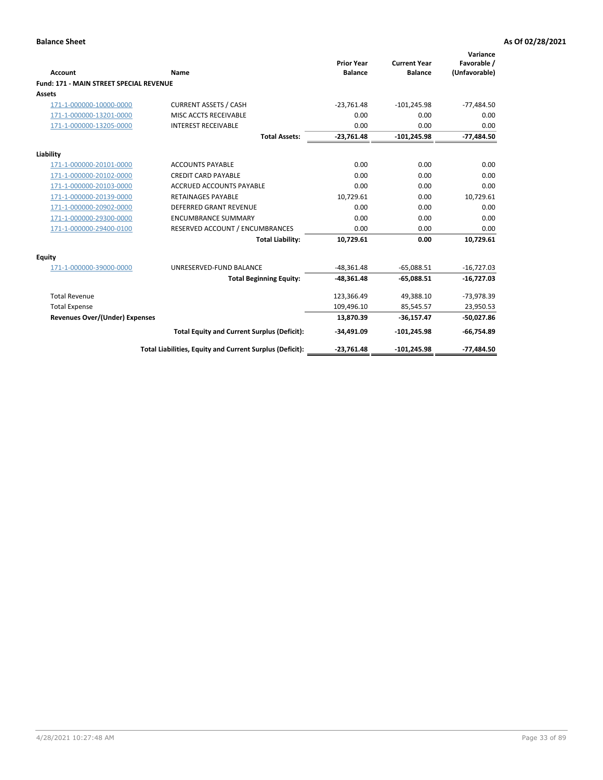| Account                                        | Name                                                     | <b>Prior Year</b><br><b>Balance</b> | <b>Current Year</b><br><b>Balance</b> | Variance<br>Favorable /<br>(Unfavorable) |
|------------------------------------------------|----------------------------------------------------------|-------------------------------------|---------------------------------------|------------------------------------------|
| <b>Fund: 171 - MAIN STREET SPECIAL REVENUE</b> |                                                          |                                     |                                       |                                          |
| <b>Assets</b>                                  |                                                          |                                     |                                       |                                          |
| 171-1-000000-10000-0000                        | <b>CURRENT ASSETS / CASH</b>                             | $-23,761.48$                        | $-101,245.98$                         | $-77,484.50$                             |
| 171-1-000000-13201-0000                        | MISC ACCTS RECEIVABLE                                    | 0.00                                | 0.00                                  | 0.00                                     |
| 171-1-000000-13205-0000                        | <b>INTEREST RECEIVABLE</b>                               | 0.00                                | 0.00                                  | 0.00                                     |
|                                                | <b>Total Assets:</b>                                     | $-23,761.48$                        | $-101,245.98$                         | $-77,484.50$                             |
| Liability                                      |                                                          |                                     |                                       |                                          |
| 171-1-000000-20101-0000                        | <b>ACCOUNTS PAYABLE</b>                                  | 0.00                                | 0.00                                  | 0.00                                     |
| 171-1-000000-20102-0000                        | <b>CREDIT CARD PAYABLE</b>                               | 0.00                                | 0.00                                  | 0.00                                     |
| 171-1-000000-20103-0000                        | <b>ACCRUED ACCOUNTS PAYABLE</b>                          | 0.00                                | 0.00                                  | 0.00                                     |
| 171-1-000000-20139-0000                        | <b>RETAINAGES PAYABLE</b>                                | 10,729.61                           | 0.00                                  | 10,729.61                                |
| 171-1-000000-20902-0000                        | <b>DEFERRED GRANT REVENUE</b>                            | 0.00                                | 0.00                                  | 0.00                                     |
| 171-1-000000-29300-0000                        | <b>ENCUMBRANCE SUMMARY</b>                               | 0.00                                | 0.00                                  | 0.00                                     |
| 171-1-000000-29400-0100                        | RESERVED ACCOUNT / ENCUMBRANCES                          | 0.00                                | 0.00                                  | 0.00                                     |
|                                                | <b>Total Liability:</b>                                  | 10,729.61                           | 0.00                                  | 10,729.61                                |
| <b>Equity</b>                                  |                                                          |                                     |                                       |                                          |
| 171-1-000000-39000-0000                        | UNRESERVED-FUND BALANCE                                  | $-48,361.48$                        | $-65.088.51$                          | $-16,727.03$                             |
|                                                | <b>Total Beginning Equity:</b>                           | $-48,361.48$                        | $-65,088.51$                          | $-16,727.03$                             |
| <b>Total Revenue</b>                           |                                                          | 123,366.49                          | 49,388.10                             | $-73,978.39$                             |
| <b>Total Expense</b>                           |                                                          | 109,496.10                          | 85,545.57                             | 23,950.53                                |
| Revenues Over/(Under) Expenses                 |                                                          | 13,870.39                           | $-36,157.47$                          | $-50,027.86$                             |
|                                                | <b>Total Equity and Current Surplus (Deficit):</b>       | $-34,491.09$                        | $-101,245.98$                         | $-66,754.89$                             |
|                                                | Total Liabilities, Equity and Current Surplus (Deficit): | $-23.761.48$                        | $-101,245.98$                         | $-77.484.50$                             |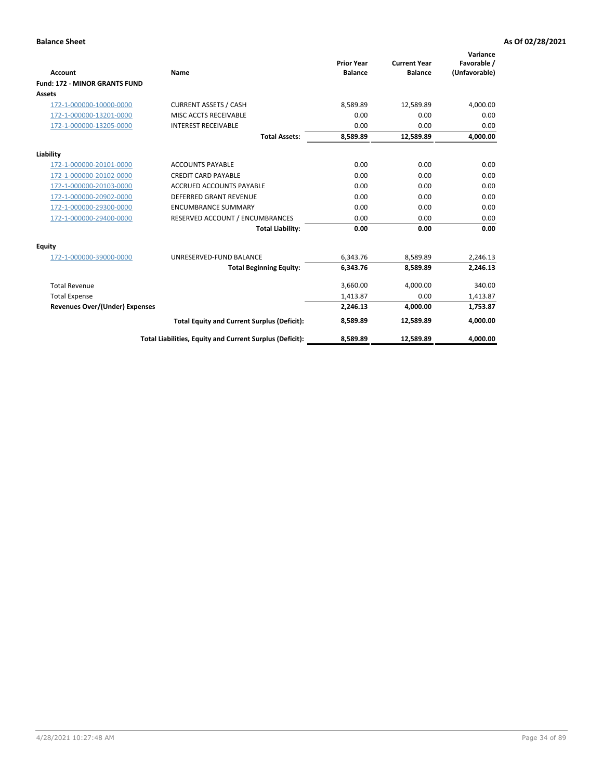|                                      |                                                          |                                     |                                       | Variance                     |
|--------------------------------------|----------------------------------------------------------|-------------------------------------|---------------------------------------|------------------------------|
| <b>Account</b>                       | <b>Name</b>                                              | <b>Prior Year</b><br><b>Balance</b> | <b>Current Year</b><br><b>Balance</b> | Favorable /<br>(Unfavorable) |
| <b>Fund: 172 - MINOR GRANTS FUND</b> |                                                          |                                     |                                       |                              |
| <b>Assets</b>                        |                                                          |                                     |                                       |                              |
| 172-1-000000-10000-0000              | <b>CURRENT ASSETS / CASH</b>                             | 8,589.89                            | 12,589.89                             | 4,000.00                     |
| 172-1-000000-13201-0000              | MISC ACCTS RECEIVABLE                                    | 0.00                                | 0.00                                  | 0.00                         |
| 172-1-000000-13205-0000              | <b>INTEREST RECEIVABLE</b>                               | 0.00                                | 0.00                                  | 0.00                         |
|                                      | <b>Total Assets:</b>                                     | 8,589.89                            | 12,589.89                             | 4,000.00                     |
| Liability                            |                                                          |                                     |                                       |                              |
| 172-1-000000-20101-0000              | <b>ACCOUNTS PAYABLE</b>                                  | 0.00                                | 0.00                                  | 0.00                         |
| 172-1-000000-20102-0000              | <b>CREDIT CARD PAYABLE</b>                               | 0.00                                | 0.00                                  | 0.00                         |
| 172-1-000000-20103-0000              | <b>ACCRUED ACCOUNTS PAYABLE</b>                          | 0.00                                | 0.00                                  | 0.00                         |
| 172-1-000000-20902-0000              | DEFERRED GRANT REVENUE                                   | 0.00                                | 0.00                                  | 0.00                         |
| 172-1-000000-29300-0000              | <b>ENCUMBRANCE SUMMARY</b>                               | 0.00                                | 0.00                                  | 0.00                         |
| 172-1-000000-29400-0000              | RESERVED ACCOUNT / ENCUMBRANCES                          | 0.00                                | 0.00                                  | 0.00                         |
|                                      | <b>Total Liability:</b>                                  | 0.00                                | 0.00                                  | 0.00                         |
| Equity                               |                                                          |                                     |                                       |                              |
| 172-1-000000-39000-0000              | UNRESERVED-FUND BALANCE                                  | 6,343.76                            | 8,589.89                              | 2,246.13                     |
|                                      | <b>Total Beginning Equity:</b>                           | 6,343.76                            | 8,589.89                              | 2,246.13                     |
| <b>Total Revenue</b>                 |                                                          | 3,660.00                            | 4,000.00                              | 340.00                       |
| <b>Total Expense</b>                 |                                                          | 1,413.87                            | 0.00                                  | 1,413.87                     |
| Revenues Over/(Under) Expenses       |                                                          | 2,246.13                            | 4,000.00                              | 1,753.87                     |
|                                      | <b>Total Equity and Current Surplus (Deficit):</b>       | 8,589.89                            | 12,589.89                             | 4,000.00                     |
|                                      | Total Liabilities, Equity and Current Surplus (Deficit): | 8,589.89                            | 12,589.89                             | 4,000.00                     |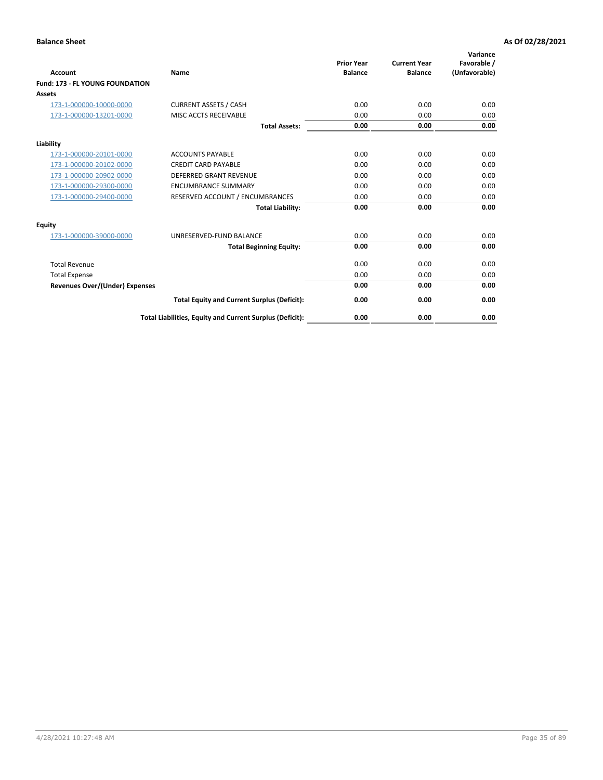| <b>Account</b>                         | Name                                                     | <b>Prior Year</b><br><b>Balance</b> | <b>Current Year</b><br><b>Balance</b> | Variance<br>Favorable /<br>(Unfavorable) |
|----------------------------------------|----------------------------------------------------------|-------------------------------------|---------------------------------------|------------------------------------------|
| <b>Fund: 173 - FL YOUNG FOUNDATION</b> |                                                          |                                     |                                       |                                          |
| Assets                                 |                                                          |                                     |                                       |                                          |
| 173-1-000000-10000-0000                | <b>CURRENT ASSETS / CASH</b>                             | 0.00                                | 0.00                                  | 0.00                                     |
| 173-1-000000-13201-0000                | MISC ACCTS RECEIVABLE                                    | 0.00                                | 0.00                                  | 0.00                                     |
|                                        | <b>Total Assets:</b>                                     | 0.00                                | 0.00                                  | 0.00                                     |
| Liability                              |                                                          |                                     |                                       |                                          |
| 173-1-000000-20101-0000                | <b>ACCOUNTS PAYABLE</b>                                  | 0.00                                | 0.00                                  | 0.00                                     |
| 173-1-000000-20102-0000                | <b>CREDIT CARD PAYABLE</b>                               | 0.00                                | 0.00                                  | 0.00                                     |
| 173-1-000000-20902-0000                | <b>DEFERRED GRANT REVENUE</b>                            | 0.00                                | 0.00                                  | 0.00                                     |
| 173-1-000000-29300-0000                | <b>ENCUMBRANCE SUMMARY</b>                               | 0.00                                | 0.00                                  | 0.00                                     |
| 173-1-000000-29400-0000                | RESERVED ACCOUNT / ENCUMBRANCES                          | 0.00                                | 0.00                                  | 0.00                                     |
|                                        | <b>Total Liability:</b>                                  | 0.00                                | 0.00                                  | 0.00                                     |
| Equity                                 |                                                          |                                     |                                       |                                          |
| 173-1-000000-39000-0000                | UNRESERVED-FUND BALANCE                                  | 0.00                                | 0.00                                  | 0.00                                     |
|                                        | <b>Total Beginning Equity:</b>                           | 0.00                                | 0.00                                  | 0.00                                     |
| <b>Total Revenue</b>                   |                                                          | 0.00                                | 0.00                                  | 0.00                                     |
| <b>Total Expense</b>                   |                                                          | 0.00                                | 0.00                                  | 0.00                                     |
| <b>Revenues Over/(Under) Expenses</b>  |                                                          | 0.00                                | 0.00                                  | 0.00                                     |
|                                        | <b>Total Equity and Current Surplus (Deficit):</b>       | 0.00                                | 0.00                                  | 0.00                                     |
|                                        | Total Liabilities, Equity and Current Surplus (Deficit): | 0.00                                | 0.00                                  | 0.00                                     |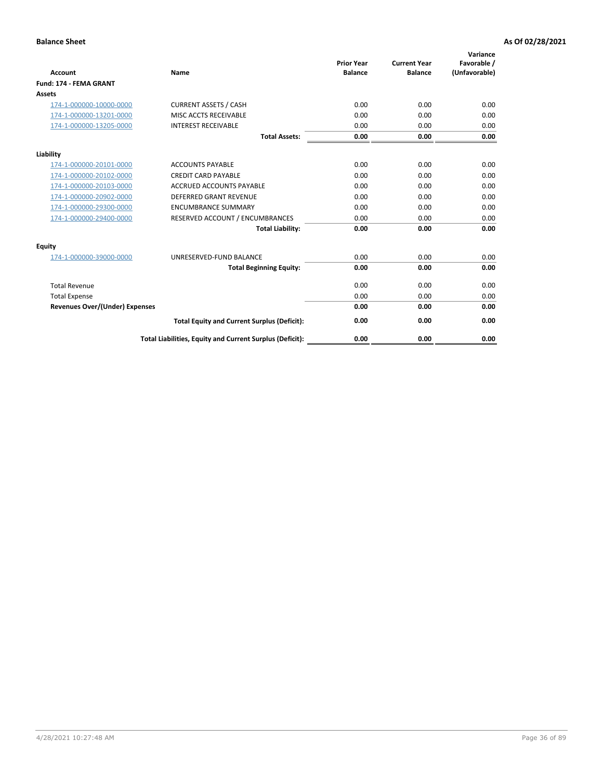| <b>Account</b>                        | Name                                                     | <b>Prior Year</b><br><b>Balance</b> | <b>Current Year</b><br><b>Balance</b> | Variance<br>Favorable /<br>(Unfavorable) |
|---------------------------------------|----------------------------------------------------------|-------------------------------------|---------------------------------------|------------------------------------------|
| <b>Fund: 174 - FEMA GRANT</b>         |                                                          |                                     |                                       |                                          |
| <b>Assets</b>                         |                                                          |                                     |                                       |                                          |
| 174-1-000000-10000-0000               | <b>CURRENT ASSETS / CASH</b>                             | 0.00                                | 0.00                                  | 0.00                                     |
| 174-1-000000-13201-0000               | MISC ACCTS RECEIVABLE                                    | 0.00                                | 0.00                                  | 0.00                                     |
| 174-1-000000-13205-0000               | <b>INTEREST RECEIVABLE</b>                               | 0.00                                | 0.00                                  | 0.00                                     |
|                                       | <b>Total Assets:</b>                                     | 0.00                                | 0.00                                  | 0.00                                     |
| Liability                             |                                                          |                                     |                                       |                                          |
| 174-1-000000-20101-0000               | <b>ACCOUNTS PAYABLE</b>                                  | 0.00                                | 0.00                                  | 0.00                                     |
| 174-1-000000-20102-0000               | <b>CREDIT CARD PAYABLE</b>                               | 0.00                                | 0.00                                  | 0.00                                     |
| 174-1-000000-20103-0000               | <b>ACCRUED ACCOUNTS PAYABLE</b>                          | 0.00                                | 0.00                                  | 0.00                                     |
| 174-1-000000-20902-0000               | <b>DEFERRED GRANT REVENUE</b>                            | 0.00                                | 0.00                                  | 0.00                                     |
| 174-1-000000-29300-0000               | <b>ENCUMBRANCE SUMMARY</b>                               | 0.00                                | 0.00                                  | 0.00                                     |
| 174-1-000000-29400-0000               | RESERVED ACCOUNT / ENCUMBRANCES                          | 0.00                                | 0.00                                  | 0.00                                     |
|                                       | <b>Total Liability:</b>                                  | 0.00                                | 0.00                                  | 0.00                                     |
| <b>Equity</b>                         |                                                          |                                     |                                       |                                          |
| 174-1-000000-39000-0000               | UNRESERVED-FUND BALANCE                                  | 0.00                                | 0.00                                  | 0.00                                     |
|                                       | <b>Total Beginning Equity:</b>                           | 0.00                                | 0.00                                  | 0.00                                     |
| <b>Total Revenue</b>                  |                                                          | 0.00                                | 0.00                                  | 0.00                                     |
| <b>Total Expense</b>                  |                                                          | 0.00                                | 0.00                                  | 0.00                                     |
| <b>Revenues Over/(Under) Expenses</b> |                                                          | 0.00                                | 0.00                                  | 0.00                                     |
|                                       | <b>Total Equity and Current Surplus (Deficit):</b>       | 0.00                                | 0.00                                  | 0.00                                     |
|                                       | Total Liabilities, Equity and Current Surplus (Deficit): | 0.00                                | 0.00                                  | 0.00                                     |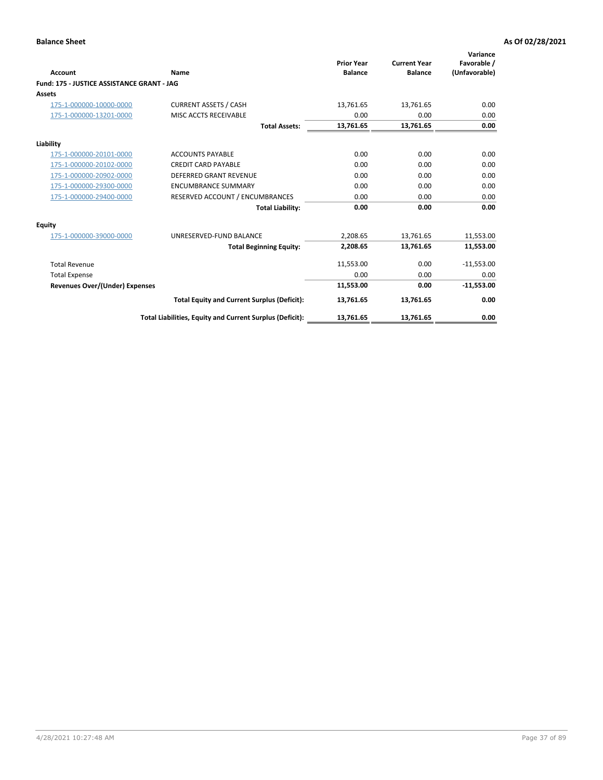|                                            |                                                          | <b>Prior Year</b> | <b>Current Year</b> | Variance<br>Favorable / |
|--------------------------------------------|----------------------------------------------------------|-------------------|---------------------|-------------------------|
| Account                                    | Name                                                     | <b>Balance</b>    | <b>Balance</b>      | (Unfavorable)           |
| Fund: 175 - JUSTICE ASSISTANCE GRANT - JAG |                                                          |                   |                     |                         |
| Assets                                     |                                                          |                   |                     |                         |
| 175-1-000000-10000-0000                    | <b>CURRENT ASSETS / CASH</b>                             | 13,761.65         | 13,761.65           | 0.00                    |
| 175-1-000000-13201-0000                    | MISC ACCTS RECEIVABLE                                    | 0.00              | 0.00                | 0.00                    |
|                                            | <b>Total Assets:</b>                                     | 13,761.65         | 13,761.65           | 0.00                    |
| Liability                                  |                                                          |                   |                     |                         |
| 175-1-000000-20101-0000                    | <b>ACCOUNTS PAYABLE</b>                                  | 0.00              | 0.00                | 0.00                    |
| 175-1-000000-20102-0000                    | <b>CREDIT CARD PAYABLE</b>                               | 0.00              | 0.00                | 0.00                    |
| 175-1-000000-20902-0000                    | <b>DEFERRED GRANT REVENUE</b>                            | 0.00              | 0.00                | 0.00                    |
| 175-1-000000-29300-0000                    | <b>ENCUMBRANCE SUMMARY</b>                               | 0.00              | 0.00                | 0.00                    |
| 175-1-000000-29400-0000                    | RESERVED ACCOUNT / ENCUMBRANCES                          | 0.00              | 0.00                | 0.00                    |
|                                            | <b>Total Liability:</b>                                  | 0.00              | 0.00                | 0.00                    |
| Equity                                     |                                                          |                   |                     |                         |
| 175-1-000000-39000-0000                    | UNRESERVED-FUND BALANCE                                  | 2,208.65          | 13,761.65           | 11,553.00               |
|                                            | <b>Total Beginning Equity:</b>                           | 2,208.65          | 13,761.65           | 11,553.00               |
| <b>Total Revenue</b>                       |                                                          | 11,553.00         | 0.00                | $-11,553.00$            |
| <b>Total Expense</b>                       |                                                          | 0.00              | 0.00                | 0.00                    |
| <b>Revenues Over/(Under) Expenses</b>      |                                                          | 11,553.00         | 0.00                | $-11,553.00$            |
|                                            | <b>Total Equity and Current Surplus (Deficit):</b>       | 13,761.65         | 13,761.65           | 0.00                    |
|                                            | Total Liabilities, Equity and Current Surplus (Deficit): | 13,761.65         | 13,761.65           | 0.00                    |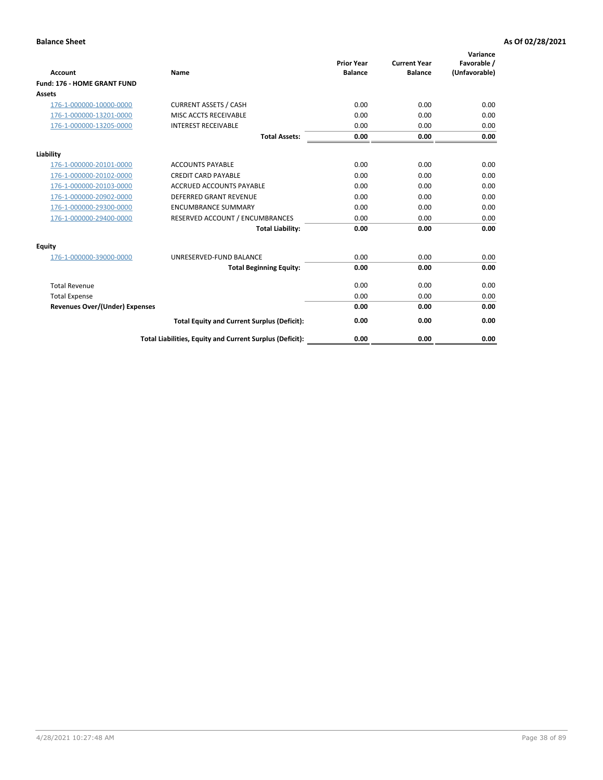|                                       |                                                          | <b>Prior Year</b> | <b>Current Year</b> | Variance<br>Favorable / |
|---------------------------------------|----------------------------------------------------------|-------------------|---------------------|-------------------------|
| <b>Account</b>                        | Name                                                     | <b>Balance</b>    | <b>Balance</b>      | (Unfavorable)           |
| Fund: 176 - HOME GRANT FUND           |                                                          |                   |                     |                         |
| <b>Assets</b>                         |                                                          |                   |                     |                         |
| 176-1-000000-10000-0000               | <b>CURRENT ASSETS / CASH</b>                             | 0.00              | 0.00                | 0.00                    |
| 176-1-000000-13201-0000               | MISC ACCTS RECEIVABLE                                    | 0.00              | 0.00                | 0.00                    |
| 176-1-000000-13205-0000               | <b>INTEREST RECEIVABLE</b>                               | 0.00              | 0.00                | 0.00                    |
|                                       | <b>Total Assets:</b>                                     | 0.00              | 0.00                | 0.00                    |
| Liability                             |                                                          |                   |                     |                         |
| 176-1-000000-20101-0000               | <b>ACCOUNTS PAYABLE</b>                                  | 0.00              | 0.00                | 0.00                    |
| 176-1-000000-20102-0000               | <b>CREDIT CARD PAYABLE</b>                               | 0.00              | 0.00                | 0.00                    |
| 176-1-000000-20103-0000               | <b>ACCRUED ACCOUNTS PAYABLE</b>                          | 0.00              | 0.00                | 0.00                    |
| 176-1-000000-20902-0000               | <b>DEFERRED GRANT REVENUE</b>                            | 0.00              | 0.00                | 0.00                    |
| 176-1-000000-29300-0000               | <b>ENCUMBRANCE SUMMARY</b>                               | 0.00              | 0.00                | 0.00                    |
| 176-1-000000-29400-0000               | RESERVED ACCOUNT / ENCUMBRANCES                          | 0.00              | 0.00                | 0.00                    |
|                                       | <b>Total Liability:</b>                                  | 0.00              | 0.00                | 0.00                    |
| Equity                                |                                                          |                   |                     |                         |
| 176-1-000000-39000-0000               | UNRESERVED-FUND BALANCE                                  | 0.00              | 0.00                | 0.00                    |
|                                       | <b>Total Beginning Equity:</b>                           | 0.00              | 0.00                | 0.00                    |
| <b>Total Revenue</b>                  |                                                          | 0.00              | 0.00                | 0.00                    |
| <b>Total Expense</b>                  |                                                          | 0.00              | 0.00                | 0.00                    |
| <b>Revenues Over/(Under) Expenses</b> |                                                          | 0.00              | 0.00                | 0.00                    |
|                                       | <b>Total Equity and Current Surplus (Deficit):</b>       | 0.00              | 0.00                | 0.00                    |
|                                       | Total Liabilities, Equity and Current Surplus (Deficit): | 0.00              | 0.00                | 0.00                    |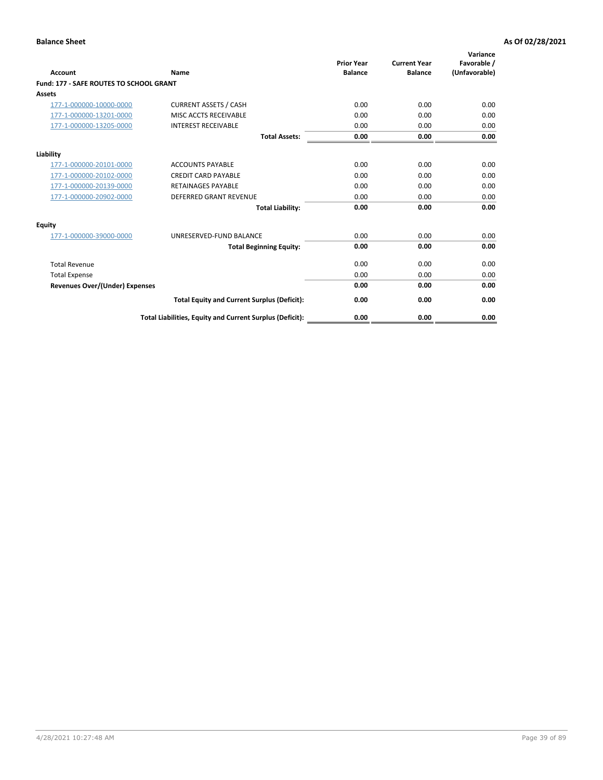| Account                                        | Name                                                     | <b>Prior Year</b><br><b>Balance</b> | <b>Current Year</b><br><b>Balance</b> | Variance<br>Favorable /<br>(Unfavorable) |
|------------------------------------------------|----------------------------------------------------------|-------------------------------------|---------------------------------------|------------------------------------------|
| <b>Fund: 177 - SAFE ROUTES TO SCHOOL GRANT</b> |                                                          |                                     |                                       |                                          |
| <b>Assets</b>                                  |                                                          |                                     |                                       |                                          |
| 177-1-000000-10000-0000                        | <b>CURRENT ASSETS / CASH</b>                             | 0.00                                | 0.00                                  | 0.00                                     |
| 177-1-000000-13201-0000                        | MISC ACCTS RECEIVABLE                                    | 0.00                                | 0.00                                  | 0.00                                     |
| 177-1-000000-13205-0000                        | <b>INTEREST RECEIVABLE</b>                               | 0.00                                | 0.00                                  | 0.00                                     |
|                                                | <b>Total Assets:</b>                                     | 0.00                                | 0.00                                  | 0.00                                     |
| Liability                                      |                                                          |                                     |                                       |                                          |
| 177-1-000000-20101-0000                        | <b>ACCOUNTS PAYABLE</b>                                  | 0.00                                | 0.00                                  | 0.00                                     |
| 177-1-000000-20102-0000                        | <b>CREDIT CARD PAYABLE</b>                               | 0.00                                | 0.00                                  | 0.00                                     |
| 177-1-000000-20139-0000                        | <b>RETAINAGES PAYABLE</b>                                | 0.00                                | 0.00                                  | 0.00                                     |
| 177-1-000000-20902-0000                        | <b>DEFERRED GRANT REVENUE</b>                            | 0.00                                | 0.00                                  | 0.00                                     |
|                                                | <b>Total Liability:</b>                                  | 0.00                                | 0.00                                  | 0.00                                     |
| Equity                                         |                                                          |                                     |                                       |                                          |
| 177-1-000000-39000-0000                        | UNRESERVED-FUND BALANCE                                  | 0.00                                | 0.00                                  | 0.00                                     |
|                                                | <b>Total Beginning Equity:</b>                           | 0.00                                | 0.00                                  | 0.00                                     |
| <b>Total Revenue</b>                           |                                                          | 0.00                                | 0.00                                  | 0.00                                     |
| <b>Total Expense</b>                           |                                                          | 0.00                                | 0.00                                  | 0.00                                     |
| <b>Revenues Over/(Under) Expenses</b>          |                                                          | 0.00                                | 0.00                                  | 0.00                                     |
|                                                | <b>Total Equity and Current Surplus (Deficit):</b>       | 0.00                                | 0.00                                  | 0.00                                     |
|                                                | Total Liabilities, Equity and Current Surplus (Deficit): | 0.00                                | 0.00                                  | 0.00                                     |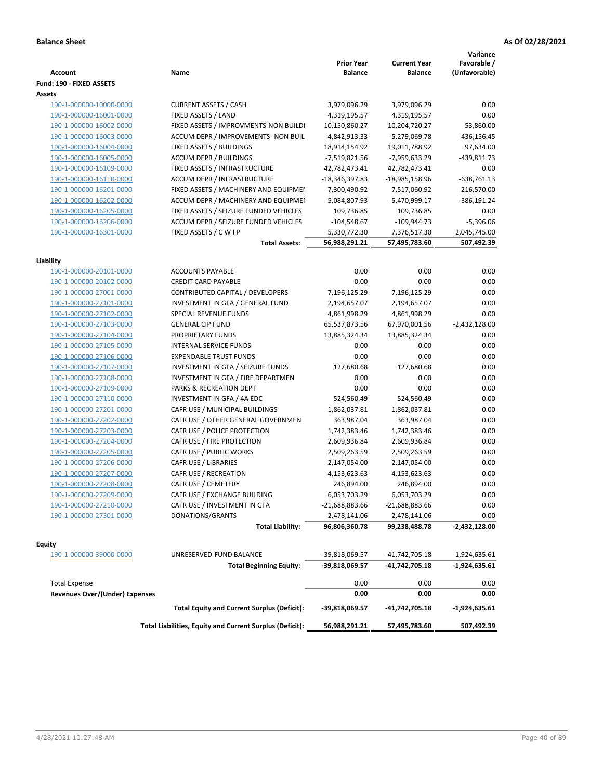| <b>Account</b>                           | Name                                                     | <b>Prior Year</b><br><b>Balance</b> | <b>Current Year</b><br><b>Balance</b> | Variance<br>Favorable /<br>(Unfavorable) |
|------------------------------------------|----------------------------------------------------------|-------------------------------------|---------------------------------------|------------------------------------------|
| Fund: 190 - FIXED ASSETS                 |                                                          |                                     |                                       |                                          |
| Assets                                   |                                                          |                                     |                                       |                                          |
| 190-1-000000-10000-0000                  | <b>CURRENT ASSETS / CASH</b>                             | 3,979,096.29                        | 3,979,096.29                          | 0.00                                     |
| 190-1-000000-16001-0000                  | FIXED ASSETS / LAND                                      | 4,319,195.57                        | 4,319,195.57                          | 0.00                                     |
| 190-1-000000-16002-0000                  | FIXED ASSETS / IMPROVMENTS-NON BUILDI                    | 10,150,860.27                       | 10,204,720.27                         | 53,860.00                                |
| 190-1-000000-16003-0000                  | ACCUM DEPR / IMPROVEMENTS- NON BUIL                      | -4,842,913.33                       | -5,279,069.78                         | $-436, 156.45$                           |
| 190-1-000000-16004-0000                  | FIXED ASSETS / BUILDINGS                                 | 18,914,154.92                       | 19,011,788.92                         | 97,634.00                                |
| 190-1-000000-16005-0000                  | <b>ACCUM DEPR / BUILDINGS</b>                            | -7,519,821.56                       | -7,959,633.29                         | -439,811.73                              |
| 190-1-000000-16109-0000                  | FIXED ASSETS / INFRASTRUCTURE                            | 42,782,473.41                       | 42,782,473.41                         | 0.00                                     |
| 190-1-000000-16110-0000                  | ACCUM DEPR / INFRASTRUCTURE                              | -18,346,397.83                      | -18,985,158.96                        | $-638,761.13$                            |
| 190-1-000000-16201-0000                  | FIXED ASSETS / MACHINERY AND EQUIPMEN                    | 7,300,490.92                        | 7,517,060.92                          | 216,570.00                               |
| 190-1-000000-16202-0000                  | ACCUM DEPR / MACHINERY AND EQUIPMEI                      | -5,084,807.93                       | -5,470,999.17                         | -386,191.24                              |
| 190-1-000000-16205-0000                  | FIXED ASSETS / SEIZURE FUNDED VEHICLES                   | 109,736.85                          | 109,736.85                            | 0.00                                     |
| 190-1-000000-16206-0000                  | ACCUM DEPR / SEIZURE FUNDED VEHICLES                     | $-104,548.67$                       | $-109,944.73$                         | $-5,396.06$                              |
| 190-1-000000-16301-0000                  | FIXED ASSETS / C W I P                                   | 5,330,772.30                        | 7,376,517.30                          | 2,045,745.00                             |
|                                          | <b>Total Assets:</b>                                     | 56,988,291.21                       | 57,495,783.60                         | 507,492.39                               |
|                                          |                                                          |                                     |                                       |                                          |
| Liability                                |                                                          |                                     |                                       |                                          |
| 190-1-000000-20101-0000                  | <b>ACCOUNTS PAYABLE</b>                                  | 0.00                                | 0.00                                  | 0.00                                     |
| 190-1-000000-20102-0000                  | <b>CREDIT CARD PAYABLE</b>                               | 0.00                                | 0.00                                  | 0.00                                     |
| 190-1-000000-27001-0000                  | <b>CONTRIBUTED CAPITAL / DEVELOPERS</b>                  | 7,196,125.29                        | 7,196,125.29                          | 0.00                                     |
| 190-1-000000-27101-0000                  | INVESTMENT IN GFA / GENERAL FUND                         | 2,194,657.07                        | 2,194,657.07                          | 0.00                                     |
| 190-1-000000-27102-0000                  | SPECIAL REVENUE FUNDS                                    | 4,861,998.29                        | 4,861,998.29                          | 0.00                                     |
| 190-1-000000-27103-0000                  | <b>GENERAL CIP FUND</b>                                  | 65,537,873.56                       | 67,970,001.56                         | $-2,432,128.00$                          |
| 190-1-000000-27104-0000                  | PROPRIETARY FUNDS                                        | 13,885,324.34                       | 13,885,324.34                         | 0.00                                     |
| 190-1-000000-27105-0000                  | <b>INTERNAL SERVICE FUNDS</b>                            | 0.00                                | 0.00                                  | 0.00                                     |
| 190-1-000000-27106-0000                  | <b>EXPENDABLE TRUST FUNDS</b>                            | 0.00                                | 0.00                                  | 0.00                                     |
| 190-1-000000-27107-0000                  | INVESTMENT IN GFA / SEIZURE FUNDS                        | 127,680.68                          | 127,680.68                            | 0.00                                     |
| 190-1-000000-27108-0000                  | INVESTMENT IN GFA / FIRE DEPARTMEN                       | 0.00                                | 0.00                                  | 0.00                                     |
| 190-1-000000-27109-0000                  | PARKS & RECREATION DEPT                                  | 0.00                                | 0.00                                  | 0.00                                     |
| 190-1-000000-27110-0000                  | INVESTMENT IN GFA / 4A EDC                               | 524,560.49                          | 524,560.49                            | 0.00                                     |
| 190-1-000000-27201-0000                  | CAFR USE / MUNICIPAL BUILDINGS                           | 1,862,037.81                        | 1,862,037.81                          | 0.00                                     |
| 190-1-000000-27202-0000                  | CAFR USE / OTHER GENERAL GOVERNMEN                       | 363,987.04                          | 363,987.04                            | 0.00                                     |
| 190-1-000000-27203-0000                  | CAFR USE / POLICE PROTECTION                             | 1,742,383.46                        | 1,742,383.46                          | 0.00                                     |
| 190-1-000000-27204-0000                  | CAFR USE / FIRE PROTECTION                               | 2,609,936.84                        | 2,609,936.84                          | 0.00                                     |
| 190-1-000000-27205-0000                  | CAFR USE / PUBLIC WORKS                                  | 2,509,263.59                        | 2,509,263.59                          | 0.00                                     |
| 190-1-000000-27206-0000                  | CAFR USE / LIBRARIES                                     | 2,147,054.00                        | 2,147,054.00                          | 0.00                                     |
| 190-1-000000-27207-0000                  | CAFR USE / RECREATION                                    | 4,153,623.63                        | 4,153,623.63                          | 0.00                                     |
| 190-1-000000-27208-0000                  | CAFR USE / CEMETERY                                      | 246,894.00                          | 246,894.00                            | 0.00                                     |
| 190-1-000000-27209-0000                  | CAFR USE / EXCHANGE BUILDING                             | 6,053,703.29                        | 6,053,703.29                          | 0.00                                     |
| 190-1-000000-27210-0000                  | CAFR USE / INVESTMENT IN GFA                             | $-21,688,883.66$                    | $-21,688,883.66$                      | 0.00                                     |
| 190-1-000000-27301-0000                  | DONATIONS/GRANTS                                         | 2,478,141.06                        | 2,478,141.06                          | 0.00                                     |
|                                          | <b>Total Liability:</b>                                  | 96,806,360.78                       | 99,238,488.78                         | -2,432,128.00                            |
|                                          |                                                          |                                     |                                       |                                          |
| <b>Equity</b><br>190-1-000000-39000-0000 | UNRESERVED-FUND BALANCE                                  | -39,818,069.57                      | -41,742,705.18                        | $-1,924,635.61$                          |
|                                          | <b>Total Beginning Equity:</b>                           | -39,818,069.57                      | -41,742,705.18                        | $-1,924,635.61$                          |
|                                          |                                                          |                                     |                                       |                                          |
| <b>Total Expense</b>                     |                                                          | 0.00                                | 0.00                                  | 0.00                                     |
| Revenues Over/(Under) Expenses           |                                                          | 0.00                                | 0.00                                  | 0.00                                     |
|                                          | <b>Total Equity and Current Surplus (Deficit):</b>       | -39,818,069.57                      | -41,742,705.18                        | -1,924,635.61                            |
|                                          | Total Liabilities, Equity and Current Surplus (Deficit): | 56,988,291.21                       | 57,495,783.60                         | 507,492.39                               |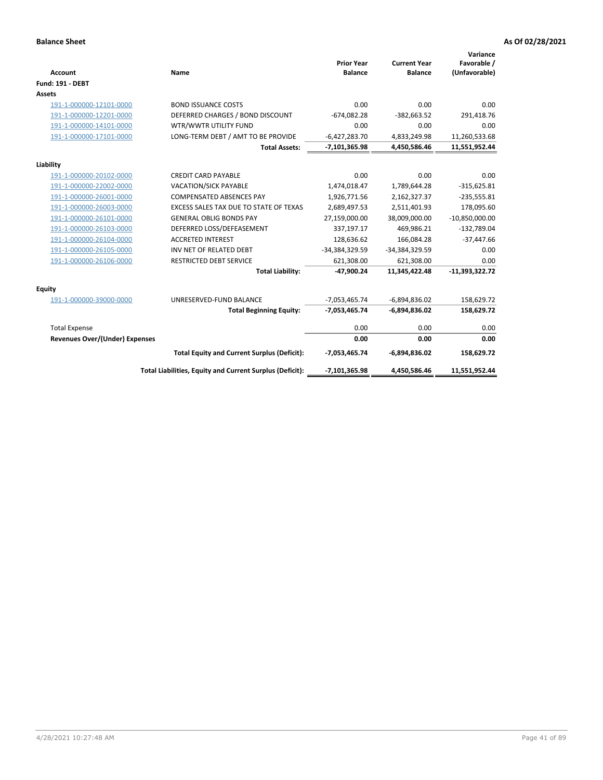| <b>Account</b>                        | <b>Name</b>                                              | <b>Prior Year</b><br><b>Balance</b> | <b>Current Year</b><br><b>Balance</b> | Variance<br>Favorable /<br>(Unfavorable) |
|---------------------------------------|----------------------------------------------------------|-------------------------------------|---------------------------------------|------------------------------------------|
| Fund: 191 - DEBT                      |                                                          |                                     |                                       |                                          |
| Assets                                |                                                          |                                     |                                       |                                          |
| 191-1-000000-12101-0000               | <b>BOND ISSUANCE COSTS</b>                               | 0.00                                | 0.00                                  | 0.00                                     |
| 191-1-000000-12201-0000               | DEFERRED CHARGES / BOND DISCOUNT                         | $-674,082.28$                       | $-382,663.52$                         | 291,418.76                               |
| 191-1-000000-14101-0000               | WTR/WWTR UTILITY FUND                                    | 0.00                                | 0.00                                  | 0.00                                     |
| 191-1-000000-17101-0000               | LONG-TERM DEBT / AMT TO BE PROVIDE                       | $-6,427,283.70$                     | 4,833,249.98                          | 11,260,533.68                            |
|                                       | <b>Total Assets:</b>                                     | $-7,101,365.98$                     | 4,450,586.46                          | 11,551,952.44                            |
| Liability                             |                                                          |                                     |                                       |                                          |
| 191-1-000000-20102-0000               | <b>CREDIT CARD PAYABLE</b>                               | 0.00                                | 0.00                                  | 0.00                                     |
| 191-1-000000-22002-0000               | VACATION/SICK PAYABLE                                    | 1,474,018.47                        | 1,789,644.28                          | $-315,625.81$                            |
| 191-1-000000-26001-0000               | <b>COMPENSATED ABSENCES PAY</b>                          | 1,926,771.56                        | 2,162,327.37                          | $-235,555.81$                            |
| 191-1-000000-26003-0000               | EXCESS SALES TAX DUE TO STATE OF TEXAS                   | 2,689,497.53                        | 2,511,401.93                          | 178,095.60                               |
| 191-1-000000-26101-0000               | <b>GENERAL OBLIG BONDS PAY</b>                           | 27,159,000.00                       | 38,009,000.00                         | $-10,850,000.00$                         |
| 191-1-000000-26103-0000               | DEFERRED LOSS/DEFEASEMENT                                | 337,197.17                          | 469,986.21                            | $-132,789.04$                            |
| 191-1-000000-26104-0000               | <b>ACCRETED INTEREST</b>                                 | 128,636.62                          | 166,084.28                            | $-37,447.66$                             |
| 191-1-000000-26105-0000               | INV NET OF RELATED DEBT                                  | -34,384,329.59                      | -34,384,329.59                        | 0.00                                     |
| 191-1-000000-26106-0000               | <b>RESTRICTED DEBT SERVICE</b>                           | 621,308.00                          | 621,308.00                            | 0.00                                     |
|                                       | <b>Total Liability:</b>                                  | $-47,900.24$                        | 11,345,422.48                         | $-11,393,322.72$                         |
| Equity                                |                                                          |                                     |                                       |                                          |
| 191-1-000000-39000-0000               | UNRESERVED-FUND BALANCE                                  | $-7,053,465.74$                     | $-6,894,836.02$                       | 158,629.72                               |
|                                       | <b>Total Beginning Equity:</b>                           | $-7,053,465.74$                     | $-6,894,836.02$                       | 158,629.72                               |
| <b>Total Expense</b>                  |                                                          | 0.00                                | 0.00                                  | 0.00                                     |
| <b>Revenues Over/(Under) Expenses</b> |                                                          | 0.00                                | 0.00                                  | 0.00                                     |
|                                       | <b>Total Equity and Current Surplus (Deficit):</b>       | $-7,053,465.74$                     | $-6,894,836.02$                       | 158,629.72                               |
|                                       | Total Liabilities, Equity and Current Surplus (Deficit): | $-7,101,365.98$                     | 4,450,586.46                          | 11,551,952.44                            |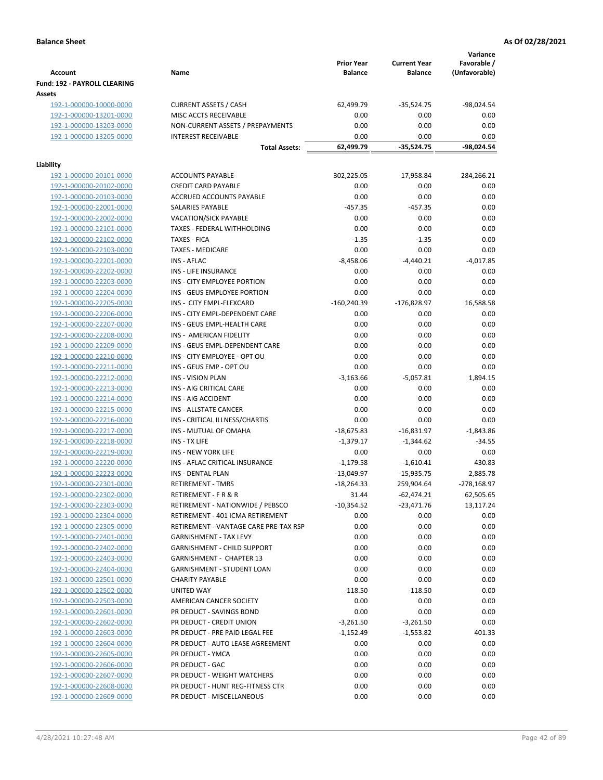|                                                    |                                                     | <b>Prior Year</b>   | <b>Current Year</b> | Variance<br>Favorable / |
|----------------------------------------------------|-----------------------------------------------------|---------------------|---------------------|-------------------------|
| <b>Account</b>                                     | Name                                                | <b>Balance</b>      | <b>Balance</b>      | (Unfavorable)           |
| Fund: 192 - PAYROLL CLEARING                       |                                                     |                     |                     |                         |
| Assets                                             |                                                     |                     |                     |                         |
| 192-1-000000-10000-0000                            | <b>CURRENT ASSETS / CASH</b>                        | 62,499.79           | $-35,524.75$        | $-98,024.54$            |
| 192-1-000000-13201-0000                            | MISC ACCTS RECEIVABLE                               | 0.00                | 0.00                | 0.00                    |
| 192-1-000000-13203-0000                            | NON-CURRENT ASSETS / PREPAYMENTS                    | 0.00                | 0.00                | 0.00                    |
| 192-1-000000-13205-0000                            | <b>INTEREST RECEIVABLE</b>                          | 0.00                | 0.00                | 0.00                    |
|                                                    | <b>Total Assets:</b>                                | 62,499.79           | $-35,524.75$        | -98.024.54              |
| Liability                                          |                                                     |                     |                     |                         |
| 192-1-000000-20101-0000                            | <b>ACCOUNTS PAYABLE</b>                             | 302,225.05          | 17,958.84           | 284,266.21              |
| 192-1-000000-20102-0000                            | <b>CREDIT CARD PAYABLE</b>                          | 0.00                | 0.00                | 0.00                    |
| 192-1-000000-20103-0000                            | ACCRUED ACCOUNTS PAYABLE                            | 0.00                | 0.00                | 0.00                    |
| 192-1-000000-22001-0000                            | SALARIES PAYABLE                                    | $-457.35$           | $-457.35$           | 0.00                    |
| 192-1-000000-22002-0000                            | <b>VACATION/SICK PAYABLE</b>                        | 0.00                | 0.00                | 0.00                    |
| 192-1-000000-22101-0000                            | TAXES - FEDERAL WITHHOLDING                         | 0.00                | 0.00                | 0.00                    |
| 192-1-000000-22102-0000                            | <b>TAXES - FICA</b>                                 | $-1.35$             | $-1.35$             | 0.00                    |
| 192-1-000000-22103-0000                            | <b>TAXES - MEDICARE</b>                             | 0.00                | 0.00                | 0.00                    |
| 192-1-000000-22201-0000                            | INS - AFLAC                                         | $-8,458.06$         | $-4,440.21$         | $-4,017.85$             |
| 192-1-000000-22202-0000                            | <b>INS - LIFE INSURANCE</b>                         | 0.00                | 0.00                | 0.00                    |
| 192-1-000000-22203-0000                            | INS - CITY EMPLOYEE PORTION                         | 0.00                | 0.00                | 0.00                    |
| 192-1-000000-22204-0000                            | INS - GEUS EMPLOYEE PORTION                         | 0.00                | 0.00                | 0.00                    |
| 192-1-000000-22205-0000                            | INS - CITY EMPL-FLEXCARD                            | $-160,240.39$       | $-176,828.97$       | 16,588.58               |
| 192-1-000000-22206-0000                            | INS - CITY EMPL-DEPENDENT CARE                      | 0.00                | 0.00                | 0.00                    |
| 192-1-000000-22207-0000                            | INS - GEUS EMPL-HEALTH CARE                         | 0.00                | 0.00                | 0.00                    |
| 192-1-000000-22208-0000                            | INS - AMERICAN FIDELITY                             | 0.00                | 0.00                | 0.00                    |
| 192-1-000000-22209-0000                            | INS - GEUS EMPL-DEPENDENT CARE                      | 0.00                | 0.00                | 0.00                    |
| 192-1-000000-22210-0000                            | INS - CITY EMPLOYEE - OPT OU                        | 0.00                | 0.00                | 0.00                    |
| 192-1-000000-22211-0000                            | INS - GEUS EMP - OPT OU                             | 0.00                | 0.00                | 0.00                    |
| 192-1-000000-22212-0000                            | <b>INS - VISION PLAN</b><br>INS - AIG CRITICAL CARE | $-3,163.66$<br>0.00 | $-5,057.81$<br>0.00 | 1,894.15<br>0.00        |
| 192-1-000000-22213-0000<br>192-1-000000-22214-0000 | INS - AIG ACCIDENT                                  | 0.00                | 0.00                | 0.00                    |
| 192-1-000000-22215-0000                            | INS - ALLSTATE CANCER                               | 0.00                | 0.00                | 0.00                    |
| 192-1-000000-22216-0000                            | INS - CRITICAL ILLNESS/CHARTIS                      | 0.00                | 0.00                | 0.00                    |
| 192-1-000000-22217-0000                            | INS - MUTUAL OF OMAHA                               | $-18,675.83$        | $-16,831.97$        | $-1,843.86$             |
| 192-1-000000-22218-0000                            | INS - TX LIFE                                       | $-1,379.17$         | $-1,344.62$         | $-34.55$                |
| 192-1-000000-22219-0000                            | <b>INS - NEW YORK LIFE</b>                          | 0.00                | 0.00                | 0.00                    |
| 192-1-000000-22220-0000                            | INS - AFLAC CRITICAL INSURANCE                      | $-1,179.58$         | $-1,610.41$         | 430.83                  |
| 192-1-000000-22223-0000                            | INS - DENTAL PLAN                                   | $-13,049.97$        | $-15,935.75$        | 2,885.78                |
| 192-1-000000-22301-0000                            | <b>RETIREMENT - TMRS</b>                            | $-18,264.33$        | 259,904.64          | -278,168.97             |
| 192-1-000000-22302-0000                            | RETIREMENT - F R & R                                | 31.44               | $-62,474.21$        | 62,505.65               |
| 192-1-000000-22303-0000                            | RETIREMENT - NATIONWIDE / PEBSCO                    | $-10,354.52$        | $-23,471.76$        | 13,117.24               |
| 192-1-000000-22304-0000                            | RETIREMENT - 401 ICMA RETIREMENT                    | 0.00                | 0.00                | 0.00                    |
| 192-1-000000-22305-0000                            | RETIREMENT - VANTAGE CARE PRE-TAX RSP               | 0.00                | 0.00                | 0.00                    |
| 192-1-000000-22401-0000                            | <b>GARNISHMENT - TAX LEVY</b>                       | 0.00                | 0.00                | 0.00                    |
| 192-1-000000-22402-0000                            | <b>GARNISHMENT - CHILD SUPPORT</b>                  | 0.00                | 0.00                | 0.00                    |
| 192-1-000000-22403-0000                            | <b>GARNISHMENT - CHAPTER 13</b>                     | 0.00                | 0.00                | 0.00                    |
| 192-1-000000-22404-0000                            | GARNISHMENT - STUDENT LOAN                          | 0.00                | 0.00                | 0.00                    |
| 192-1-000000-22501-0000                            | <b>CHARITY PAYABLE</b>                              | 0.00                | 0.00                | 0.00                    |
| 192-1-000000-22502-0000                            | UNITED WAY                                          | $-118.50$           | $-118.50$           | 0.00                    |
| 192-1-000000-22503-0000                            | AMERICAN CANCER SOCIETY                             | 0.00                | 0.00                | 0.00                    |
| 192-1-000000-22601-0000                            | PR DEDUCT - SAVINGS BOND                            | 0.00                | 0.00                | 0.00                    |
| 192-1-000000-22602-0000                            | PR DEDUCT - CREDIT UNION                            | $-3,261.50$         | $-3,261.50$         | 0.00                    |
| 192-1-000000-22603-0000                            | PR DEDUCT - PRE PAID LEGAL FEE                      | $-1,152.49$         | $-1,553.82$         | 401.33                  |
| 192-1-000000-22604-0000                            | PR DEDUCT - AUTO LEASE AGREEMENT                    | 0.00                | 0.00                | 0.00                    |
| 192-1-000000-22605-0000                            | PR DEDUCT - YMCA                                    | 0.00                | 0.00                | 0.00                    |
| 192-1-000000-22606-0000                            | PR DEDUCT - GAC                                     | 0.00                | 0.00                | 0.00                    |
| 192-1-000000-22607-0000                            | PR DEDUCT - WEIGHT WATCHERS                         | 0.00                | 0.00                | 0.00                    |
| 192-1-000000-22608-0000                            | PR DEDUCT - HUNT REG-FITNESS CTR                    | 0.00                | 0.00                | 0.00                    |
| 192-1-000000-22609-0000                            | PR DEDUCT - MISCELLANEOUS                           | 0.00                | 0.00                | 0.00                    |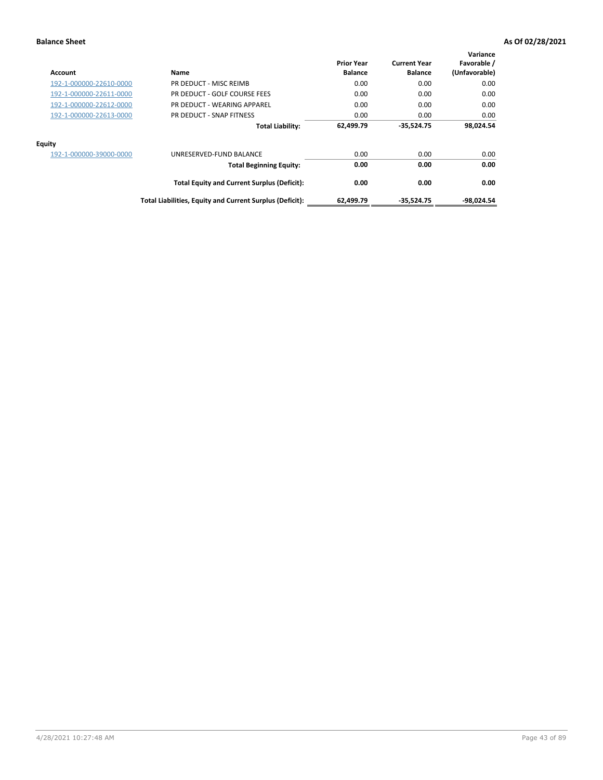| Account                 | Name                                                     | <b>Prior Year</b><br><b>Balance</b> | <b>Current Year</b><br><b>Balance</b> | Variance<br>Favorable /<br>(Unfavorable) |
|-------------------------|----------------------------------------------------------|-------------------------------------|---------------------------------------|------------------------------------------|
| 192-1-000000-22610-0000 | PR DEDUCT - MISC REIMB                                   | 0.00                                | 0.00                                  | 0.00                                     |
| 192-1-000000-22611-0000 | PR DEDUCT - GOLF COURSE FEES                             | 0.00                                | 0.00                                  | 0.00                                     |
| 192-1-000000-22612-0000 | PR DEDUCT - WEARING APPAREL                              | 0.00                                | 0.00                                  | 0.00                                     |
| 192-1-000000-22613-0000 | PR DEDUCT - SNAP FITNESS                                 | 0.00                                | 0.00                                  | 0.00                                     |
|                         | <b>Total Liability:</b>                                  | 62,499.79                           | -35.524.75                            | 98.024.54                                |
| <b>Equity</b>           |                                                          |                                     |                                       |                                          |
| 192-1-000000-39000-0000 | UNRESERVED-FUND BALANCE                                  | 0.00                                | 0.00                                  | 0.00                                     |
|                         | <b>Total Beginning Equity:</b>                           | 0.00                                | 0.00                                  | 0.00                                     |
|                         | <b>Total Equity and Current Surplus (Deficit):</b>       | 0.00                                | 0.00                                  | 0.00                                     |
|                         | Total Liabilities, Equity and Current Surplus (Deficit): | 62,499.79                           | -35,524.75                            | -98,024.54                               |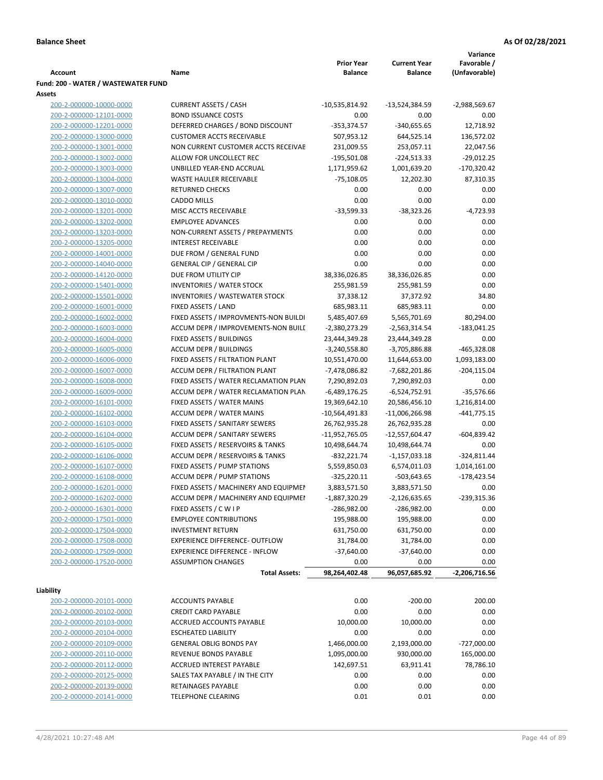**Variance**

|                                                    |                                                                         | <b>Prior Year</b>             | <b>Current Year</b>         | Favorable /               |
|----------------------------------------------------|-------------------------------------------------------------------------|-------------------------------|-----------------------------|---------------------------|
| Account                                            | Name                                                                    | <b>Balance</b>                | <b>Balance</b>              | (Unfavorable)             |
| Fund: 200 - WATER / WASTEWATER FUND                |                                                                         |                               |                             |                           |
| Assets                                             |                                                                         |                               |                             |                           |
| 200-2-000000-10000-0000                            | <b>CURRENT ASSETS / CASH</b>                                            | $-10,535,814.92$              | -13,524,384.59              | -2,988,569.67             |
| 200-2-000000-12101-0000                            | <b>BOND ISSUANCE COSTS</b>                                              | 0.00                          | 0.00                        | 0.00                      |
| 200-2-000000-12201-0000                            | DEFERRED CHARGES / BOND DISCOUNT                                        | $-353,374.57$                 | $-340,655.65$               | 12,718.92                 |
| 200-2-000000-13000-0000                            | <b>CUSTOMER ACCTS RECEIVABLE</b>                                        | 507,953.12                    | 644,525.14                  | 136,572.02                |
| 200-2-000000-13001-0000<br>200-2-000000-13002-0000 | NON CURRENT CUSTOMER ACCTS RECEIVAE<br>ALLOW FOR UNCOLLECT REC          | 231,009.55                    | 253,057.11<br>$-224,513.33$ | 22,047.56<br>$-29,012.25$ |
| 200-2-000000-13003-0000                            | UNBILLED YEAR-END ACCRUAL                                               | $-195,501.08$<br>1,171,959.62 | 1,001,639.20                | $-170,320.42$             |
| 200-2-000000-13004-0000                            | <b>WASTE HAULER RECEIVABLE</b>                                          | $-75,108.05$                  | 12,202.30                   | 87,310.35                 |
| 200-2-000000-13007-0000                            | <b>RETURNED CHECKS</b>                                                  | 0.00                          | 0.00                        | 0.00                      |
| 200-2-000000-13010-0000                            | <b>CADDO MILLS</b>                                                      | 0.00                          | 0.00                        | 0.00                      |
| 200-2-000000-13201-0000                            | MISC ACCTS RECEIVABLE                                                   | $-33,599.33$                  | $-38,323.26$                | $-4,723.93$               |
| 200-2-000000-13202-0000                            | <b>EMPLOYEE ADVANCES</b>                                                | 0.00                          | 0.00                        | 0.00                      |
| 200-2-000000-13203-0000                            | NON-CURRENT ASSETS / PREPAYMENTS                                        | 0.00                          | 0.00                        | 0.00                      |
| 200-2-000000-13205-0000                            | <b>INTEREST RECEIVABLE</b>                                              | 0.00                          | 0.00                        | 0.00                      |
| 200-2-000000-14001-0000                            | DUE FROM / GENERAL FUND                                                 | 0.00                          | 0.00                        | 0.00                      |
| 200-2-000000-14040-0000                            | <b>GENERAL CIP / GENERAL CIP</b>                                        | 0.00                          | 0.00                        | 0.00                      |
| 200-2-000000-14120-0000                            | DUE FROM UTILITY CIP                                                    | 38,336,026.85                 | 38,336,026.85               | 0.00                      |
| 200-2-000000-15401-0000                            | <b>INVENTORIES / WATER STOCK</b>                                        | 255,981.59                    | 255,981.59                  | 0.00                      |
| 200-2-000000-15501-0000                            | INVENTORIES / WASTEWATER STOCK                                          | 37,338.12                     | 37,372.92                   | 34.80                     |
| 200-2-000000-16001-0000                            | FIXED ASSETS / LAND                                                     | 685,983.11                    | 685,983.11                  | 0.00                      |
| 200-2-000000-16002-0000                            | FIXED ASSETS / IMPROVMENTS-NON BUILDI                                   | 5,485,407.69                  | 5,565,701.69                | 80,294.00                 |
| 200-2-000000-16003-0000                            | ACCUM DEPR / IMPROVEMENTS-NON BUILL                                     | $-2,380,273.29$               | $-2,563,314.54$             | $-183,041.25$             |
| 200-2-000000-16004-0000                            | FIXED ASSETS / BUILDINGS                                                | 23,444,349.28                 | 23,444,349.28               | 0.00                      |
| 200-2-000000-16005-0000                            | <b>ACCUM DEPR / BUILDINGS</b>                                           | $-3,240,558.80$               | $-3,705,886.88$             | $-465,328.08$             |
| 200-2-000000-16006-0000                            | FIXED ASSETS / FILTRATION PLANT                                         | 10,551,470.00                 | 11,644,653.00               | 1,093,183.00              |
| 200-2-000000-16007-0000                            | ACCUM DEPR / FILTRATION PLANT                                           | -7,478,086.82                 | -7,682,201.86               | $-204, 115.04$            |
| 200-2-000000-16008-0000                            | FIXED ASSETS / WATER RECLAMATION PLAN                                   | 7,290,892.03                  | 7,290,892.03                | 0.00                      |
| 200-2-000000-16009-0000                            | ACCUM DEPR / WATER RECLAMATION PLAN                                     | $-6,489,176.25$               | $-6,524,752.91$             | $-35,576.66$              |
| 200-2-000000-16101-0000                            | FIXED ASSETS / WATER MAINS                                              | 19,369,642.10                 | 20,586,456.10               | 1,216,814.00              |
| 200-2-000000-16102-0000                            | <b>ACCUM DEPR / WATER MAINS</b>                                         | $-10,564,491.83$              | $-11,006,266.98$            | $-441,775.15$             |
| 200-2-000000-16103-0000                            | FIXED ASSETS / SANITARY SEWERS                                          | 26,762,935.28                 | 26,762,935.28               | 0.00                      |
| 200-2-000000-16104-0000                            | <b>ACCUM DEPR / SANITARY SEWERS</b>                                     | $-11,952,765.05$              | $-12,557,604.47$            | $-604,839.42$             |
| 200-2-000000-16105-0000                            | FIXED ASSETS / RESERVOIRS & TANKS                                       | 10,498,644.74                 | 10,498,644.74               | 0.00                      |
| 200-2-000000-16106-0000                            | ACCUM DEPR / RESERVOIRS & TANKS                                         | $-832,221.74$                 | $-1,157,033.18$             | $-324,811.44$             |
| 200-2-000000-16107-0000                            | FIXED ASSETS / PUMP STATIONS                                            | 5,559,850.03                  | 6,574,011.03                | 1,014,161.00              |
| 200-2-000000-16108-0000                            | <b>ACCUM DEPR / PUMP STATIONS</b>                                       | -325,220.11                   | -503,643.65                 | $-178,423.54$             |
| 200-2-000000-16201-0000                            | FIXED ASSETS / MACHINERY AND EQUIPMEN                                   | 3,883,571.50                  | 3,883,571.50                | 0.00                      |
| 200-2-000000-16202-0000                            | ACCUM DEPR / MACHINERY AND EQUIPMEI                                     | $-1,887,320.29$               | $-2,126,635.65$             | $-239,315.36$             |
| 200-2-000000-16301-0000                            | FIXED ASSETS / C W I P                                                  | $-286,982.00$                 | $-286,982.00$               | 0.00                      |
| 200-2-000000-17501-0000                            | <b>EMPLOYEE CONTRIBUTIONS</b><br><b>INVESTMENT RETURN</b>               | 195,988.00                    | 195,988.00                  | 0.00                      |
| 200-2-000000-17504-0000                            |                                                                         | 631,750.00                    | 631,750.00                  | 0.00                      |
| 200-2-000000-17508-0000                            | EXPERIENCE DIFFERENCE- OUTFLOW<br><b>EXPERIENCE DIFFERENCE - INFLOW</b> | 31,784.00                     | 31,784.00                   | 0.00                      |
| 200-2-000000-17509-0000<br>200-2-000000-17520-0000 | <b>ASSUMPTION CHANGES</b>                                               | $-37,640.00$<br>0.00          | $-37,640.00$<br>0.00        | 0.00<br>0.00              |
|                                                    | <b>Total Assets:</b>                                                    | 98,264,402.48                 | 96,057,685.92               | -2,206,716.56             |
|                                                    |                                                                         |                               |                             |                           |
| Liability                                          |                                                                         |                               |                             |                           |
| 200-2-000000-20101-0000                            | <b>ACCOUNTS PAYABLE</b>                                                 | 0.00                          | $-200.00$                   | 200.00                    |
| 200-2-000000-20102-0000                            | <b>CREDIT CARD PAYABLE</b>                                              | 0.00                          | 0.00                        | 0.00                      |
| 200-2-000000-20103-0000                            | ACCRUED ACCOUNTS PAYABLE                                                | 10,000.00                     | 10,000.00                   | 0.00                      |
| 200-2-000000-20104-0000                            | <b>ESCHEATED LIABILITY</b>                                              | 0.00                          | 0.00                        | 0.00                      |
| 200-2-000000-20109-0000                            | <b>GENERAL OBLIG BONDS PAY</b>                                          | 1,466,000.00                  | 2,193,000.00                | $-727,000.00$             |
| 200-2-000000-20110-0000                            | REVENUE BONDS PAYABLE                                                   | 1,095,000.00                  | 930,000.00                  | 165,000.00                |
| 200-2-000000-20112-0000                            | ACCRUED INTEREST PAYABLE                                                | 142,697.51                    | 63,911.41                   | 78,786.10                 |
| 200-2-000000-20125-0000                            | SALES TAX PAYABLE / IN THE CITY                                         | 0.00                          | 0.00                        | 0.00                      |
| 200-2-000000-20139-0000                            | RETAINAGES PAYABLE                                                      | 0.00                          | 0.00                        | 0.00                      |
| 200-2-000000-20141-0000                            | <b>TELEPHONE CLEARING</b>                                               | 0.01                          | 0.01                        | 0.00                      |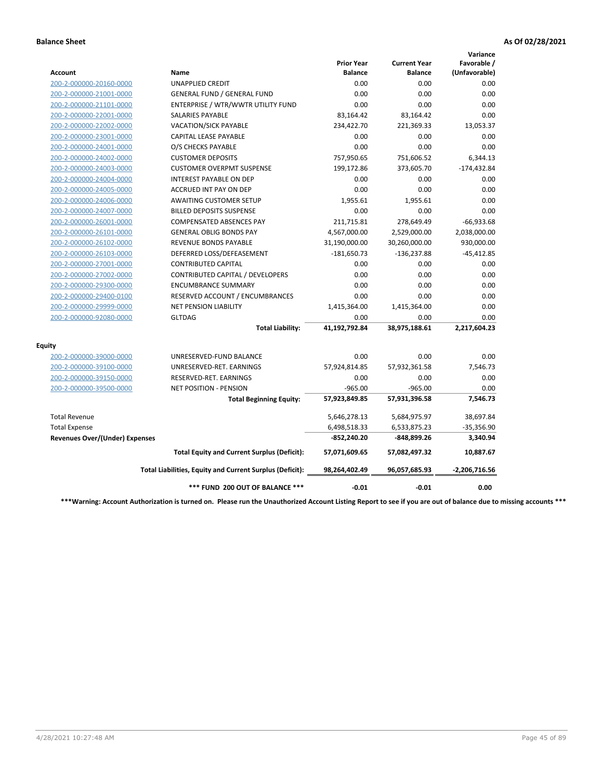|                                       |                                                          |                                     |                                       | Variance                     |
|---------------------------------------|----------------------------------------------------------|-------------------------------------|---------------------------------------|------------------------------|
| Account                               | <b>Name</b>                                              | <b>Prior Year</b><br><b>Balance</b> | <b>Current Year</b><br><b>Balance</b> | Favorable /<br>(Unfavorable) |
| 200-2-000000-20160-0000               | <b>UNAPPLIED CREDIT</b>                                  | 0.00                                | 0.00                                  | 0.00                         |
| 200-2-000000-21001-0000               | <b>GENERAL FUND / GENERAL FUND</b>                       | 0.00                                | 0.00                                  | 0.00                         |
| 200-2-000000-21101-0000               | ENTERPRISE / WTR/WWTR UTILITY FUND                       | 0.00                                | 0.00                                  | 0.00                         |
| 200-2-000000-22001-0000               | <b>SALARIES PAYABLE</b>                                  | 83,164.42                           | 83,164.42                             | 0.00                         |
| 200-2-000000-22002-0000               | <b>VACATION/SICK PAYABLE</b>                             | 234,422.70                          | 221,369.33                            | 13,053.37                    |
| 200-2-000000-23001-0000               | CAPITAL LEASE PAYABLE                                    | 0.00                                | 0.00                                  | 0.00                         |
| 200-2-000000-24001-0000               | O/S CHECKS PAYABLE                                       | 0.00                                | 0.00                                  | 0.00                         |
| 200-2-000000-24002-0000               | <b>CUSTOMER DEPOSITS</b>                                 | 757,950.65                          | 751,606.52                            | 6,344.13                     |
| 200-2-000000-24003-0000               | <b>CUSTOMER OVERPMT SUSPENSE</b>                         | 199,172.86                          | 373,605.70                            | $-174,432.84$                |
| 200-2-000000-24004-0000               | <b>INTEREST PAYABLE ON DEP</b>                           | 0.00                                | 0.00                                  | 0.00                         |
| 200-2-000000-24005-0000               | <b>ACCRUED INT PAY ON DEP</b>                            | 0.00                                | 0.00                                  | 0.00                         |
| 200-2-000000-24006-0000               | <b>AWAITING CUSTOMER SETUP</b>                           | 1,955.61                            | 1,955.61                              | 0.00                         |
| 200-2-000000-24007-0000               | <b>BILLED DEPOSITS SUSPENSE</b>                          | 0.00                                | 0.00                                  | 0.00                         |
| 200-2-000000-26001-0000               | <b>COMPENSATED ABSENCES PAY</b>                          | 211,715.81                          | 278,649.49                            | $-66,933.68$                 |
| 200-2-000000-26101-0000               | <b>GENERAL OBLIG BONDS PAY</b>                           | 4,567,000.00                        | 2,529,000.00                          | 2,038,000.00                 |
| 200-2-000000-26102-0000               | <b>REVENUE BONDS PAYABLE</b>                             | 31,190,000.00                       | 30,260,000.00                         | 930,000.00                   |
| 200-2-000000-26103-0000               | DEFERRED LOSS/DEFEASEMENT                                | $-181,650.73$                       | $-136,237.88$                         | $-45,412.85$                 |
| 200-2-000000-27001-0000               | <b>CONTRIBUTED CAPITAL</b>                               | 0.00                                | 0.00                                  | 0.00                         |
| 200-2-000000-27002-0000               | CONTRIBUTED CAPITAL / DEVELOPERS                         | 0.00                                | 0.00                                  | 0.00                         |
| 200-2-000000-29300-0000               | <b>ENCUMBRANCE SUMMARY</b>                               | 0.00                                | 0.00                                  | 0.00                         |
| 200-2-000000-29400-0100               | RESERVED ACCOUNT / ENCUMBRANCES                          | 0.00                                | 0.00                                  | 0.00                         |
| 200-2-000000-29999-0000               | <b>NET PENSION LIABILITY</b>                             | 1,415,364.00                        | 1,415,364.00                          | 0.00                         |
| 200-2-000000-92080-0000               | <b>GLTDAG</b>                                            | 0.00                                | 0.00                                  | 0.00                         |
|                                       | <b>Total Liability:</b>                                  | 41,192,792.84                       | 38,975,188.61                         | 2,217,604.23                 |
| <b>Equity</b>                         |                                                          |                                     |                                       |                              |
| 200-2-000000-39000-0000               | UNRESERVED-FUND BALANCE                                  | 0.00                                | 0.00                                  | 0.00                         |
| 200-2-000000-39100-0000               | UNRESERVED-RET. EARNINGS                                 | 57,924,814.85                       | 57,932,361.58                         | 7,546.73                     |
| 200-2-000000-39150-0000               | RESERVED-RET. EARNINGS                                   | 0.00                                | 0.00                                  | 0.00                         |
| 200-2-000000-39500-0000               | NET POSITION - PENSION                                   | $-965.00$                           | $-965.00$                             | 0.00                         |
|                                       | <b>Total Beginning Equity:</b>                           | 57,923,849.85                       | 57,931,396.58                         | 7,546.73                     |
| <b>Total Revenue</b>                  |                                                          | 5,646,278.13                        | 5,684,975.97                          | 38,697.84                    |
| <b>Total Expense</b>                  |                                                          | 6,498,518.33                        | 6,533,875.23                          | $-35,356.90$                 |
| <b>Revenues Over/(Under) Expenses</b> |                                                          | $-852,240.20$                       | -848,899.26                           | 3,340.94                     |
|                                       | <b>Total Equity and Current Surplus (Deficit):</b>       | 57,071,609.65                       | 57,082,497.32                         | 10,887.67                    |
|                                       | Total Liabilities, Equity and Current Surplus (Deficit): | 98,264,402.49                       | 96,057,685.93                         | $-2,206,716.56$              |
|                                       | *** FUND 200 OUT OF BALANCE ***                          | $-0.01$                             | $-0.01$                               | 0.00                         |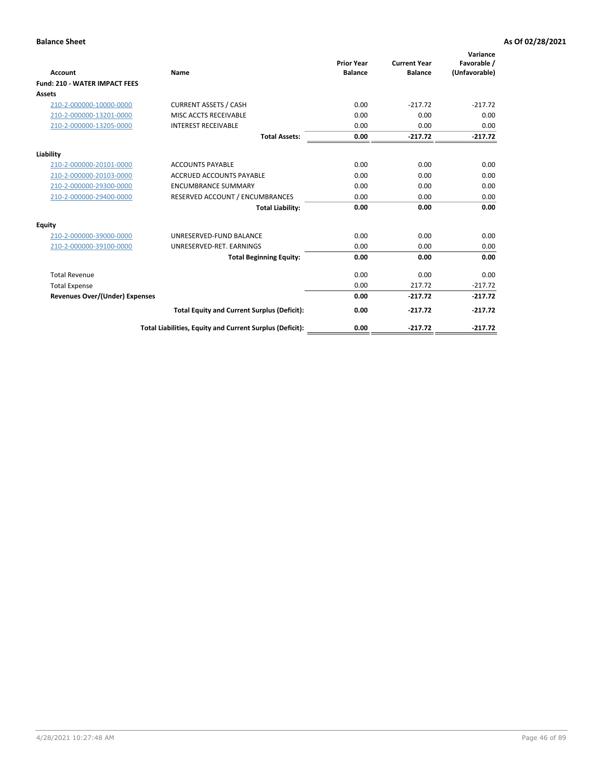| Account                               | Name                                                     | <b>Prior Year</b><br><b>Balance</b> | <b>Current Year</b><br><b>Balance</b> | Variance<br>Favorable /<br>(Unfavorable) |
|---------------------------------------|----------------------------------------------------------|-------------------------------------|---------------------------------------|------------------------------------------|
| <b>Fund: 210 - WATER IMPACT FEES</b>  |                                                          |                                     |                                       |                                          |
| <b>Assets</b>                         |                                                          |                                     |                                       |                                          |
| 210-2-000000-10000-0000               | <b>CURRENT ASSETS / CASH</b>                             | 0.00                                | $-217.72$                             | $-217.72$                                |
| 210-2-000000-13201-0000               | MISC ACCTS RECEIVABLE                                    | 0.00                                | 0.00                                  | 0.00                                     |
| 210-2-000000-13205-0000               | <b>INTEREST RECEIVABLE</b>                               | 0.00                                | 0.00                                  | 0.00                                     |
|                                       | <b>Total Assets:</b>                                     | 0.00                                | $-217.72$                             | $-217.72$                                |
| Liability                             |                                                          |                                     |                                       |                                          |
| 210-2-000000-20101-0000               | <b>ACCOUNTS PAYABLE</b>                                  | 0.00                                | 0.00                                  | 0.00                                     |
| 210-2-000000-20103-0000               | <b>ACCRUED ACCOUNTS PAYABLE</b>                          | 0.00                                | 0.00                                  | 0.00                                     |
| 210-2-000000-29300-0000               | <b>ENCUMBRANCE SUMMARY</b>                               | 0.00                                | 0.00                                  | 0.00                                     |
| 210-2-000000-29400-0000               | RESERVED ACCOUNT / ENCUMBRANCES                          | 0.00                                | 0.00                                  | 0.00                                     |
|                                       | <b>Total Liability:</b>                                  | 0.00                                | 0.00                                  | 0.00                                     |
| <b>Equity</b>                         |                                                          |                                     |                                       |                                          |
| 210-2-000000-39000-0000               | UNRESERVED-FUND BALANCE                                  | 0.00                                | 0.00                                  | 0.00                                     |
| 210-2-000000-39100-0000               | UNRESERVED-RET. EARNINGS                                 | 0.00                                | 0.00                                  | 0.00                                     |
|                                       | <b>Total Beginning Equity:</b>                           | 0.00                                | 0.00                                  | 0.00                                     |
| <b>Total Revenue</b>                  |                                                          | 0.00                                | 0.00                                  | 0.00                                     |
| <b>Total Expense</b>                  |                                                          | 0.00                                | 217.72                                | $-217.72$                                |
| <b>Revenues Over/(Under) Expenses</b> |                                                          | 0.00                                | $-217.72$                             | $-217.72$                                |
|                                       | <b>Total Equity and Current Surplus (Deficit):</b>       | 0.00                                | $-217.72$                             | $-217.72$                                |
|                                       | Total Liabilities, Equity and Current Surplus (Deficit): | 0.00                                | $-217.72$                             | $-217.72$                                |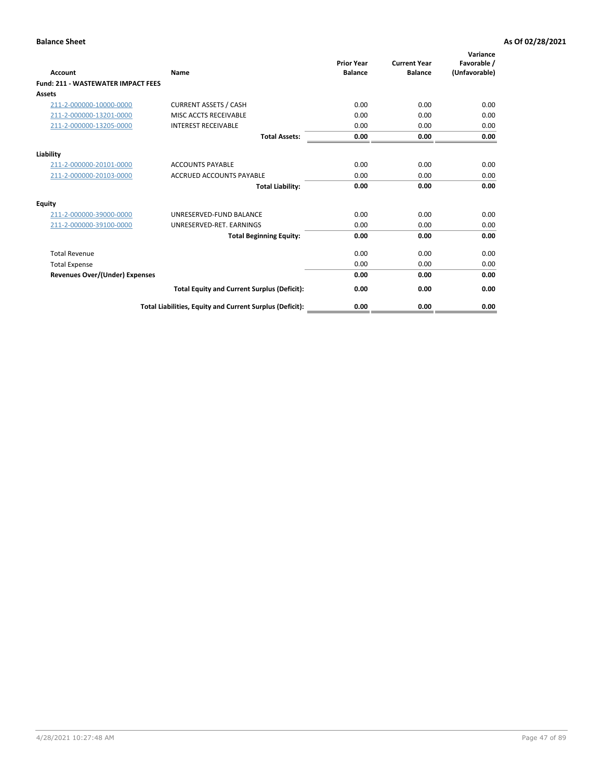| Account                                   | Name                                                     | <b>Prior Year</b><br><b>Balance</b> | <b>Current Year</b><br><b>Balance</b> | Variance<br>Favorable /<br>(Unfavorable) |
|-------------------------------------------|----------------------------------------------------------|-------------------------------------|---------------------------------------|------------------------------------------|
| <b>Fund: 211 - WASTEWATER IMPACT FEES</b> |                                                          |                                     |                                       |                                          |
| <b>Assets</b>                             |                                                          |                                     |                                       |                                          |
| 211-2-000000-10000-0000                   | <b>CURRENT ASSETS / CASH</b>                             | 0.00                                | 0.00                                  | 0.00                                     |
| 211-2-000000-13201-0000                   | MISC ACCTS RECEIVABLE                                    | 0.00                                | 0.00                                  | 0.00                                     |
| 211-2-000000-13205-0000                   | <b>INTEREST RECEIVABLE</b>                               | 0.00                                | 0.00                                  | 0.00                                     |
|                                           | <b>Total Assets:</b>                                     | 0.00                                | 0.00                                  | 0.00                                     |
| Liability                                 |                                                          |                                     |                                       |                                          |
| 211-2-000000-20101-0000                   | <b>ACCOUNTS PAYABLE</b>                                  | 0.00                                | 0.00                                  | 0.00                                     |
| 211-2-000000-20103-0000                   | <b>ACCRUED ACCOUNTS PAYABLE</b>                          | 0.00                                | 0.00                                  | 0.00                                     |
|                                           | <b>Total Liability:</b>                                  | 0.00                                | 0.00                                  | 0.00                                     |
| Equity                                    |                                                          |                                     |                                       |                                          |
| 211-2-000000-39000-0000                   | UNRESERVED-FUND BALANCE                                  | 0.00                                | 0.00                                  | 0.00                                     |
| 211-2-000000-39100-0000                   | UNRESERVED-RET. EARNINGS                                 | 0.00                                | 0.00                                  | 0.00                                     |
|                                           | <b>Total Beginning Equity:</b>                           | 0.00                                | 0.00                                  | 0.00                                     |
| <b>Total Revenue</b>                      |                                                          | 0.00                                | 0.00                                  | 0.00                                     |
| <b>Total Expense</b>                      |                                                          | 0.00                                | 0.00                                  | 0.00                                     |
| <b>Revenues Over/(Under) Expenses</b>     |                                                          | 0.00                                | 0.00                                  | 0.00                                     |
|                                           | <b>Total Equity and Current Surplus (Deficit):</b>       | 0.00                                | 0.00                                  | 0.00                                     |
|                                           | Total Liabilities, Equity and Current Surplus (Deficit): | 0.00                                | 0.00                                  | 0.00                                     |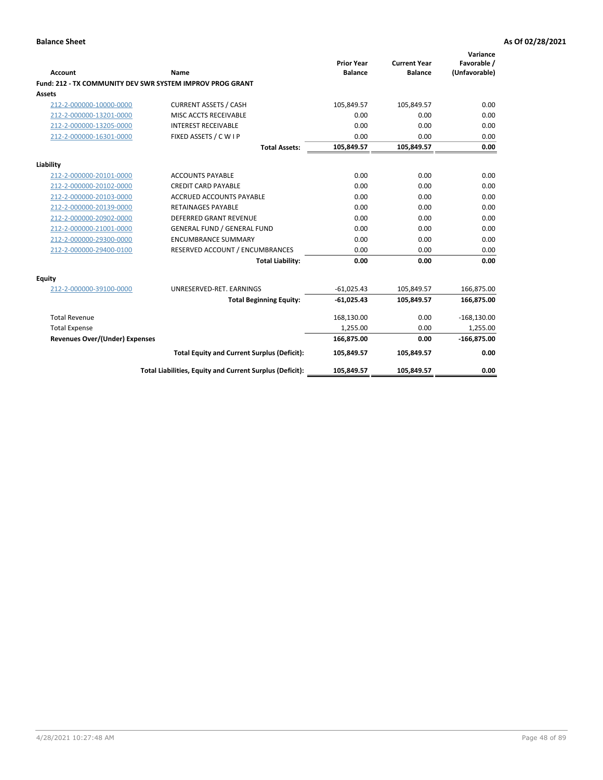|                                |                                                           |                                     |                                       | Variance                     |
|--------------------------------|-----------------------------------------------------------|-------------------------------------|---------------------------------------|------------------------------|
| <b>Account</b>                 | <b>Name</b>                                               | <b>Prior Year</b><br><b>Balance</b> | <b>Current Year</b><br><b>Balance</b> | Favorable /<br>(Unfavorable) |
|                                | Fund: 212 - TX COMMUNITY DEV SWR SYSTEM IMPROV PROG GRANT |                                     |                                       |                              |
| <b>Assets</b>                  |                                                           |                                     |                                       |                              |
| 212-2-000000-10000-0000        | <b>CURRENT ASSETS / CASH</b>                              | 105,849.57                          | 105,849.57                            | 0.00                         |
| 212-2-000000-13201-0000        | MISC ACCTS RECEIVABLE                                     | 0.00                                | 0.00                                  | 0.00                         |
| 212-2-000000-13205-0000        | <b>INTEREST RECEIVABLE</b>                                | 0.00                                | 0.00                                  | 0.00                         |
| 212-2-000000-16301-0000        | FIXED ASSETS / C W I P                                    | 0.00                                | 0.00                                  | 0.00                         |
|                                | <b>Total Assets:</b>                                      | 105,849.57                          | 105,849.57                            | 0.00                         |
| Liability                      |                                                           |                                     |                                       |                              |
| 212-2-000000-20101-0000        | <b>ACCOUNTS PAYABLE</b>                                   | 0.00                                | 0.00                                  | 0.00                         |
| 212-2-000000-20102-0000        | <b>CREDIT CARD PAYABLE</b>                                | 0.00                                | 0.00                                  | 0.00                         |
| 212-2-000000-20103-0000        | <b>ACCRUED ACCOUNTS PAYABLE</b>                           | 0.00                                | 0.00                                  | 0.00                         |
| 212-2-000000-20139-0000        | <b>RETAINAGES PAYABLE</b>                                 | 0.00                                | 0.00                                  | 0.00                         |
| 212-2-000000-20902-0000        | <b>DEFERRED GRANT REVENUE</b>                             | 0.00                                | 0.00                                  | 0.00                         |
| 212-2-000000-21001-0000        | <b>GENERAL FUND / GENERAL FUND</b>                        | 0.00                                | 0.00                                  | 0.00                         |
| 212-2-000000-29300-0000        | <b>ENCUMBRANCE SUMMARY</b>                                | 0.00                                | 0.00                                  | 0.00                         |
| 212-2-000000-29400-0100        | RESERVED ACCOUNT / ENCUMBRANCES                           | 0.00                                | 0.00                                  | 0.00                         |
|                                | <b>Total Liability:</b>                                   | 0.00                                | 0.00                                  | 0.00                         |
| Equity                         |                                                           |                                     |                                       |                              |
| 212-2-000000-39100-0000        | UNRESERVED-RET. EARNINGS                                  | $-61,025.43$                        | 105,849.57                            | 166,875.00                   |
|                                | <b>Total Beginning Equity:</b>                            | $-61,025.43$                        | 105,849.57                            | 166,875.00                   |
| <b>Total Revenue</b>           |                                                           | 168,130.00                          | 0.00                                  | $-168,130.00$                |
| <b>Total Expense</b>           |                                                           | 1,255.00                            | 0.00                                  | 1,255.00                     |
| Revenues Over/(Under) Expenses |                                                           | 166,875.00                          | 0.00                                  | $-166,875.00$                |
|                                | <b>Total Equity and Current Surplus (Deficit):</b>        | 105,849.57                          | 105,849.57                            | 0.00                         |
|                                | Total Liabilities, Equity and Current Surplus (Deficit):  | 105,849.57                          | 105,849.57                            | 0.00                         |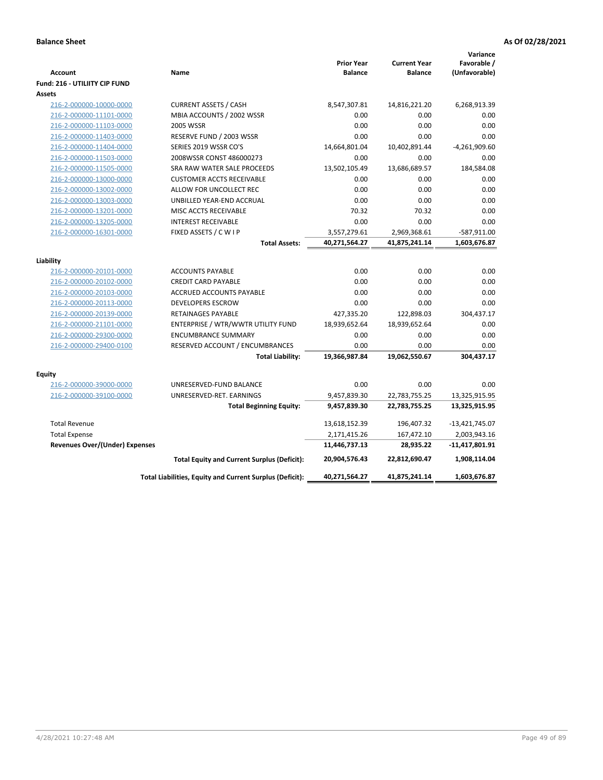| <b>Account</b><br><b>Fund: 216 - UTILIITY CIP FUND</b> | Name                                                     | <b>Prior Year</b><br><b>Balance</b> | <b>Current Year</b><br><b>Balance</b> | Variance<br>Favorable /<br>(Unfavorable) |
|--------------------------------------------------------|----------------------------------------------------------|-------------------------------------|---------------------------------------|------------------------------------------|
| <b>Assets</b>                                          |                                                          |                                     |                                       |                                          |
| 216-2-000000-10000-0000                                | <b>CURRENT ASSETS / CASH</b>                             | 8,547,307.81                        | 14,816,221.20                         | 6,268,913.39                             |
| 216-2-000000-11101-0000                                | MBIA ACCOUNTS / 2002 WSSR                                | 0.00                                | 0.00                                  | 0.00                                     |
| 216-2-000000-11103-0000                                | <b>2005 WSSR</b>                                         | 0.00                                | 0.00                                  | 0.00                                     |
| 216-2-000000-11403-0000                                | RESERVE FUND / 2003 WSSR                                 | 0.00                                | 0.00                                  | 0.00                                     |
| 216-2-000000-11404-0000                                | SERIES 2019 WSSR CO'S                                    | 14,664,801.04                       | 10,402,891.44                         | $-4,261,909.60$                          |
| 216-2-000000-11503-0000                                | 2008WSSR CONST 486000273                                 | 0.00                                | 0.00                                  | 0.00                                     |
| 216-2-000000-11505-0000                                | SRA RAW WATER SALE PROCEEDS                              | 13,502,105.49                       | 13,686,689.57                         | 184,584.08                               |
| 216-2-000000-13000-0000                                | <b>CUSTOMER ACCTS RECEIVABLE</b>                         | 0.00                                | 0.00                                  | 0.00                                     |
| 216-2-000000-13002-0000                                | ALLOW FOR UNCOLLECT REC                                  | 0.00                                | 0.00                                  | 0.00                                     |
| 216-2-000000-13003-0000                                | UNBILLED YEAR-END ACCRUAL                                | 0.00                                | 0.00                                  | 0.00                                     |
| 216-2-000000-13201-0000                                | MISC ACCTS RECEIVABLE                                    | 70.32                               | 70.32                                 | 0.00                                     |
| 216-2-000000-13205-0000                                | <b>INTEREST RECEIVABLE</b>                               | 0.00                                | 0.00                                  | 0.00                                     |
| 216-2-000000-16301-0000                                | FIXED ASSETS / C W I P                                   | 3,557,279.61                        | 2,969,368.61                          | -587,911.00                              |
|                                                        | <b>Total Assets:</b>                                     | 40,271,564.27                       | 41,875,241.14                         | 1,603,676.87                             |
|                                                        |                                                          |                                     |                                       |                                          |
| Liability                                              | <b>ACCOUNTS PAYABLE</b>                                  | 0.00                                | 0.00                                  | 0.00                                     |
| 216-2-000000-20101-0000<br>216-2-000000-20102-0000     | <b>CREDIT CARD PAYABLE</b>                               | 0.00                                | 0.00                                  | 0.00                                     |
| 216-2-000000-20103-0000                                | ACCRUED ACCOUNTS PAYABLE                                 | 0.00                                | 0.00                                  | 0.00                                     |
| 216-2-000000-20113-0000                                | <b>DEVELOPERS ESCROW</b>                                 | 0.00                                | 0.00                                  | 0.00                                     |
| 216-2-000000-20139-0000                                | <b>RETAINAGES PAYABLE</b>                                | 427,335.20                          | 122,898.03                            | 304,437.17                               |
| 216-2-000000-21101-0000                                | ENTERPRISE / WTR/WWTR UTILITY FUND                       | 18,939,652.64                       | 18,939,652.64                         | 0.00                                     |
| 216-2-000000-29300-0000                                | <b>ENCUMBRANCE SUMMARY</b>                               | 0.00                                | 0.00                                  | 0.00                                     |
| 216-2-000000-29400-0100                                | RESERVED ACCOUNT / ENCUMBRANCES                          | 0.00                                | 0.00                                  | 0.00                                     |
|                                                        | <b>Total Liability:</b>                                  | 19,366,987.84                       | 19,062,550.67                         | 304,437.17                               |
|                                                        |                                                          |                                     |                                       |                                          |
| <b>Equity</b>                                          |                                                          |                                     |                                       |                                          |
| 216-2-000000-39000-0000                                | UNRESERVED-FUND BALANCE                                  | 0.00                                | 0.00                                  | 0.00                                     |
| 216-2-000000-39100-0000                                | UNRESERVED-RET. EARNINGS                                 | 9,457,839.30                        | 22,783,755.25                         | 13,325,915.95                            |
|                                                        | <b>Total Beginning Equity:</b>                           | 9,457,839.30                        | 22,783,755.25                         | 13,325,915.95                            |
| <b>Total Revenue</b>                                   |                                                          | 13,618,152.39                       | 196,407.32                            | -13,421,745.07                           |
| <b>Total Expense</b>                                   |                                                          | 2,171,415.26                        | 167,472.10                            | 2,003,943.16                             |
| <b>Revenues Over/(Under) Expenses</b>                  |                                                          | 11,446,737.13                       | 28,935.22                             | $-11,417,801.91$                         |
|                                                        | <b>Total Equity and Current Surplus (Deficit):</b>       | 20,904,576.43                       | 22,812,690.47                         | 1,908,114.04                             |
|                                                        | Total Liabilities, Equity and Current Surplus (Deficit): | 40,271,564.27                       | 41,875,241.14                         | 1,603,676.87                             |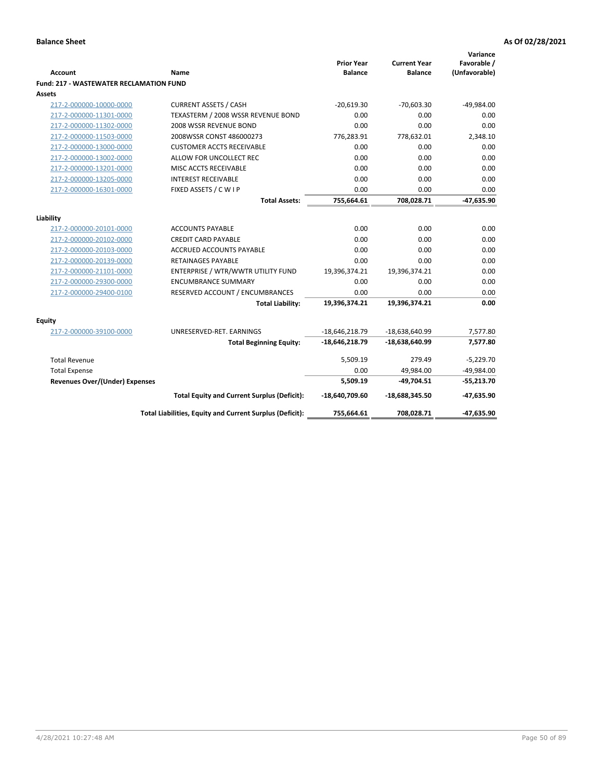| Account                                        | <b>Name</b>                                              | <b>Prior Year</b><br><b>Balance</b> | <b>Current Year</b><br><b>Balance</b> | Variance<br>Favorable /<br>(Unfavorable) |
|------------------------------------------------|----------------------------------------------------------|-------------------------------------|---------------------------------------|------------------------------------------|
| <b>Fund: 217 - WASTEWATER RECLAMATION FUND</b> |                                                          |                                     |                                       |                                          |
| <b>Assets</b>                                  |                                                          |                                     |                                       |                                          |
| 217-2-000000-10000-0000                        | <b>CURRENT ASSETS / CASH</b>                             | $-20,619.30$                        | $-70,603.30$                          | $-49,984.00$                             |
| 217-2-000000-11301-0000                        | TEXASTERM / 2008 WSSR REVENUE BOND                       | 0.00                                | 0.00                                  | 0.00                                     |
| 217-2-000000-11302-0000                        | <b>2008 WSSR REVENUE BOND</b>                            | 0.00                                | 0.00                                  | 0.00                                     |
| 217-2-000000-11503-0000                        | 2008WSSR CONST 486000273                                 | 776,283.91                          | 778,632.01                            | 2,348.10                                 |
| 217-2-000000-13000-0000                        | <b>CUSTOMER ACCTS RECEIVABLE</b>                         | 0.00                                | 0.00                                  | 0.00                                     |
| 217-2-000000-13002-0000                        | ALLOW FOR UNCOLLECT REC                                  | 0.00                                | 0.00                                  | 0.00                                     |
| 217-2-000000-13201-0000                        | MISC ACCTS RECEIVABLE                                    | 0.00                                | 0.00                                  | 0.00                                     |
| 217-2-000000-13205-0000                        | <b>INTEREST RECEIVABLE</b>                               | 0.00                                | 0.00                                  | 0.00                                     |
| 217-2-000000-16301-0000                        | FIXED ASSETS / C W I P                                   | 0.00                                | 0.00                                  | 0.00                                     |
|                                                | <b>Total Assets:</b>                                     | 755,664.61                          | 708,028.71                            | $-47,635.90$                             |
|                                                |                                                          |                                     |                                       |                                          |
| Liability                                      |                                                          |                                     |                                       |                                          |
| 217-2-000000-20101-0000                        | <b>ACCOUNTS PAYABLE</b>                                  | 0.00                                | 0.00                                  | 0.00                                     |
| 217-2-000000-20102-0000                        | <b>CREDIT CARD PAYABLE</b>                               | 0.00                                | 0.00                                  | 0.00                                     |
| 217-2-000000-20103-0000                        | <b>ACCRUED ACCOUNTS PAYABLE</b>                          | 0.00                                | 0.00                                  | 0.00                                     |
| 217-2-000000-20139-0000                        | <b>RETAINAGES PAYABLE</b>                                | 0.00                                | 0.00                                  | 0.00                                     |
| 217-2-000000-21101-0000                        | ENTERPRISE / WTR/WWTR UTILITY FUND                       | 19,396,374.21                       | 19,396,374.21                         | 0.00                                     |
| 217-2-000000-29300-0000                        | <b>ENCUMBRANCE SUMMARY</b>                               | 0.00                                | 0.00                                  | 0.00                                     |
| 217-2-000000-29400-0100                        | RESERVED ACCOUNT / ENCUMBRANCES                          | 0.00                                | 0.00                                  | 0.00                                     |
|                                                | <b>Total Liability:</b>                                  | 19,396,374.21                       | 19,396,374.21                         | 0.00                                     |
| <b>Equity</b>                                  |                                                          |                                     |                                       |                                          |
| 217-2-000000-39100-0000                        | UNRESERVED-RET. EARNINGS                                 | $-18,646,218.79$                    | -18,638,640.99                        | 7,577.80                                 |
|                                                | <b>Total Beginning Equity:</b>                           | $-18,646,218.79$                    | -18,638,640.99                        | 7,577.80                                 |
| <b>Total Revenue</b>                           |                                                          | 5,509.19                            | 279.49                                | $-5,229.70$                              |
| <b>Total Expense</b>                           |                                                          | 0.00                                | 49,984.00                             | $-49,984.00$                             |
| Revenues Over/(Under) Expenses                 |                                                          | 5,509.19                            | $-49,704.51$                          | $-55,213.70$                             |
|                                                | <b>Total Equity and Current Surplus (Deficit):</b>       | -18,640,709.60                      | $-18,688,345.50$                      | $-47,635.90$                             |
|                                                | Total Liabilities, Equity and Current Surplus (Deficit): | 755,664.61                          | 708,028.71                            | $-47,635.90$                             |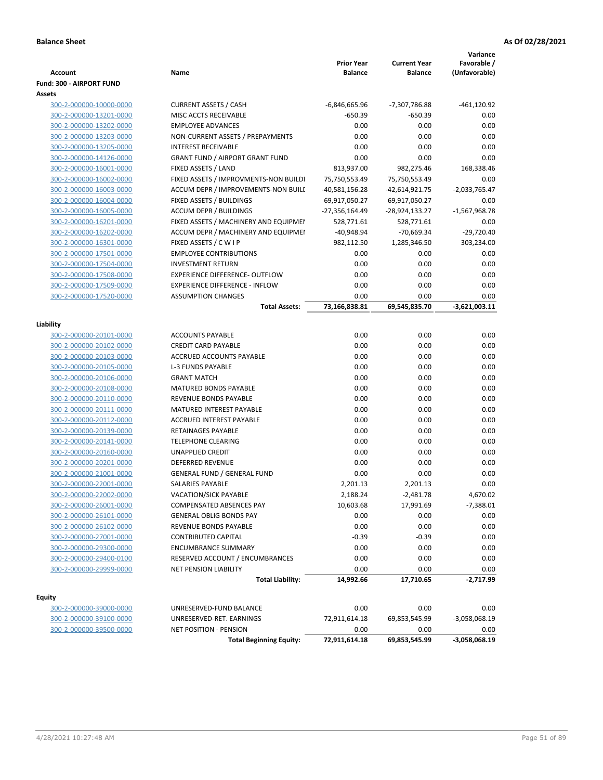|                                                    |                                                                 |                      |                         | Variance        |
|----------------------------------------------------|-----------------------------------------------------------------|----------------------|-------------------------|-----------------|
|                                                    |                                                                 | <b>Prior Year</b>    | <b>Current Year</b>     | Favorable /     |
| <b>Account</b>                                     | Name                                                            | <b>Balance</b>       | <b>Balance</b>          | (Unfavorable)   |
| Fund: 300 - AIRPORT FUND                           |                                                                 |                      |                         |                 |
| Assets                                             |                                                                 |                      |                         |                 |
| 300-2-000000-10000-0000                            | <b>CURRENT ASSETS / CASH</b>                                    | -6,846,665.96        | -7,307,786.88           | $-461,120.92$   |
| 300-2-000000-13201-0000                            | MISC ACCTS RECEIVABLE                                           | $-650.39$            | -650.39                 | 0.00            |
| 300-2-000000-13202-0000                            | <b>EMPLOYEE ADVANCES</b>                                        | 0.00                 | 0.00                    | 0.00            |
| 300-2-000000-13203-0000                            | NON-CURRENT ASSETS / PREPAYMENTS                                | 0.00                 | 0.00                    | 0.00            |
| 300-2-000000-13205-0000                            | <b>INTEREST RECEIVABLE</b>                                      | 0.00                 | 0.00                    | 0.00            |
| 300-2-000000-14126-0000                            | <b>GRANT FUND / AIRPORT GRANT FUND</b>                          | 0.00                 | 0.00                    | 0.00            |
| 300-2-000000-16001-0000                            | FIXED ASSETS / LAND                                             | 813,937.00           | 982,275.46              | 168,338.46      |
| 300-2-000000-16002-0000                            | FIXED ASSETS / IMPROVMENTS-NON BUILDI                           | 75,750,553.49        | 75,750,553.49           | 0.00            |
| 300-2-000000-16003-0000                            | ACCUM DEPR / IMPROVEMENTS-NON BUILI                             | $-40,581,156.28$     | $-42,614,921.75$        | $-2,033,765.47$ |
| 300-2-000000-16004-0000                            | FIXED ASSETS / BUILDINGS                                        | 69,917,050.27        | 69,917,050.27           | 0.00            |
| 300-2-000000-16005-0000                            | <b>ACCUM DEPR / BUILDINGS</b>                                   | -27,356,164.49       | -28,924,133.27          | $-1,567,968.78$ |
| 300-2-000000-16201-0000                            | FIXED ASSETS / MACHINERY AND EQUIPMEN                           | 528,771.61           | 528,771.61              | 0.00            |
| 300-2-000000-16202-0000                            | ACCUM DEPR / MACHINERY AND EQUIPMEI                             | $-40,948.94$         | $-70,669.34$            | $-29,720.40$    |
| 300-2-000000-16301-0000                            | FIXED ASSETS / C W I P                                          | 982,112.50           | 1,285,346.50            | 303,234.00      |
| 300-2-000000-17501-0000                            | <b>EMPLOYEE CONTRIBUTIONS</b>                                   | 0.00                 | 0.00                    | 0.00            |
| 300-2-000000-17504-0000                            | <b>INVESTMENT RETURN</b>                                        | 0.00                 | 0.00                    | 0.00            |
| 300-2-000000-17508-0000                            | <b>EXPERIENCE DIFFERENCE- OUTFLOW</b>                           | 0.00                 | 0.00                    | 0.00            |
| 300-2-000000-17509-0000                            | <b>EXPERIENCE DIFFERENCE - INFLOW</b>                           | 0.00                 | 0.00                    | 0.00            |
| 300-2-000000-17520-0000                            | <b>ASSUMPTION CHANGES</b>                                       | 0.00                 | 0.00                    | 0.00            |
|                                                    | <b>Total Assets:</b>                                            | 73,166,838.81        | 69,545,835.70           | $-3,621,003.11$ |
|                                                    |                                                                 |                      |                         |                 |
| Liability                                          |                                                                 | 0.00                 | 0.00                    | 0.00            |
| 300-2-000000-20101-0000                            | <b>ACCOUNTS PAYABLE</b><br><b>CREDIT CARD PAYABLE</b>           | 0.00                 |                         |                 |
| 300-2-000000-20102-0000                            | ACCRUED ACCOUNTS PAYABLE                                        | 0.00                 | 0.00<br>0.00            | 0.00            |
| 300-2-000000-20103-0000                            |                                                                 |                      |                         | 0.00<br>0.00    |
| 300-2-000000-20105-0000                            | L-3 FUNDS PAYABLE<br><b>GRANT MATCH</b>                         | 0.00<br>0.00         | 0.00<br>0.00            | 0.00            |
| 300-2-000000-20106-0000                            |                                                                 |                      | 0.00                    | 0.00            |
| 300-2-000000-20108-0000                            | <b>MATURED BONDS PAYABLE</b>                                    | 0.00                 |                         |                 |
| 300-2-000000-20110-0000                            | REVENUE BONDS PAYABLE                                           | 0.00                 | 0.00                    | 0.00            |
| 300-2-000000-20111-0000                            | MATURED INTEREST PAYABLE                                        | 0.00                 | 0.00                    | 0.00            |
| 300-2-000000-20112-0000                            | <b>ACCRUED INTEREST PAYABLE</b>                                 | 0.00                 | 0.00                    | 0.00            |
| 300-2-000000-20139-0000                            | RETAINAGES PAYABLE                                              | 0.00                 | 0.00<br>0.00            | 0.00<br>0.00    |
| 300-2-000000-20141-0000                            | <b>TELEPHONE CLEARING</b>                                       | 0.00                 |                         |                 |
| 300-2-000000-20160-0000                            | <b>UNAPPLIED CREDIT</b>                                         | 0.00                 | 0.00                    | 0.00            |
| 300-2-000000-20201-0000                            | <b>DEFERRED REVENUE</b>                                         | 0.00                 | 0.00                    | 0.00<br>0.00    |
| 300-2-000000-21001-0000                            | <b>GENERAL FUND / GENERAL FUND</b>                              | 0.00                 | 0.00                    | 0.00            |
| 300-2-000000-22001-0000<br>300-2-000000-22002-0000 | SALARIES PAYABLE                                                | 2,201.13<br>2,188.24 | 2,201.13<br>$-2,481.78$ |                 |
| 300-2-000000-26001-0000                            | <b>VACATION/SICK PAYABLE</b><br><b>COMPENSATED ABSENCES PAY</b> | 10,603.68            |                         | 4,670.02        |
| 300-2-000000-26101-0000                            |                                                                 | 0.00                 | 17,991.69               | $-7,388.01$     |
| 300-2-000000-26102-0000                            | <b>GENERAL OBLIG BONDS PAY</b>                                  |                      | 0.00                    | 0.00<br>0.00    |
| 300-2-000000-27001-0000                            | REVENUE BONDS PAYABLE<br>CONTRIBUTED CAPITAL                    | 0.00<br>$-0.39$      | 0.00<br>$-0.39$         | 0.00            |
|                                                    | <b>ENCUMBRANCE SUMMARY</b>                                      | 0.00                 | 0.00                    | 0.00            |
| 300-2-000000-29300-0000<br>300-2-000000-29400-0100 | RESERVED ACCOUNT / ENCUMBRANCES                                 | 0.00                 | 0.00                    | 0.00            |
| 300-2-000000-29999-0000                            | NET PENSION LIABILITY                                           | 0.00                 | 0.00                    | 0.00            |
|                                                    |                                                                 |                      |                         |                 |
|                                                    | <b>Total Liability:</b>                                         | 14,992.66            | 17,710.65               | $-2,717.99$     |
| <b>Equity</b>                                      |                                                                 |                      |                         |                 |
| 300-2-000000-39000-0000                            | UNRESERVED-FUND BALANCE                                         | 0.00                 | 0.00                    | 0.00            |
| 300-2-000000-39100-0000                            | UNRESERVED-RET. EARNINGS                                        | 72,911,614.18        | 69,853,545.99           | -3,058,068.19   |
| 300-2-000000-39500-0000                            | <b>NET POSITION - PENSION</b>                                   | 0.00                 | 0.00                    | 0.00            |
|                                                    | <b>Total Beginning Equity:</b>                                  | 72,911,614.18        | 69,853,545.99           | $-3,058,068.19$ |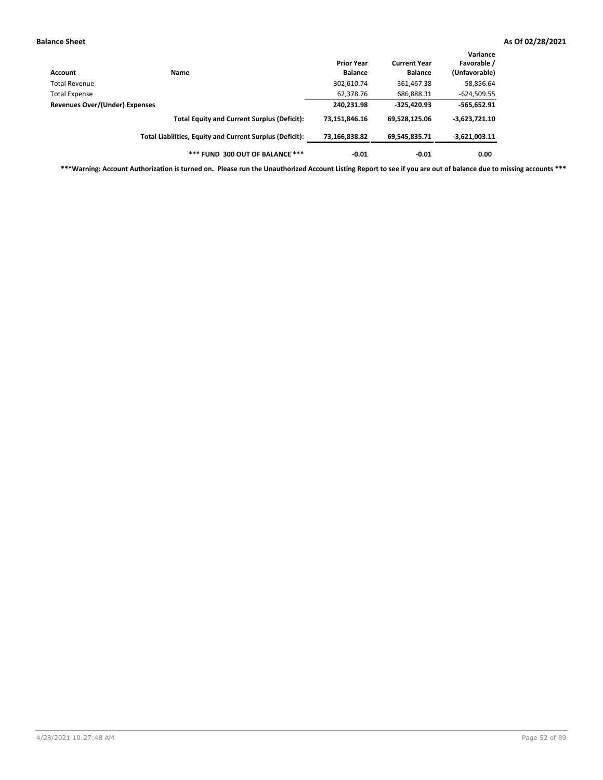| Account                        | Name                                                     | <b>Prior Year</b><br><b>Balance</b> | <b>Current Year</b><br><b>Balance</b> | Variance<br>Favorable /<br>(Unfavorable) |
|--------------------------------|----------------------------------------------------------|-------------------------------------|---------------------------------------|------------------------------------------|
| <b>Total Revenue</b>           |                                                          | 302,610.74                          | 361,467.38                            | 58,856.64                                |
| <b>Total Expense</b>           |                                                          | 62.378.76                           | 686,888.31                            | $-624,509.55$                            |
| Revenues Over/(Under) Expenses |                                                          | 240,231.98                          | $-325,420.93$                         | $-565,652.91$                            |
|                                | <b>Total Equity and Current Surplus (Deficit):</b>       | 73,151,846.16                       | 69,528,125.06                         | $-3,623,721.10$                          |
|                                | Total Liabilities, Equity and Current Surplus (Deficit): | 73,166,838.82                       | 69,545,835.71                         | $-3,621,003.11$                          |
|                                | *** FUND 300 OUT OF BALANCE ***                          | $-0.01$                             | $-0.01$                               | 0.00                                     |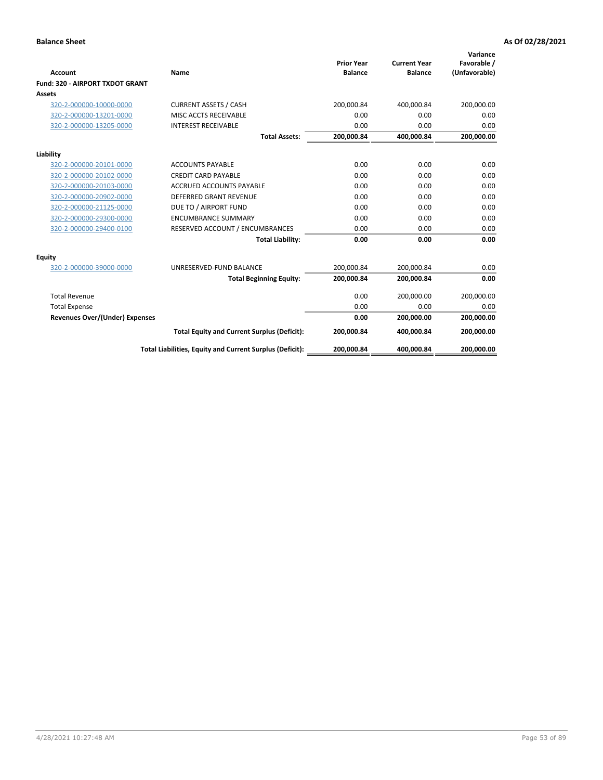|                                        |                                                          | <b>Prior Year</b> | <b>Current Year</b> | Variance<br>Favorable / |
|----------------------------------------|----------------------------------------------------------|-------------------|---------------------|-------------------------|
| Account                                | <b>Name</b>                                              | <b>Balance</b>    | <b>Balance</b>      | (Unfavorable)           |
| <b>Fund: 320 - AIRPORT TXDOT GRANT</b> |                                                          |                   |                     |                         |
| Assets                                 |                                                          |                   |                     |                         |
| 320-2-000000-10000-0000                | <b>CURRENT ASSETS / CASH</b>                             | 200,000.84        | 400,000.84          | 200,000.00              |
| 320-2-000000-13201-0000                | MISC ACCTS RECEIVABLE                                    | 0.00              | 0.00                | 0.00                    |
| 320-2-000000-13205-0000                | <b>INTEREST RECEIVABLE</b>                               | 0.00              | 0.00                | 0.00                    |
|                                        | <b>Total Assets:</b>                                     | 200,000.84        | 400,000.84          | 200,000.00              |
| Liability                              |                                                          |                   |                     |                         |
| 320-2-000000-20101-0000                | <b>ACCOUNTS PAYABLE</b>                                  | 0.00              | 0.00                | 0.00                    |
| 320-2-000000-20102-0000                | <b>CREDIT CARD PAYABLE</b>                               | 0.00              | 0.00                | 0.00                    |
| 320-2-000000-20103-0000                | <b>ACCRUED ACCOUNTS PAYABLE</b>                          | 0.00              | 0.00                | 0.00                    |
| 320-2-000000-20902-0000                | <b>DEFERRED GRANT REVENUE</b>                            | 0.00              | 0.00                | 0.00                    |
| 320-2-000000-21125-0000                | DUE TO / AIRPORT FUND                                    | 0.00              | 0.00                | 0.00                    |
| 320-2-000000-29300-0000                | <b>ENCUMBRANCE SUMMARY</b>                               | 0.00              | 0.00                | 0.00                    |
| 320-2-000000-29400-0100                | RESERVED ACCOUNT / ENCUMBRANCES                          | 0.00              | 0.00                | 0.00                    |
|                                        | <b>Total Liability:</b>                                  | 0.00              | 0.00                | 0.00                    |
| Equity                                 |                                                          |                   |                     |                         |
| 320-2-000000-39000-0000                | UNRESERVED-FUND BALANCE                                  | 200,000.84        | 200,000.84          | 0.00                    |
|                                        | <b>Total Beginning Equity:</b>                           | 200,000.84        | 200,000.84          | 0.00                    |
| <b>Total Revenue</b>                   |                                                          | 0.00              | 200,000.00          | 200,000.00              |
| <b>Total Expense</b>                   |                                                          | 0.00              | 0.00                | 0.00                    |
| <b>Revenues Over/(Under) Expenses</b>  |                                                          | 0.00              | 200,000.00          | 200,000.00              |
|                                        | <b>Total Equity and Current Surplus (Deficit):</b>       | 200,000.84        | 400,000.84          | 200,000.00              |
|                                        | Total Liabilities, Equity and Current Surplus (Deficit): | 200,000.84        | 400,000.84          | 200,000.00              |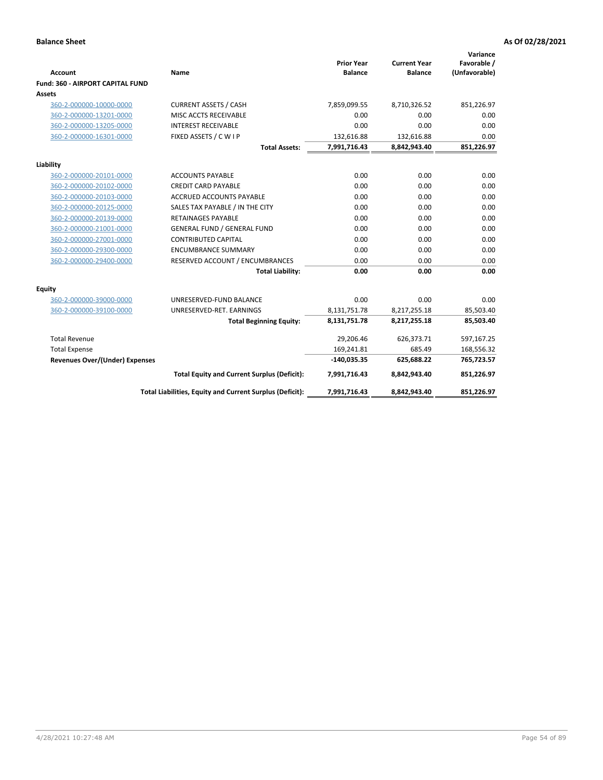|                                         |                                                          |                                     |                                       | Variance                     |
|-----------------------------------------|----------------------------------------------------------|-------------------------------------|---------------------------------------|------------------------------|
| <b>Account</b>                          | Name                                                     | <b>Prior Year</b><br><b>Balance</b> | <b>Current Year</b><br><b>Balance</b> | Favorable /<br>(Unfavorable) |
| <b>Fund: 360 - AIRPORT CAPITAL FUND</b> |                                                          |                                     |                                       |                              |
| Assets                                  |                                                          |                                     |                                       |                              |
| 360-2-000000-10000-0000                 | <b>CURRENT ASSETS / CASH</b>                             | 7,859,099.55                        | 8,710,326.52                          | 851,226.97                   |
| 360-2-000000-13201-0000                 | MISC ACCTS RECEIVABLE                                    | 0.00                                | 0.00                                  | 0.00                         |
| 360-2-000000-13205-0000                 | <b>INTEREST RECEIVABLE</b>                               | 0.00                                | 0.00                                  | 0.00                         |
| 360-2-000000-16301-0000                 | FIXED ASSETS / C W I P                                   | 132,616.88                          | 132,616.88                            | 0.00                         |
|                                         | <b>Total Assets:</b>                                     | 7,991,716.43                        | 8,842,943.40                          | 851,226.97                   |
| Liability                               |                                                          |                                     |                                       |                              |
| 360-2-000000-20101-0000                 | <b>ACCOUNTS PAYABLE</b>                                  | 0.00                                | 0.00                                  | 0.00                         |
| 360-2-000000-20102-0000                 | <b>CREDIT CARD PAYABLE</b>                               | 0.00                                | 0.00                                  | 0.00                         |
| 360-2-000000-20103-0000                 | <b>ACCRUED ACCOUNTS PAYABLE</b>                          | 0.00                                | 0.00                                  | 0.00                         |
| 360-2-000000-20125-0000                 | SALES TAX PAYABLE / IN THE CITY                          | 0.00                                | 0.00                                  | 0.00                         |
| 360-2-000000-20139-0000                 | <b>RETAINAGES PAYABLE</b>                                | 0.00                                | 0.00                                  | 0.00                         |
| 360-2-000000-21001-0000                 | <b>GENERAL FUND / GENERAL FUND</b>                       | 0.00                                | 0.00                                  | 0.00                         |
| 360-2-000000-27001-0000                 | <b>CONTRIBUTED CAPITAL</b>                               | 0.00                                | 0.00                                  | 0.00                         |
| 360-2-000000-29300-0000                 | <b>ENCUMBRANCE SUMMARY</b>                               | 0.00                                | 0.00                                  | 0.00                         |
| 360-2-000000-29400-0000                 | RESERVED ACCOUNT / ENCUMBRANCES                          | 0.00                                | 0.00                                  | 0.00                         |
|                                         | <b>Total Liability:</b>                                  | 0.00                                | 0.00                                  | 0.00                         |
| Equity                                  |                                                          |                                     |                                       |                              |
| 360-2-000000-39000-0000                 | UNRESERVED-FUND BALANCE                                  | 0.00                                | 0.00                                  | 0.00                         |
| 360-2-000000-39100-0000                 | UNRESERVED-RET. EARNINGS                                 | 8,131,751.78                        | 8,217,255.18                          | 85,503.40                    |
|                                         | <b>Total Beginning Equity:</b>                           | 8,131,751.78                        | 8,217,255.18                          | 85,503.40                    |
| <b>Total Revenue</b>                    |                                                          | 29,206.46                           | 626,373.71                            | 597,167.25                   |
| <b>Total Expense</b>                    |                                                          | 169,241.81                          | 685.49                                | 168,556.32                   |
| Revenues Over/(Under) Expenses          |                                                          | $-140,035.35$                       | 625,688.22                            | 765,723.57                   |
|                                         | <b>Total Equity and Current Surplus (Deficit):</b>       | 7,991,716.43                        | 8,842,943.40                          | 851,226.97                   |
|                                         | Total Liabilities, Equity and Current Surplus (Deficit): | 7,991,716.43                        | 8,842,943.40                          | 851,226.97                   |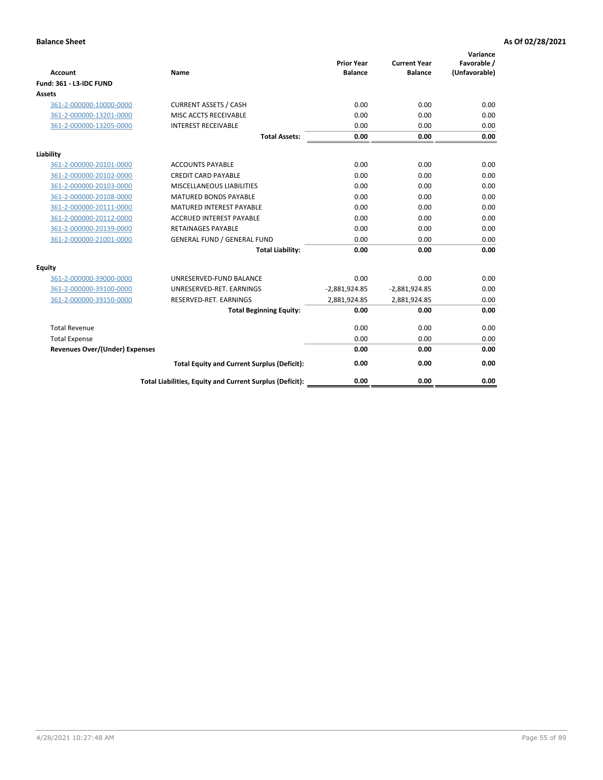| <b>Account</b>                        | Name                                                     | <b>Prior Year</b><br><b>Balance</b> | <b>Current Year</b><br><b>Balance</b> | Variance<br>Favorable /<br>(Unfavorable) |
|---------------------------------------|----------------------------------------------------------|-------------------------------------|---------------------------------------|------------------------------------------|
| Fund: 361 - L3-IDC FUND               |                                                          |                                     |                                       |                                          |
| <b>Assets</b>                         |                                                          |                                     |                                       |                                          |
| 361-2-000000-10000-0000               | <b>CURRENT ASSETS / CASH</b>                             | 0.00                                | 0.00                                  | 0.00                                     |
| 361-2-000000-13201-0000               | MISC ACCTS RECEIVABLE                                    | 0.00                                | 0.00                                  | 0.00                                     |
| 361-2-000000-13205-0000               | <b>INTEREST RECEIVABLE</b>                               | 0.00                                | 0.00                                  | 0.00                                     |
|                                       | <b>Total Assets:</b>                                     | 0.00                                | 0.00                                  | 0.00                                     |
| Liability                             |                                                          |                                     |                                       |                                          |
| 361-2-000000-20101-0000               | <b>ACCOUNTS PAYABLE</b>                                  | 0.00                                | 0.00                                  | 0.00                                     |
| 361-2-000000-20102-0000               | <b>CREDIT CARD PAYABLE</b>                               | 0.00                                | 0.00                                  | 0.00                                     |
| 361-2-000000-20103-0000               | MISCELLANEOUS LIABILITIES                                | 0.00                                | 0.00                                  | 0.00                                     |
| 361-2-000000-20108-0000               | <b>MATURED BONDS PAYABLE</b>                             | 0.00                                | 0.00                                  | 0.00                                     |
| 361-2-000000-20111-0000               | <b>MATURED INTEREST PAYABLE</b>                          | 0.00                                | 0.00                                  | 0.00                                     |
| 361-2-000000-20112-0000               | <b>ACCRUED INTEREST PAYABLE</b>                          | 0.00                                | 0.00                                  | 0.00                                     |
| 361-2-000000-20139-0000               | <b>RETAINAGES PAYABLE</b>                                | 0.00                                | 0.00                                  | 0.00                                     |
| 361-2-000000-21001-0000               | <b>GENERAL FUND / GENERAL FUND</b>                       | 0.00                                | 0.00                                  | 0.00                                     |
|                                       | <b>Total Liability:</b>                                  | 0.00                                | 0.00                                  | 0.00                                     |
| Equity                                |                                                          |                                     |                                       |                                          |
| 361-2-000000-39000-0000               | UNRESERVED-FUND BALANCE                                  | 0.00                                | 0.00                                  | 0.00                                     |
| 361-2-000000-39100-0000               | UNRESERVED-RET. EARNINGS                                 | $-2,881,924.85$                     | $-2,881,924.85$                       | 0.00                                     |
| 361-2-000000-39150-0000               | RESERVED-RET. EARNINGS                                   | 2,881,924.85                        | 2,881,924.85                          | 0.00                                     |
|                                       | <b>Total Beginning Equity:</b>                           | 0.00                                | 0.00                                  | 0.00                                     |
| <b>Total Revenue</b>                  |                                                          | 0.00                                | 0.00                                  | 0.00                                     |
| <b>Total Expense</b>                  |                                                          | 0.00                                | 0.00                                  | 0.00                                     |
| <b>Revenues Over/(Under) Expenses</b> |                                                          | 0.00                                | 0.00                                  | 0.00                                     |
|                                       | <b>Total Equity and Current Surplus (Deficit):</b>       | 0.00                                | 0.00                                  | 0.00                                     |
|                                       | Total Liabilities, Equity and Current Surplus (Deficit): | 0.00                                | 0.00                                  | 0.00                                     |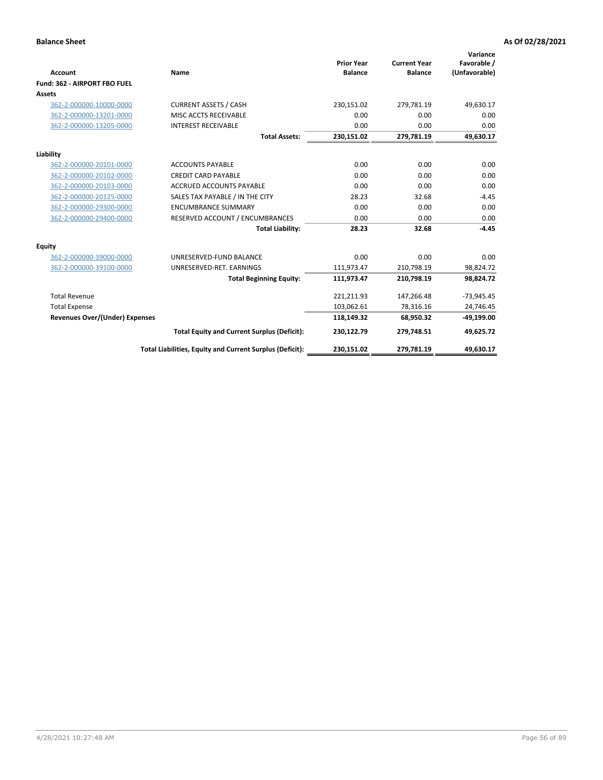|                                       |                                                          |                                     |                                       | Variance                     |
|---------------------------------------|----------------------------------------------------------|-------------------------------------|---------------------------------------|------------------------------|
| <b>Account</b>                        | Name                                                     | <b>Prior Year</b><br><b>Balance</b> | <b>Current Year</b><br><b>Balance</b> | Favorable /<br>(Unfavorable) |
| Fund: 362 - AIRPORT FBO FUEL          |                                                          |                                     |                                       |                              |
| Assets                                |                                                          |                                     |                                       |                              |
| 362-2-000000-10000-0000               | <b>CURRENT ASSETS / CASH</b>                             | 230,151.02                          | 279,781.19                            | 49,630.17                    |
| 362-2-000000-13201-0000               | MISC ACCTS RECEIVABLE                                    | 0.00                                | 0.00                                  | 0.00                         |
| 362-2-000000-13205-0000               | <b>INTEREST RECEIVABLE</b>                               | 0.00                                | 0.00                                  | 0.00                         |
|                                       | <b>Total Assets:</b>                                     | 230,151.02                          | 279,781.19                            | 49,630.17                    |
| Liability                             |                                                          |                                     |                                       |                              |
| 362-2-000000-20101-0000               | <b>ACCOUNTS PAYABLE</b>                                  | 0.00                                | 0.00                                  | 0.00                         |
| 362-2-000000-20102-0000               | <b>CREDIT CARD PAYABLE</b>                               | 0.00                                | 0.00                                  | 0.00                         |
| 362-2-000000-20103-0000               | <b>ACCRUED ACCOUNTS PAYABLE</b>                          | 0.00                                | 0.00                                  | 0.00                         |
| 362-2-000000-20125-0000               | SALES TAX PAYABLE / IN THE CITY                          | 28.23                               | 32.68                                 | $-4.45$                      |
| 362-2-000000-29300-0000               | <b>ENCUMBRANCE SUMMARY</b>                               | 0.00                                | 0.00                                  | 0.00                         |
| 362-2-000000-29400-0000               | RESERVED ACCOUNT / ENCUMBRANCES                          | 0.00                                | 0.00                                  | 0.00                         |
|                                       | <b>Total Liability:</b>                                  | 28.23                               | 32.68                                 | $-4.45$                      |
| <b>Equity</b>                         |                                                          |                                     |                                       |                              |
| 362-2-000000-39000-0000               | UNRESERVED-FUND BALANCE                                  | 0.00                                | 0.00                                  | 0.00                         |
| 362-2-000000-39100-0000               | UNRESERVED-RET. EARNINGS                                 | 111,973.47                          | 210,798.19                            | 98,824.72                    |
|                                       | <b>Total Beginning Equity:</b>                           | 111,973.47                          | 210,798.19                            | 98,824.72                    |
| <b>Total Revenue</b>                  |                                                          | 221,211.93                          | 147,266.48                            | $-73,945.45$                 |
| <b>Total Expense</b>                  |                                                          | 103,062.61                          | 78,316.16                             | 24,746.45                    |
| <b>Revenues Over/(Under) Expenses</b> |                                                          | 118,149.32                          | 68,950.32                             | $-49,199.00$                 |
|                                       | <b>Total Equity and Current Surplus (Deficit):</b>       | 230,122.79                          | 279,748.51                            | 49,625.72                    |
|                                       | Total Liabilities, Equity and Current Surplus (Deficit): | 230,151.02                          | 279,781.19                            | 49,630.17                    |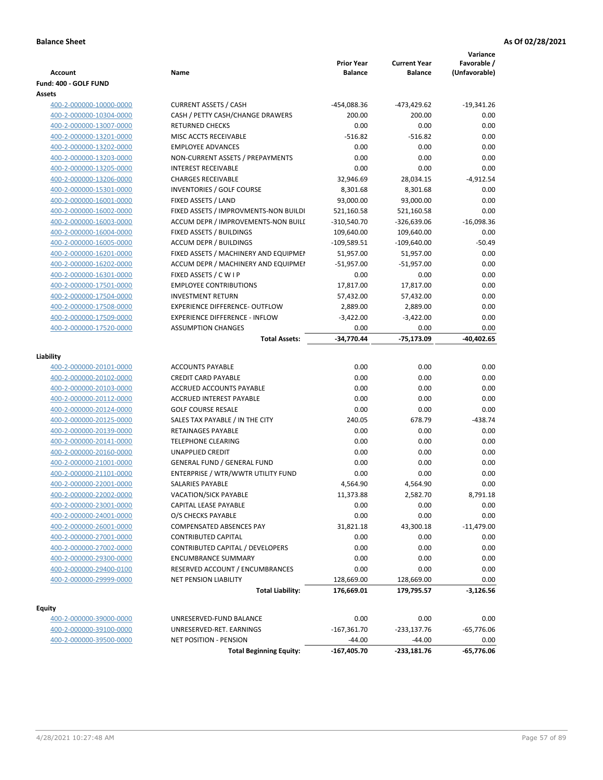| <b>Account</b><br>Fund: 400 - GOLF FUND | Name                                  | <b>Prior Year</b><br><b>Balance</b> | <b>Current Year</b><br><b>Balance</b> | Variance<br>Favorable /<br>(Unfavorable) |
|-----------------------------------------|---------------------------------------|-------------------------------------|---------------------------------------|------------------------------------------|
| Assets                                  |                                       |                                     |                                       |                                          |
| 400-2-000000-10000-0000                 | <b>CURRENT ASSETS / CASH</b>          | -454,088.36                         | -473,429.62                           | $-19,341.26$                             |
| 400-2-000000-10304-0000                 | CASH / PETTY CASH/CHANGE DRAWERS      | 200.00                              | 200.00                                | 0.00                                     |
| 400-2-000000-13007-0000                 | <b>RETURNED CHECKS</b>                | 0.00                                | 0.00                                  | 0.00                                     |
| 400-2-000000-13201-0000                 | MISC ACCTS RECEIVABLE                 | $-516.82$                           | $-516.82$                             | 0.00                                     |
| 400-2-000000-13202-0000                 | <b>EMPLOYEE ADVANCES</b>              | 0.00                                | 0.00                                  | 0.00                                     |
| 400-2-000000-13203-0000                 | NON-CURRENT ASSETS / PREPAYMENTS      | 0.00                                | 0.00                                  | 0.00                                     |
| 400-2-000000-13205-0000                 | <b>INTEREST RECEIVABLE</b>            | 0.00                                | 0.00                                  | 0.00                                     |
| 400-2-000000-13206-0000                 | <b>CHARGES RECEIVABLE</b>             | 32,946.69                           | 28,034.15                             | $-4,912.54$                              |
| 400-2-000000-15301-0000                 | INVENTORIES / GOLF COURSE             | 8,301.68                            | 8,301.68                              | 0.00                                     |
| 400-2-000000-16001-0000                 | FIXED ASSETS / LAND                   | 93,000.00                           | 93,000.00                             | 0.00                                     |
| 400-2-000000-16002-0000                 | FIXED ASSETS / IMPROVMENTS-NON BUILDI | 521,160.58                          | 521,160.58                            | 0.00                                     |
| 400-2-000000-16003-0000                 | ACCUM DEPR / IMPROVEMENTS-NON BUILI   | -310,540.70                         | -326,639.06                           | $-16,098.36$                             |
| 400-2-000000-16004-0000                 | FIXED ASSETS / BUILDINGS              | 109,640.00                          | 109,640.00                            | 0.00                                     |
| 400-2-000000-16005-0000                 | <b>ACCUM DEPR / BUILDINGS</b>         | $-109,589.51$                       | $-109,640.00$                         | $-50.49$                                 |
| 400-2-000000-16201-0000                 | FIXED ASSETS / MACHINERY AND EQUIPMEN | 51,957.00                           | 51,957.00                             | 0.00                                     |
| 400-2-000000-16202-0000                 | ACCUM DEPR / MACHINERY AND EQUIPMEI   | $-51,957.00$                        | $-51,957.00$                          | 0.00                                     |
| 400-2-000000-16301-0000                 | FIXED ASSETS / C W I P                | 0.00                                | 0.00                                  | 0.00                                     |
| 400-2-000000-17501-0000                 | <b>EMPLOYEE CONTRIBUTIONS</b>         | 17,817.00                           | 17,817.00                             | 0.00                                     |
| 400-2-000000-17504-0000                 | <b>INVESTMENT RETURN</b>              | 57,432.00                           | 57,432.00                             | 0.00                                     |
| 400-2-000000-17508-0000                 | <b>EXPERIENCE DIFFERENCE- OUTFLOW</b> | 2,889.00                            | 2,889.00                              | 0.00                                     |
| 400-2-000000-17509-0000                 | <b>EXPERIENCE DIFFERENCE - INFLOW</b> | $-3,422.00$                         | $-3,422.00$                           | 0.00                                     |
| 400-2-000000-17520-0000                 | <b>ASSUMPTION CHANGES</b>             | 0.00                                | 0.00                                  | 0.00                                     |
|                                         | <b>Total Assets:</b>                  | $-34,770.44$                        | -75,173.09                            | $-40,402.65$                             |
| Liability                               |                                       |                                     |                                       |                                          |
| 400-2-000000-20101-0000                 | <b>ACCOUNTS PAYABLE</b>               | 0.00                                | 0.00                                  | 0.00                                     |
| 400-2-000000-20102-0000                 | <b>CREDIT CARD PAYABLE</b>            | 0.00                                | 0.00                                  | 0.00                                     |
| 400-2-000000-20103-0000                 | ACCRUED ACCOUNTS PAYABLE              | 0.00                                | 0.00                                  | 0.00                                     |
| 400-2-000000-20112-0000                 | <b>ACCRUED INTEREST PAYABLE</b>       | 0.00                                | 0.00                                  | 0.00                                     |
| 400-2-000000-20124-0000                 | <b>GOLF COURSE RESALE</b>             | 0.00                                | 0.00                                  | 0.00                                     |
| 400-2-000000-20125-0000                 | SALES TAX PAYABLE / IN THE CITY       | 240.05                              | 678.79                                | $-438.74$                                |
| 400-2-000000-20139-0000                 | RETAINAGES PAYABLE                    | 0.00                                | 0.00                                  | 0.00                                     |
| 400-2-000000-20141-0000                 | <b>TELEPHONE CLEARING</b>             | 0.00                                | 0.00                                  | 0.00                                     |
| 400-2-000000-20160-0000                 | <b>UNAPPLIED CREDIT</b>               | 0.00                                | 0.00                                  | 0.00                                     |
| 400-2-000000-21001-0000                 | <b>GENERAL FUND / GENERAL FUND</b>    | 0.00                                | 0.00                                  | 0.00                                     |
| 400-2-000000-21101-0000                 | ENTERPRISE / WTR/WWTR UTILITY FUND    | 0.00                                | 0.00                                  | 0.00                                     |
| 400-2-000000-22001-0000                 | <b>SALARIES PAYABLE</b>               | 4,564.90                            | 4,564.90                              | 0.00                                     |
| 400-2-000000-22002-0000                 | VACATION/SICK PAYABLE                 | 11,373.88                           | 2,582.70                              | 8,791.18                                 |
| 400-2-000000-23001-0000                 | CAPITAL LEASE PAYABLE                 | 0.00                                | 0.00                                  | 0.00                                     |
| 400-2-000000-24001-0000                 | O/S CHECKS PAYABLE                    | 0.00                                | 0.00                                  | 0.00                                     |
| 400-2-000000-26001-0000                 | COMPENSATED ABSENCES PAY              | 31,821.18                           | 43,300.18                             | $-11,479.00$                             |
| 400-2-000000-27001-0000                 | <b>CONTRIBUTED CAPITAL</b>            | 0.00                                | 0.00                                  | 0.00                                     |
| 400-2-000000-27002-0000                 | CONTRIBUTED CAPITAL / DEVELOPERS      | 0.00                                | 0.00                                  | 0.00                                     |
| 400-2-000000-29300-0000                 | <b>ENCUMBRANCE SUMMARY</b>            | 0.00                                | 0.00                                  | 0.00                                     |
| 400-2-000000-29400-0100                 | RESERVED ACCOUNT / ENCUMBRANCES       | 0.00                                | 0.00                                  | 0.00                                     |
| 400-2-000000-29999-0000                 | <b>NET PENSION LIABILITY</b>          | 128,669.00                          | 128,669.00                            | 0.00                                     |
|                                         | <b>Total Liability:</b>               | 176,669.01                          | 179,795.57                            | -3,126.56                                |
|                                         |                                       |                                     |                                       |                                          |
| <b>Equity</b>                           |                                       |                                     |                                       |                                          |
| 400-2-000000-39000-0000                 | UNRESERVED-FUND BALANCE               | 0.00                                | 0.00                                  | 0.00                                     |
| 400-2-000000-39100-0000                 | UNRESERVED-RET. EARNINGS              | $-167,361.70$                       | $-233,137.76$                         | $-65,776.06$                             |
| 400-2-000000-39500-0000                 | <b>NET POSITION - PENSION</b>         | $-44.00$                            | $-44.00$                              | 0.00                                     |
|                                         | <b>Total Beginning Equity:</b>        | $-167,405.70$                       | -233,181.76                           | $-65,776.06$                             |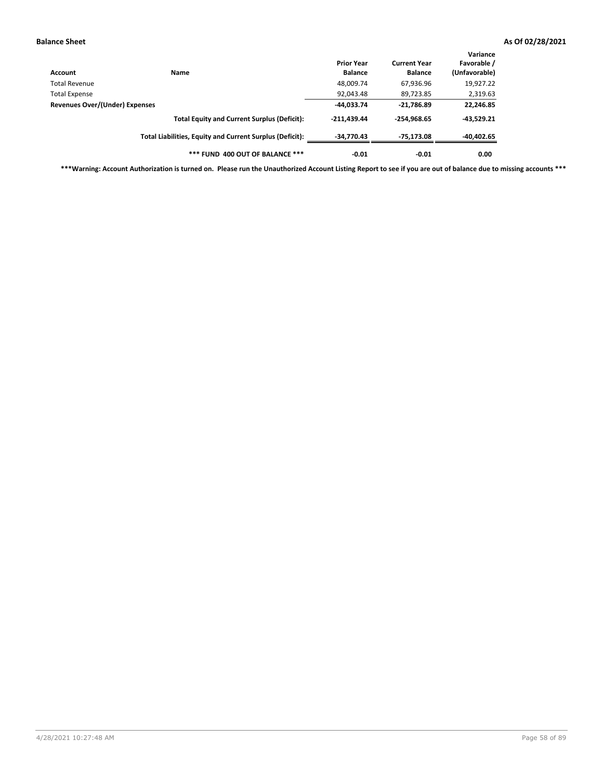| Account                        | Name                                                     | <b>Prior Year</b><br><b>Balance</b> | <b>Current Year</b><br><b>Balance</b> | Variance<br>Favorable /<br>(Unfavorable) |
|--------------------------------|----------------------------------------------------------|-------------------------------------|---------------------------------------|------------------------------------------|
| Total Revenue                  |                                                          | 48,009.74                           | 67,936.96                             | 19,927.22                                |
| <b>Total Expense</b>           |                                                          | 92,043.48                           | 89,723.85                             | 2,319.63                                 |
| Revenues Over/(Under) Expenses |                                                          | $-44,033.74$                        | $-21,786.89$                          | 22,246.85                                |
|                                | <b>Total Equity and Current Surplus (Deficit):</b>       | $-211.439.44$                       | $-254.968.65$                         | $-43.529.21$                             |
|                                | Total Liabilities, Equity and Current Surplus (Deficit): | $-34,770.43$                        | -75,173.08                            | -40,402.65                               |
|                                | *** FUND 400 OUT OF BALANCE ***                          | $-0.01$                             | $-0.01$                               | 0.00                                     |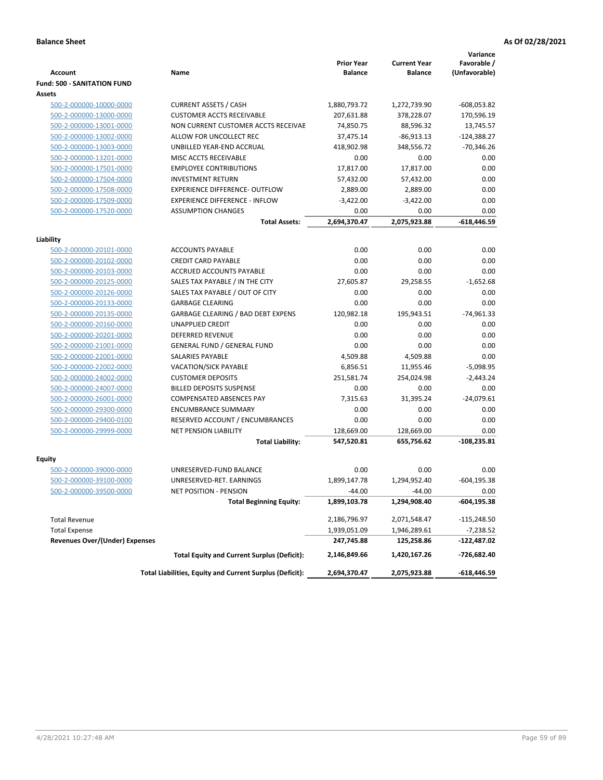|                                    |                                                          |                                     |                                       | Variance                     |
|------------------------------------|----------------------------------------------------------|-------------------------------------|---------------------------------------|------------------------------|
| Account                            | Name                                                     | <b>Prior Year</b><br><b>Balance</b> | <b>Current Year</b><br><b>Balance</b> | Favorable /<br>(Unfavorable) |
| <b>Fund: 500 - SANITATION FUND</b> |                                                          |                                     |                                       |                              |
| Assets                             |                                                          |                                     |                                       |                              |
| 500-2-000000-10000-0000            | <b>CURRENT ASSETS / CASH</b>                             | 1,880,793.72                        | 1,272,739.90                          | $-608,053.82$                |
| 500-2-000000-13000-0000            | <b>CUSTOMER ACCTS RECEIVABLE</b>                         | 207,631.88                          | 378,228.07                            | 170,596.19                   |
| 500-2-000000-13001-0000            | NON CURRENT CUSTOMER ACCTS RECEIVAE                      | 74,850.75                           | 88,596.32                             | 13,745.57                    |
| 500-2-000000-13002-0000            | ALLOW FOR UNCOLLECT REC                                  | 37,475.14                           | $-86,913.13$                          | $-124,388.27$                |
| 500-2-000000-13003-0000            | UNBILLED YEAR-END ACCRUAL                                | 418,902.98                          | 348,556.72                            | $-70,346.26$                 |
| 500-2-000000-13201-0000            | MISC ACCTS RECEIVABLE                                    | 0.00                                | 0.00                                  | 0.00                         |
| 500-2-000000-17501-0000            | <b>EMPLOYEE CONTRIBUTIONS</b>                            | 17,817.00                           | 17,817.00                             | 0.00                         |
| 500-2-000000-17504-0000            | <b>INVESTMENT RETURN</b>                                 | 57,432.00                           | 57,432.00                             | 0.00                         |
| 500-2-000000-17508-0000            | <b>EXPERIENCE DIFFERENCE- OUTFLOW</b>                    | 2,889.00                            | 2,889.00                              | 0.00                         |
| 500-2-000000-17509-0000            | <b>EXPERIENCE DIFFERENCE - INFLOW</b>                    | $-3,422.00$                         | $-3,422.00$                           | 0.00                         |
| 500-2-000000-17520-0000            | <b>ASSUMPTION CHANGES</b>                                | 0.00                                | 0.00                                  | 0.00                         |
|                                    | <b>Total Assets:</b>                                     | 2,694,370.47                        | 2,075,923.88                          | -618,446.59                  |
|                                    |                                                          |                                     |                                       |                              |
| Liability                          |                                                          |                                     |                                       |                              |
| 500-2-000000-20101-0000            | <b>ACCOUNTS PAYABLE</b>                                  | 0.00                                | 0.00                                  | 0.00                         |
| 500-2-000000-20102-0000            | <b>CREDIT CARD PAYABLE</b>                               | 0.00                                | 0.00                                  | 0.00                         |
| 500-2-000000-20103-0000            | ACCRUED ACCOUNTS PAYABLE                                 | 0.00                                | 0.00                                  | 0.00                         |
| 500-2-000000-20125-0000            | SALES TAX PAYABLE / IN THE CITY                          | 27,605.87                           | 29,258.55                             | $-1,652.68$                  |
| 500-2-000000-20126-0000            | SALES TAX PAYABLE / OUT OF CITY                          | 0.00                                | 0.00                                  | 0.00                         |
| 500-2-000000-20133-0000            | <b>GARBAGE CLEARING</b>                                  | 0.00                                | 0.00                                  | 0.00                         |
| 500-2-000000-20135-0000            | <b>GARBAGE CLEARING / BAD DEBT EXPENS</b>                | 120,982.18                          | 195,943.51                            | $-74,961.33$                 |
| 500-2-000000-20160-0000            | <b>UNAPPLIED CREDIT</b>                                  | 0.00                                | 0.00                                  | 0.00                         |
| 500-2-000000-20201-0000            | <b>DEFERRED REVENUE</b>                                  | 0.00                                | 0.00                                  | 0.00                         |
| 500-2-000000-21001-0000            | <b>GENERAL FUND / GENERAL FUND</b>                       | 0.00                                | 0.00                                  | 0.00                         |
| 500-2-000000-22001-0000            | <b>SALARIES PAYABLE</b>                                  | 4,509.88                            | 4,509.88                              | 0.00                         |
| 500-2-000000-22002-0000            | <b>VACATION/SICK PAYABLE</b>                             | 6,856.51                            | 11,955.46                             | $-5,098.95$                  |
| 500-2-000000-24002-0000            | <b>CUSTOMER DEPOSITS</b>                                 | 251,581.74                          | 254,024.98                            | $-2,443.24$                  |
| 500-2-000000-24007-0000            | <b>BILLED DEPOSITS SUSPENSE</b>                          | 0.00                                | 0.00                                  | 0.00                         |
| 500-2-000000-26001-0000            | <b>COMPENSATED ABSENCES PAY</b>                          | 7,315.63                            | 31,395.24                             | $-24,079.61$                 |
| 500-2-000000-29300-0000            | <b>ENCUMBRANCE SUMMARY</b>                               | 0.00                                | 0.00                                  | 0.00                         |
| 500-2-000000-29400-0100            | RESERVED ACCOUNT / ENCUMBRANCES                          | 0.00                                | 0.00                                  | 0.00                         |
| 500-2-000000-29999-0000            | <b>NET PENSION LIABILITY</b>                             | 128,669.00                          | 128,669.00                            | 0.00                         |
|                                    | <b>Total Liability:</b>                                  | 547,520.81                          | 655,756.62                            | $-108,235.81$                |
|                                    |                                                          |                                     |                                       |                              |
| <b>Equity</b>                      |                                                          |                                     |                                       |                              |
| 500-2-000000-39000-0000            | UNRESERVED-FUND BALANCE                                  | 0.00                                | 0.00                                  | 0.00                         |
| 500-2-000000-39100-0000            | UNRESERVED-RET. EARNINGS                                 | 1,899,147.78                        | 1,294,952.40                          | $-604, 195.38$               |
| 500-2-000000-39500-0000            | NET POSITION - PENSION                                   | $-44.00$                            | $-44.00$                              | 0.00                         |
|                                    | <b>Total Beginning Equity:</b>                           | 1,899,103.78                        | 1,294,908.40                          | -604,195.38                  |
| <b>Total Revenue</b>               |                                                          | 2,186,796.97                        | 2,071,548.47                          | -115,248.50                  |
| <b>Total Expense</b>               |                                                          | 1,939,051.09                        | 1,946,289.61                          | -7,238.52                    |
| Revenues Over/(Under) Expenses     |                                                          | 247,745.88                          | 125,258.86                            | -122,487.02                  |
|                                    | <b>Total Equity and Current Surplus (Deficit):</b>       | 2,146,849.66                        | 1,420,167.26                          | -726,682.40                  |
|                                    | Total Liabilities, Equity and Current Surplus (Deficit): | 2,694,370.47                        | 2,075,923.88                          | $-618,446.59$                |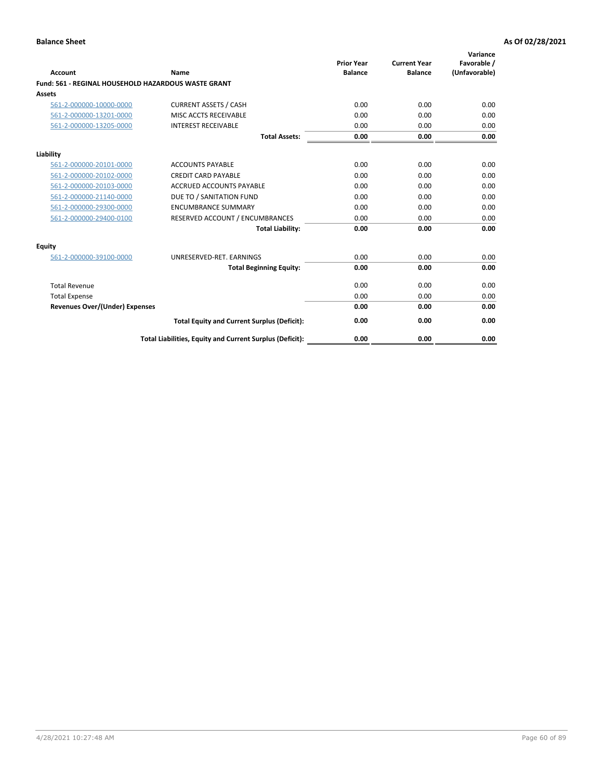| Account                                             | Name                                                     | <b>Prior Year</b><br><b>Balance</b> | <b>Current Year</b><br><b>Balance</b> | Variance<br>Favorable /<br>(Unfavorable) |
|-----------------------------------------------------|----------------------------------------------------------|-------------------------------------|---------------------------------------|------------------------------------------|
| Fund: 561 - REGINAL HOUSEHOLD HAZARDOUS WASTE GRANT |                                                          |                                     |                                       |                                          |
| Assets                                              |                                                          |                                     |                                       |                                          |
| 561-2-000000-10000-0000                             | <b>CURRENT ASSETS / CASH</b>                             | 0.00                                | 0.00                                  | 0.00                                     |
| 561-2-000000-13201-0000                             | MISC ACCTS RECEIVABLE                                    | 0.00                                | 0.00                                  | 0.00                                     |
| 561-2-000000-13205-0000                             | <b>INTEREST RECEIVABLE</b>                               | 0.00                                | 0.00                                  | 0.00                                     |
|                                                     | <b>Total Assets:</b>                                     | 0.00                                | 0.00                                  | 0.00                                     |
| Liability                                           |                                                          |                                     |                                       |                                          |
| 561-2-000000-20101-0000                             | <b>ACCOUNTS PAYABLE</b>                                  | 0.00                                | 0.00                                  | 0.00                                     |
| 561-2-000000-20102-0000                             | <b>CREDIT CARD PAYABLE</b>                               | 0.00                                | 0.00                                  | 0.00                                     |
| 561-2-000000-20103-0000                             | <b>ACCRUED ACCOUNTS PAYABLE</b>                          | 0.00                                | 0.00                                  | 0.00                                     |
| 561-2-000000-21140-0000                             | DUE TO / SANITATION FUND                                 | 0.00                                | 0.00                                  | 0.00                                     |
| 561-2-000000-29300-0000                             | <b>ENCUMBRANCE SUMMARY</b>                               | 0.00                                | 0.00                                  | 0.00                                     |
| 561-2-000000-29400-0100                             | RESERVED ACCOUNT / ENCUMBRANCES                          | 0.00                                | 0.00                                  | 0.00                                     |
|                                                     | <b>Total Liability:</b>                                  | 0.00                                | 0.00                                  | 0.00                                     |
| <b>Equity</b>                                       |                                                          |                                     |                                       |                                          |
| 561-2-000000-39100-0000                             | UNRESERVED-RET. EARNINGS                                 | 0.00                                | 0.00                                  | 0.00                                     |
|                                                     | <b>Total Beginning Equity:</b>                           | 0.00                                | 0.00                                  | 0.00                                     |
| <b>Total Revenue</b>                                |                                                          | 0.00                                | 0.00                                  | 0.00                                     |
| <b>Total Expense</b>                                |                                                          | 0.00                                | 0.00                                  | 0.00                                     |
| <b>Revenues Over/(Under) Expenses</b>               |                                                          | 0.00                                | 0.00                                  | 0.00                                     |
|                                                     | <b>Total Equity and Current Surplus (Deficit):</b>       | 0.00                                | 0.00                                  | 0.00                                     |
|                                                     | Total Liabilities, Equity and Current Surplus (Deficit): | 0.00                                | 0.00                                  | 0.00                                     |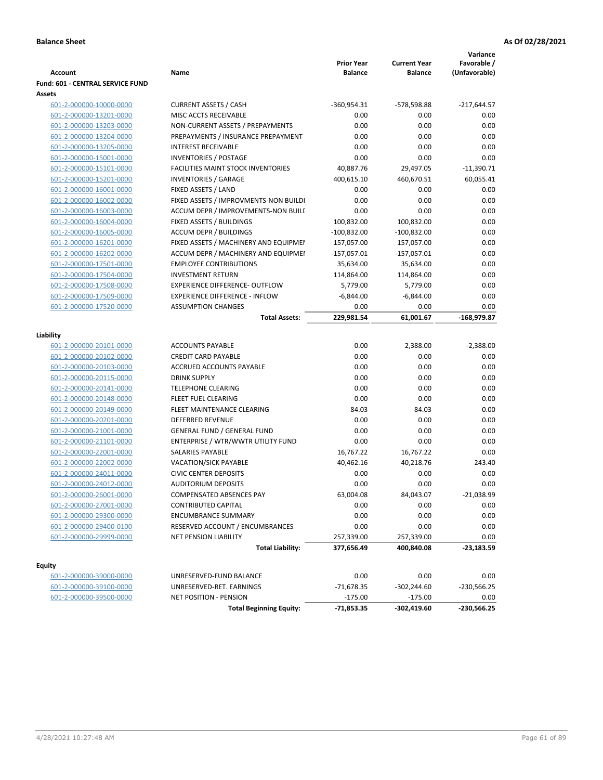| <b>Account</b>                          | Name                                      | <b>Prior Year</b><br><b>Balance</b> | <b>Current Year</b><br><b>Balance</b> | Variance<br>Favorable /<br>(Unfavorable) |
|-----------------------------------------|-------------------------------------------|-------------------------------------|---------------------------------------|------------------------------------------|
| <b>Fund: 601 - CENTRAL SERVICE FUND</b> |                                           |                                     |                                       |                                          |
| Assets                                  |                                           |                                     |                                       |                                          |
| 601-2-000000-10000-0000                 | <b>CURRENT ASSETS / CASH</b>              | $-360,954.31$                       | -578,598.88                           | $-217,644.57$                            |
| 601-2-000000-13201-0000                 | MISC ACCTS RECEIVABLE                     | 0.00                                | 0.00                                  | 0.00                                     |
| 601-2-000000-13203-0000                 | NON-CURRENT ASSETS / PREPAYMENTS          | 0.00                                | 0.00                                  | 0.00                                     |
| 601-2-000000-13204-0000                 | PREPAYMENTS / INSURANCE PREPAYMENT        | 0.00                                | 0.00                                  | 0.00                                     |
| 601-2-000000-13205-0000                 | <b>INTEREST RECEIVABLE</b>                | 0.00                                | 0.00                                  | 0.00                                     |
| 601-2-000000-15001-0000                 | <b>INVENTORIES / POSTAGE</b>              | 0.00                                | 0.00                                  | 0.00                                     |
| 601-2-000000-15101-0000                 | <b>FACILITIES MAINT STOCK INVENTORIES</b> | 40,887.76                           | 29,497.05                             | $-11,390.71$                             |
| 601-2-000000-15201-0000                 | <b>INVENTORIES / GARAGE</b>               | 400,615.10                          | 460,670.51                            | 60,055.41                                |
| 601-2-000000-16001-0000                 | FIXED ASSETS / LAND                       | 0.00                                | 0.00                                  | 0.00                                     |
| 601-2-000000-16002-0000                 | FIXED ASSETS / IMPROVMENTS-NON BUILDI     | 0.00                                | 0.00                                  | 0.00                                     |
| 601-2-000000-16003-0000                 | ACCUM DEPR / IMPROVEMENTS-NON BUILI       | 0.00                                | 0.00                                  | 0.00                                     |
| 601-2-000000-16004-0000                 | FIXED ASSETS / BUILDINGS                  | 100,832.00                          | 100,832.00                            | 0.00                                     |
| 601-2-000000-16005-0000                 | <b>ACCUM DEPR / BUILDINGS</b>             | $-100,832.00$                       | $-100,832.00$                         | 0.00                                     |
| 601-2-000000-16201-0000                 | FIXED ASSETS / MACHINERY AND EQUIPMEN     | 157,057.00                          | 157,057.00                            | 0.00                                     |
| 601-2-000000-16202-0000                 | ACCUM DEPR / MACHINERY AND EQUIPMEI       | $-157,057.01$                       | $-157,057.01$                         | 0.00                                     |
| 601-2-000000-17501-0000                 | <b>EMPLOYEE CONTRIBUTIONS</b>             | 35,634.00                           | 35,634.00                             | 0.00                                     |
| 601-2-000000-17504-0000                 | <b>INVESTMENT RETURN</b>                  | 114,864.00                          | 114,864.00                            | 0.00                                     |
| 601-2-000000-17508-0000                 | <b>EXPERIENCE DIFFERENCE- OUTFLOW</b>     | 5,779.00                            | 5,779.00                              | 0.00                                     |
| 601-2-000000-17509-0000                 | <b>EXPERIENCE DIFFERENCE - INFLOW</b>     | $-6,844.00$                         | $-6,844.00$                           | 0.00                                     |
| 601-2-000000-17520-0000                 | <b>ASSUMPTION CHANGES</b>                 | 0.00                                | 0.00                                  | 0.00                                     |
|                                         | <b>Total Assets:</b>                      | 229,981.54                          | 61,001.67                             | $-168,979.87$                            |
|                                         |                                           |                                     |                                       |                                          |
| Liability                               |                                           |                                     |                                       |                                          |
| 601-2-000000-20101-0000                 | <b>ACCOUNTS PAYABLE</b>                   | 0.00                                | 2,388.00                              | $-2,388.00$                              |
| 601-2-000000-20102-0000                 | <b>CREDIT CARD PAYABLE</b>                | 0.00                                | 0.00                                  | 0.00                                     |
| 601-2-000000-20103-0000                 | ACCRUED ACCOUNTS PAYABLE                  | 0.00                                | 0.00                                  | 0.00                                     |
| 601-2-000000-20115-0000                 | <b>DRINK SUPPLY</b>                       | 0.00                                | 0.00                                  | 0.00                                     |
| 601-2-000000-20141-0000                 | <b>TELEPHONE CLEARING</b>                 | 0.00                                | 0.00                                  | 0.00                                     |
| 601-2-000000-20148-0000                 | <b>FLEET FUEL CLEARING</b>                | 0.00                                | 0.00                                  | 0.00                                     |
| 601-2-000000-20149-0000                 | FLEET MAINTENANCE CLEARING                | 84.03                               | 84.03                                 | 0.00                                     |
| 601-2-000000-20201-0000                 | <b>DEFERRED REVENUE</b>                   | 0.00                                | 0.00                                  | 0.00                                     |
| 601-2-000000-21001-0000                 | <b>GENERAL FUND / GENERAL FUND</b>        | 0.00                                | 0.00                                  | 0.00                                     |
| 601-2-000000-21101-0000                 | ENTERPRISE / WTR/WWTR UTILITY FUND        | 0.00                                | 0.00                                  | 0.00                                     |
| 601-2-000000-22001-0000                 | SALARIES PAYABLE                          | 16,767.22                           | 16,767.22                             | 0.00                                     |
| 601-2-000000-22002-0000                 | <b>VACATION/SICK PAYABLE</b>              | 40,462.16                           | 40,218.76                             | 243.40                                   |
| 601-2-000000-24011-0000                 | <b>CIVIC CENTER DEPOSITS</b>              | 0.00                                | 0.00                                  | 0.00                                     |
| 601-2-000000-24012-0000                 | <b>AUDITORIUM DEPOSITS</b>                | 0.00                                | 0.00                                  | 0.00                                     |
| 601-2-000000-26001-0000                 | <b>COMPENSATED ABSENCES PAY</b>           | 63,004.08                           | 84,043.07                             | $-21,038.99$                             |
| 601-2-000000-27001-0000                 | <b>CONTRIBUTED CAPITAL</b>                | 0.00                                | 0.00                                  | 0.00                                     |
| 601-2-000000-29300-0000                 | <b>ENCUMBRANCE SUMMARY</b>                | 0.00                                | 0.00                                  | 0.00                                     |
| 601-2-000000-29400-0100                 | RESERVED ACCOUNT / ENCUMBRANCES           | 0.00                                | 0.00                                  | 0.00                                     |
| 601-2-000000-29999-0000                 | NET PENSION LIABILITY                     | 257,339.00                          | 257,339.00                            | 0.00                                     |
|                                         | <b>Total Liability:</b>                   | 377,656.49                          | 400,840.08                            | -23,183.59                               |
|                                         |                                           |                                     |                                       |                                          |
| <b>Equity</b>                           |                                           |                                     |                                       |                                          |
| 601-2-000000-39000-0000                 | UNRESERVED-FUND BALANCE                   | 0.00                                | 0.00                                  | 0.00                                     |
| 601-2-000000-39100-0000                 | UNRESERVED-RET. EARNINGS                  | $-71,678.35$                        | $-302,244.60$                         | -230,566.25                              |
| 601-2-000000-39500-0000                 | NET POSITION - PENSION                    | $-175.00$                           | $-175.00$                             | 0.00<br>$-230,566.25$                    |
|                                         | <b>Total Beginning Equity:</b>            | $-71,853.35$                        | $-302,419.60$                         |                                          |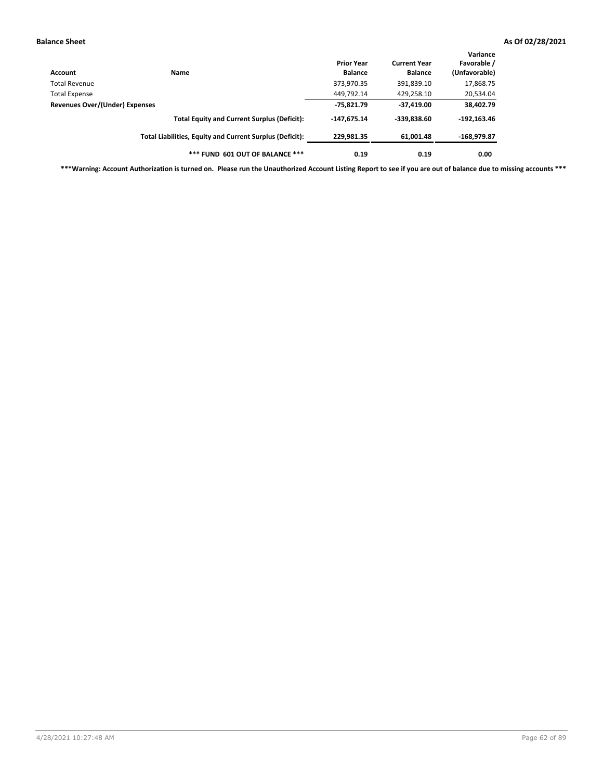| Account                        | <b>Name</b>                                              | <b>Prior Year</b><br><b>Balance</b> | <b>Current Year</b><br><b>Balance</b> | Variance<br>Favorable /<br>(Unfavorable) |
|--------------------------------|----------------------------------------------------------|-------------------------------------|---------------------------------------|------------------------------------------|
| Total Revenue                  |                                                          | 373,970.35                          | 391,839.10                            | 17,868.75                                |
| <b>Total Expense</b>           |                                                          | 449,792.14                          | 429,258.10                            | 20,534.04                                |
| Revenues Over/(Under) Expenses |                                                          | $-75,821.79$                        | $-37,419.00$                          | 38,402.79                                |
|                                | <b>Total Equity and Current Surplus (Deficit):</b>       | $-147.675.14$                       | -339.838.60                           | $-192.163.46$                            |
|                                | Total Liabilities, Equity and Current Surplus (Deficit): | 229,981.35                          | 61,001.48                             | $-168,979.87$                            |
|                                | *** FUND 601 OUT OF BALANCE ***                          | 0.19                                | 0.19                                  | 0.00                                     |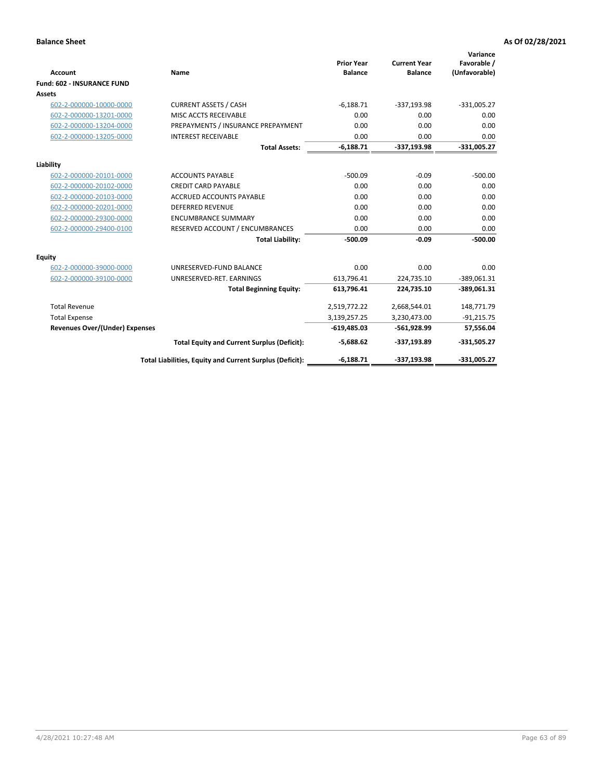|                                       |                                                          |                                     |                                       | Variance                     |
|---------------------------------------|----------------------------------------------------------|-------------------------------------|---------------------------------------|------------------------------|
| <b>Account</b>                        | <b>Name</b>                                              | <b>Prior Year</b><br><b>Balance</b> | <b>Current Year</b><br><b>Balance</b> | Favorable /<br>(Unfavorable) |
| <b>Fund: 602 - INSURANCE FUND</b>     |                                                          |                                     |                                       |                              |
| <b>Assets</b>                         |                                                          |                                     |                                       |                              |
| 602-2-000000-10000-0000               | <b>CURRENT ASSETS / CASH</b>                             | $-6,188.71$                         | $-337,193.98$                         | $-331,005.27$                |
| 602-2-000000-13201-0000               | MISC ACCTS RECEIVABLE                                    | 0.00                                | 0.00                                  | 0.00                         |
| 602-2-000000-13204-0000               | PREPAYMENTS / INSURANCE PREPAYMENT                       | 0.00                                | 0.00                                  | 0.00                         |
| 602-2-000000-13205-0000               | <b>INTEREST RECEIVABLE</b>                               | 0.00                                | 0.00                                  | 0.00                         |
|                                       | <b>Total Assets:</b>                                     | $-6,188.71$                         | $-337,193.98$                         | $-331,005.27$                |
| Liability                             |                                                          |                                     |                                       |                              |
| 602-2-000000-20101-0000               | <b>ACCOUNTS PAYABLE</b>                                  | $-500.09$                           | $-0.09$                               | $-500.00$                    |
| 602-2-000000-20102-0000               | <b>CREDIT CARD PAYABLE</b>                               | 0.00                                | 0.00                                  | 0.00                         |
| 602-2-000000-20103-0000               | <b>ACCRUED ACCOUNTS PAYABLE</b>                          | 0.00                                | 0.00                                  | 0.00                         |
| 602-2-000000-20201-0000               | <b>DEFERRED REVENUE</b>                                  | 0.00                                | 0.00                                  | 0.00                         |
| 602-2-000000-29300-0000               | <b>ENCUMBRANCE SUMMARY</b>                               | 0.00                                | 0.00                                  | 0.00                         |
| 602-2-000000-29400-0100               | RESERVED ACCOUNT / ENCUMBRANCES                          | 0.00                                | 0.00                                  | 0.00                         |
|                                       | <b>Total Liability:</b>                                  | $-500.09$                           | $-0.09$                               | $-500.00$                    |
| <b>Equity</b>                         |                                                          |                                     |                                       |                              |
| 602-2-000000-39000-0000               | UNRESERVED-FUND BALANCE                                  | 0.00                                | 0.00                                  | 0.00                         |
| 602-2-000000-39100-0000               | UNRESERVED-RET. EARNINGS                                 | 613,796.41                          | 224,735.10                            | $-389,061.31$                |
|                                       | <b>Total Beginning Equity:</b>                           | 613,796.41                          | 224,735.10                            | $-389,061.31$                |
| <b>Total Revenue</b>                  |                                                          | 2,519,772.22                        | 2,668,544.01                          | 148,771.79                   |
| <b>Total Expense</b>                  |                                                          | 3,139,257.25                        | 3,230,473.00                          | $-91,215.75$                 |
| <b>Revenues Over/(Under) Expenses</b> |                                                          | $-619,485.03$                       | $-561,928.99$                         | 57,556.04                    |
|                                       | <b>Total Equity and Current Surplus (Deficit):</b>       | $-5,688.62$                         | -337,193.89                           | $-331,505.27$                |
|                                       | Total Liabilities, Equity and Current Surplus (Deficit): | $-6,188.71$                         | -337,193.98                           | $-331.005.27$                |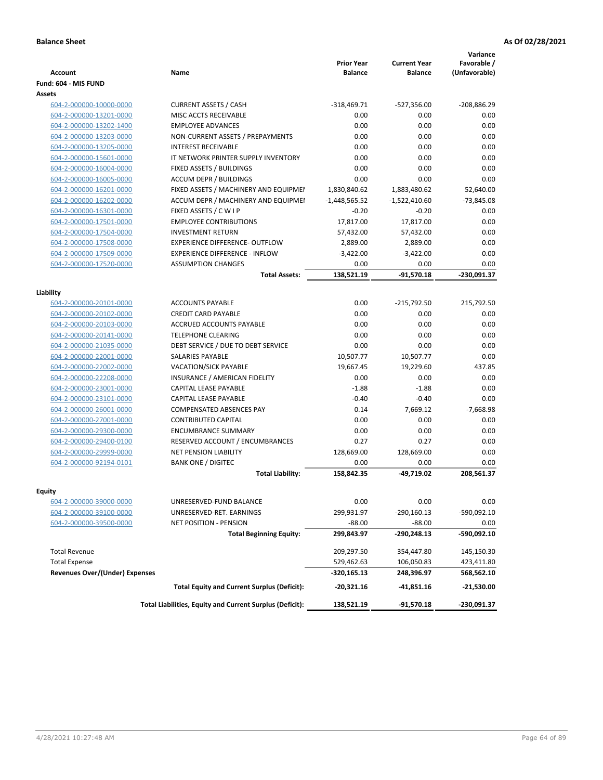| <b>Account</b>                        | Name                                                     | <b>Prior Year</b><br><b>Balance</b> | <b>Current Year</b><br><b>Balance</b> | Variance<br>Favorable /<br>(Unfavorable) |
|---------------------------------------|----------------------------------------------------------|-------------------------------------|---------------------------------------|------------------------------------------|
| Fund: 604 - MIS FUND                  |                                                          |                                     |                                       |                                          |
| Assets                                |                                                          |                                     |                                       |                                          |
| 604-2-000000-10000-0000               | <b>CURRENT ASSETS / CASH</b>                             | $-318,469.71$                       | $-527,356.00$                         | $-208,886.29$                            |
| 604-2-000000-13201-0000               | MISC ACCTS RECEIVABLE                                    | 0.00                                | 0.00                                  | 0.00                                     |
| 604-2-000000-13202-1400               | <b>EMPLOYEE ADVANCES</b>                                 | 0.00                                | 0.00                                  | 0.00                                     |
| 604-2-000000-13203-0000               | NON-CURRENT ASSETS / PREPAYMENTS                         | 0.00                                | 0.00                                  | 0.00                                     |
| 604-2-000000-13205-0000               | <b>INTEREST RECEIVABLE</b>                               | 0.00                                | 0.00                                  | 0.00                                     |
| 604-2-000000-15601-0000               | IT NETWORK PRINTER SUPPLY INVENTORY                      | 0.00                                | 0.00                                  | 0.00                                     |
| 604-2-000000-16004-0000               | FIXED ASSETS / BUILDINGS                                 | 0.00                                | 0.00                                  | 0.00                                     |
| 604-2-000000-16005-0000               | <b>ACCUM DEPR / BUILDINGS</b>                            | 0.00                                | 0.00                                  | 0.00                                     |
| 604-2-000000-16201-0000               | FIXED ASSETS / MACHINERY AND EQUIPMEN                    | 1,830,840.62                        | 1,883,480.62                          | 52,640.00                                |
| 604-2-000000-16202-0000               | ACCUM DEPR / MACHINERY AND EQUIPMEI                      | $-1,448,565.52$                     | $-1,522,410.60$                       | $-73,845.08$                             |
| 604-2-000000-16301-0000               | FIXED ASSETS / C W I P                                   | $-0.20$                             | $-0.20$                               | 0.00                                     |
| 604-2-000000-17501-0000               | <b>EMPLOYEE CONTRIBUTIONS</b>                            | 17,817.00                           | 17,817.00                             | 0.00                                     |
| 604-2-000000-17504-0000               | <b>INVESTMENT RETURN</b>                                 | 57,432.00                           | 57,432.00                             | 0.00                                     |
| 604-2-000000-17508-0000               | <b>EXPERIENCE DIFFERENCE- OUTFLOW</b>                    | 2,889.00                            | 2,889.00                              | 0.00                                     |
| 604-2-000000-17509-0000               | <b>EXPERIENCE DIFFERENCE - INFLOW</b>                    | $-3,422.00$                         | $-3,422.00$                           | 0.00                                     |
| 604-2-000000-17520-0000               | <b>ASSUMPTION CHANGES</b>                                | 0.00                                | 0.00                                  | 0.00                                     |
|                                       | <b>Total Assets:</b>                                     | 138,521.19                          | $-91,570.18$                          | -230,091.37                              |
|                                       |                                                          |                                     |                                       |                                          |
| Liability                             |                                                          |                                     |                                       |                                          |
| 604-2-000000-20101-0000               | <b>ACCOUNTS PAYABLE</b>                                  | 0.00                                | -215,792.50                           | 215,792.50                               |
| 604-2-000000-20102-0000               | <b>CREDIT CARD PAYABLE</b>                               | 0.00                                | 0.00                                  | 0.00                                     |
| 604-2-000000-20103-0000               | ACCRUED ACCOUNTS PAYABLE                                 | 0.00                                | 0.00                                  | 0.00                                     |
| 604-2-000000-20141-0000               | <b>TELEPHONE CLEARING</b>                                | 0.00                                | 0.00                                  | 0.00                                     |
| 604-2-000000-21035-0000               | DEBT SERVICE / DUE TO DEBT SERVICE                       | 0.00                                | 0.00                                  | 0.00                                     |
| 604-2-000000-22001-0000               | <b>SALARIES PAYABLE</b>                                  | 10,507.77                           | 10,507.77                             | 0.00                                     |
| 604-2-000000-22002-0000               | VACATION/SICK PAYABLE                                    | 19,667.45                           | 19,229.60                             | 437.85                                   |
| 604-2-000000-22208-0000               | INSURANCE / AMERICAN FIDELITY                            | 0.00                                | 0.00                                  | 0.00                                     |
| 604-2-000000-23001-0000               | CAPITAL LEASE PAYABLE                                    | $-1.88$                             | $-1.88$                               | 0.00                                     |
| 604-2-000000-23101-0000               | CAPITAL LEASE PAYABLE                                    | $-0.40$                             | $-0.40$                               | 0.00                                     |
| 604-2-000000-26001-0000               | <b>COMPENSATED ABSENCES PAY</b>                          | 0.14                                | 7,669.12                              | $-7,668.98$                              |
| 604-2-000000-27001-0000               | <b>CONTRIBUTED CAPITAL</b>                               | 0.00                                | 0.00                                  | 0.00                                     |
| 604-2-000000-29300-0000               | <b>ENCUMBRANCE SUMMARY</b>                               | 0.00                                | 0.00                                  | 0.00                                     |
| 604-2-000000-29400-0100               | <b>RESERVED ACCOUNT / ENCUMBRANCES</b>                   | 0.27                                | 0.27                                  | 0.00                                     |
| 604-2-000000-29999-0000               | <b>NET PENSION LIABILITY</b>                             | 128,669.00                          | 128,669.00                            | 0.00                                     |
| 604-2-000000-92194-0101               | <b>BANK ONE / DIGITEC</b>                                | 0.00                                | 0.00                                  | 0.00                                     |
|                                       | <b>Total Liability:</b>                                  | 158,842.35                          | -49,719.02                            | 208,561.37                               |
|                                       |                                                          |                                     |                                       |                                          |
| Equity                                |                                                          |                                     |                                       |                                          |
| 604-2-000000-39000-0000               | UNRESERVED-FUND BALANCE                                  | 0.00                                | 0.00                                  | 0.00                                     |
| 604-2-000000-39100-0000               | UNRESERVED-RET. EARNINGS                                 | 299,931.97                          | $-290,160.13$                         | -590,092.10                              |
| 604-2-000000-39500-0000               | NET POSITION - PENSION                                   | $-88.00$                            | $-88.00$                              | 0.00                                     |
|                                       | <b>Total Beginning Equity:</b>                           | 299,843.97                          | -290,248.13                           | -590,092.10                              |
| <b>Total Revenue</b>                  |                                                          | 209,297.50                          | 354,447.80                            | 145,150.30                               |
| <b>Total Expense</b>                  |                                                          | 529,462.63                          | 106,050.83                            | 423,411.80                               |
| <b>Revenues Over/(Under) Expenses</b> |                                                          | -320,165.13                         | 248,396.97                            | 568,562.10                               |
|                                       | <b>Total Equity and Current Surplus (Deficit):</b>       | -20,321.16                          | -41,851.16                            | $-21,530.00$                             |
|                                       | Total Liabilities, Equity and Current Surplus (Deficit): | 138,521.19                          | -91,570.18                            | -230,091.37                              |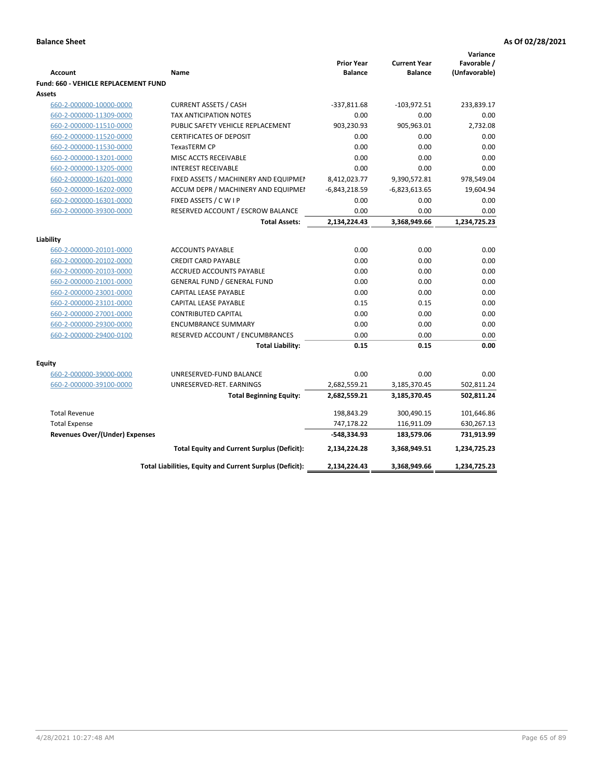|                                                               |                                                          | <b>Prior Year</b><br><b>Balance</b> | <b>Current Year</b><br><b>Balance</b> | Variance<br>Favorable / |
|---------------------------------------------------------------|----------------------------------------------------------|-------------------------------------|---------------------------------------|-------------------------|
| <b>Account</b><br><b>Fund: 660 - VEHICLE REPLACEMENT FUND</b> | Name                                                     |                                     |                                       | (Unfavorable)           |
| Assets                                                        |                                                          |                                     |                                       |                         |
| 660-2-000000-10000-0000                                       | <b>CURRENT ASSETS / CASH</b>                             | $-337,811.68$                       | $-103,972.51$                         | 233,839.17              |
| 660-2-000000-11309-0000                                       | <b>TAX ANTICIPATION NOTES</b>                            | 0.00                                | 0.00                                  | 0.00                    |
| 660-2-000000-11510-0000                                       | PUBLIC SAFETY VEHICLE REPLACEMENT                        | 903,230.93                          | 905,963.01                            | 2,732.08                |
| 660-2-000000-11520-0000                                       | <b>CERTIFICATES OF DEPOSIT</b>                           | 0.00                                | 0.00                                  | 0.00                    |
| 660-2-000000-11530-0000                                       | TexasTERM CP                                             | 0.00                                | 0.00                                  | 0.00                    |
| 660-2-000000-13201-0000                                       | MISC ACCTS RECEIVABLE                                    | 0.00                                | 0.00                                  | 0.00                    |
| 660-2-000000-13205-0000                                       | <b>INTEREST RECEIVABLE</b>                               | 0.00                                | 0.00                                  | 0.00                    |
| 660-2-000000-16201-0000                                       | FIXED ASSETS / MACHINERY AND EQUIPMEN                    | 8,412,023.77                        | 9,390,572.81                          | 978,549.04              |
| 660-2-000000-16202-0000                                       | ACCUM DEPR / MACHINERY AND EQUIPMEI                      | $-6,843,218.59$                     | $-6,823,613.65$                       | 19,604.94               |
| 660-2-000000-16301-0000                                       | FIXED ASSETS / C W I P                                   | 0.00                                | 0.00                                  | 0.00                    |
| 660-2-000000-39300-0000                                       | RESERVED ACCOUNT / ESCROW BALANCE                        | 0.00                                | 0.00                                  | 0.00                    |
|                                                               | <b>Total Assets:</b>                                     | 2,134,224.43                        | 3,368,949.66                          | 1,234,725.23            |
|                                                               |                                                          |                                     |                                       |                         |
| Liability                                                     |                                                          |                                     |                                       |                         |
| 660-2-000000-20101-0000                                       | <b>ACCOUNTS PAYABLE</b>                                  | 0.00                                | 0.00                                  | 0.00                    |
| 660-2-000000-20102-0000                                       | <b>CREDIT CARD PAYABLE</b>                               | 0.00                                | 0.00                                  | 0.00                    |
| 660-2-000000-20103-0000                                       | ACCRUED ACCOUNTS PAYABLE                                 | 0.00                                | 0.00                                  | 0.00                    |
| 660-2-000000-21001-0000                                       | <b>GENERAL FUND / GENERAL FUND</b>                       | 0.00                                | 0.00                                  | 0.00                    |
| 660-2-000000-23001-0000                                       | <b>CAPITAL LEASE PAYABLE</b>                             | 0.00                                | 0.00                                  | 0.00                    |
| 660-2-000000-23101-0000                                       | <b>CAPITAL LEASE PAYABLE</b>                             | 0.15                                | 0.15                                  | 0.00                    |
| 660-2-000000-27001-0000                                       | <b>CONTRIBUTED CAPITAL</b>                               | 0.00                                | 0.00                                  | 0.00                    |
| 660-2-000000-29300-0000                                       | <b>ENCUMBRANCE SUMMARY</b>                               | 0.00                                | 0.00                                  | 0.00                    |
| 660-2-000000-29400-0100                                       | RESERVED ACCOUNT / ENCUMBRANCES                          | 0.00                                | 0.00                                  | 0.00                    |
|                                                               | <b>Total Liability:</b>                                  | 0.15                                | 0.15                                  | 0.00                    |
| <b>Equity</b>                                                 |                                                          |                                     |                                       |                         |
| 660-2-000000-39000-0000                                       | UNRESERVED-FUND BALANCE                                  | 0.00                                | 0.00                                  | 0.00                    |
| 660-2-000000-39100-0000                                       | UNRESERVED-RET. EARNINGS                                 | 2,682,559.21                        | 3,185,370.45                          | 502,811.24              |
|                                                               | <b>Total Beginning Equity:</b>                           | 2,682,559.21                        | 3,185,370.45                          | 502,811.24              |
|                                                               |                                                          |                                     |                                       |                         |
| <b>Total Revenue</b>                                          |                                                          | 198,843.29                          | 300,490.15                            | 101,646.86              |
| <b>Total Expense</b>                                          |                                                          | 747,178.22                          | 116,911.09                            | 630,267.13              |
| <b>Revenues Over/(Under) Expenses</b>                         |                                                          | -548,334.93                         | 183,579.06                            | 731,913.99              |
|                                                               | <b>Total Equity and Current Surplus (Deficit):</b>       | 2,134,224.28                        | 3,368,949.51                          | 1,234,725.23            |
|                                                               | Total Liabilities, Equity and Current Surplus (Deficit): | 2,134,224.43                        | 3,368,949.66                          | 1,234,725.23            |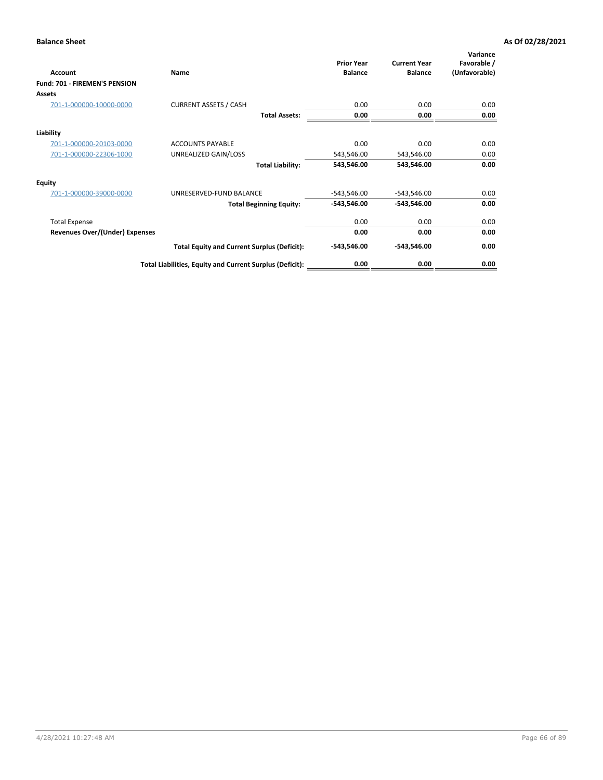| Account                              | Name                                                     | <b>Prior Year</b><br><b>Balance</b> | <b>Current Year</b><br><b>Balance</b> | Variance<br>Favorable /<br>(Unfavorable) |
|--------------------------------------|----------------------------------------------------------|-------------------------------------|---------------------------------------|------------------------------------------|
| <b>Fund: 701 - FIREMEN'S PENSION</b> |                                                          |                                     |                                       |                                          |
| <b>Assets</b>                        |                                                          |                                     |                                       |                                          |
| 701-1-000000-10000-0000              | <b>CURRENT ASSETS / CASH</b>                             | 0.00                                | 0.00                                  | 0.00                                     |
|                                      | <b>Total Assets:</b>                                     | 0.00                                | 0.00                                  | 0.00                                     |
| Liability                            |                                                          |                                     |                                       |                                          |
| 701-1-000000-20103-0000              | <b>ACCOUNTS PAYABLE</b>                                  | 0.00                                | 0.00                                  | 0.00                                     |
| 701-1-000000-22306-1000              | UNREALIZED GAIN/LOSS                                     | 543,546.00                          | 543,546.00                            | 0.00                                     |
|                                      | <b>Total Liability:</b>                                  | 543,546.00                          | 543,546.00                            | 0.00                                     |
| <b>Equity</b>                        |                                                          |                                     |                                       |                                          |
| 701-1-000000-39000-0000              | UNRESERVED-FUND BALANCE                                  | $-543,546.00$                       | $-543,546.00$                         | 0.00                                     |
|                                      | <b>Total Beginning Equity:</b>                           | $-543,546.00$                       | -543,546.00                           | 0.00                                     |
| <b>Total Expense</b>                 |                                                          | 0.00                                | 0.00                                  | 0.00                                     |
| Revenues Over/(Under) Expenses       |                                                          | 0.00                                | 0.00                                  | 0.00                                     |
|                                      | <b>Total Equity and Current Surplus (Deficit):</b>       | $-543,546.00$                       | -543,546.00                           | 0.00                                     |
|                                      | Total Liabilities, Equity and Current Surplus (Deficit): | 0.00                                | 0.00                                  | 0.00                                     |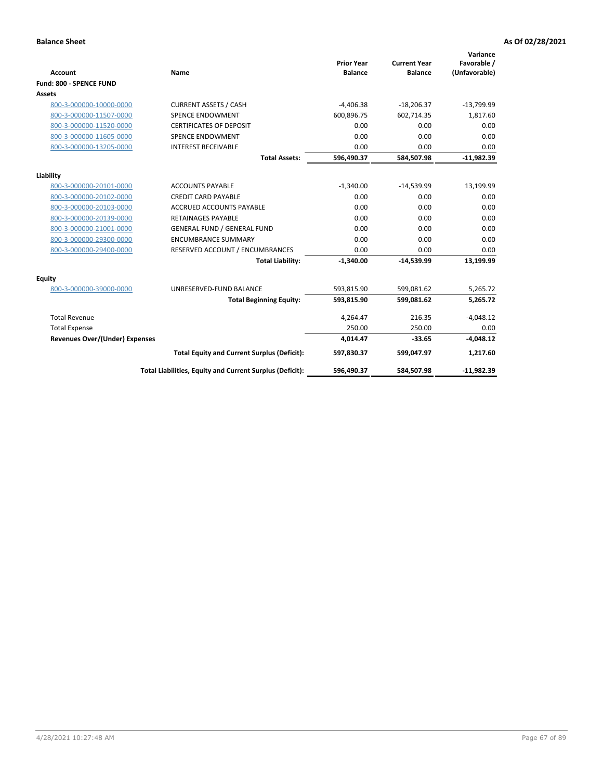|                                       |                                                          |                                     |                                       | Variance                     |
|---------------------------------------|----------------------------------------------------------|-------------------------------------|---------------------------------------|------------------------------|
| <b>Account</b>                        | <b>Name</b>                                              | <b>Prior Year</b><br><b>Balance</b> | <b>Current Year</b><br><b>Balance</b> | Favorable /<br>(Unfavorable) |
| Fund: 800 - SPENCE FUND               |                                                          |                                     |                                       |                              |
| Assets                                |                                                          |                                     |                                       |                              |
| 800-3-000000-10000-0000               | <b>CURRENT ASSETS / CASH</b>                             | $-4,406.38$                         | $-18,206.37$                          | $-13,799.99$                 |
| 800-3-000000-11507-0000               | <b>SPENCE ENDOWMENT</b>                                  | 600,896.75                          | 602,714.35                            | 1,817.60                     |
| 800-3-000000-11520-0000               | <b>CERTIFICATES OF DEPOSIT</b>                           | 0.00                                | 0.00                                  | 0.00                         |
|                                       | <b>SPENCE ENDOWMENT</b>                                  | 0.00                                | 0.00                                  | 0.00                         |
| 800-3-000000-11605-0000               | <b>INTEREST RECEIVABLE</b>                               | 0.00                                | 0.00                                  | 0.00                         |
| 800-3-000000-13205-0000               |                                                          |                                     |                                       |                              |
|                                       | <b>Total Assets:</b>                                     | 596,490.37                          | 584,507.98                            | $-11,982.39$                 |
| Liability                             |                                                          |                                     |                                       |                              |
| 800-3-000000-20101-0000               | <b>ACCOUNTS PAYABLE</b>                                  | $-1,340.00$                         | $-14,539.99$                          | 13,199.99                    |
| 800-3-000000-20102-0000               | <b>CREDIT CARD PAYABLE</b>                               | 0.00                                | 0.00                                  | 0.00                         |
| 800-3-000000-20103-0000               | <b>ACCRUED ACCOUNTS PAYABLE</b>                          | 0.00                                | 0.00                                  | 0.00                         |
| 800-3-000000-20139-0000               | <b>RETAINAGES PAYABLE</b>                                | 0.00                                | 0.00                                  | 0.00                         |
| 800-3-000000-21001-0000               | <b>GENERAL FUND / GENERAL FUND</b>                       | 0.00                                | 0.00                                  | 0.00                         |
| 800-3-000000-29300-0000               | <b>ENCUMBRANCE SUMMARY</b>                               | 0.00                                | 0.00                                  | 0.00                         |
| 800-3-000000-29400-0000               | RESERVED ACCOUNT / ENCUMBRANCES                          | 0.00                                | 0.00                                  | 0.00                         |
|                                       | <b>Total Liability:</b>                                  | $-1,340.00$                         | $-14,539.99$                          | 13,199.99                    |
| <b>Equity</b>                         |                                                          |                                     |                                       |                              |
| 800-3-000000-39000-0000               | UNRESERVED-FUND BALANCE                                  | 593,815.90                          | 599,081.62                            | 5,265.72                     |
|                                       | <b>Total Beginning Equity:</b>                           | 593,815.90                          | 599,081.62                            | 5.265.72                     |
|                                       |                                                          |                                     |                                       |                              |
| <b>Total Revenue</b>                  |                                                          | 4,264.47                            | 216.35                                | $-4,048.12$                  |
| <b>Total Expense</b>                  |                                                          | 250.00                              | 250.00                                | 0.00                         |
| <b>Revenues Over/(Under) Expenses</b> |                                                          | 4,014.47                            | $-33.65$                              | $-4,048.12$                  |
|                                       | <b>Total Equity and Current Surplus (Deficit):</b>       | 597,830.37                          | 599,047.97                            | 1,217.60                     |
|                                       | Total Liabilities, Equity and Current Surplus (Deficit): | 596,490.37                          | 584,507.98                            | $-11,982.39$                 |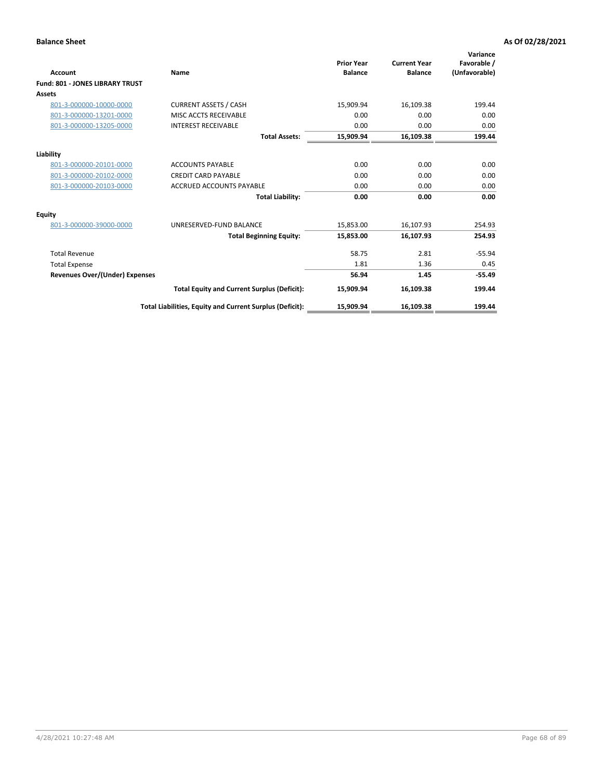|                                        |                                                          |                                     |                                       | Variance                     |
|----------------------------------------|----------------------------------------------------------|-------------------------------------|---------------------------------------|------------------------------|
| Account                                | Name                                                     | <b>Prior Year</b><br><b>Balance</b> | <b>Current Year</b><br><b>Balance</b> | Favorable /<br>(Unfavorable) |
| <b>Fund: 801 - JONES LIBRARY TRUST</b> |                                                          |                                     |                                       |                              |
| Assets                                 |                                                          |                                     |                                       |                              |
| 801-3-000000-10000-0000                | <b>CURRENT ASSETS / CASH</b>                             | 15,909.94                           | 16,109.38                             | 199.44                       |
| 801-3-000000-13201-0000                | MISC ACCTS RECEIVABLE                                    | 0.00                                | 0.00                                  | 0.00                         |
| 801-3-000000-13205-0000                | <b>INTEREST RECEIVABLE</b>                               | 0.00                                | 0.00                                  | 0.00                         |
|                                        | <b>Total Assets:</b>                                     | 15,909.94                           | 16,109.38                             | 199.44                       |
| Liability                              |                                                          |                                     |                                       |                              |
| 801-3-000000-20101-0000                | <b>ACCOUNTS PAYABLE</b>                                  | 0.00                                | 0.00                                  | 0.00                         |
| 801-3-000000-20102-0000                | <b>CREDIT CARD PAYABLE</b>                               | 0.00                                | 0.00                                  | 0.00                         |
| 801-3-000000-20103-0000                | <b>ACCRUED ACCOUNTS PAYABLE</b>                          | 0.00                                | 0.00                                  | 0.00                         |
|                                        | <b>Total Liability:</b>                                  | 0.00                                | 0.00                                  | 0.00                         |
| Equity                                 |                                                          |                                     |                                       |                              |
| 801-3-000000-39000-0000                | UNRESERVED-FUND BALANCE                                  | 15,853.00                           | 16,107.93                             | 254.93                       |
|                                        | <b>Total Beginning Equity:</b>                           | 15,853.00                           | 16,107.93                             | 254.93                       |
| <b>Total Revenue</b>                   |                                                          | 58.75                               | 2.81                                  | $-55.94$                     |
| <b>Total Expense</b>                   |                                                          | 1.81                                | 1.36                                  | 0.45                         |
| Revenues Over/(Under) Expenses         |                                                          | 56.94                               | 1.45                                  | $-55.49$                     |
|                                        | <b>Total Equity and Current Surplus (Deficit):</b>       | 15,909.94                           | 16,109.38                             | 199.44                       |
|                                        | Total Liabilities, Equity and Current Surplus (Deficit): | 15,909.94                           | 16,109.38                             | 199.44                       |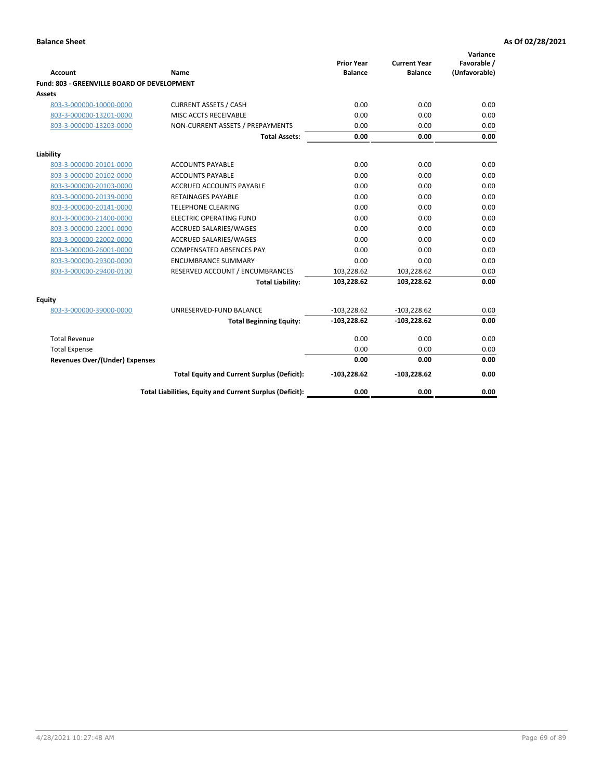| <b>Account</b>                              | Name                                                     | <b>Prior Year</b><br><b>Balance</b> | <b>Current Year</b><br><b>Balance</b> | Variance<br>Favorable /<br>(Unfavorable) |
|---------------------------------------------|----------------------------------------------------------|-------------------------------------|---------------------------------------|------------------------------------------|
| Fund: 803 - GREENVILLE BOARD OF DEVELOPMENT |                                                          |                                     |                                       |                                          |
| Assets                                      |                                                          |                                     |                                       |                                          |
| 803-3-000000-10000-0000                     | <b>CURRENT ASSETS / CASH</b>                             | 0.00                                | 0.00                                  | 0.00                                     |
| 803-3-000000-13201-0000                     | MISC ACCTS RECEIVABLE                                    | 0.00                                | 0.00                                  | 0.00                                     |
| 803-3-000000-13203-0000                     | NON-CURRENT ASSETS / PREPAYMENTS                         | 0.00                                | 0.00                                  | 0.00                                     |
|                                             | <b>Total Assets:</b>                                     | 0.00                                | 0.00                                  | 0.00                                     |
| Liability                                   |                                                          |                                     |                                       |                                          |
| 803-3-000000-20101-0000                     | <b>ACCOUNTS PAYABLE</b>                                  | 0.00                                | 0.00                                  | 0.00                                     |
| 803-3-000000-20102-0000                     | <b>ACCOUNTS PAYABLE</b>                                  | 0.00                                | 0.00                                  | 0.00                                     |
| 803-3-000000-20103-0000                     | <b>ACCRUED ACCOUNTS PAYABLE</b>                          | 0.00                                | 0.00                                  | 0.00                                     |
| 803-3-000000-20139-0000                     | <b>RETAINAGES PAYABLE</b>                                | 0.00                                | 0.00                                  | 0.00                                     |
| 803-3-000000-20141-0000                     | <b>TELEPHONE CLEARING</b>                                | 0.00                                | 0.00                                  | 0.00                                     |
| 803-3-000000-21400-0000                     | <b>ELECTRIC OPERATING FUND</b>                           | 0.00                                | 0.00                                  | 0.00                                     |
| 803-3-000000-22001-0000                     | <b>ACCRUED SALARIES/WAGES</b>                            | 0.00                                | 0.00                                  | 0.00                                     |
| 803-3-000000-22002-0000                     | <b>ACCRUED SALARIES/WAGES</b>                            | 0.00                                | 0.00                                  | 0.00                                     |
| 803-3-000000-26001-0000                     | <b>COMPENSATED ABSENCES PAY</b>                          | 0.00                                | 0.00                                  | 0.00                                     |
| 803-3-000000-29300-0000                     | <b>ENCUMBRANCE SUMMARY</b>                               | 0.00                                | 0.00                                  | 0.00                                     |
| 803-3-000000-29400-0100                     | RESERVED ACCOUNT / ENCUMBRANCES                          | 103,228.62                          | 103,228.62                            | 0.00                                     |
|                                             | <b>Total Liability:</b>                                  | 103,228.62                          | 103,228.62                            | 0.00                                     |
| <b>Equity</b>                               |                                                          |                                     |                                       |                                          |
| 803-3-000000-39000-0000                     | UNRESERVED-FUND BALANCE                                  | $-103,228.62$                       | $-103,228.62$                         | 0.00                                     |
|                                             | <b>Total Beginning Equity:</b>                           | $-103,228.62$                       | $-103,228.62$                         | 0.00                                     |
| <b>Total Revenue</b>                        |                                                          | 0.00                                | 0.00                                  | 0.00                                     |
| <b>Total Expense</b>                        |                                                          | 0.00                                | 0.00                                  | 0.00                                     |
| <b>Revenues Over/(Under) Expenses</b>       |                                                          | 0.00                                | 0.00                                  | 0.00                                     |
|                                             | <b>Total Equity and Current Surplus (Deficit):</b>       | $-103,228.62$                       | $-103,228.62$                         | 0.00                                     |
|                                             | Total Liabilities, Equity and Current Surplus (Deficit): | 0.00                                | 0.00                                  | 0.00                                     |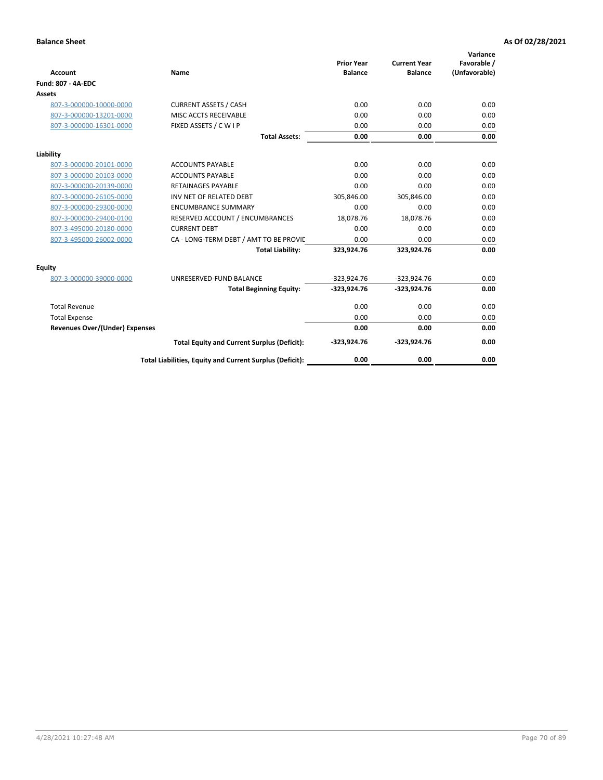| <b>Account</b>                        | Name                                                     | <b>Prior Year</b><br><b>Balance</b> | <b>Current Year</b><br><b>Balance</b> | Variance<br>Favorable /<br>(Unfavorable) |
|---------------------------------------|----------------------------------------------------------|-------------------------------------|---------------------------------------|------------------------------------------|
| <b>Fund: 807 - 4A-EDC</b>             |                                                          |                                     |                                       |                                          |
| <b>Assets</b>                         |                                                          |                                     |                                       |                                          |
| 807-3-000000-10000-0000               | <b>CURRENT ASSETS / CASH</b>                             | 0.00                                | 0.00                                  | 0.00                                     |
| 807-3-000000-13201-0000               | MISC ACCTS RECEIVABLE                                    | 0.00                                | 0.00                                  | 0.00                                     |
| 807-3-000000-16301-0000               | FIXED ASSETS / C W I P                                   | 0.00                                | 0.00                                  | 0.00                                     |
|                                       | <b>Total Assets:</b>                                     | 0.00                                | 0.00                                  | 0.00                                     |
| Liability                             |                                                          |                                     |                                       |                                          |
| 807-3-000000-20101-0000               | <b>ACCOUNTS PAYABLE</b>                                  | 0.00                                | 0.00                                  | 0.00                                     |
| 807-3-000000-20103-0000               | <b>ACCOUNTS PAYABLE</b>                                  | 0.00                                | 0.00                                  | 0.00                                     |
| 807-3-000000-20139-0000               | <b>RETAINAGES PAYABLE</b>                                | 0.00                                | 0.00                                  | 0.00                                     |
| 807-3-000000-26105-0000               | INV NET OF RELATED DEBT                                  | 305,846.00                          | 305,846.00                            | 0.00                                     |
| 807-3-000000-29300-0000               | <b>ENCUMBRANCE SUMMARY</b>                               | 0.00                                | 0.00                                  | 0.00                                     |
| 807-3-000000-29400-0100               | RESERVED ACCOUNT / ENCUMBRANCES                          | 18,078.76                           | 18,078.76                             | 0.00                                     |
| 807-3-495000-20180-0000               | <b>CURRENT DEBT</b>                                      | 0.00                                | 0.00                                  | 0.00                                     |
| 807-3-495000-26002-0000               | CA - LONG-TERM DEBT / AMT TO BE PROVIL                   | 0.00                                | 0.00                                  | 0.00                                     |
|                                       | <b>Total Liability:</b>                                  | 323,924.76                          | 323,924.76                            | 0.00                                     |
| Equity                                |                                                          |                                     |                                       |                                          |
| 807-3-000000-39000-0000               | UNRESERVED-FUND BALANCE                                  | $-323,924.76$                       | $-323,924.76$                         | 0.00                                     |
|                                       | <b>Total Beginning Equity:</b>                           | $-323,924.76$                       | $-323,924.76$                         | 0.00                                     |
| <b>Total Revenue</b>                  |                                                          | 0.00                                | 0.00                                  | 0.00                                     |
| <b>Total Expense</b>                  |                                                          | 0.00                                | 0.00                                  | 0.00                                     |
| <b>Revenues Over/(Under) Expenses</b> |                                                          | 0.00                                | 0.00                                  | 0.00                                     |
|                                       | <b>Total Equity and Current Surplus (Deficit):</b>       | $-323,924.76$                       | $-323,924.76$                         | 0.00                                     |
|                                       | Total Liabilities, Equity and Current Surplus (Deficit): | 0.00                                | 0.00                                  | 0.00                                     |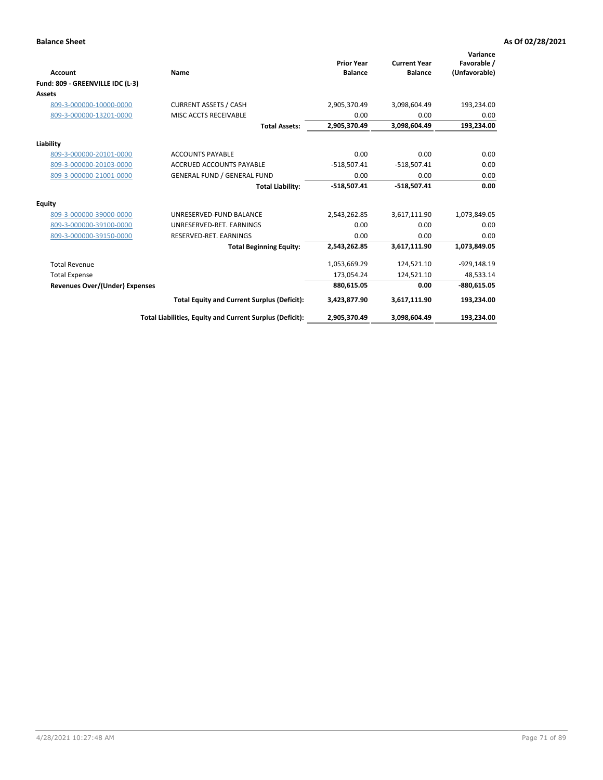| Account                               | Name                                                     | <b>Prior Year</b><br><b>Balance</b> | <b>Current Year</b><br><b>Balance</b> | Variance<br>Favorable /<br>(Unfavorable) |
|---------------------------------------|----------------------------------------------------------|-------------------------------------|---------------------------------------|------------------------------------------|
| Fund: 809 - GREENVILLE IDC (L-3)      |                                                          |                                     |                                       |                                          |
| Assets                                |                                                          |                                     |                                       |                                          |
| 809-3-000000-10000-0000               | <b>CURRENT ASSETS / CASH</b>                             | 2,905,370.49                        | 3,098,604.49                          | 193,234.00                               |
| 809-3-000000-13201-0000               | MISC ACCTS RECEIVABLE                                    | 0.00                                | 0.00                                  | 0.00                                     |
|                                       | <b>Total Assets:</b>                                     | 2,905,370.49                        | 3,098,604.49                          | 193,234.00                               |
| Liability                             |                                                          |                                     |                                       |                                          |
| 809-3-000000-20101-0000               | <b>ACCOUNTS PAYABLE</b>                                  | 0.00                                | 0.00                                  | 0.00                                     |
| 809-3-000000-20103-0000               | <b>ACCRUED ACCOUNTS PAYABLE</b>                          | $-518,507.41$                       | $-518,507.41$                         | 0.00                                     |
| 809-3-000000-21001-0000               | <b>GENERAL FUND / GENERAL FUND</b>                       | 0.00                                | 0.00                                  | 0.00                                     |
|                                       | <b>Total Liability:</b>                                  | $-518,507.41$                       | $-518,507.41$                         | 0.00                                     |
| Equity                                |                                                          |                                     |                                       |                                          |
| 809-3-000000-39000-0000               | UNRESERVED-FUND BALANCE                                  | 2,543,262.85                        | 3,617,111.90                          | 1,073,849.05                             |
| 809-3-000000-39100-0000               | UNRESERVED-RET. EARNINGS                                 | 0.00                                | 0.00                                  | 0.00                                     |
| 809-3-000000-39150-0000               | RESERVED-RET. EARNINGS                                   | 0.00                                | 0.00                                  | 0.00                                     |
|                                       | <b>Total Beginning Equity:</b>                           | 2,543,262.85                        | 3,617,111.90                          | 1,073,849.05                             |
| <b>Total Revenue</b>                  |                                                          | 1,053,669.29                        | 124,521.10                            | $-929,148.19$                            |
| <b>Total Expense</b>                  |                                                          | 173,054.24                          | 124,521.10                            | 48,533.14                                |
| <b>Revenues Over/(Under) Expenses</b> |                                                          | 880,615.05                          | 0.00                                  | $-880,615.05$                            |
|                                       | <b>Total Equity and Current Surplus (Deficit):</b>       | 3,423,877.90                        | 3,617,111.90                          | 193,234.00                               |
|                                       | Total Liabilities, Equity and Current Surplus (Deficit): | 2,905,370.49                        | 3,098,604.49                          | 193.234.00                               |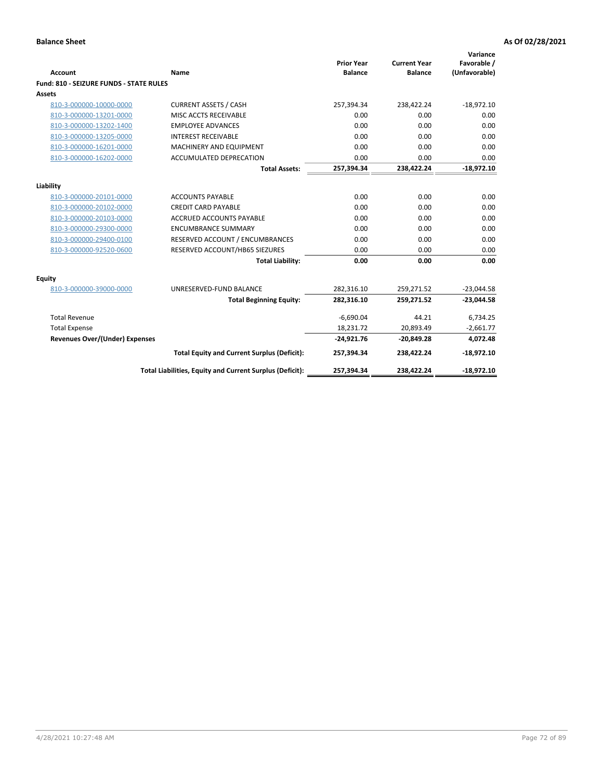| <b>Account</b>                          | Name                                                     | <b>Prior Year</b><br><b>Balance</b> | <b>Current Year</b><br><b>Balance</b> | Variance<br>Favorable /<br>(Unfavorable) |
|-----------------------------------------|----------------------------------------------------------|-------------------------------------|---------------------------------------|------------------------------------------|
| Fund: 810 - SEIZURE FUNDS - STATE RULES |                                                          |                                     |                                       |                                          |
| Assets                                  |                                                          |                                     |                                       |                                          |
| 810-3-000000-10000-0000                 | <b>CURRENT ASSETS / CASH</b>                             | 257,394.34                          | 238,422.24                            | $-18,972.10$                             |
| 810-3-000000-13201-0000                 | MISC ACCTS RECEIVABLE                                    | 0.00                                | 0.00                                  | 0.00                                     |
| 810-3-000000-13202-1400                 | <b>EMPLOYEE ADVANCES</b>                                 | 0.00                                | 0.00                                  | 0.00                                     |
| 810-3-000000-13205-0000                 | <b>INTEREST RECEIVABLE</b>                               | 0.00                                | 0.00                                  | 0.00                                     |
| 810-3-000000-16201-0000                 | MACHINERY AND EQUIPMENT                                  | 0.00                                | 0.00                                  | 0.00                                     |
| 810-3-000000-16202-0000                 | ACCUMULATED DEPRECATION                                  | 0.00                                | 0.00                                  | 0.00                                     |
|                                         | <b>Total Assets:</b>                                     | 257,394.34                          | 238,422.24                            | $-18,972.10$                             |
|                                         |                                                          |                                     |                                       |                                          |
| Liability                               |                                                          |                                     |                                       |                                          |
| 810-3-000000-20101-0000                 | <b>ACCOUNTS PAYABLE</b>                                  | 0.00                                | 0.00                                  | 0.00                                     |
| 810-3-000000-20102-0000                 | <b>CREDIT CARD PAYABLE</b>                               | 0.00                                | 0.00                                  | 0.00                                     |
| 810-3-000000-20103-0000                 | <b>ACCRUED ACCOUNTS PAYABLE</b>                          | 0.00                                | 0.00                                  | 0.00                                     |
| 810-3-000000-29300-0000                 | <b>ENCUMBRANCE SUMMARY</b>                               | 0.00                                | 0.00                                  | 0.00                                     |
| 810-3-000000-29400-0100                 | RESERVED ACCOUNT / ENCUMBRANCES                          | 0.00                                | 0.00                                  | 0.00                                     |
| 810-3-000000-92520-0600                 | RESERVED ACCOUNT/HB65 SIEZURES                           | 0.00                                | 0.00                                  | 0.00                                     |
|                                         | <b>Total Liability:</b>                                  | 0.00                                | 0.00                                  | 0.00                                     |
| <b>Equity</b>                           |                                                          |                                     |                                       |                                          |
| 810-3-000000-39000-0000                 | UNRESERVED-FUND BALANCE                                  | 282,316.10                          | 259,271.52                            | $-23,044.58$                             |
|                                         | <b>Total Beginning Equity:</b>                           | 282,316.10                          | 259,271.52                            | $-23,044.58$                             |
| <b>Total Revenue</b>                    |                                                          | $-6,690.04$                         | 44.21                                 | 6,734.25                                 |
| <b>Total Expense</b>                    |                                                          | 18,231.72                           | 20,893.49                             | $-2,661.77$                              |
| <b>Revenues Over/(Under) Expenses</b>   |                                                          | $-24,921.76$                        | $-20,849.28$                          | 4,072.48                                 |
|                                         | <b>Total Equity and Current Surplus (Deficit):</b>       | 257,394.34                          | 238,422.24                            | $-18,972.10$                             |
|                                         | Total Liabilities, Equity and Current Surplus (Deficit): | 257,394.34                          | 238,422.24                            | $-18,972.10$                             |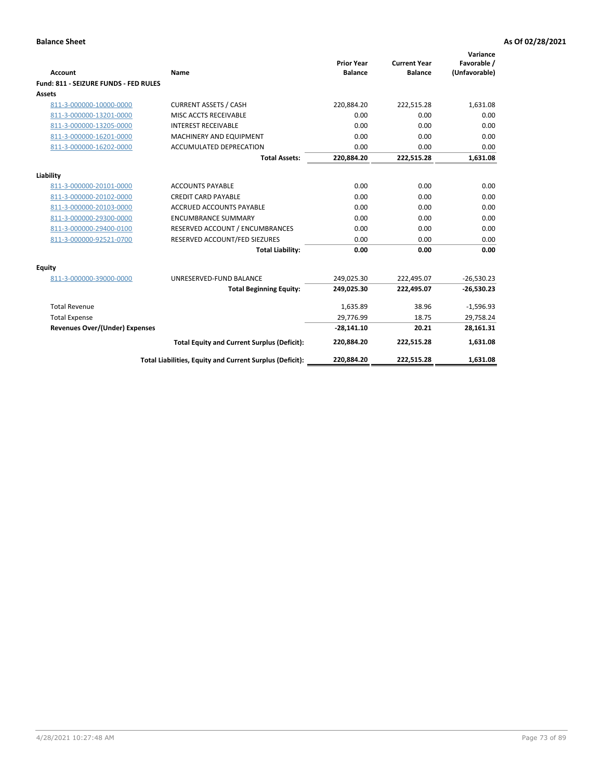| Account                               | Name                                                     | <b>Prior Year</b><br><b>Balance</b> | <b>Current Year</b><br><b>Balance</b> | Variance<br>Favorable /<br>(Unfavorable) |
|---------------------------------------|----------------------------------------------------------|-------------------------------------|---------------------------------------|------------------------------------------|
| Fund: 811 - SEIZURE FUNDS - FED RULES |                                                          |                                     |                                       |                                          |
| <b>Assets</b>                         |                                                          |                                     |                                       |                                          |
| 811-3-000000-10000-0000               | <b>CURRENT ASSETS / CASH</b>                             | 220,884.20                          | 222,515.28                            | 1,631.08                                 |
| 811-3-000000-13201-0000               | MISC ACCTS RECEIVABLE                                    | 0.00                                | 0.00                                  | 0.00                                     |
| 811-3-000000-13205-0000               | <b>INTEREST RECEIVABLE</b>                               | 0.00                                | 0.00                                  | 0.00                                     |
| 811-3-000000-16201-0000               | <b>MACHINERY AND EQUIPMENT</b>                           | 0.00                                | 0.00                                  | 0.00                                     |
| 811-3-000000-16202-0000               | <b>ACCUMULATED DEPRECATION</b>                           | 0.00                                | 0.00                                  | 0.00                                     |
|                                       | <b>Total Assets:</b>                                     | 220,884.20                          | 222,515.28                            | 1,631.08                                 |
| Liability                             |                                                          |                                     |                                       |                                          |
| 811-3-000000-20101-0000               | <b>ACCOUNTS PAYABLE</b>                                  | 0.00                                | 0.00                                  | 0.00                                     |
| 811-3-000000-20102-0000               | <b>CREDIT CARD PAYABLE</b>                               | 0.00                                | 0.00                                  | 0.00                                     |
| 811-3-000000-20103-0000               | <b>ACCRUED ACCOUNTS PAYABLE</b>                          | 0.00                                | 0.00                                  | 0.00                                     |
| 811-3-000000-29300-0000               | <b>ENCUMBRANCE SUMMARY</b>                               | 0.00                                | 0.00                                  | 0.00                                     |
| 811-3-000000-29400-0100               | RESERVED ACCOUNT / ENCUMBRANCES                          | 0.00                                | 0.00                                  | 0.00                                     |
| 811-3-000000-92521-0700               | RESERVED ACCOUNT/FED SIEZURES                            | 0.00                                | 0.00                                  | 0.00                                     |
|                                       | <b>Total Liability:</b>                                  | 0.00                                | 0.00                                  | 0.00                                     |
|                                       |                                                          |                                     |                                       |                                          |
| Equity<br>811-3-000000-39000-0000     | UNRESERVED-FUND BALANCE                                  | 249,025.30                          | 222,495.07                            | $-26,530.23$                             |
|                                       | <b>Total Beginning Equity:</b>                           | 249,025.30                          | 222,495.07                            | $-26,530.23$                             |
|                                       |                                                          |                                     |                                       |                                          |
| <b>Total Revenue</b>                  |                                                          | 1,635.89                            | 38.96                                 | $-1,596.93$                              |
| <b>Total Expense</b>                  |                                                          | 29,776.99                           | 18.75                                 | 29,758.24                                |
| <b>Revenues Over/(Under) Expenses</b> |                                                          | $-28,141.10$                        | 20.21                                 | 28,161.31                                |
|                                       | <b>Total Equity and Current Surplus (Deficit):</b>       | 220,884.20                          | 222,515.28                            | 1,631.08                                 |
|                                       | Total Liabilities, Equity and Current Surplus (Deficit): | 220,884.20                          | 222,515.28                            | 1.631.08                                 |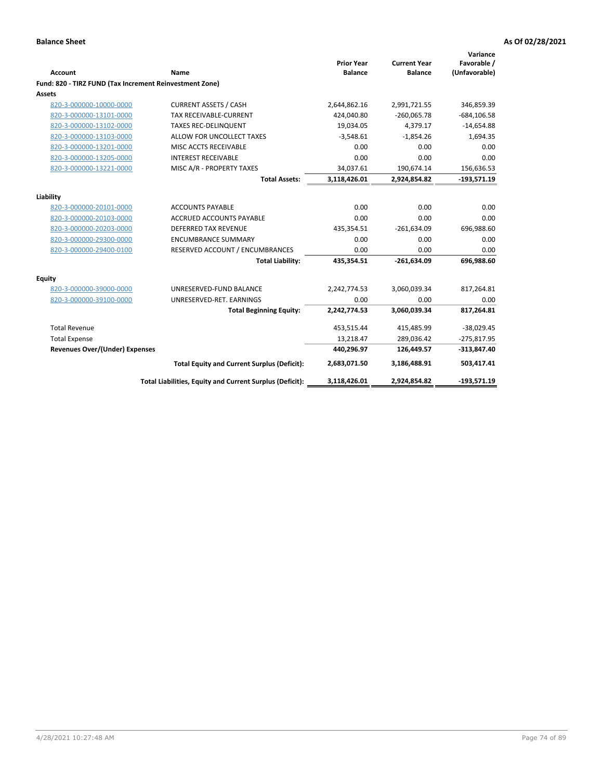| <b>Account</b>                                          | Name                                                     | <b>Prior Year</b><br><b>Balance</b> | <b>Current Year</b><br><b>Balance</b> | Variance<br>Favorable /<br>(Unfavorable) |
|---------------------------------------------------------|----------------------------------------------------------|-------------------------------------|---------------------------------------|------------------------------------------|
| Fund: 820 - TIRZ FUND (Tax Increment Reinvestment Zone) |                                                          |                                     |                                       |                                          |
| Assets                                                  |                                                          |                                     |                                       |                                          |
| 820-3-000000-10000-0000                                 | <b>CURRENT ASSETS / CASH</b>                             | 2,644,862.16                        | 2,991,721.55                          | 346,859.39                               |
| 820-3-000000-13101-0000                                 | TAX RECEIVABLE-CURRENT                                   | 424.040.80                          | $-260,065.78$                         | $-684, 106.58$                           |
| 820-3-000000-13102-0000                                 | <b>TAXES REC-DELINQUENT</b>                              | 19,034.05                           | 4,379.17                              | $-14,654.88$                             |
| 820-3-000000-13103-0000                                 | ALLOW FOR UNCOLLECT TAXES                                | $-3,548.61$                         | $-1,854.26$                           | 1,694.35                                 |
| 820-3-000000-13201-0000                                 | MISC ACCTS RECEIVABLE                                    | 0.00                                | 0.00                                  | 0.00                                     |
| 820-3-000000-13205-0000                                 | <b>INTEREST RECEIVABLE</b>                               | 0.00                                | 0.00                                  | 0.00                                     |
| 820-3-000000-13221-0000                                 | MISC A/R - PROPERTY TAXES                                | 34,037.61                           | 190,674.14                            | 156,636.53                               |
|                                                         | <b>Total Assets:</b>                                     | 3,118,426.01                        | 2,924,854.82                          | $-193,571.19$                            |
| Liability                                               |                                                          |                                     |                                       |                                          |
| 820-3-000000-20101-0000                                 | <b>ACCOUNTS PAYABLE</b>                                  | 0.00                                | 0.00                                  | 0.00                                     |
| 820-3-000000-20103-0000                                 | <b>ACCRUED ACCOUNTS PAYABLE</b>                          | 0.00                                | 0.00                                  | 0.00                                     |
| 820-3-000000-20203-0000                                 | <b>DEFERRED TAX REVENUE</b>                              | 435,354.51                          | $-261,634.09$                         | 696,988.60                               |
| 820-3-000000-29300-0000                                 | <b>ENCUMBRANCE SUMMARY</b>                               | 0.00                                | 0.00                                  | 0.00                                     |
| 820-3-000000-29400-0100                                 | RESERVED ACCOUNT / ENCUMBRANCES                          | 0.00                                | 0.00                                  | 0.00                                     |
|                                                         | <b>Total Liability:</b>                                  | 435,354.51                          | $-261,634.09$                         | 696,988.60                               |
| <b>Equity</b>                                           |                                                          |                                     |                                       |                                          |
| 820-3-000000-39000-0000                                 | UNRESERVED-FUND BALANCE                                  | 2,242,774.53                        | 3,060,039.34                          | 817,264.81                               |
| 820-3-000000-39100-0000                                 | UNRESERVED-RET. EARNINGS                                 | 0.00                                | 0.00                                  | 0.00                                     |
|                                                         | <b>Total Beginning Equity:</b>                           | 2,242,774.53                        | 3,060,039.34                          | 817,264.81                               |
| <b>Total Revenue</b>                                    |                                                          | 453,515.44                          | 415,485.99                            | $-38,029.45$                             |
| <b>Total Expense</b>                                    |                                                          | 13,218.47                           | 289,036.42                            | $-275,817.95$                            |
| <b>Revenues Over/(Under) Expenses</b>                   |                                                          | 440,296.97                          | 126,449.57                            | $-313,847.40$                            |
|                                                         | <b>Total Equity and Current Surplus (Deficit):</b>       | 2,683,071.50                        | 3,186,488.91                          | 503,417.41                               |
|                                                         | Total Liabilities, Equity and Current Surplus (Deficit): | 3,118,426.01                        | 2,924,854.82                          | $-193,571.19$                            |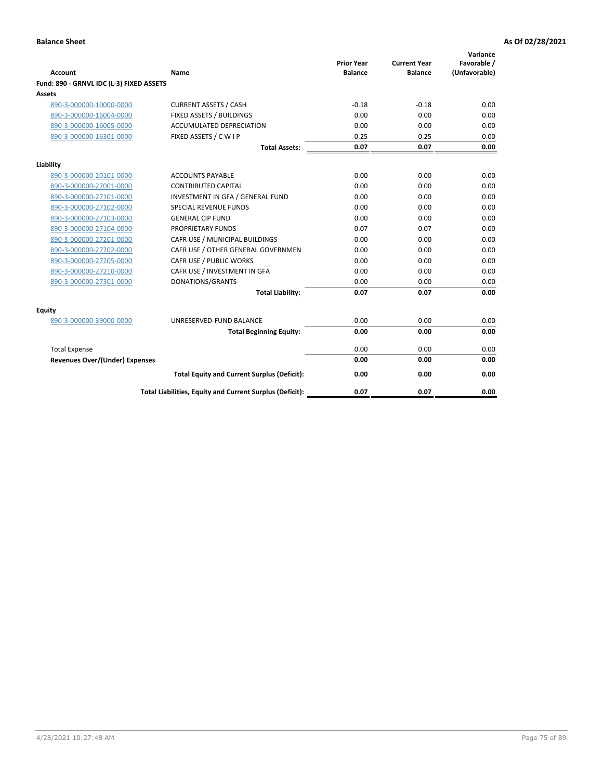| <b>Account</b>                           | Name                                                     | <b>Prior Year</b><br><b>Balance</b> | <b>Current Year</b><br><b>Balance</b> | Variance<br>Favorable /<br>(Unfavorable) |
|------------------------------------------|----------------------------------------------------------|-------------------------------------|---------------------------------------|------------------------------------------|
| Fund: 890 - GRNVL IDC (L-3) FIXED ASSETS |                                                          |                                     |                                       |                                          |
| <b>Assets</b>                            |                                                          |                                     |                                       |                                          |
| 890-3-000000-10000-0000                  | <b>CURRENT ASSETS / CASH</b>                             | $-0.18$                             | $-0.18$                               | 0.00                                     |
| 890-3-000000-16004-0000                  | FIXED ASSETS / BUILDINGS                                 | 0.00                                | 0.00                                  | 0.00                                     |
| 890-3-000000-16005-0000                  | <b>ACCUMULATED DEPRECIATION</b>                          | 0.00                                | 0.00                                  | 0.00                                     |
| 890-3-000000-16301-0000                  | FIXED ASSETS / C W I P                                   | 0.25                                | 0.25                                  | 0.00                                     |
|                                          | <b>Total Assets:</b>                                     | 0.07                                | 0.07                                  | 0.00                                     |
| Liability                                |                                                          |                                     |                                       |                                          |
| 890-3-000000-20101-0000                  | <b>ACCOUNTS PAYABLE</b>                                  | 0.00                                | 0.00                                  | 0.00                                     |
| 890-3-000000-27001-0000                  | <b>CONTRIBUTED CAPITAL</b>                               | 0.00                                | 0.00                                  | 0.00                                     |
| 890-3-000000-27101-0000                  | INVESTMENT IN GFA / GENERAL FUND                         | 0.00                                | 0.00                                  | 0.00                                     |
| 890-3-000000-27102-0000                  | <b>SPECIAL REVENUE FUNDS</b>                             | 0.00                                | 0.00                                  | 0.00                                     |
| 890-3-000000-27103-0000                  | <b>GENERAL CIP FUND</b>                                  | 0.00                                | 0.00                                  | 0.00                                     |
| 890-3-000000-27104-0000                  | PROPRIETARY FUNDS                                        | 0.07                                | 0.07                                  | 0.00                                     |
| 890-3-000000-27201-0000                  | CAFR USE / MUNICIPAL BUILDINGS                           | 0.00                                | 0.00                                  | 0.00                                     |
| 890-3-000000-27202-0000                  | CAFR USE / OTHER GENERAL GOVERNMEN                       | 0.00                                | 0.00                                  | 0.00                                     |
| 890-3-000000-27205-0000                  | CAFR USE / PUBLIC WORKS                                  | 0.00                                | 0.00                                  | 0.00                                     |
| 890-3-000000-27210-0000                  | CAFR USE / INVESTMENT IN GFA                             | 0.00                                | 0.00                                  | 0.00                                     |
| 890-3-000000-27301-0000                  | DONATIONS/GRANTS                                         | 0.00                                | 0.00                                  | 0.00                                     |
|                                          | <b>Total Liability:</b>                                  | 0.07                                | 0.07                                  | 0.00                                     |
| Equity                                   |                                                          |                                     |                                       |                                          |
| 890-3-000000-39000-0000                  | UNRESERVED-FUND BALANCE                                  | 0.00                                | 0.00                                  | 0.00                                     |
|                                          | <b>Total Beginning Equity:</b>                           | 0.00                                | 0.00                                  | 0.00                                     |
| <b>Total Expense</b>                     |                                                          | 0.00                                | 0.00                                  | 0.00                                     |
| <b>Revenues Over/(Under) Expenses</b>    |                                                          | 0.00                                | 0.00                                  | 0.00                                     |
|                                          | <b>Total Equity and Current Surplus (Deficit):</b>       | 0.00                                | 0.00                                  | 0.00                                     |
|                                          | Total Liabilities, Equity and Current Surplus (Deficit): | 0.07                                | 0.07                                  | 0.00                                     |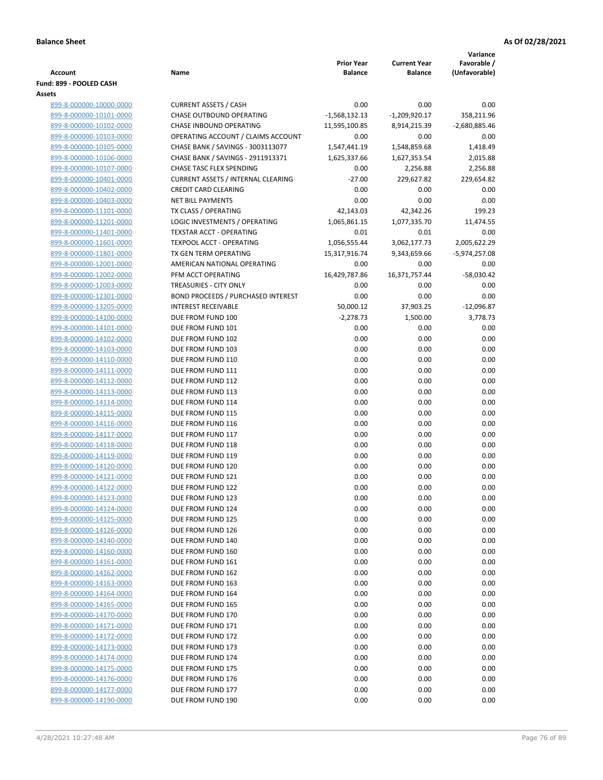|                                                    |                                                                         |                   |                     | Variance        |
|----------------------------------------------------|-------------------------------------------------------------------------|-------------------|---------------------|-----------------|
|                                                    |                                                                         | <b>Prior Year</b> | <b>Current Year</b> | Favorable /     |
| Account                                            | Name                                                                    | <b>Balance</b>    | <b>Balance</b>      | (Unfavorable)   |
| Fund: 899 - POOLED CASH<br>Assets                  |                                                                         |                   |                     |                 |
| 899-8-000000-10000-0000                            | <b>CURRENT ASSETS / CASH</b>                                            | 0.00              | 0.00                | 0.00            |
| 899-8-000000-10101-0000                            | <b>CHASE OUTBOUND OPERATING</b>                                         | $-1,568,132.13$   | $-1,209,920.17$     | 358,211.96      |
| 899-8-000000-10102-0000                            | CHASE INBOUND OPERATING                                                 | 11,595,100.85     | 8,914,215.39        | $-2,680,885.46$ |
| 899-8-000000-10103-0000                            | OPERATING ACCOUNT / CLAIMS ACCOUNT                                      | 0.00              | 0.00                | 0.00            |
| 899-8-000000-10105-0000                            | CHASE BANK / SAVINGS - 3003113077                                       | 1,547,441.19      | 1,548,859.68        | 1,418.49        |
| 899-8-000000-10106-0000                            | CHASE BANK / SAVINGS - 2911913371                                       | 1,625,337.66      | 1,627,353.54        | 2,015.88        |
| 899-8-000000-10107-0000                            | <b>CHASE TASC FLEX SPENDING</b>                                         | 0.00              | 2,256.88            | 2,256.88        |
| 899-8-000000-10401-0000                            | <b>CURRENT ASSETS / INTERNAL CLEARING</b>                               | $-27.00$          | 229,627.82          | 229,654.82      |
| 899-8-000000-10402-0000                            | <b>CREDIT CARD CLEARING</b>                                             | 0.00              | 0.00                | 0.00            |
| 899-8-000000-10403-0000                            | <b>NET BILL PAYMENTS</b>                                                | 0.00              | 0.00                | 0.00            |
| 899-8-000000-11101-0000                            | TX CLASS / OPERATING                                                    | 42,143.03         | 42,342.26           | 199.23          |
| 899-8-000000-11201-0000                            | LOGIC INVESTMENTS / OPERATING                                           | 1,065,861.15      | 1,077,335.70        | 11,474.55       |
| 899-8-000000-11401-0000                            | <b>TEXSTAR ACCT - OPERATING</b>                                         | 0.01              | 0.01                | 0.00            |
| 899-8-000000-11601-0000                            | <b>TEXPOOL ACCT - OPERATING</b>                                         | 1,056,555.44      | 3,062,177.73        | 2,005,622.29    |
| 899-8-000000-11801-0000                            | TX GEN TERM OPERATING                                                   | 15,317,916.74     | 9,343,659.66        | $-5,974,257.08$ |
| 899-8-000000-12001-0000                            | AMERICAN NATIONAL OPERATING                                             | 0.00              | 0.00                | 0.00            |
| 899-8-000000-12002-0000                            | PFM ACCT OPERATING                                                      | 16,429,787.86     | 16,371,757.44       | $-58,030.42$    |
| 899-8-000000-12003-0000                            | TREASURIES - CITY ONLY                                                  | 0.00<br>0.00      | 0.00<br>0.00        | 0.00<br>0.00    |
| 899-8-000000-12301-0000<br>899-8-000000-13205-0000 | <b>BOND PROCEEDS / PURCHASED INTEREST</b><br><b>INTEREST RECEIVABLE</b> | 50,000.12         | 37,903.25           | $-12,096.87$    |
| 899-8-000000-14100-0000                            | DUE FROM FUND 100                                                       | $-2,278.73$       | 1,500.00            | 3,778.73        |
| 899-8-000000-14101-0000                            | DUE FROM FUND 101                                                       | 0.00              | 0.00                | 0.00            |
| 899-8-000000-14102-0000                            | DUE FROM FUND 102                                                       | 0.00              | 0.00                | 0.00            |
| 899-8-000000-14103-0000                            | DUE FROM FUND 103                                                       | 0.00              | 0.00                | 0.00            |
| 899-8-000000-14110-0000                            | DUE FROM FUND 110                                                       | 0.00              | 0.00                | 0.00            |
| 899-8-000000-14111-0000                            | DUE FROM FUND 111                                                       | 0.00              | 0.00                | 0.00            |
| 899-8-000000-14112-0000                            | DUE FROM FUND 112                                                       | 0.00              | 0.00                | 0.00            |
| 899-8-000000-14113-0000                            | DUE FROM FUND 113                                                       | 0.00              | 0.00                | 0.00            |
| 899-8-000000-14114-0000                            | DUE FROM FUND 114                                                       | 0.00              | 0.00                | 0.00            |
| 899-8-000000-14115-0000                            | DUE FROM FUND 115                                                       | 0.00              | 0.00                | 0.00            |
| 899-8-000000-14116-0000                            | DUE FROM FUND 116                                                       | 0.00              | 0.00                | 0.00            |
| 899-8-000000-14117-0000                            | DUE FROM FUND 117                                                       | 0.00              | 0.00                | 0.00            |
| 899-8-000000-14118-0000                            | DUE FROM FUND 118                                                       | 0.00              | 0.00                | 0.00            |
| 899-8-000000-14119-0000                            | DUE FROM FUND 119                                                       | 0.00              | 0.00                | 0.00            |
| 899-8-000000-14120-0000                            | DUE FROM FUND 120                                                       | 0.00              | 0.00                | 0.00            |
| 899-8-000000-14121-0000                            | DUE FROM FUND 121<br>DUE FROM FUND 122                                  | 0.00<br>0.00      | 0.00<br>0.00        | 0.00<br>0.00    |
| 899-8-000000-14122-0000<br>899-8-000000-14123-0000 | DUE FROM FUND 123                                                       | 0.00              | 0.00                | 0.00            |
| 899-8-000000-14124-0000                            | DUE FROM FUND 124                                                       | 0.00              | 0.00                | 0.00            |
| 899-8-000000-14125-0000                            | DUE FROM FUND 125                                                       | 0.00              | 0.00                | 0.00            |
| 899-8-000000-14126-0000                            | DUE FROM FUND 126                                                       | 0.00              | 0.00                | 0.00            |
| 899-8-000000-14140-0000                            | DUE FROM FUND 140                                                       | 0.00              | 0.00                | 0.00            |
| 899-8-000000-14160-0000                            | DUE FROM FUND 160                                                       | 0.00              | 0.00                | 0.00            |
| 899-8-000000-14161-0000                            | DUE FROM FUND 161                                                       | 0.00              | 0.00                | 0.00            |
| 899-8-000000-14162-0000                            | DUE FROM FUND 162                                                       | 0.00              | 0.00                | 0.00            |
| 899-8-000000-14163-0000                            | DUE FROM FUND 163                                                       | 0.00              | 0.00                | 0.00            |
| 899-8-000000-14164-0000                            | DUE FROM FUND 164                                                       | 0.00              | 0.00                | 0.00            |
| 899-8-000000-14165-0000                            | DUE FROM FUND 165                                                       | 0.00              | 0.00                | 0.00            |
| 899-8-000000-14170-0000                            | DUE FROM FUND 170                                                       | 0.00              | 0.00                | 0.00            |
| 899-8-000000-14171-0000                            | DUE FROM FUND 171                                                       | 0.00              | 0.00                | 0.00            |
| 899-8-000000-14172-0000                            | DUE FROM FUND 172                                                       | 0.00              | 0.00                | 0.00            |
| 899-8-000000-14173-0000                            | DUE FROM FUND 173                                                       | 0.00              | 0.00                | 0.00            |
| 899-8-000000-14174-0000                            | DUE FROM FUND 174                                                       | 0.00              | 0.00                | 0.00            |
| 899-8-000000-14175-0000                            | DUE FROM FUND 175                                                       | 0.00              | 0.00                | 0.00            |
| 899-8-000000-14176-0000                            | DUE FROM FUND 176<br>DUE FROM FUND 177                                  | 0.00<br>0.00      | 0.00                | 0.00<br>0.00    |
| 899-8-000000-14177-0000<br>899-8-000000-14190-0000 | DUE FROM FUND 190                                                       | 0.00              | 0.00<br>0.00        | 0.00            |
|                                                    |                                                                         |                   |                     |                 |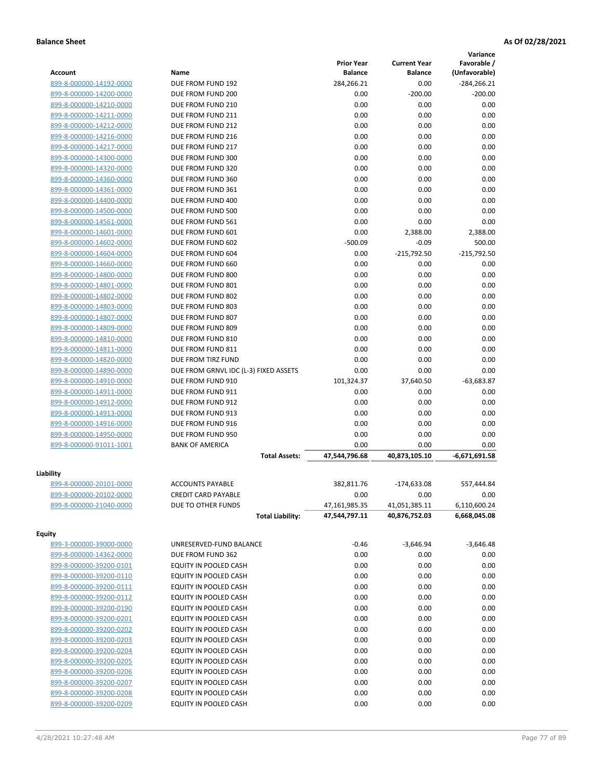|                         |                                               |                                |                                | Variance                     |
|-------------------------|-----------------------------------------------|--------------------------------|--------------------------------|------------------------------|
|                         |                                               | <b>Prior Year</b>              | <b>Current Year</b>            | Favorable /                  |
| <b>Account</b>          | Name                                          | <b>Balance</b>                 | Balance                        | (Unfavorable)                |
| 899-8-000000-14192-0000 | DUE FROM FUND 192                             | 284,266.21                     | 0.00                           | $-284, 266.21$               |
| 899-8-000000-14200-0000 | DUE FROM FUND 200                             | 0.00                           | $-200.00$                      | $-200.00$                    |
| 899-8-000000-14210-0000 | DUE FROM FUND 210                             | 0.00                           | 0.00                           | 0.00                         |
| 899-8-000000-14211-0000 | DUE FROM FUND 211                             | 0.00                           | 0.00                           | 0.00                         |
| 899-8-000000-14212-0000 | DUE FROM FUND 212                             | 0.00                           | 0.00                           | 0.00                         |
| 899-8-000000-14216-0000 | DUE FROM FUND 216                             | 0.00                           | 0.00                           | 0.00                         |
| 899-8-000000-14217-0000 | DUE FROM FUND 217                             | 0.00                           | 0.00                           | 0.00                         |
| 899-8-000000-14300-0000 | DUE FROM FUND 300                             | 0.00                           | 0.00                           | 0.00                         |
| 899-8-000000-14320-0000 | DUE FROM FUND 320                             | 0.00                           | 0.00                           | 0.00                         |
| 899-8-000000-14360-0000 | DUE FROM FUND 360                             | 0.00                           | 0.00                           | 0.00                         |
| 899-8-000000-14361-0000 | DUE FROM FUND 361                             | 0.00                           | 0.00                           | 0.00                         |
| 899-8-000000-14400-0000 | DUE FROM FUND 400                             | 0.00                           | 0.00                           | 0.00                         |
| 899-8-000000-14500-0000 | DUE FROM FUND 500                             | 0.00                           | 0.00                           | 0.00                         |
| 899-8-000000-14561-0000 | DUE FROM FUND 561                             | 0.00                           | 0.00                           | 0.00                         |
| 899-8-000000-14601-0000 | DUE FROM FUND 601                             | 0.00                           | 2,388.00                       | 2,388.00                     |
| 899-8-000000-14602-0000 | DUE FROM FUND 602                             | $-500.09$                      | $-0.09$                        | 500.00                       |
| 899-8-000000-14604-0000 | DUE FROM FUND 604                             | 0.00                           | $-215,792.50$                  | $-215,792.50$                |
| 899-8-000000-14660-0000 | DUE FROM FUND 660                             | 0.00                           | 0.00                           | 0.00                         |
| 899-8-000000-14800-0000 | DUE FROM FUND 800                             | 0.00                           | 0.00                           | 0.00                         |
| 899-8-000000-14801-0000 | DUE FROM FUND 801                             | 0.00                           | 0.00                           | 0.00                         |
| 899-8-000000-14802-0000 | DUE FROM FUND 802                             | 0.00                           | 0.00                           | 0.00                         |
| 899-8-000000-14803-0000 | DUE FROM FUND 803                             | 0.00                           | 0.00                           | 0.00                         |
| 899-8-000000-14807-0000 | DUE FROM FUND 807                             | 0.00                           | 0.00                           | 0.00                         |
| 899-8-000000-14809-0000 | DUE FROM FUND 809                             | 0.00                           | 0.00                           | 0.00                         |
| 899-8-000000-14810-0000 | DUE FROM FUND 810                             | 0.00                           | 0.00                           | 0.00                         |
| 899-8-000000-14811-0000 | DUE FROM FUND 811                             | 0.00                           | 0.00                           | 0.00                         |
| 899-8-000000-14820-0000 | DUE FROM TIRZ FUND                            | 0.00                           | 0.00                           | 0.00                         |
| 899-8-000000-14890-0000 | DUE FROM GRNVL IDC (L-3) FIXED ASSETS         | 0.00                           | 0.00                           | 0.00                         |
| 899-8-000000-14910-0000 | DUE FROM FUND 910                             | 101,324.37                     | 37,640.50                      | $-63,683.87$                 |
| 899-8-000000-14911-0000 | DUE FROM FUND 911                             | 0.00                           | 0.00                           | 0.00                         |
| 899-8-000000-14912-0000 | DUE FROM FUND 912                             | 0.00                           | 0.00                           | 0.00                         |
| 899-8-000000-14913-0000 | DUE FROM FUND 913                             | 0.00                           | 0.00                           | 0.00                         |
| 899-8-000000-14916-0000 | DUE FROM FUND 916                             | 0.00                           | 0.00                           | 0.00                         |
| 899-8-000000-14950-0000 | DUE FROM FUND 950                             | 0.00                           | 0.00                           | 0.00                         |
| 899-8-000000-91011-1001 | <b>BANK OF AMERICA</b>                        | 0.00                           | 0.00                           | 0.00                         |
|                         | <b>Total Assets:</b>                          | 47,544,796.68                  | 40,873,105.10                  | $-6.671.691.58$              |
|                         |                                               |                                |                                |                              |
| Liability               |                                               |                                |                                |                              |
| 899-8-000000-20101-0000 | <b>ACCOUNTS PAYABLE</b>                       | 382,811.76                     | $-174,633.08$                  | 557,444.84                   |
| 899-8-000000-20102-0000 | <b>CREDIT CARD PAYABLE</b>                    | 0.00                           | 0.00                           | 0.00                         |
| 899-8-000000-21040-0000 | DUE TO OTHER FUNDS<br><b>Total Liability:</b> | 47,161,985.35<br>47,544,797.11 | 41,051,385.11<br>40,876,752.03 | 6,110,600.24<br>6,668,045.08 |
|                         |                                               |                                |                                |                              |
| <b>Equity</b>           |                                               |                                |                                |                              |
| 899-3-000000-39000-0000 | UNRESERVED-FUND BALANCE                       | $-0.46$                        | $-3,646.94$                    | $-3,646.48$                  |
| 899-8-000000-14362-0000 | DUE FROM FUND 362                             | 0.00                           | 0.00                           | 0.00                         |
| 899-8-000000-39200-0101 | EQUITY IN POOLED CASH                         | 0.00                           | 0.00                           | 0.00                         |
| 899-8-000000-39200-0110 | EQUITY IN POOLED CASH                         | 0.00                           | 0.00                           | 0.00                         |
| 899-8-000000-39200-0111 | EQUITY IN POOLED CASH                         | 0.00                           | 0.00                           | 0.00                         |
| 899-8-000000-39200-0112 | EQUITY IN POOLED CASH                         | 0.00                           | 0.00                           | 0.00                         |
| 899-8-000000-39200-0190 | EQUITY IN POOLED CASH                         | 0.00                           | 0.00                           | 0.00                         |
| 899-8-000000-39200-0201 | EQUITY IN POOLED CASH                         | 0.00                           | 0.00                           | 0.00                         |
| 899-8-000000-39200-0202 | EQUITY IN POOLED CASH                         | 0.00                           | 0.00                           | 0.00                         |
| 899-8-000000-39200-0203 | EQUITY IN POOLED CASH                         | 0.00                           | 0.00                           | 0.00                         |
| 899-8-000000-39200-0204 | EQUITY IN POOLED CASH                         | 0.00                           | 0.00                           | 0.00                         |
| 899-8-000000-39200-0205 | EQUITY IN POOLED CASH                         | 0.00                           | 0.00                           | 0.00                         |
| 899-8-000000-39200-0206 | EQUITY IN POOLED CASH                         | 0.00                           | 0.00                           | 0.00                         |
| 899-8-000000-39200-0207 | EQUITY IN POOLED CASH                         | 0.00                           | 0.00                           | 0.00                         |
| 899-8-000000-39200-0208 | EQUITY IN POOLED CASH                         | 0.00                           | 0.00                           | 0.00                         |
| 899-8-000000-39200-0209 | EQUITY IN POOLED CASH                         | 0.00                           | 0.00                           | 0.00                         |
|                         |                                               |                                |                                |                              |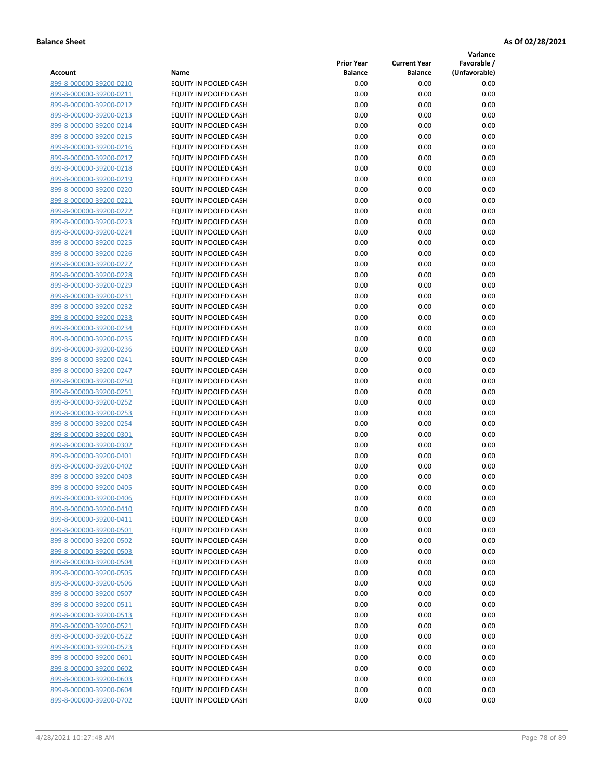**Variance**

| Account                                            | Name                                           | <b>Prior Year</b><br><b>Balance</b> | <b>Current Year</b><br><b>Balance</b> | Favorable /<br>(Unfavorable) |
|----------------------------------------------------|------------------------------------------------|-------------------------------------|---------------------------------------|------------------------------|
| 899-8-000000-39200-0210                            | EQUITY IN POOLED CASH                          | 0.00                                | 0.00                                  | 0.00                         |
| 899-8-000000-39200-0211                            | EQUITY IN POOLED CASH                          | 0.00                                | 0.00                                  | 0.00                         |
| 899-8-000000-39200-0212                            | EQUITY IN POOLED CASH                          | 0.00                                | 0.00                                  | 0.00                         |
| 899-8-000000-39200-0213                            | EQUITY IN POOLED CASH                          | 0.00                                | 0.00                                  | 0.00                         |
| 899-8-000000-39200-0214                            | <b>EQUITY IN POOLED CASH</b>                   | 0.00                                | 0.00                                  | 0.00                         |
| 899-8-000000-39200-0215                            | EQUITY IN POOLED CASH                          | 0.00                                | 0.00                                  | 0.00                         |
| 899-8-000000-39200-0216                            | EQUITY IN POOLED CASH                          | 0.00                                | 0.00                                  | 0.00                         |
| 899-8-000000-39200-0217                            | EQUITY IN POOLED CASH                          | 0.00                                | 0.00                                  | 0.00                         |
| 899-8-000000-39200-0218                            | EQUITY IN POOLED CASH                          | 0.00                                | 0.00                                  | 0.00                         |
| 899-8-000000-39200-0219                            | EQUITY IN POOLED CASH                          | 0.00                                | 0.00                                  | 0.00                         |
| 899-8-000000-39200-0220                            | EQUITY IN POOLED CASH                          | 0.00                                | 0.00                                  | 0.00                         |
| 899-8-000000-39200-0221                            | EQUITY IN POOLED CASH                          | 0.00                                | 0.00                                  | 0.00                         |
| 899-8-000000-39200-0222                            | EQUITY IN POOLED CASH                          | 0.00                                | 0.00                                  | 0.00                         |
| 899-8-000000-39200-0223                            | EQUITY IN POOLED CASH                          | 0.00                                | 0.00                                  | 0.00                         |
| 899-8-000000-39200-0224                            | EQUITY IN POOLED CASH                          | 0.00                                | 0.00                                  | 0.00                         |
| 899-8-000000-39200-0225                            | EQUITY IN POOLED CASH                          | 0.00                                | 0.00                                  | 0.00                         |
| 899-8-000000-39200-0226                            | EQUITY IN POOLED CASH                          | 0.00                                | 0.00                                  | 0.00                         |
| 899-8-000000-39200-0227                            | EQUITY IN POOLED CASH                          | 0.00                                | 0.00                                  | 0.00                         |
| 899-8-000000-39200-0228                            | EQUITY IN POOLED CASH                          | 0.00                                | 0.00                                  | 0.00                         |
| 899-8-000000-39200-0229                            | EQUITY IN POOLED CASH                          | 0.00                                | 0.00                                  | 0.00                         |
| 899-8-000000-39200-0231                            | EQUITY IN POOLED CASH                          | 0.00                                | 0.00                                  | 0.00                         |
| 899-8-000000-39200-0232                            | EQUITY IN POOLED CASH                          | 0.00                                | 0.00                                  | 0.00                         |
| 899-8-000000-39200-0233                            | EQUITY IN POOLED CASH                          | 0.00                                | 0.00                                  | 0.00                         |
| 899-8-000000-39200-0234                            | EQUITY IN POOLED CASH                          | 0.00                                | 0.00                                  | 0.00                         |
| 899-8-000000-39200-0235                            | EQUITY IN POOLED CASH                          | 0.00                                | 0.00                                  | 0.00                         |
| 899-8-000000-39200-0236                            | EQUITY IN POOLED CASH                          | 0.00                                | 0.00                                  | 0.00                         |
| 899-8-000000-39200-0241                            | EQUITY IN POOLED CASH                          | 0.00                                | 0.00                                  | 0.00                         |
| 899-8-000000-39200-0247                            | EQUITY IN POOLED CASH                          | 0.00                                | 0.00                                  | 0.00                         |
| 899-8-000000-39200-0250                            | EQUITY IN POOLED CASH                          | 0.00                                | 0.00                                  | 0.00                         |
| 899-8-000000-39200-0251                            | EQUITY IN POOLED CASH                          | 0.00                                | 0.00                                  | 0.00                         |
| 899-8-000000-39200-0252                            | EQUITY IN POOLED CASH                          | 0.00                                | 0.00                                  | 0.00                         |
| 899-8-000000-39200-0253                            | EQUITY IN POOLED CASH<br>EQUITY IN POOLED CASH | 0.00                                | 0.00                                  | 0.00                         |
| 899-8-000000-39200-0254<br>899-8-000000-39200-0301 | EQUITY IN POOLED CASH                          | 0.00<br>0.00                        | 0.00<br>0.00                          | 0.00<br>0.00                 |
| 899-8-000000-39200-0302                            | EQUITY IN POOLED CASH                          | 0.00                                | 0.00                                  | 0.00                         |
| 899-8-000000-39200-0401                            | EQUITY IN POOLED CASH                          | 0.00                                | 0.00                                  | 0.00                         |
| 899-8-000000-39200-0402                            | EQUITY IN POOLED CASH                          | 0.00                                | 0.00                                  | 0.00                         |
| 899-8-000000-39200-0403                            | <b>EQUITY IN POOLED CASH</b>                   | 0.00                                | 0.00                                  | 0.00                         |
| 899-8-000000-39200-0405                            | EQUITY IN POOLED CASH                          | 0.00                                | 0.00                                  | 0.00                         |
| 899-8-000000-39200-0406                            | EQUITY IN POOLED CASH                          | 0.00                                | 0.00                                  | 0.00                         |
| 899-8-000000-39200-0410                            | EQUITY IN POOLED CASH                          | 0.00                                | 0.00                                  | 0.00                         |
| 899-8-000000-39200-0411                            | EQUITY IN POOLED CASH                          | 0.00                                | 0.00                                  | 0.00                         |
| 899-8-000000-39200-0501                            | EQUITY IN POOLED CASH                          | 0.00                                | 0.00                                  | 0.00                         |
| 899-8-000000-39200-0502                            | EQUITY IN POOLED CASH                          | 0.00                                | 0.00                                  | 0.00                         |
| 899-8-000000-39200-0503                            | EQUITY IN POOLED CASH                          | 0.00                                | 0.00                                  | 0.00                         |
| 899-8-000000-39200-0504                            | EQUITY IN POOLED CASH                          | 0.00                                | 0.00                                  | 0.00                         |
| 899-8-000000-39200-0505                            | EQUITY IN POOLED CASH                          | 0.00                                | 0.00                                  | 0.00                         |
| 899-8-000000-39200-0506                            | EQUITY IN POOLED CASH                          | 0.00                                | 0.00                                  | 0.00                         |
| 899-8-000000-39200-0507                            | EQUITY IN POOLED CASH                          | 0.00                                | 0.00                                  | 0.00                         |
| 899-8-000000-39200-0511                            | EQUITY IN POOLED CASH                          | 0.00                                | 0.00                                  | 0.00                         |
| 899-8-000000-39200-0513                            | EQUITY IN POOLED CASH                          | 0.00                                | 0.00                                  | 0.00                         |
| 899-8-000000-39200-0521                            | EQUITY IN POOLED CASH                          | 0.00                                | 0.00                                  | 0.00                         |
| 899-8-000000-39200-0522                            | EQUITY IN POOLED CASH                          | 0.00                                | 0.00                                  | 0.00                         |
| 899-8-000000-39200-0523                            | EQUITY IN POOLED CASH                          | 0.00                                | 0.00                                  | 0.00                         |
| 899-8-000000-39200-0601                            | EQUITY IN POOLED CASH                          | 0.00                                | 0.00                                  | 0.00                         |
| 899-8-000000-39200-0602                            | EQUITY IN POOLED CASH                          | 0.00                                | 0.00                                  | 0.00                         |
| 899-8-000000-39200-0603                            | EQUITY IN POOLED CASH                          | 0.00                                | 0.00                                  | 0.00                         |
| 899-8-000000-39200-0604                            | EQUITY IN POOLED CASH                          | 0.00                                | 0.00                                  | 0.00                         |
| 899-8-000000-39200-0702                            | EQUITY IN POOLED CASH                          | 0.00                                | 0.00                                  | 0.00                         |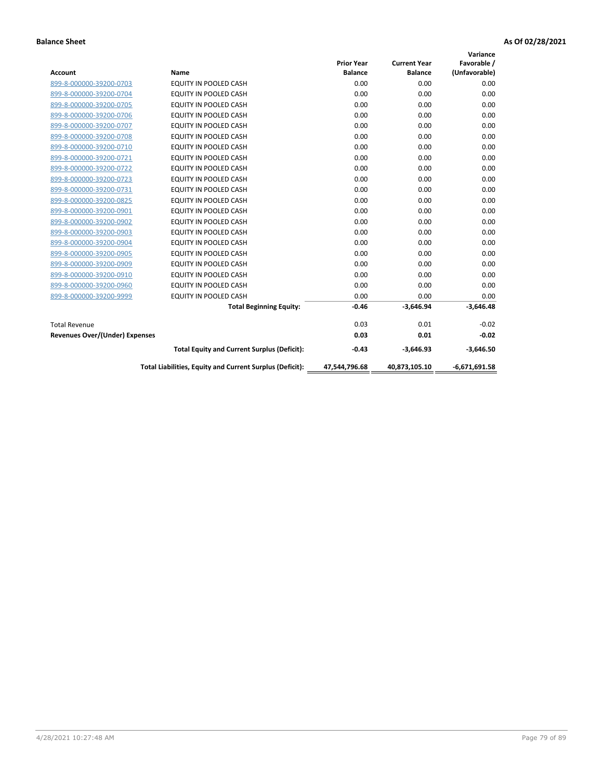| <b>Account</b>                        | Name                                                     | <b>Prior Year</b><br><b>Balance</b> | <b>Current Year</b><br><b>Balance</b> | Variance<br>Favorable /<br>(Unfavorable) |
|---------------------------------------|----------------------------------------------------------|-------------------------------------|---------------------------------------|------------------------------------------|
| 899-8-000000-39200-0703               | <b>EQUITY IN POOLED CASH</b>                             | 0.00                                | 0.00                                  | 0.00                                     |
| 899-8-000000-39200-0704               | <b>EQUITY IN POOLED CASH</b>                             | 0.00                                | 0.00                                  | 0.00                                     |
| 899-8-000000-39200-0705               | <b>EQUITY IN POOLED CASH</b>                             | 0.00                                | 0.00                                  | 0.00                                     |
| 899-8-000000-39200-0706               | EQUITY IN POOLED CASH                                    | 0.00                                | 0.00                                  | 0.00                                     |
| 899-8-000000-39200-0707               | EQUITY IN POOLED CASH                                    | 0.00                                | 0.00                                  | 0.00                                     |
| 899-8-000000-39200-0708               | EQUITY IN POOLED CASH                                    | 0.00                                | 0.00                                  | 0.00                                     |
| 899-8-000000-39200-0710               | EQUITY IN POOLED CASH                                    | 0.00                                | 0.00                                  | 0.00                                     |
| 899-8-000000-39200-0721               | <b>EQUITY IN POOLED CASH</b>                             | 0.00                                | 0.00                                  | 0.00                                     |
| 899-8-000000-39200-0722               | <b>EQUITY IN POOLED CASH</b>                             | 0.00                                | 0.00                                  | 0.00                                     |
| 899-8-000000-39200-0723               | <b>EQUITY IN POOLED CASH</b>                             | 0.00                                | 0.00                                  | 0.00                                     |
| 899-8-000000-39200-0731               | <b>EQUITY IN POOLED CASH</b>                             | 0.00                                | 0.00                                  | 0.00                                     |
| 899-8-000000-39200-0825               | EQUITY IN POOLED CASH                                    | 0.00                                | 0.00                                  | 0.00                                     |
| 899-8-000000-39200-0901               | EQUITY IN POOLED CASH                                    | 0.00                                | 0.00                                  | 0.00                                     |
| 899-8-000000-39200-0902               | EQUITY IN POOLED CASH                                    | 0.00                                | 0.00                                  | 0.00                                     |
| 899-8-000000-39200-0903               | <b>EQUITY IN POOLED CASH</b>                             | 0.00                                | 0.00                                  | 0.00                                     |
| 899-8-000000-39200-0904               | <b>EQUITY IN POOLED CASH</b>                             | 0.00                                | 0.00                                  | 0.00                                     |
| 899-8-000000-39200-0905               | EQUITY IN POOLED CASH                                    | 0.00                                | 0.00                                  | 0.00                                     |
| 899-8-000000-39200-0909               | EQUITY IN POOLED CASH                                    | 0.00                                | 0.00                                  | 0.00                                     |
| 899-8-000000-39200-0910               | <b>EQUITY IN POOLED CASH</b>                             | 0.00                                | 0.00                                  | 0.00                                     |
| 899-8-000000-39200-0960               | <b>EQUITY IN POOLED CASH</b>                             | 0.00                                | 0.00                                  | 0.00                                     |
| 899-8-000000-39200-9999               | EQUITY IN POOLED CASH                                    | 0.00                                | 0.00                                  | 0.00                                     |
|                                       | <b>Total Beginning Equity:</b>                           | $-0.46$                             | $-3,646.94$                           | $-3,646.48$                              |
| <b>Total Revenue</b>                  |                                                          | 0.03                                | 0.01                                  | $-0.02$                                  |
| <b>Revenues Over/(Under) Expenses</b> |                                                          | 0.03                                | 0.01                                  | $-0.02$                                  |
|                                       | <b>Total Equity and Current Surplus (Deficit):</b>       | $-0.43$                             | $-3.646.93$                           | $-3,646.50$                              |
|                                       | Total Liabilities, Equity and Current Surplus (Deficit): | 47,544,796.68                       | 40,873,105.10                         | $-6,671,691.58$                          |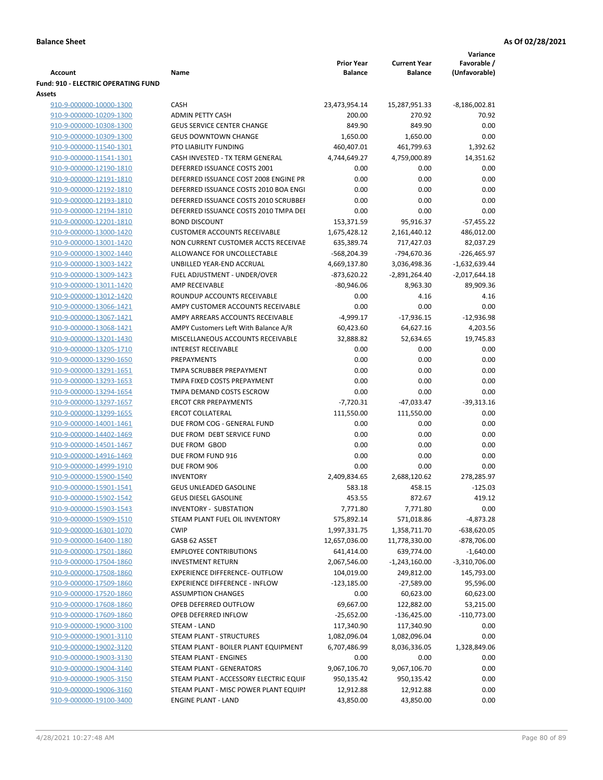|                                                              |                                        |                   |                     | Variance        |
|--------------------------------------------------------------|----------------------------------------|-------------------|---------------------|-----------------|
|                                                              |                                        | <b>Prior Year</b> | <b>Current Year</b> | Favorable /     |
| <b>Account</b><br><b>Fund: 910 - ELECTRIC OPERATING FUND</b> | Name                                   | <b>Balance</b>    | <b>Balance</b>      | (Unfavorable)   |
| <b>Assets</b>                                                |                                        |                   |                     |                 |
| 910-9-000000-10000-1300                                      | <b>CASH</b>                            | 23,473,954.14     | 15,287,951.33       | $-8,186,002.81$ |
| 910-9-000000-10209-1300                                      | <b>ADMIN PETTY CASH</b>                | 200.00            | 270.92              | 70.92           |
| 910-9-000000-10308-1300                                      | <b>GEUS SERVICE CENTER CHANGE</b>      | 849.90            | 849.90              | 0.00            |
| 910-9-000000-10309-1300                                      | <b>GEUS DOWNTOWN CHANGE</b>            | 1,650.00          | 1,650.00            | 0.00            |
| 910-9-000000-11540-1301                                      | PTO LIABILITY FUNDING                  | 460,407.01        | 461,799.63          | 1,392.62        |
| 910-9-000000-11541-1301                                      | CASH INVESTED - TX TERM GENERAL        | 4,744,649.27      | 4,759,000.89        | 14,351.62       |
| 910-9-000000-12190-1810                                      | DEFERRED ISSUANCE COSTS 2001           | 0.00              | 0.00                | 0.00            |
| 910-9-000000-12191-1810                                      | DEFERRED ISSUANCE COST 2008 ENGINE PR  | 0.00              | 0.00                | 0.00            |
| 910-9-000000-12192-1810                                      | DEFERRED ISSUANCE COSTS 2010 BOA ENGI  | 0.00              | 0.00                | 0.00            |
| 910-9-000000-12193-1810                                      | DEFERRED ISSUANCE COSTS 2010 SCRUBBEI  | 0.00              | 0.00                | 0.00            |
| 910-9-000000-12194-1810                                      | DEFERRED ISSUANCE COSTS 2010 TMPA DEI  | 0.00              | 0.00                | 0.00            |
| 910-9-000000-12201-1810                                      | <b>BOND DISCOUNT</b>                   | 153,371.59        | 95,916.37           | $-57,455.22$    |
| 910-9-000000-13000-1420                                      | <b>CUSTOMER ACCOUNTS RECEIVABLE</b>    | 1,675,428.12      | 2,161,440.12        | 486,012.00      |
| 910-9-000000-13001-1420                                      | NON CURRENT CUSTOMER ACCTS RECEIVAE    | 635,389.74        | 717,427.03          | 82,037.29       |
| 910-9-000000-13002-1440                                      | ALLOWANCE FOR UNCOLLECTABLE            | -568,204.39       | -794,670.36         | -226,465.97     |
| 910-9-000000-13003-1422                                      | UNBILLED YEAR-END ACCRUAL              | 4,669,137.80      | 3,036,498.36        | $-1,632,639.44$ |
| 910-9-000000-13009-1423                                      | FUEL ADJUSTMENT - UNDER/OVER           | -873,620.22       | $-2,891,264.40$     | $-2,017,644.18$ |
| 910-9-000000-13011-1420                                      | AMP RECEIVABLE                         | $-80,946.06$      | 8,963.30            | 89,909.36       |
| 910-9-000000-13012-1420                                      | ROUNDUP ACCOUNTS RECEIVABLE            | 0.00              | 4.16                | 4.16            |
| 910-9-000000-13066-1421                                      | AMPY CUSTOMER ACCOUNTS RECEIVABLE      | 0.00              | 0.00                | 0.00            |
| 910-9-000000-13067-1421                                      | AMPY ARREARS ACCOUNTS RECEIVABLE       | $-4,999.17$       | $-17,936.15$        | $-12,936.98$    |
| 910-9-000000-13068-1421                                      | AMPY Customers Left With Balance A/R   | 60,423.60         | 64,627.16           | 4,203.56        |
| 910-9-000000-13201-1430                                      | MISCELLANEOUS ACCOUNTS RECEIVABLE      | 32,888.82         | 52,634.65           | 19,745.83       |
| 910-9-000000-13205-1710                                      | <b>INTEREST RECEIVABLE</b>             | 0.00              | 0.00                | 0.00            |
| 910-9-000000-13290-1650                                      | PREPAYMENTS                            | 0.00              | 0.00                | 0.00            |
| 910-9-000000-13291-1651                                      | TMPA SCRUBBER PREPAYMENT               | 0.00              | 0.00                | 0.00            |
| 910-9-000000-13293-1653                                      | TMPA FIXED COSTS PREPAYMENT            | 0.00              | 0.00                | 0.00            |
| 910-9-000000-13294-1654                                      | TMPA DEMAND COSTS ESCROW               | 0.00              | 0.00                | 0.00            |
| 910-9-000000-13297-1657                                      | <b>ERCOT CRR PREPAYMENTS</b>           | $-7,720.31$       | $-47,033.47$        | $-39,313.16$    |
| 910-9-000000-13299-1655                                      | <b>ERCOT COLLATERAL</b>                | 111,550.00        | 111,550.00          | 0.00            |
| 910-9-000000-14001-1461                                      | DUE FROM COG - GENERAL FUND            | 0.00              | 0.00                | 0.00            |
| 910-9-000000-14402-1469                                      | DUE FROM DEBT SERVICE FUND             | 0.00              | 0.00                | 0.00            |
| 910-9-000000-14501-1467                                      | DUE FROM GBOD                          | 0.00              | 0.00                | 0.00            |
| 910-9-000000-14916-1469                                      | DUE FROM FUND 916<br>DUE FROM 906      | 0.00<br>0.00      | 0.00<br>0.00        | 0.00<br>0.00    |
| 910-9-000000-14999-1910<br>910-9-000000-15900-1540           | <b>INVENTORY</b>                       | 2,409,834.65      | 2,688,120.62        | 278,285.97      |
| 910-9-000000-15901-1541                                      | <b>GEUS UNLEADED GASOLINE</b>          | 583.18            | 458.15              | $-125.03$       |
| 910-9-000000-15902-1542                                      | <b>GEUS DIESEL GASOLINE</b>            | 453.55            | 872.67              | 419.12          |
| 910-9-000000-15903-1543                                      | <b>INVENTORY - SUBSTATION</b>          | 7,771.80          | 7,771.80            | 0.00            |
| 910-9-000000-15909-1510                                      | STEAM PLANT FUEL OIL INVENTORY         | 575,892.14        | 571,018.86          | $-4,873.28$     |
| 910-9-000000-16301-1070                                      | <b>CWIP</b>                            | 1,997,331.75      | 1,358,711.70        | $-638,620.05$   |
| 910-9-000000-16400-1180                                      | GASB 62 ASSET                          | 12,657,036.00     | 11,778,330.00       | -878,706.00     |
| 910-9-000000-17501-1860                                      | <b>EMPLOYEE CONTRIBUTIONS</b>          | 641,414.00        | 639,774.00          | $-1,640.00$     |
| 910-9-000000-17504-1860                                      | <b>INVESTMENT RETURN</b>               | 2,067,546.00      | $-1,243,160.00$     | $-3,310,706.00$ |
| 910-9-000000-17508-1860                                      | <b>EXPERIENCE DIFFERENCE- OUTFLOW</b>  | 104,019.00        | 249,812.00          | 145,793.00      |
| 910-9-000000-17509-1860                                      | <b>EXPERIENCE DIFFERENCE - INFLOW</b>  | $-123,185.00$     | $-27,589.00$        | 95,596.00       |
| 910-9-000000-17520-1860                                      | <b>ASSUMPTION CHANGES</b>              | 0.00              | 60,623.00           | 60,623.00       |
| 910-9-000000-17608-1860                                      | OPEB DEFERRED OUTFLOW                  | 69,667.00         | 122,882.00          | 53,215.00       |
| 910-9-000000-17609-1860                                      | OPEB DEFERRED INFLOW                   | $-25,652.00$      | $-136,425.00$       | $-110,773.00$   |
| 910-9-000000-19000-3100                                      | STEAM - LAND                           | 117,340.90        | 117,340.90          | 0.00            |
| 910-9-000000-19001-3110                                      | STEAM PLANT - STRUCTURES               | 1,082,096.04      | 1,082,096.04        | 0.00            |
| 910-9-000000-19002-3120                                      | STEAM PLANT - BOILER PLANT EQUIPMENT   | 6,707,486.99      | 8,036,336.05        | 1,328,849.06    |
| 910-9-000000-19003-3130                                      | STEAM PLANT - ENGINES                  | 0.00              | 0.00                | 0.00            |
| 910-9-000000-19004-3140                                      | STEAM PLANT - GENERATORS               | 9,067,106.70      | 9,067,106.70        | 0.00            |
| 910-9-000000-19005-3150                                      | STEAM PLANT - ACCESSORY ELECTRIC EQUIF | 950,135.42        | 950,135.42          | 0.00            |
| 910-9-000000-19006-3160                                      | STEAM PLANT - MISC POWER PLANT EQUIPI  | 12,912.88         | 12,912.88           | 0.00            |
| 910-9-000000-19100-3400                                      | <b>ENGINE PLANT - LAND</b>             | 43,850.00         | 43,850.00           | 0.00            |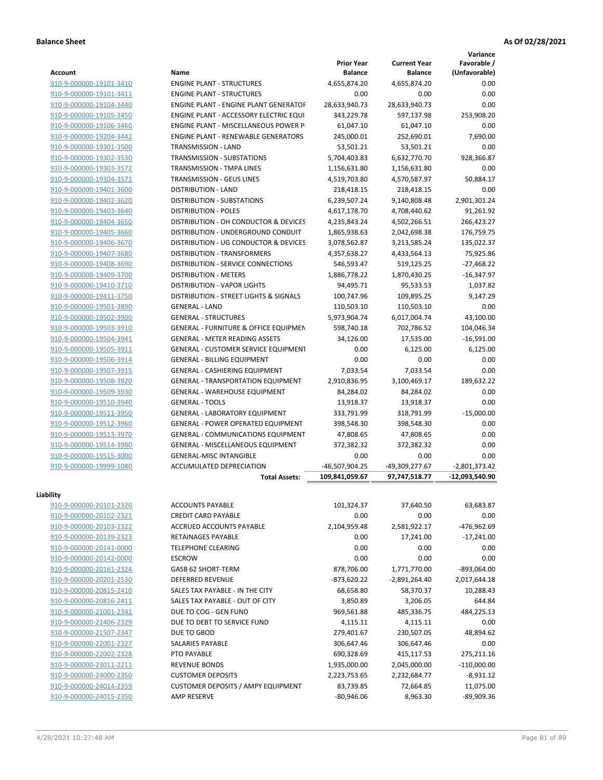**Variance**

| <b>Account</b>          | Name                                             | <b>Prior Year</b><br><b>Balance</b> | <b>Current Year</b><br><b>Balance</b> | Favorable /<br>(Unfavorable) |
|-------------------------|--------------------------------------------------|-------------------------------------|---------------------------------------|------------------------------|
| 910-9-000000-19101-3410 | <b>ENGINE PLANT - STRUCTURES</b>                 | 4,655,874.20                        | 4,655,874.20                          | 0.00                         |
| 910-9-000000-19101-3411 | <b>ENGINE PLANT - STRUCTURES</b>                 | 0.00                                | 0.00                                  | 0.00                         |
| 910-9-000000-19104-3440 | ENGINE PLANT - ENGINE PLANT GENERATOF            | 28,633,940.73                       | 28,633,940.73                         | 0.00                         |
| 910-9-000000-19105-3450 | <b>ENGINE PLANT - ACCESSORY ELECTRIC EQUIL</b>   | 343,229.78                          | 597,137.98                            | 253,908.20                   |
| 910-9-000000-19106-3460 | ENGINE PLANT - MISCELLANEOUS POWER P             | 61,047.10                           | 61,047.10                             | 0.00                         |
| 910-9-000000-19204-3442 | <b>ENGINE PLANT - RENEWABLE GENERATORS</b>       | 245,000.01                          | 252,690.01                            | 7,690.00                     |
| 910-9-000000-19301-3500 | TRANSMISSION - LAND                              | 53,501.21                           | 53,501.21                             | 0.00                         |
| 910-9-000000-19302-3530 | <b>TRANSMISSION - SUBSTATIONS</b>                | 5,704,403.83                        | 6,632,770.70                          | 928,366.87                   |
| 910-9-000000-19303-3572 | <b>TRANSMISSION - TMPA LINES</b>                 | 1,156,631.80                        | 1,156,631.80                          | 0.00                         |
| 910-9-000000-19304-3571 | <b>TRANSMISSION - GEUS LINES</b>                 | 4,519,703.80                        | 4,570,587.97                          | 50,884.17                    |
| 910-9-000000-19401-3600 | <b>DISTRIBUTION - LAND</b>                       | 218,418.15                          | 218,418.15                            | 0.00                         |
| 910-9-000000-19402-3620 | DISTRIBUTION - SUBSTATIONS                       | 6,239,507.24                        | 9,140,808.48                          | 2,901,301.24                 |
| 910-9-000000-19403-3640 | <b>DISTRIBUTION - POLES</b>                      | 4,617,178.70                        | 4,708,440.62                          | 91,261.92                    |
| 910-9-000000-19404-3650 | DISTRIBUTION - OH CONDUCTOR & DEVICES            | 4,235,843.24                        | 4,502,266.51                          | 266,423.27                   |
| 910-9-000000-19405-3660 | DISTRIBUTION - UNDERGROUND CONDUIT               | 1,865,938.63                        | 2,042,698.38                          | 176,759.75                   |
| 910-9-000000-19406-3670 | DISTRIBUTION - UG CONDUCTOR & DEVICES            | 3,078,562.87                        | 3,213,585.24                          | 135,022.37                   |
| 910-9-000000-19407-3680 | DISTRIBUTION - TRANSFORMERS                      | 4,357,638.27                        | 4,433,564.13                          | 75,925.86                    |
| 910-9-000000-19408-3690 | DISTRIBUTION - SERVICE CONNECTIONS               | 546,593.47                          | 519,125.25                            | $-27,468.22$                 |
| 910-9-000000-19409-3700 | <b>DISTRIBUTION - METERS</b>                     | 1,886,778.22                        | 1,870,430.25                          | $-16,347.97$                 |
| 910-9-000000-19410-3710 | <b>DISTRIBUTION - VAPOR LIGHTS</b>               | 94,495.71                           | 95,533.53                             | 1,037.82                     |
| 910-9-000000-19411-3750 | DISTRIBUTION - STREET LIGHTS & SIGNALS           | 100,747.96                          | 109,895.25                            | 9,147.29                     |
| 910-9-000000-19501-3890 | <b>GENERAL - LAND</b>                            | 110,503.10                          | 110,503.10                            | 0.00                         |
| 910-9-000000-19502-3900 | <b>GENERAL - STRUCTURES</b>                      | 5,973,904.74                        | 6,017,004.74                          | 43,100.00                    |
| 910-9-000000-19503-3910 | <b>GENERAL - FURNITURE &amp; OFFICE EQUIPMEN</b> | 598,740.18                          | 702,786.52                            | 104,046.34                   |
| 910-9-000000-19504-3941 | <b>GENERAL - METER READING ASSETS</b>            | 34,126.00                           | 17,535.00                             | $-16,591.00$                 |
| 910-9-000000-19505-3911 | <b>GENERAL - CUSTOMER SERVICE EQUIPMENT</b>      | 0.00                                | 6,125.00                              | 6,125.00                     |
| 910-9-000000-19506-3914 | <b>GENERAL - BILLING EQUIPMENT</b>               | 0.00                                | 0.00                                  | 0.00                         |
| 910-9-000000-19507-3915 | GENERAL - CASHIERING EQUIPMENT                   | 7,033.54                            | 7,033.54                              | 0.00                         |
| 910-9-000000-19508-3920 | <b>GENERAL - TRANSPORTATION EQUIPMENT</b>        | 2,910,836.95                        | 3,100,469.17                          | 189,632.22                   |
| 910-9-000000-19509-3930 | <b>GENERAL - WAREHOUSE EQUIPMENT</b>             | 84,284.02                           | 84,284.02                             | 0.00                         |
| 910-9-000000-19510-3940 | <b>GENERAL - TOOLS</b>                           | 13,918.37                           | 13,918.37                             | 0.00                         |
| 910-9-000000-19511-3950 | <b>GENERAL - LABORATORY EQUIPMENT</b>            | 333,791.99                          | 318,791.99                            | $-15,000.00$                 |
| 910-9-000000-19512-3960 | <b>GENERAL - POWER OPERATED EQUIPMENT</b>        | 398,548.30                          | 398,548.30                            | 0.00                         |
| 910-9-000000-19513-3970 | <b>GENERAL - COMMUNICATIONS EQUIPMENT</b>        | 47,808.65                           | 47,808.65                             | 0.00                         |
| 910-9-000000-19514-3980 | <b>GENERAL - MISCELLANEOUS EQUIPMENT</b>         | 372,382.32                          | 372,382.32                            | 0.00                         |
| 910-9-000000-19515-3000 | <b>GENERAL-MISC INTANGIBLE</b>                   | 0.00                                | 0.00                                  | 0.00                         |
| 910-9-000000-19999-1080 | <b>ACCUMULATED DEPRECIATION</b>                  | -46,507,904.25                      | -49,309,277.67                        | $-2,801,373.42$              |
|                         | <b>Total Assets:</b>                             | 109,841,059.67                      | 97,747,518.77                         | -12,093,540.90               |
| Liability               |                                                  |                                     |                                       |                              |
| 910-9-000000-20101-2320 | <b>ACCOUNTS PAYABLE</b>                          | 101,324.37                          | 37,640.50                             | 63,683.87                    |
| 910-9-000000-20102-2321 | <b>CREDIT CARD PAYABLE</b>                       | 0.00                                | 0.00                                  | 0.00                         |
| 910-9-000000-20103-2322 | ACCRUED ACCOUNTS PAYABLE                         | 2,104,959.48                        | 2,581,922.17                          | -476,962.69                  |
| 910-9-000000-20139-2323 | RETAINAGES PAYABLE                               | 0.00                                | 17,241.00                             | $-17,241.00$                 |
| 910-9-000000-20141-0000 | <b>TELEPHONE CLEARING</b>                        | 0.00                                | 0.00                                  | 0.00                         |
| 910-9-000000-20142-0000 | <b>ESCROW</b>                                    | 0.00                                | 0.00                                  | 0.00                         |
| 910-9-000000-20161-2324 | GASB 62 SHORT-TERM                               | 878,706.00                          | 1,771,770.00                          | $-893,064.00$                |
| 910-9-000000-20201-2530 | <b>DEFERRED REVENUE</b>                          | -873,620.22                         | $-2,891,264.40$                       | 2,017,644.18                 |
| 910-9-000000-20815-2410 | SALES TAX PAYABLE - IN THE CITY                  | 68,658.80                           | 58,370.37                             | 10,288.43                    |
| 910-9-000000-20816-2411 | SALES TAX PAYABLE - OUT OF CITY                  | 3,850.89                            | 3,206.05                              | 644.84                       |
| 910-9-000000-21001-2341 | DUE TO COG - GEN FUND                            | 969,561.88                          | 485,336.75                            | 484,225.13                   |
| 910-9-000000-21406-2329 | DUE TO DEBT TO SERVICE FUND                      | 4,115.11                            | 4,115.11                              | 0.00                         |
| 910-9-000000-21507-2347 | DUE TO GBOD                                      | 279,401.67                          | 230,507.05                            | 48,894.62                    |
| 910-9-000000-22001-2327 | SALARIES PAYABLE                                 | 306,647.46                          | 306,647.46                            | 0.00                         |
| 910-9-000000-22002-2328 | PTO PAYABLE                                      | 690,328.69                          | 415,117.53                            | 275,211.16                   |
| 910-9-000000-23011-2211 | <b>REVENUE BONDS</b>                             | 1,935,000.00                        | 2,045,000.00                          | $-110,000.00$                |
| 910-9-000000-24000-2350 | <b>CUSTOMER DEPOSITS</b>                         | 2,223,753.65                        | 2,232,684.77                          | $-8,931.12$                  |
| 910-9-000000-24014-2359 | <b>CUSTOMER DEPOSITS / AMPY EQUIPMENT</b>        | 83,739.85                           | 72,664.85                             | 11,075.00                    |
| 910-9-000000-24015-2350 | AMP RESERVE                                      | $-80,946.06$                        | 8,963.30                              | -89,909.36                   |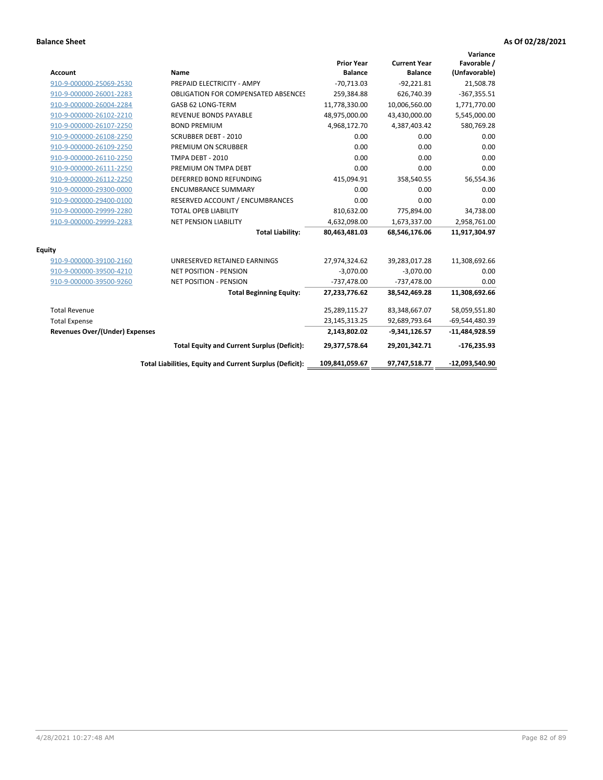| <b>Account</b>                        | Name                                                     | <b>Prior Year</b><br><b>Balance</b> | <b>Current Year</b><br><b>Balance</b> | Variance<br>Favorable /<br>(Unfavorable) |
|---------------------------------------|----------------------------------------------------------|-------------------------------------|---------------------------------------|------------------------------------------|
| 910-9-000000-25069-2530               | PREPAID ELECTRICITY - AMPY                               | $-70,713.03$                        | $-92,221.81$                          | 21,508.78                                |
| 910-9-000000-26001-2283               | <b>OBLIGATION FOR COMPENSATED ABSENCES</b>               | 259,384.88                          | 626,740.39                            | $-367,355.51$                            |
| 910-9-000000-26004-2284               | GASB 62 LONG-TERM                                        | 11,778,330.00                       | 10,006,560.00                         | 1,771,770.00                             |
| 910-9-000000-26102-2210               | <b>REVENUE BONDS PAYABLE</b>                             | 48,975,000.00                       | 43,430,000.00                         | 5,545,000.00                             |
| 910-9-000000-26107-2250               | <b>BOND PREMIUM</b>                                      | 4,968,172.70                        | 4,387,403.42                          | 580,769.28                               |
| 910-9-000000-26108-2250               | <b>SCRUBBER DEBT - 2010</b>                              | 0.00                                | 0.00                                  | 0.00                                     |
| 910-9-000000-26109-2250               | PREMIUM ON SCRUBBER                                      | 0.00                                | 0.00                                  | 0.00                                     |
| 910-9-000000-26110-2250               | <b>TMPA DEBT - 2010</b>                                  | 0.00                                | 0.00                                  | 0.00                                     |
| 910-9-000000-26111-2250               | PREMIUM ON TMPA DEBT                                     | 0.00                                | 0.00                                  | 0.00                                     |
| 910-9-000000-26112-2250               | DEFERRED BOND REFUNDING                                  | 415,094.91                          | 358,540.55                            | 56,554.36                                |
| 910-9-000000-29300-0000               | <b>ENCUMBRANCE SUMMARY</b>                               | 0.00                                | 0.00                                  | 0.00                                     |
| 910-9-000000-29400-0100               | RESERVED ACCOUNT / ENCUMBRANCES                          | 0.00                                | 0.00                                  | 0.00                                     |
| 910-9-000000-29999-2280               | <b>TOTAL OPEB LIABILITY</b>                              | 810,632.00                          | 775,894.00                            | 34,738.00                                |
| 910-9-000000-29999-2283               | <b>NET PENSION LIABILITY</b>                             | 4,632,098.00                        | 1,673,337.00                          | 2,958,761.00                             |
|                                       | <b>Total Liability:</b>                                  | 80,463,481.03                       | 68,546,176.06                         | 11,917,304.97                            |
| <b>Equity</b>                         |                                                          |                                     |                                       |                                          |
| 910-9-000000-39100-2160               | UNRESERVED RETAINED EARNINGS                             | 27,974,324.62                       | 39,283,017.28                         | 11,308,692.66                            |
| 910-9-000000-39500-4210               | <b>NET POSITION - PENSION</b>                            | $-3,070.00$                         | $-3,070.00$                           | 0.00                                     |
| 910-9-000000-39500-9260               | NET POSITION - PENSION                                   | $-737,478.00$                       | -737,478.00                           | 0.00                                     |
|                                       | <b>Total Beginning Equity:</b>                           | 27,233,776.62                       | 38,542,469.28                         | 11,308,692.66                            |
| <b>Total Revenue</b>                  |                                                          | 25,289,115.27                       | 83,348,667.07                         | 58,059,551.80                            |
| <b>Total Expense</b>                  |                                                          | 23,145,313.25                       | 92,689,793.64                         | -69,544,480.39                           |
| <b>Revenues Over/(Under) Expenses</b> |                                                          | 2,143,802.02                        | $-9,341,126.57$                       | $-11,484,928.59$                         |
|                                       | <b>Total Equity and Current Surplus (Deficit):</b>       | 29,377,578.64                       | 29,201,342.71                         | $-176,235.93$                            |
|                                       | Total Liabilities, Equity and Current Surplus (Deficit): | 109,841,059.67                      | 97,747,518.77                         | $-12,093,540.90$                         |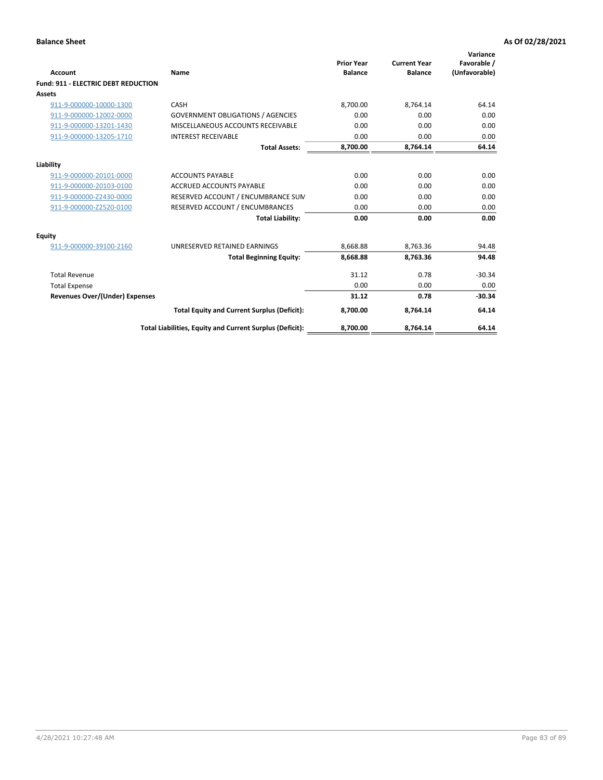| Account                                    | Name                                                     | <b>Prior Year</b><br><b>Balance</b> | <b>Current Year</b><br><b>Balance</b> | Variance<br>Favorable /<br>(Unfavorable) |
|--------------------------------------------|----------------------------------------------------------|-------------------------------------|---------------------------------------|------------------------------------------|
| <b>Fund: 911 - ELECTRIC DEBT REDUCTION</b> |                                                          |                                     |                                       |                                          |
| <b>Assets</b>                              |                                                          |                                     |                                       |                                          |
| 911-9-000000-10000-1300                    | CASH                                                     | 8.700.00                            | 8.764.14                              | 64.14                                    |
| 911-9-000000-12002-0000                    | <b>GOVERNMENT OBLIGATIONS / AGENCIES</b>                 | 0.00                                | 0.00                                  | 0.00                                     |
| 911-9-000000-13201-1430                    | MISCELLANEOUS ACCOUNTS RECEIVABLE                        | 0.00                                | 0.00                                  | 0.00                                     |
| 911-9-000000-13205-1710                    | <b>INTEREST RECEIVABLE</b>                               | 0.00                                | 0.00                                  | 0.00                                     |
|                                            | <b>Total Assets:</b>                                     | 8,700.00                            | 8.764.14                              | 64.14                                    |
| Liability                                  |                                                          |                                     |                                       |                                          |
| 911-9-000000-20101-0000                    | <b>ACCOUNTS PAYABLE</b>                                  | 0.00                                | 0.00                                  | 0.00                                     |
| 911-9-000000-20103-0100                    | <b>ACCRUED ACCOUNTS PAYABLE</b>                          | 0.00                                | 0.00                                  | 0.00                                     |
| 911-9-000000-Z2430-0000                    | RESERVED ACCOUNT / ENCUMBRANCE SUM                       | 0.00                                | 0.00                                  | 0.00                                     |
| 911-9-000000-Z2520-0100                    | RESERVED ACCOUNT / ENCUMBRANCES                          | 0.00                                | 0.00                                  | 0.00                                     |
|                                            | <b>Total Liability:</b>                                  | 0.00                                | 0.00                                  | 0.00                                     |
| <b>Equity</b>                              |                                                          |                                     |                                       |                                          |
| 911-9-000000-39100-2160                    | UNRESERVED RETAINED EARNINGS                             | 8,668.88                            | 8,763.36                              | 94.48                                    |
|                                            | <b>Total Beginning Equity:</b>                           | 8,668.88                            | 8,763.36                              | 94.48                                    |
| <b>Total Revenue</b>                       |                                                          | 31.12                               | 0.78                                  | $-30.34$                                 |
| <b>Total Expense</b>                       |                                                          | 0.00                                | 0.00                                  | 0.00                                     |
| Revenues Over/(Under) Expenses             |                                                          | 31.12                               | 0.78                                  | $-30.34$                                 |
|                                            | <b>Total Equity and Current Surplus (Deficit):</b>       | 8,700.00                            | 8,764.14                              | 64.14                                    |
|                                            | Total Liabilities, Equity and Current Surplus (Deficit): | 8,700.00                            | 8,764.14                              | 64.14                                    |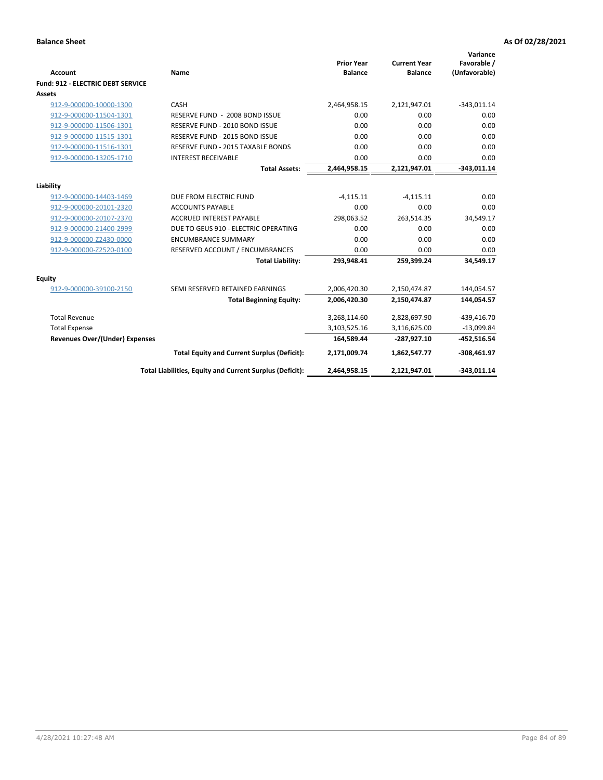| <b>Account</b>                    | Name                                                     | <b>Prior Year</b><br><b>Balance</b> | <b>Current Year</b><br><b>Balance</b> | Variance<br>Favorable /<br>(Unfavorable) |
|-----------------------------------|----------------------------------------------------------|-------------------------------------|---------------------------------------|------------------------------------------|
| Fund: 912 - ELECTRIC DEBT SERVICE |                                                          |                                     |                                       |                                          |
| <b>Assets</b>                     |                                                          |                                     |                                       |                                          |
| 912-9-000000-10000-1300           | CASH                                                     | 2,464,958.15                        | 2,121,947.01                          | $-343,011.14$                            |
| 912-9-000000-11504-1301           | RESERVE FUND - 2008 BOND ISSUE                           | 0.00                                | 0.00                                  | 0.00                                     |
| 912-9-000000-11506-1301           | RESERVE FUND - 2010 BOND ISSUE                           | 0.00                                | 0.00                                  | 0.00                                     |
| 912-9-000000-11515-1301           | RESERVE FUND - 2015 BOND ISSUE                           | 0.00                                | 0.00                                  | 0.00                                     |
| 912-9-000000-11516-1301           | <b>RESERVE FUND - 2015 TAXABLE BONDS</b>                 | 0.00                                | 0.00                                  | 0.00                                     |
| 912-9-000000-13205-1710           | <b>INTEREST RECEIVABLE</b>                               | 0.00                                | 0.00                                  | 0.00                                     |
|                                   | <b>Total Assets:</b>                                     | 2,464,958.15                        | 2,121,947.01                          | $-343,011.14$                            |
|                                   |                                                          |                                     |                                       |                                          |
| Liability                         |                                                          |                                     |                                       |                                          |
| 912-9-000000-14403-1469           | DUE FROM ELECTRIC FUND                                   | $-4,115.11$                         | $-4,115.11$                           | 0.00                                     |
| 912-9-000000-20101-2320           | <b>ACCOUNTS PAYABLE</b>                                  | 0.00                                | 0.00                                  | 0.00                                     |
| 912-9-000000-20107-2370           | <b>ACCRUED INTEREST PAYABLE</b>                          | 298,063.52                          | 263,514.35                            | 34,549.17                                |
| 912-9-000000-21400-2999           | DUE TO GEUS 910 - ELECTRIC OPERATING                     | 0.00                                | 0.00                                  | 0.00                                     |
| 912-9-000000-Z2430-0000           | <b>ENCUMBRANCE SUMMARY</b>                               | 0.00                                | 0.00                                  | 0.00                                     |
| 912-9-000000-Z2520-0100           | RESERVED ACCOUNT / ENCUMBRANCES                          | 0.00                                | 0.00                                  | 0.00                                     |
|                                   | <b>Total Liability:</b>                                  | 293,948.41                          | 259,399.24                            | 34,549.17                                |
| <b>Equity</b>                     |                                                          |                                     |                                       |                                          |
| 912-9-000000-39100-2150           | SEMI RESERVED RETAINED EARNINGS                          | 2,006,420.30                        | 2,150,474.87                          | 144,054.57                               |
|                                   | <b>Total Beginning Equity:</b>                           | 2,006,420.30                        | 2,150,474.87                          | 144,054.57                               |
| <b>Total Revenue</b>              |                                                          | 3,268,114.60                        | 2,828,697.90                          | $-439,416.70$                            |
| <b>Total Expense</b>              |                                                          | 3,103,525.16                        | 3,116,625.00                          | $-13,099.84$                             |
| Revenues Over/(Under) Expenses    |                                                          | 164,589.44                          | $-287,927.10$                         | $-452,516.54$                            |
|                                   | <b>Total Equity and Current Surplus (Deficit):</b>       | 2,171,009.74                        | 1,862,547.77                          | $-308,461.97$                            |
|                                   | Total Liabilities, Equity and Current Surplus (Deficit): | 2,464,958.15                        | 2,121,947.01                          | $-343,011.14$                            |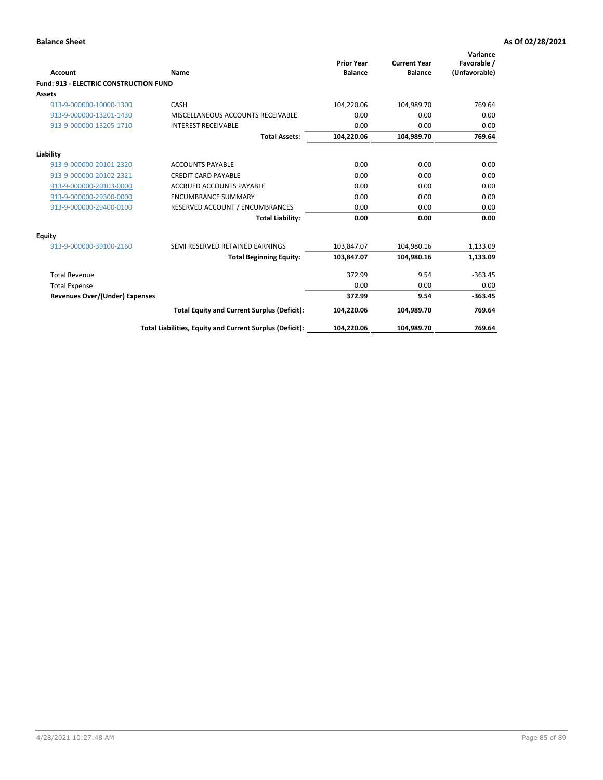| Account                                       | Name                                                     | <b>Prior Year</b><br><b>Balance</b> | <b>Current Year</b><br><b>Balance</b> | Variance<br>Favorable /<br>(Unfavorable) |
|-----------------------------------------------|----------------------------------------------------------|-------------------------------------|---------------------------------------|------------------------------------------|
| <b>Fund: 913 - ELECTRIC CONSTRUCTION FUND</b> |                                                          |                                     |                                       |                                          |
| Assets                                        |                                                          |                                     |                                       |                                          |
| 913-9-000000-10000-1300                       | CASH                                                     | 104,220.06                          | 104,989.70                            | 769.64                                   |
| 913-9-000000-13201-1430                       | MISCELLANEOUS ACCOUNTS RECEIVABLE                        | 0.00                                | 0.00                                  | 0.00                                     |
| 913-9-000000-13205-1710                       | <b>INTEREST RECEIVABLE</b>                               | 0.00                                | 0.00                                  | 0.00                                     |
|                                               | <b>Total Assets:</b>                                     | 104,220.06                          | 104,989.70                            | 769.64                                   |
| Liability                                     |                                                          |                                     |                                       |                                          |
| 913-9-000000-20101-2320                       | <b>ACCOUNTS PAYABLE</b>                                  | 0.00                                | 0.00                                  | 0.00                                     |
| 913-9-000000-20102-2321                       | <b>CREDIT CARD PAYABLE</b>                               | 0.00                                | 0.00                                  | 0.00                                     |
| 913-9-000000-20103-0000                       | <b>ACCRUED ACCOUNTS PAYABLE</b>                          | 0.00                                | 0.00                                  | 0.00                                     |
| 913-9-000000-29300-0000                       | <b>ENCUMBRANCE SUMMARY</b>                               | 0.00                                | 0.00                                  | 0.00                                     |
| 913-9-000000-29400-0100                       | RESERVED ACCOUNT / ENCUMBRANCES                          | 0.00                                | 0.00                                  | 0.00                                     |
|                                               | <b>Total Liability:</b>                                  | 0.00                                | 0.00                                  | 0.00                                     |
| Equity                                        |                                                          |                                     |                                       |                                          |
| 913-9-000000-39100-2160                       | SEMI RESERVED RETAINED EARNINGS                          | 103,847.07                          | 104,980.16                            | 1,133.09                                 |
|                                               | <b>Total Beginning Equity:</b>                           | 103,847.07                          | 104,980.16                            | 1,133.09                                 |
| <b>Total Revenue</b>                          |                                                          | 372.99                              | 9.54                                  | $-363.45$                                |
| <b>Total Expense</b>                          |                                                          | 0.00                                | 0.00                                  | 0.00                                     |
| Revenues Over/(Under) Expenses                |                                                          | 372.99                              | 9.54                                  | $-363.45$                                |
|                                               | <b>Total Equity and Current Surplus (Deficit):</b>       | 104,220.06                          | 104,989.70                            | 769.64                                   |
|                                               | Total Liabilities, Equity and Current Surplus (Deficit): | 104,220.06                          | 104,989.70                            | 769.64                                   |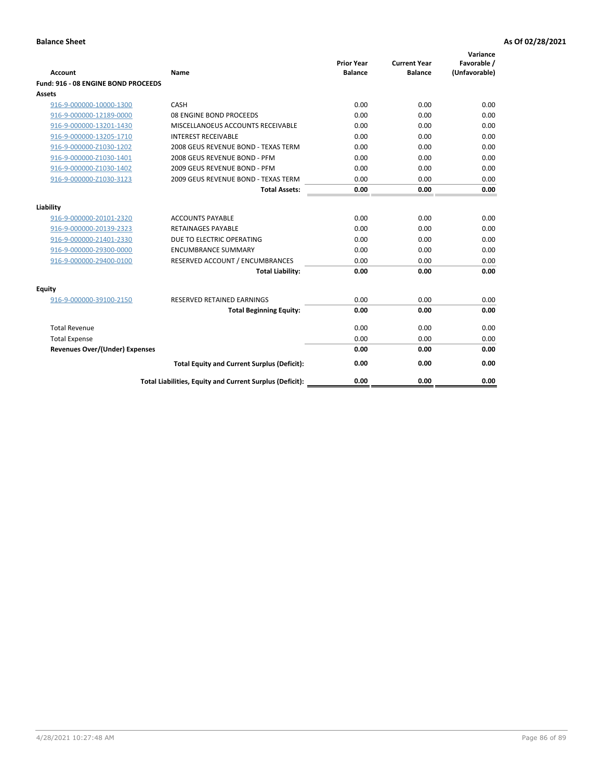| <b>Account</b>                        | Name                                                     | <b>Prior Year</b><br><b>Balance</b> | <b>Current Year</b><br><b>Balance</b> | Variance<br>Favorable /<br>(Unfavorable) |
|---------------------------------------|----------------------------------------------------------|-------------------------------------|---------------------------------------|------------------------------------------|
| Fund: 916 - 08 ENGINE BOND PROCEEDS   |                                                          |                                     |                                       |                                          |
| <b>Assets</b>                         |                                                          |                                     |                                       |                                          |
| 916-9-000000-10000-1300               | CASH                                                     | 0.00                                | 0.00                                  | 0.00                                     |
| 916-9-000000-12189-0000               | 08 ENGINE BOND PROCEEDS                                  | 0.00                                | 0.00                                  | 0.00                                     |
| 916-9-000000-13201-1430               | MISCELLANOEUS ACCOUNTS RECEIVABLE                        | 0.00                                | 0.00                                  | 0.00                                     |
| 916-9-000000-13205-1710               | <b>INTEREST RECEIVABLE</b>                               | 0.00                                | 0.00                                  | 0.00                                     |
| 916-9-000000-Z1030-1202               | 2008 GEUS REVENUE BOND - TEXAS TERM                      | 0.00                                | 0.00                                  | 0.00                                     |
| 916-9-000000-Z1030-1401               | 2008 GEUS REVENUE BOND - PFM                             | 0.00                                | 0.00                                  | 0.00                                     |
| 916-9-000000-Z1030-1402               | 2009 GEUS REVENUE BOND - PFM                             | 0.00                                | 0.00                                  | 0.00                                     |
| 916-9-000000-Z1030-3123               | 2009 GEUS REVENUE BOND - TEXAS TERM                      | 0.00                                | 0.00                                  | 0.00                                     |
|                                       | <b>Total Assets:</b>                                     | 0.00                                | 0.00                                  | 0.00                                     |
| Liability                             |                                                          |                                     |                                       |                                          |
| 916-9-000000-20101-2320               | <b>ACCOUNTS PAYABLE</b>                                  | 0.00                                | 0.00                                  | 0.00                                     |
| 916-9-000000-20139-2323               | <b>RETAINAGES PAYABLE</b>                                | 0.00                                | 0.00                                  | 0.00                                     |
| 916-9-000000-21401-2330               | DUE TO ELECTRIC OPERATING                                | 0.00                                | 0.00                                  | 0.00                                     |
| 916-9-000000-29300-0000               | <b>ENCUMBRANCE SUMMARY</b>                               | 0.00                                | 0.00                                  | 0.00                                     |
| 916-9-000000-29400-0100               | RESERVED ACCOUNT / ENCUMBRANCES                          | 0.00                                | 0.00                                  | 0.00                                     |
|                                       | <b>Total Liability:</b>                                  | 0.00                                | 0.00                                  | 0.00                                     |
| Equity                                |                                                          |                                     |                                       |                                          |
| 916-9-000000-39100-2150               | <b>RESERVED RETAINED EARNINGS</b>                        | 0.00                                | 0.00                                  | 0.00                                     |
|                                       | <b>Total Beginning Equity:</b>                           | 0.00                                | 0.00                                  | 0.00                                     |
| <b>Total Revenue</b>                  |                                                          | 0.00                                | 0.00                                  | 0.00                                     |
| <b>Total Expense</b>                  |                                                          | 0.00                                | 0.00                                  | 0.00                                     |
| <b>Revenues Over/(Under) Expenses</b> |                                                          | 0.00                                | 0.00                                  | 0.00                                     |
|                                       | <b>Total Equity and Current Surplus (Deficit):</b>       | 0.00                                | 0.00                                  | 0.00                                     |
|                                       | Total Liabilities, Equity and Current Surplus (Deficit): | 0.00                                | 0.00                                  | 0.00                                     |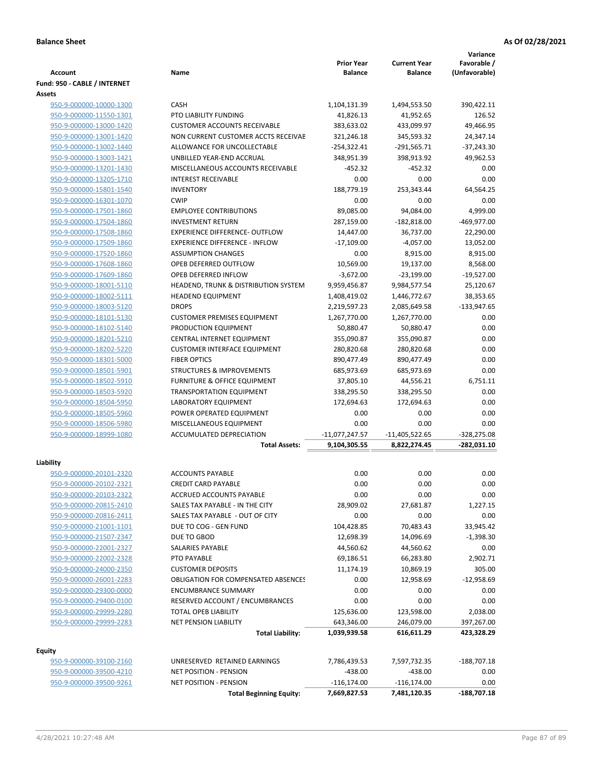|                              |                                            | <b>Prior Year</b> | <b>Current Year</b> | Variance<br>Favorable / |
|------------------------------|--------------------------------------------|-------------------|---------------------|-------------------------|
| <b>Account</b>               | Name                                       | <b>Balance</b>    | <b>Balance</b>      | (Unfavorable)           |
| Fund: 950 - CABLE / INTERNET |                                            |                   |                     |                         |
| <b>Assets</b>                |                                            |                   |                     |                         |
| 950-9-000000-10000-1300      | <b>CASH</b>                                | 1,104,131.39      | 1,494,553.50        | 390,422.11              |
| 950-9-000000-11550-1301      | PTO LIABILITY FUNDING                      | 41,826.13         | 41,952.65           | 126.52                  |
| 950-9-000000-13000-1420      | <b>CUSTOMER ACCOUNTS RECEIVABLE</b>        | 383,633.02        | 433,099.97          | 49,466.95               |
| 950-9-000000-13001-1420      | NON CURRENT CUSTOMER ACCTS RECEIVAE        | 321,246.18        | 345,593.32          | 24,347.14               |
| 950-9-000000-13002-1440      | ALLOWANCE FOR UNCOLLECTABLE                | $-254,322.41$     | $-291,565.71$       | $-37,243.30$            |
| 950-9-000000-13003-1421      | UNBILLED YEAR-END ACCRUAL                  | 348,951.39        | 398,913.92          | 49,962.53               |
| 950-9-000000-13201-1430      | MISCELLANEOUS ACCOUNTS RECEIVABLE          | $-452.32$         | $-452.32$           | 0.00                    |
| 950-9-000000-13205-1710      | <b>INTEREST RECEIVABLE</b>                 | 0.00              | 0.00                | 0.00                    |
| 950-9-000000-15801-1540      | <b>INVENTORY</b>                           | 188,779.19        | 253.343.44          | 64,564.25               |
| 950-9-000000-16301-1070      | <b>CWIP</b>                                | 0.00              | 0.00                | 0.00                    |
| 950-9-000000-17501-1860      | <b>EMPLOYEE CONTRIBUTIONS</b>              | 89,085.00         | 94,084.00           | 4,999.00                |
| 950-9-000000-17504-1860      | <b>INVESTMENT RETURN</b>                   | 287,159.00        | $-182,818.00$       | $-469,977.00$           |
| 950-9-000000-17508-1860      | <b>EXPERIENCE DIFFERENCE- OUTFLOW</b>      | 14,447.00         | 36,737.00           | 22,290.00               |
| 950-9-000000-17509-1860      | <b>EXPERIENCE DIFFERENCE - INFLOW</b>      | $-17,109.00$      | $-4,057.00$         | 13,052.00               |
| 950-9-000000-17520-1860      | <b>ASSUMPTION CHANGES</b>                  | 0.00              | 8,915.00            | 8,915.00                |
| 950-9-000000-17608-1860      | OPEB DEFERRED OUTFLOW                      | 10,569.00         | 19,137.00           | 8,568.00                |
| 950-9-000000-17609-1860      | OPEB DEFERRED INFLOW                       | $-3,672.00$       | $-23,199.00$        | $-19,527.00$            |
| 950-9-000000-18001-5110      | HEADEND, TRUNK & DISTRIBUTION SYSTEM       | 9,959,456.87      | 9,984,577.54        | 25,120.67               |
| 950-9-000000-18002-5111      | <b>HEADEND EQUIPMENT</b>                   | 1,408,419.02      | 1,446,772.67        | 38,353.65               |
| 950-9-000000-18003-5120      | <b>DROPS</b>                               | 2,219,597.23      | 2,085,649.58        | $-133,947.65$           |
| 950-9-000000-18101-5130      | <b>CUSTOMER PREMISES EQUIPMENT</b>         | 1,267,770.00      | 1,267,770.00        | 0.00                    |
| 950-9-000000-18102-5140      | PRODUCTION EQUIPMENT                       | 50,880.47         | 50,880.47           | 0.00                    |
| 950-9-000000-18201-5210      | CENTRAL INTERNET EQUIPMENT                 | 355,090.87        | 355,090.87          | 0.00                    |
| 950-9-000000-18202-5220      | <b>CUSTOMER INTERFACE EQUIPMENT</b>        | 280,820.68        | 280,820.68          | 0.00                    |
| 950-9-000000-18301-5000      | <b>FIBER OPTICS</b>                        | 890,477.49        | 890,477.49          | 0.00                    |
| 950-9-000000-18501-5901      | <b>STRUCTURES &amp; IMPROVEMENTS</b>       | 685,973.69        | 685,973.69          | 0.00                    |
| 950-9-000000-18502-5910      | <b>FURNITURE &amp; OFFICE EQUIPMENT</b>    | 37,805.10         | 44,556.21           | 6,751.11                |
| 950-9-000000-18503-5920      | <b>TRANSPORTATION EQUIPMENT</b>            | 338,295.50        | 338,295.50          | 0.00                    |
| 950-9-000000-18504-5950      | <b>LABORATORY EQUIPMENT</b>                | 172,694.63        | 172,694.63          | 0.00                    |
| 950-9-000000-18505-5960      | POWER OPERATED EQUIPMENT                   | 0.00              | 0.00                | 0.00                    |
| 950-9-000000-18506-5980      | MISCELLANEOUS EQUIPMENT                    | 0.00              | 0.00                | 0.00                    |
| 950-9-000000-18999-1080      | ACCUMULATED DEPRECIATION                   | $-11,077,247.57$  | $-11,405,522.65$    | $-328,275.08$           |
|                              | <b>Total Assets:</b>                       | 9,104,305.55      | 8,822,274.45        | $-282,031.10$           |
| Liability                    |                                            |                   |                     |                         |
| 950-9-000000-20101-2320      | <b>ACCOUNTS PAYABLE</b>                    | 0.00              | 0.00                | 0.00                    |
| 950-9-000000-20102-2321      | <b>CREDIT CARD PAYABLE</b>                 | 0.00              | 0.00                | 0.00                    |
| 950-9-000000-20103-2322      | ACCRUED ACCOUNTS PAYABLE                   | 0.00              | 0.00                | 0.00                    |
| 950-9-000000-20815-2410      | SALES TAX PAYABLE - IN THE CITY            | 28,909.02         | 27,681.87           | 1,227.15                |
| 950-9-000000-20816-2411      | SALES TAX PAYABLE - OUT OF CITY            | 0.00              | 0.00                | 0.00                    |
| 950-9-000000-21001-1101      | DUE TO COG - GEN FUND                      | 104,428.85        | 70,483.43           | 33,945.42               |
| 950-9-000000-21507-2347      | DUE TO GBOD                                | 12,698.39         | 14,096.69           | $-1,398.30$             |
| 950-9-000000-22001-2327      | <b>SALARIES PAYABLE</b>                    | 44,560.62         | 44,560.62           | 0.00                    |
| 950-9-000000-22002-2328      | PTO PAYABLE                                | 69,186.51         | 66,283.80           | 2,902.71                |
| 950-9-000000-24000-2350      | <b>CUSTOMER DEPOSITS</b>                   | 11,174.19         | 10,869.19           | 305.00                  |
| 950-9-000000-26001-2283      | <b>OBLIGATION FOR COMPENSATED ABSENCES</b> | 0.00              | 12,958.69           | $-12,958.69$            |
| 950-9-000000-29300-0000      | <b>ENCUMBRANCE SUMMARY</b>                 | 0.00              | 0.00                | 0.00                    |
| 950-9-000000-29400-0100      | RESERVED ACCOUNT / ENCUMBRANCES            | 0.00              | 0.00                | 0.00                    |
| 950-9-000000-29999-2280      | TOTAL OPEB LIABILITY                       | 125,636.00        | 123,598.00          | 2,038.00                |
| 950-9-000000-29999-2283      | <b>NET PENSION LIABILITY</b>               | 643,346.00        | 246,079.00          | 397,267.00              |
|                              | <b>Total Liability:</b>                    | 1,039,939.58      | 616,611.29          | 423,328.29              |
|                              |                                            |                   |                     |                         |
| <b>Equity</b>                |                                            |                   |                     |                         |
| 950-9-000000-39100-2160      | UNRESERVED RETAINED EARNINGS               | 7,786,439.53      | 7,597,732.35        | $-188,707.18$           |
| 950-9-000000-39500-4210      | NET POSITION - PENSION                     | $-438.00$         | $-438.00$           | 0.00                    |
| 950-9-000000-39500-9261      | <b>NET POSITION - PENSION</b>              | $-116, 174.00$    | $-116, 174.00$      | 0.00                    |
|                              | <b>Total Beginning Equity:</b>             | 7,669,827.53      | 7,481,120.35        | $-188,707.18$           |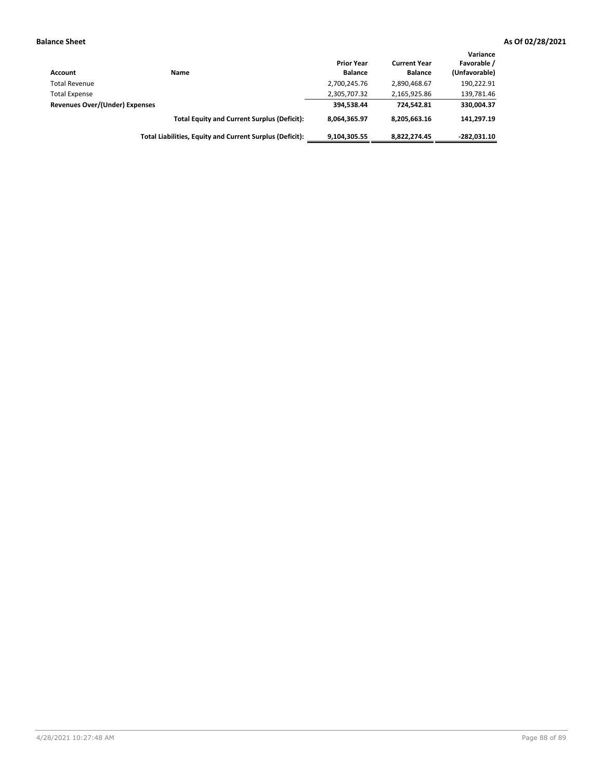| Account                               | Name                                                     | <b>Prior Year</b><br><b>Balance</b> | <b>Current Year</b><br><b>Balance</b> | Variance<br>Favorable /<br>(Unfavorable) |
|---------------------------------------|----------------------------------------------------------|-------------------------------------|---------------------------------------|------------------------------------------|
| <b>Total Revenue</b>                  |                                                          | 2,700,245.76                        | 2,890,468.67                          | 190.222.91                               |
| <b>Total Expense</b>                  |                                                          | 2,305,707.32                        | 2,165,925.86                          | 139,781.46                               |
| <b>Revenues Over/(Under) Expenses</b> |                                                          | 394,538.44                          | 724.542.81                            | 330,004.37                               |
|                                       | <b>Total Equity and Current Surplus (Deficit):</b>       | 8.064.365.97                        | 8,205,663.16                          | 141.297.19                               |
|                                       | Total Liabilities, Equity and Current Surplus (Deficit): | 9,104,305.55                        | 8.822.274.45                          | $-282.031.10$                            |